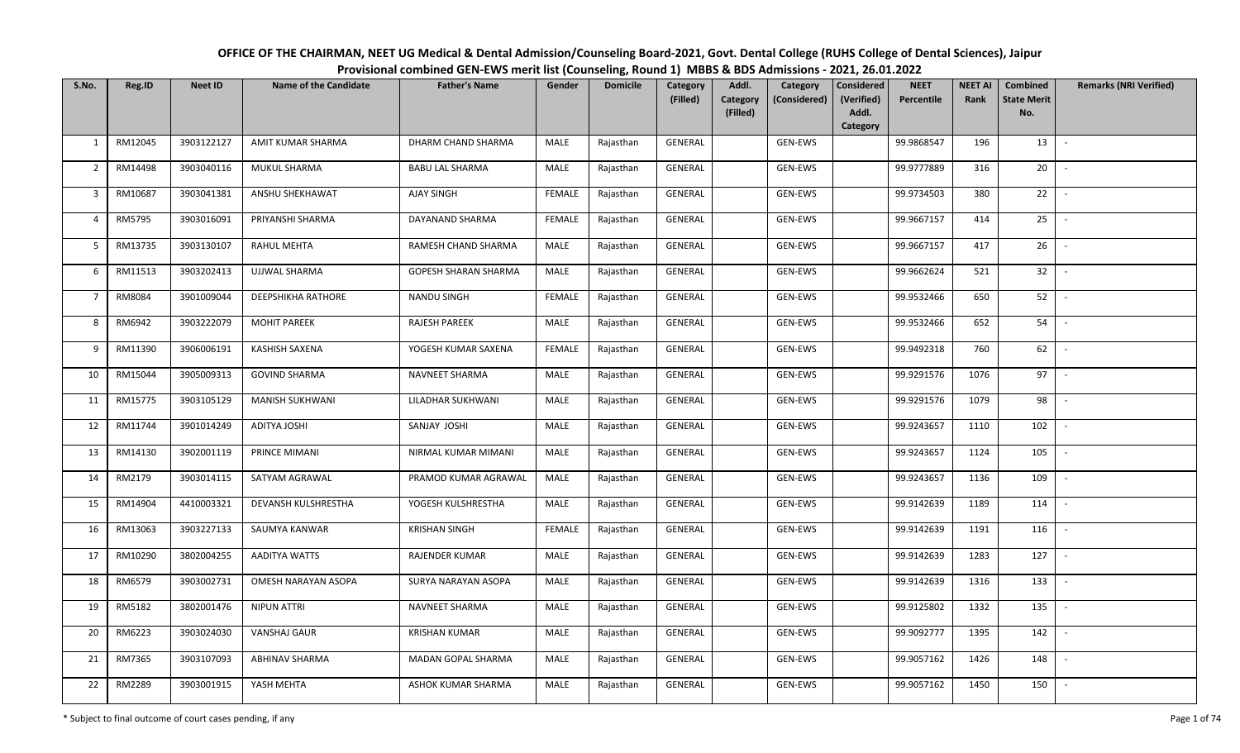| OFFICE OF THE CHAIRMAN, NEET UG Medical & Dental Admission/Counseling Board-2021, Govt. Dental College (RUHS College of Dental Sciences), Jaipur |
|--------------------------------------------------------------------------------------------------------------------------------------------------|
| Provisional combined GEN-EWS merit list (Counseling, Round 1) MBBS & BDS Admissions - 2021, 26.01.2022                                           |

| S.No.                   | Reg.ID  | <b>Neet ID</b> | <b>Name of the Candidate</b> | <b>Father's Name</b>        | Gender        | <b>Domicile</b> | Category<br>(Filled) | Addl.<br><b>Category</b><br>(Filled) | Category<br>(Considered) | <b>Considered</b><br>(Verified)<br>Addl.<br>Category | <b>NEET</b><br>Percentile | <b>NEET AI</b><br>Rank | Combined<br><b>State Merit</b><br>No. | <b>Remarks (NRI Verified)</b> |
|-------------------------|---------|----------------|------------------------------|-----------------------------|---------------|-----------------|----------------------|--------------------------------------|--------------------------|------------------------------------------------------|---------------------------|------------------------|---------------------------------------|-------------------------------|
| 1                       | RM12045 | 3903122127     | AMIT KUMAR SHARMA            | DHARM CHAND SHARMA          | MALE          | Rajasthan       | GENERAL              |                                      | GEN-EWS                  |                                                      | 99.9868547                | 196                    | 13                                    | $\sim$                        |
| $\overline{2}$          | RM14498 | 3903040116     | <b>MUKUL SHARMA</b>          | <b>BABU LAL SHARMA</b>      | MALE          | Rajasthan       | GENERAL              |                                      | GEN-EWS                  |                                                      | 99.9777889                | 316                    | 20                                    |                               |
| $\overline{\mathbf{3}}$ | RM10687 | 3903041381     | ANSHU SHEKHAWAT              | AJAY SINGH                  | FEMALE        | Rajasthan       | GENERAL              |                                      | GEN-EWS                  |                                                      | 99.9734503                | 380                    | 22                                    | $\sim$                        |
| $\overline{4}$          | RM5795  | 3903016091     | PRIYANSHI SHARMA             | DAYANAND SHARMA             | <b>FEMALE</b> | Rajasthan       | <b>GENERAL</b>       |                                      | GEN-EWS                  |                                                      | 99.9667157                | 414                    | 25                                    | $\sim$                        |
| 5                       | RM13735 | 3903130107     | <b>RAHUL MEHTA</b>           | RAMESH CHAND SHARMA         | MALE          | Rajasthan       | <b>GENERAL</b>       |                                      | <b>GEN-EWS</b>           |                                                      | 99.9667157                | 417                    | 26                                    | $\sim$                        |
| 6                       | RM11513 | 3903202413     | UJJWAL SHARMA                | <b>GOPESH SHARAN SHARMA</b> | MALE          | Rajasthan       | <b>GENERAL</b>       |                                      | GEN-EWS                  |                                                      | 99.9662624                | 521                    | 32                                    | $\sim$                        |
| $\overline{7}$          | RM8084  | 3901009044     | <b>DEEPSHIKHA RATHORE</b>    | <b>NANDU SINGH</b>          | <b>FEMALE</b> | Rajasthan       | <b>GENERAL</b>       |                                      | GEN-EWS                  |                                                      | 99.9532466                | 650                    | 52                                    | $\sim$                        |
| 8                       | RM6942  | 3903222079     | <b>MOHIT PAREEK</b>          | <b>RAJESH PAREEK</b>        | MALE          | Rajasthan       | GENERAL              |                                      | GEN-EWS                  |                                                      | 99.9532466                | 652                    | 54                                    | $\overline{\phantom{a}}$      |
| 9                       | RM11390 | 3906006191     | <b>KASHISH SAXENA</b>        | YOGESH KUMAR SAXENA         | <b>FEMALE</b> | Rajasthan       | GENERAL              |                                      | GEN-EWS                  |                                                      | 99.9492318                | 760                    | 62                                    | $\overline{\phantom{a}}$      |
| 10                      | RM15044 | 3905009313     | <b>GOVIND SHARMA</b>         | NAVNEET SHARMA              | MALE          | Rajasthan       | <b>GENERAL</b>       |                                      | GEN-EWS                  |                                                      | 99.9291576                | 1076                   | 97                                    |                               |
| 11                      | RM15775 | 3903105129     | MANISH SUKHWANI              | LILADHAR SUKHWANI           | MALE          | Rajasthan       | <b>GENERAL</b>       |                                      | GEN-EWS                  |                                                      | 99.9291576                | 1079                   | 98                                    |                               |
| 12                      | RM11744 | 3901014249     | ADITYA JOSHI                 | SANJAY JOSHI                | MALE          | Rajasthan       | <b>GENERAL</b>       |                                      | GEN-EWS                  |                                                      | 99.9243657                | 1110                   | 102                                   | $\overline{\phantom{a}}$      |
| 13                      | RM14130 | 3902001119     | PRINCE MIMANI                | NIRMAL KUMAR MIMANI         | MALE          | Rajasthan       | GENERAL              |                                      | GEN-EWS                  |                                                      | 99.9243657                | 1124                   | 105                                   | $\sim$                        |
| 14                      | RM2179  | 3903014115     | SATYAM AGRAWAL               | PRAMOD KUMAR AGRAWAL        | MALE          | Rajasthan       | <b>GENERAL</b>       |                                      | GEN-EWS                  |                                                      | 99.9243657                | 1136                   | 109                                   | $\sim$                        |
| 15                      | RM14904 | 4410003321     | DEVANSH KULSHRESTHA          | YOGESH KULSHRESTHA          | MALE          | Rajasthan       | <b>GENERAL</b>       |                                      | GEN-EWS                  |                                                      | 99.9142639                | 1189                   | 114                                   |                               |
| 16                      | RM13063 | 3903227133     | SAUMYA KANWAR                | <b>KRISHAN SINGH</b>        | <b>FEMALE</b> | Rajasthan       | GENERAL              |                                      | GEN-EWS                  |                                                      | 99.9142639                | 1191                   | 116                                   | $\overline{\phantom{a}}$      |
| 17                      | RM10290 | 3802004255     | AADITYA WATTS                | <b>RAJENDER KUMAR</b>       | MALE          | Rajasthan       | GENERAL              |                                      | GEN-EWS                  |                                                      | 99.9142639                | 1283                   | 127                                   |                               |
| 18                      | RM6579  | 3903002731     | OMESH NARAYAN ASOPA          | SURYA NARAYAN ASOPA         | MALE          | Rajasthan       | GENERAL              |                                      | GEN-EWS                  |                                                      | 99.9142639                | 1316                   | 133                                   | $\sim$                        |
| 19                      | RM5182  | 3802001476     | NIPUN ATTRI                  | NAVNEET SHARMA              | MALE          | Rajasthan       | GENERAL              |                                      | GEN-EWS                  |                                                      | 99.9125802                | 1332                   | 135                                   | $\sim$                        |
| 20                      | RM6223  | 3903024030     | VANSHAJ GAUR                 | <b>KRISHAN KUMAR</b>        | MALE          | Rajasthan       | GENERAL              |                                      | GEN-EWS                  |                                                      | 99.9092777                | 1395                   | 142                                   | $\sim$                        |
| 21                      | RM7365  | 3903107093     | ABHINAV SHARMA               | MADAN GOPAL SHARMA          | MALE          | Rajasthan       | <b>GENERAL</b>       |                                      | GEN-EWS                  |                                                      | 99.9057162                | 1426                   | 148                                   | $\sim$                        |
| 22                      | RM2289  | 3903001915     | YASH MEHTA                   | ASHOK KUMAR SHARMA          | MALE          | Rajasthan       | GENERAL              |                                      | GEN-EWS                  |                                                      | 99.9057162                | 1450                   | 150                                   | $\sim$                        |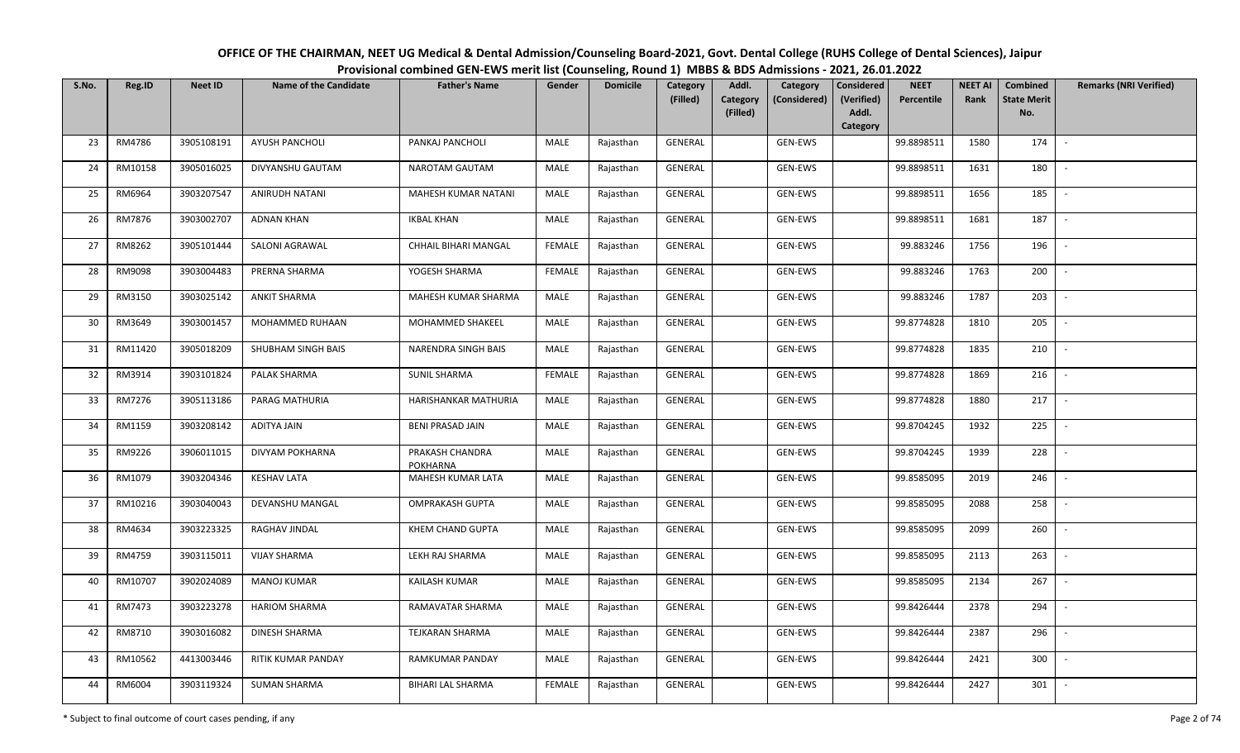| OFFICE OF THE CHAIRMAN, NEET UG Medical & Dental Admission/Counseling Board-2021, Govt. Dental College (RUHS College of Dental Sciences), Jaipur |
|--------------------------------------------------------------------------------------------------------------------------------------------------|
| Provisional combined GEN-EWS merit list (Counseling, Round 1) MBBS & BDS Admissions - 2021, 26.01.2022                                           |

| S.No. | Reg.ID  | <b>Neet ID</b> | <b>Name of the Candidate</b> | <b>Father's Name</b>               | Gender        | <b>Domicile</b> | Category<br>(Filled) | Addl.<br><b>Category</b> | Category<br>(Considered) | <b>Considered</b><br>(Verified) | <b>NEET</b><br>Percentile | <b>NEET AI</b><br>Rank | Combined<br><b>State Merit</b> | <b>Remarks (NRI Verified)</b> |
|-------|---------|----------------|------------------------------|------------------------------------|---------------|-----------------|----------------------|--------------------------|--------------------------|---------------------------------|---------------------------|------------------------|--------------------------------|-------------------------------|
|       |         |                |                              |                                    |               |                 |                      | (Filled)                 |                          | Addl.<br>Category               |                           |                        | No.                            |                               |
| 23    | RM4786  | 3905108191     | <b>AYUSH PANCHOLI</b>        | PANKAJ PANCHOLI                    | MALE          | Rajasthan       | GENERAL              |                          | GEN-EWS                  |                                 | 99.8898511                | 1580                   | 174                            | $\overline{\phantom{a}}$      |
| 24    | RM10158 | 3905016025     | DIVYANSHU GAUTAM             | NAROTAM GAUTAM                     | MALE          | Rajasthan       | GENERAL              |                          | GEN-EWS                  |                                 | 99.8898511                | 1631                   | 180                            |                               |
| 25    | RM6964  | 3903207547     | ANIRUDH NATANI               | MAHESH KUMAR NATANI                | MALE          | Rajasthan       | GENERAL              |                          | GEN-EWS                  |                                 | 99.8898511                | 1656                   | 185                            | $\sim$                        |
| 26    | RM7876  | 3903002707     | <b>ADNAN KHAN</b>            | <b>IKBAL KHAN</b>                  | MALE          | Rajasthan       | GENERAL              |                          | GEN-EWS                  |                                 | 99.8898511                | 1681                   | 187                            | $\sim$                        |
| 27    | RM8262  | 3905101444     | SALONI AGRAWAL               | CHHAIL BIHARI MANGAL               | <b>FEMALE</b> | Rajasthan       | GENERAL              |                          | GEN-EWS                  |                                 | 99.883246                 | 1756                   | 196                            | $\overline{\phantom{a}}$      |
| 28    | RM9098  | 3903004483     | PRERNA SHARMA                | YOGESH SHARMA                      | <b>FEMALE</b> | Rajasthan       | GENERAL              |                          | GEN-EWS                  |                                 | 99.883246                 | 1763                   | 200                            | $\overline{\phantom{a}}$      |
| 29    | RM3150  | 3903025142     | <b>ANKIT SHARMA</b>          | MAHESH KUMAR SHARMA                | MALE          | Rajasthan       | GENERAL              |                          | GEN-EWS                  |                                 | 99.883246                 | 1787                   | 203                            |                               |
| 30    | RM3649  | 3903001457     | MOHAMMED RUHAAN              | MOHAMMED SHAKEEL                   | MALE          | Rajasthan       | <b>GENERAL</b>       |                          | GEN-EWS                  |                                 | 99.8774828                | 1810                   | 205                            |                               |
| 31    | RM11420 | 3905018209     | SHUBHAM SINGH BAIS           | NARENDRA SINGH BAIS                | <b>MALE</b>   | Rajasthan       | GENERAL              |                          | GEN-EWS                  |                                 | 99.8774828                | 1835                   | 210                            |                               |
| 32    | RM3914  | 3903101824     | PALAK SHARMA                 | <b>SUNIL SHARMA</b>                | <b>FEMALE</b> | Rajasthan       | GENERAL              |                          | GEN-EWS                  |                                 | 99.8774828                | 1869                   | 216                            |                               |
| 33    | RM7276  | 3905113186     | PARAG MATHURIA               | HARISHANKAR MATHURIA               | MALE          | Rajasthan       | GENERAL              |                          | GEN-EWS                  |                                 | 99.8774828                | 1880                   | 217                            |                               |
| 34    | RM1159  | 3903208142     | <b>ADITYA JAIN</b>           | <b>BENI PRASAD JAIN</b>            | MALE          | Rajasthan       | GENERAL              |                          | GEN-EWS                  |                                 | 99.8704245                | 1932                   | 225                            | $\overline{\phantom{a}}$      |
| 35    | RM9226  | 3906011015     | DIVYAM POKHARNA              | PRAKASH CHANDRA<br><b>POKHARNA</b> | MALE          | Rajasthan       | GENERAL              |                          | GEN-EWS                  |                                 | 99.8704245                | 1939                   | 228                            |                               |
| 36    | RM1079  | 3903204346     | <b>KESHAV LATA</b>           | <b>MAHESH KUMAR LATA</b>           | MALE          | Rajasthan       | GENERAL              |                          | GEN-EWS                  |                                 | 99.8585095                | 2019                   | 246                            | $\overline{\phantom{a}}$      |
| 37    | RM10216 | 3903040043     | DEVANSHU MANGAL              | <b>OMPRAKASH GUPTA</b>             | MALE          | Rajasthan       | GENERAL              |                          | GEN-EWS                  |                                 | 99.8585095                | 2088                   | 258                            | $\sim$                        |
| 38    | RM4634  | 3903223325     | RAGHAV JINDAL                | KHEM CHAND GUPTA                   | MALE          | Rajasthan       | GENERAL              |                          | GEN-EWS                  |                                 | 99.8585095                | 2099                   | 260                            | $\overline{a}$                |
| 39    | RM4759  | 3903115011     | <b>VIJAY SHARMA</b>          | LEKH RAJ SHARMA                    | MALE          | Rajasthan       | GENERAL              |                          | GEN-EWS                  |                                 | 99.8585095                | 2113                   | 263                            | $\sim$                        |
| 40    | RM10707 | 3902024089     | <b>MANOJ KUMAR</b>           | KAILASH KUMAR                      | MALE          | Rajasthan       | GENERAL              |                          | GEN-EWS                  |                                 | 99.8585095                | 2134                   | 267                            |                               |
| 41    | RM7473  | 3903223278     | <b>HARIOM SHARMA</b>         | RAMAVATAR SHARMA                   | MALE          | Rajasthan       | <b>GENERAL</b>       |                          | GEN-EWS                  |                                 | 99.8426444                | 2378                   | 294                            |                               |
| 42    | RM8710  | 3903016082     | DINESH SHARMA                | TEJKARAN SHARMA                    | MALE          | Rajasthan       | <b>GENERAL</b>       |                          | GEN-EWS                  |                                 | 99.8426444                | 2387                   | 296                            |                               |
| 43    | RM10562 | 4413003446     | RITIK KUMAR PANDAY           | RAMKUMAR PANDAY                    | MALE          | Rajasthan       | GENERAL              |                          | GEN-EWS                  |                                 | 99.8426444                | 2421                   | 300                            |                               |
| 44    | RM6004  | 3903119324     | <b>SUMAN SHARMA</b>          | BIHARI LAL SHARMA                  | <b>FEMALE</b> | Rajasthan       | GENERAL              |                          | GEN-EWS                  |                                 | 99.8426444                | 2427                   | 301                            |                               |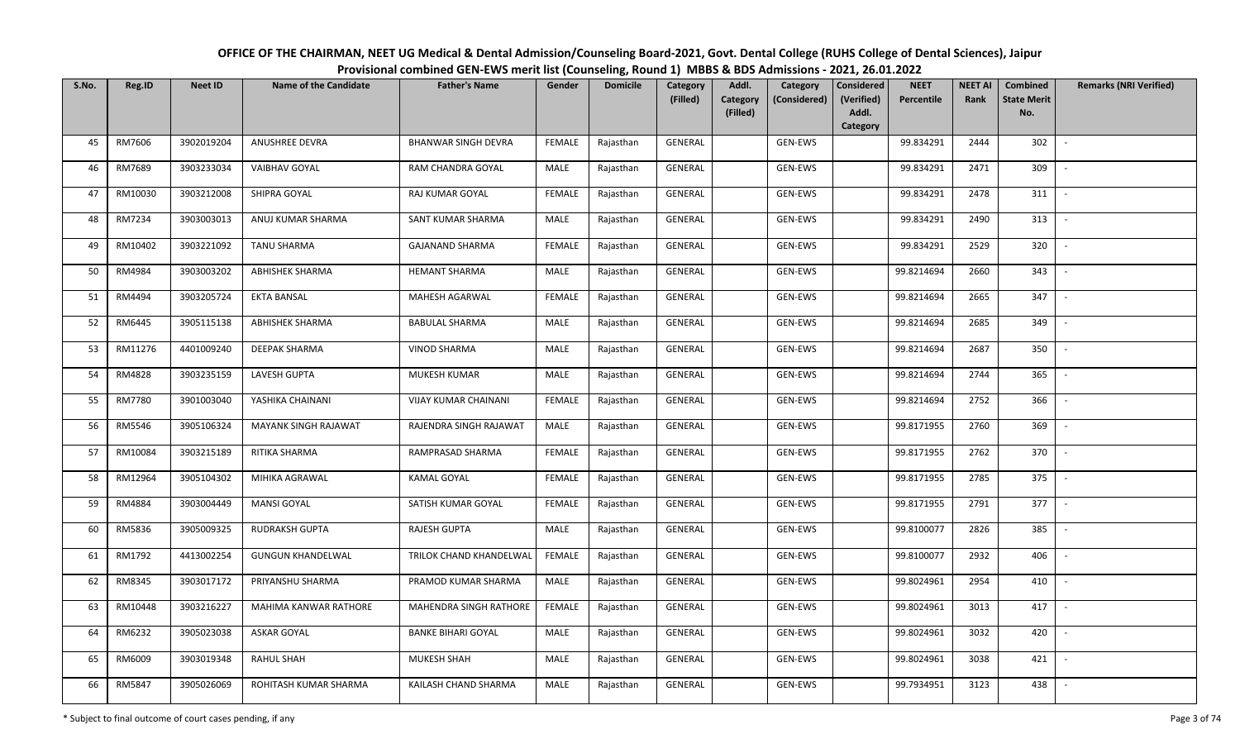| OFFICE OF THE CHAIRMAN, NEET UG Medical & Dental Admission/Counseling Board-2021, Govt. Dental College (RUHS College of Dental Sciences), Jaipur |  |  |  |  |  |  |  |  |  |  |  |  |
|--------------------------------------------------------------------------------------------------------------------------------------------------|--|--|--|--|--|--|--|--|--|--|--|--|
| Provisional combined GEN-EWS merit list (Counseling, Round 1) MBBS & BDS Admissions - 2021, 26.01.2022                                           |  |  |  |  |  |  |  |  |  |  |  |  |
|                                                                                                                                                  |  |  |  |  |  |  |  |  |  |  |  |  |

| S.No. | Reg.ID  | <b>Neet ID</b> | <b>Name of the Candidate</b> | <b>Father's Name</b>       | Gender        | <b>Domicile</b> | <b>Category</b><br>(Filled) | Addl.                | Category<br>(Considered) | <b>Considered</b><br>(Verified) | <b>NEET</b><br>Percentile | <b>NEET AI</b><br>Rank | Combined<br><b>State Merit</b> | <b>Remarks (NRI Verified)</b> |
|-------|---------|----------------|------------------------------|----------------------------|---------------|-----------------|-----------------------------|----------------------|--------------------------|---------------------------------|---------------------------|------------------------|--------------------------------|-------------------------------|
|       |         |                |                              |                            |               |                 |                             | Category<br>(Filled) |                          | Addl.                           |                           |                        | No.                            |                               |
|       |         |                |                              |                            |               |                 |                             |                      |                          | Category                        |                           |                        |                                |                               |
| 45    | RM7606  | 3902019204     | ANUSHREE DEVRA               | <b>BHANWAR SINGH DEVRA</b> | <b>FEMALE</b> | Rajasthan       | <b>GENERAL</b>              |                      | <b>GEN-EWS</b>           |                                 | 99.834291                 | 2444                   | 302                            | $\overline{\phantom{a}}$      |
| 46    | RM7689  | 3903233034     | <b>VAIBHAV GOYAL</b>         | RAM CHANDRA GOYAL          | MALE          | Rajasthan       | GENERAL                     |                      | GEN-EWS                  |                                 | 99.834291                 | 2471                   | 309                            |                               |
| 47    | RM10030 | 3903212008     | SHIPRA GOYAL                 | RAJ KUMAR GOYAL            | <b>FEMALE</b> | Rajasthan       | GENERAL                     |                      | GEN-EWS                  |                                 | 99.834291                 | 2478                   | 311                            | $\sim$                        |
| 48    | RM7234  | 3903003013     | ANUJ KUMAR SHARMA            | SANT KUMAR SHARMA          | MALE          | Rajasthan       | GENERAL                     |                      | GEN-EWS                  |                                 | 99.834291                 | 2490                   | 313                            | $\sim$                        |
| 49    | RM10402 | 3903221092     | <b>TANU SHARMA</b>           | <b>GAJANAND SHARMA</b>     | <b>FEMALE</b> | Rajasthan       | GENERAL                     |                      | GEN-EWS                  |                                 | 99.834291                 | 2529                   | 320                            | $\sim$                        |
| 50    | RM4984  | 3903003202     | <b>ABHISHEK SHARMA</b>       | <b>HEMANT SHARMA</b>       | <b>MALE</b>   | Rajasthan       | GENERAL                     |                      | GEN-EWS                  |                                 | 99.8214694                | 2660                   | 343                            | $\overline{\phantom{a}}$      |
| 51    | RM4494  | 3903205724     | <b>EKTA BANSAL</b>           | MAHESH AGARWAL             | <b>FEMALE</b> | Rajasthan       | GENERAL                     |                      | GEN-EWS                  |                                 | 99.8214694                | 2665                   | 347                            |                               |
| 52    | RM6445  | 3905115138     | ABHISHEK SHARMA              | <b>BABULAL SHARMA</b>      | MALE          | Rajasthan       | GENERAL                     |                      | GEN-EWS                  |                                 | 99.8214694                | 2685                   | 349                            |                               |
| 53    | RM11276 | 4401009240     | <b>DEEPAK SHARMA</b>         | <b>VINOD SHARMA</b>        | MALE          | Rajasthan       | GENERAL                     |                      | GEN-EWS                  |                                 | 99.8214694                | 2687                   | 350                            | $\overline{\phantom{a}}$      |
| 54    | RM4828  | 3903235159     | LAVESH GUPTA                 | MUKESH KUMAR               | MALE          | Rajasthan       | GENERAL                     |                      | GEN-EWS                  |                                 | 99.8214694                | 2744                   | 365                            |                               |
| 55    | RM7780  | 3901003040     | YASHIKA CHAINANI             | VIJAY KUMAR CHAINANI       | <b>FEMALE</b> | Rajasthan       | GENERAL                     |                      | GEN-EWS                  |                                 | 99.8214694                | 2752                   | 366                            |                               |
| 56    | RM5546  | 3905106324     | MAYANK SINGH RAJAWAT         | RAJENDRA SINGH RAJAWAT     | MALE          | Rajasthan       | GENERAL                     |                      | GEN-EWS                  |                                 | 99.8171955                | 2760                   | 369                            | $\sim$                        |
| 57    | RM10084 | 3903215189     | RITIKA SHARMA                | RAMPRASAD SHARMA           | <b>FEMALE</b> | Rajasthan       | GENERAL                     |                      | GEN-EWS                  |                                 | 99.8171955                | 2762                   | 370                            |                               |
| 58    | RM12964 | 3905104302     | MIHIKA AGRAWAL               | <b>KAMAL GOYAL</b>         | <b>FEMALE</b> | Rajasthan       | GENERAL                     |                      | GEN-EWS                  |                                 | 99.8171955                | 2785                   | 375                            | $\sim$                        |
| 59    | RM4884  | 3903004449     | <b>MANSI GOYAL</b>           | SATISH KUMAR GOYAL         | <b>FEMALE</b> | Rajasthan       | GENERAL                     |                      | GEN-EWS                  |                                 | 99.8171955                | 2791                   | 377                            | $\sim$                        |
| 60    | RM5836  | 3905009325     | <b>RUDRAKSH GUPTA</b>        | RAJESH GUPTA               | MALE          | Rajasthan       | GENERAL                     |                      | GEN-EWS                  |                                 | 99.8100077                | 2826                   | 385                            | $\sim$                        |
| 61    | RM1792  | 4413002254     | <b>GUNGUN KHANDELWAL</b>     | TRILOK CHAND KHANDELWAL    | <b>FEMALE</b> | Rajasthan       | GENERAL                     |                      | GEN-EWS                  |                                 | 99.8100077                | 2932                   | 406                            | $\sim$                        |
| 62    | RM8345  | 3903017172     | PRIYANSHU SHARMA             | PRAMOD KUMAR SHARMA        | MALE          | Rajasthan       | GENERAL                     |                      | GEN-EWS                  |                                 | 99.8024961                | 2954                   | 410                            |                               |
| 63    | RM10448 | 3903216227     | MAHIMA KANWAR RATHORE        | MAHENDRA SINGH RATHORE     | <b>FEMALE</b> | Rajasthan       | <b>GENERAL</b>              |                      | GEN-EWS                  |                                 | 99.8024961                | 3013                   | 417                            |                               |
| 64    | RM6232  | 3905023038     | ASKAR GOYAL                  | <b>BANKE BIHARI GOYAL</b>  | MALE          | Rajasthan       | GENERAL                     |                      | GEN-EWS                  |                                 | 99.8024961                | 3032                   | 420                            |                               |
| 65    | RM6009  | 3903019348     | RAHUL SHAH                   | MUKESH SHAH                | <b>MALE</b>   | Rajasthan       | GENERAL                     |                      | GEN-EWS                  |                                 | 99.8024961                | 3038                   | 421                            |                               |
| 66    | RM5847  | 3905026069     | ROHITASH KUMAR SHARMA        | KAILASH CHAND SHARMA       | MALE          | Rajasthan       | GENERAL                     |                      | GEN-EWS                  |                                 | 99.7934951                | 3123                   | 438                            |                               |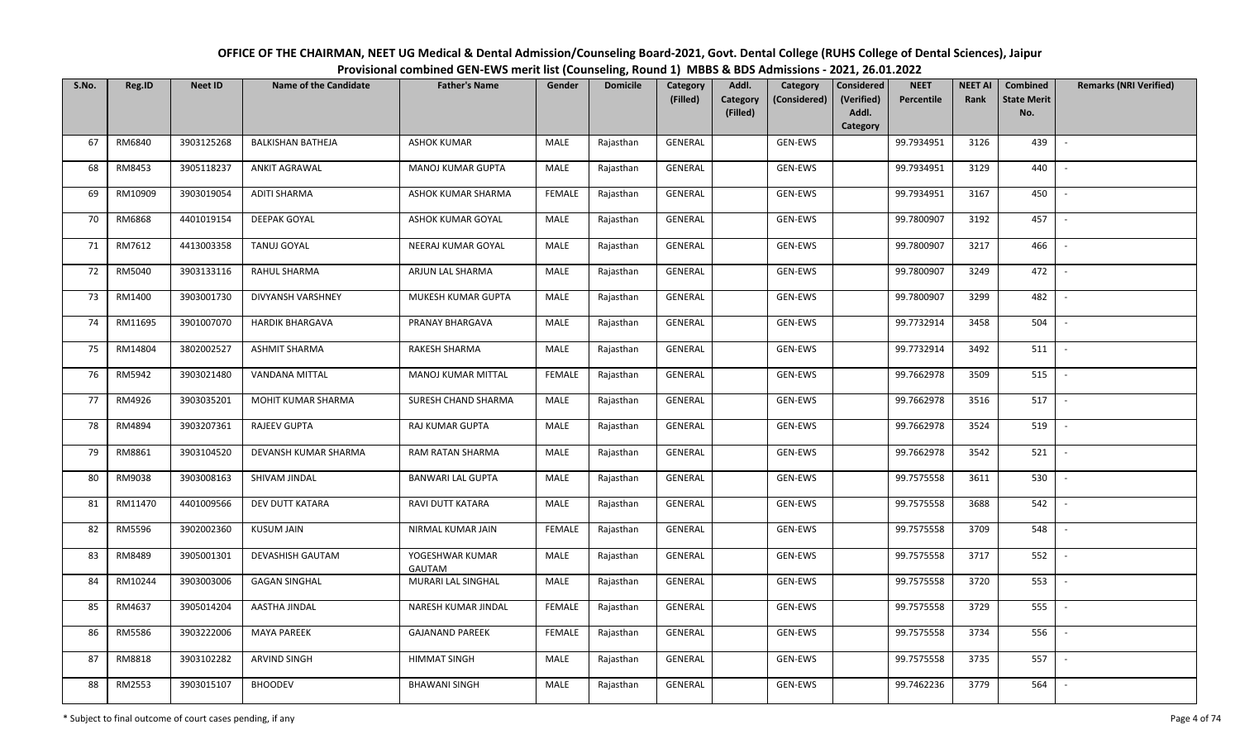| OFFICE OF THE CHAIRMAN, NEET UG Medical & Dental Admission/Counseling Board-2021, Govt. Dental College (RUHS College of Dental Sciences), Jaipur |  |
|--------------------------------------------------------------------------------------------------------------------------------------------------|--|
| Provisional combined GEN-EWS merit list (Counseling, Round 1) MBBS & BDS Admissions - 2021, 26.01.2022                                           |  |

| S.No. | Reg.ID  | <b>Neet ID</b> | <b>Name of the Candidate</b> | <b>Father's Name</b>             | Gender        | <b>Domicile</b> | Category<br>(Filled) | Addl.<br><b>Category</b> | Category<br>(Considered) | <b>Considered</b><br>(Verified) | <b>NEET</b><br>Percentile | <b>NEET AI</b><br>Rank | Combined<br><b>State Merit</b> | <b>Remarks (NRI Verified)</b> |
|-------|---------|----------------|------------------------------|----------------------------------|---------------|-----------------|----------------------|--------------------------|--------------------------|---------------------------------|---------------------------|------------------------|--------------------------------|-------------------------------|
|       |         |                |                              |                                  |               |                 |                      | (Filled)                 |                          | Addl.<br>Category               |                           |                        | No.                            |                               |
| 67    | RM6840  | 3903125268     | <b>BALKISHAN BATHEJA</b>     | <b>ASHOK KUMAR</b>               | MALE          | Rajasthan       | GENERAL              |                          | GEN-EWS                  |                                 | 99.7934951                | 3126                   | 439                            | $\overline{\phantom{a}}$      |
| 68    | RM8453  | 3905118237     | <b>ANKIT AGRAWAL</b>         | MANOJ KUMAR GUPTA                | MALE          | Rajasthan       | GENERAL              |                          | GEN-EWS                  |                                 | 99.7934951                | 3129                   | 440                            |                               |
| 69    | RM10909 | 3903019054     | <b>ADITI SHARMA</b>          | ASHOK KUMAR SHARMA               | <b>FEMALE</b> | Rajasthan       | GENERAL              |                          | GEN-EWS                  |                                 | 99.7934951                | 3167                   | 450                            | $\sim$                        |
| 70    | RM6868  | 4401019154     | DEEPAK GOYAL                 | ASHOK KUMAR GOYAL                | MALE          | Rajasthan       | GENERAL              |                          | GEN-EWS                  |                                 | 99.7800907                | 3192                   | 457                            | $\sim$                        |
| 71    | RM7612  | 4413003358     | <b>TANUJ GOYAL</b>           | NEERAJ KUMAR GOYAL               | MALE          | Rajasthan       | GENERAL              |                          | GEN-EWS                  |                                 | 99.7800907                | 3217                   | 466                            | $\sim$                        |
| 72    | RM5040  | 3903133116     | RAHUL SHARMA                 | ARJUN LAL SHARMA                 | <b>MALE</b>   | Rajasthan       | GENERAL              |                          | GEN-EWS                  |                                 | 99.7800907                | 3249                   | 472                            | $\overline{\phantom{a}}$      |
| 73    | RM1400  | 3903001730     | DIVYANSH VARSHNEY            | MUKESH KUMAR GUPTA               | MALE          | Rajasthan       | GENERAL              |                          | GEN-EWS                  |                                 | 99.7800907                | 3299                   | 482                            |                               |
| 74    | RM11695 | 3901007070     | <b>HARDIK BHARGAVA</b>       | PRANAY BHARGAVA                  | MALE          | Rajasthan       | <b>GENERAL</b>       |                          | GEN-EWS                  |                                 | 99.7732914                | 3458                   | 504                            |                               |
| 75    | RM14804 | 3802002527     | <b>ASHMIT SHARMA</b>         | RAKESH SHARMA                    | <b>MALE</b>   | Rajasthan       | GENERAL              |                          | GEN-EWS                  |                                 | 99.7732914                | 3492                   | 511                            | $\overline{\phantom{a}}$      |
| 76    | RM5942  | 3903021480     | <b>VANDANA MITTAL</b>        | MANOJ KUMAR MITTAL               | <b>FEMALE</b> | Rajasthan       | GENERAL              |                          | GEN-EWS                  |                                 | 99.7662978                | 3509                   | 515                            | $\overline{\phantom{a}}$      |
| 77    | RM4926  | 3903035201     | MOHIT KUMAR SHARMA           | SURESH CHAND SHARMA              | MALE          | Rajasthan       | GENERAL              |                          | GEN-EWS                  |                                 | 99.7662978                | 3516                   | 517                            |                               |
| 78    | RM4894  | 3903207361     | <b>RAJEEV GUPTA</b>          | RAJ KUMAR GUPTA                  | MALE          | Rajasthan       | GENERAL              |                          | GEN-EWS                  |                                 | 99.7662978                | 3524                   | 519                            | $\overline{\phantom{a}}$      |
| 79    | RM8861  | 3903104520     | DEVANSH KUMAR SHARMA         | RAM RATAN SHARMA                 | MALE          | Rajasthan       | GENERAL              |                          | GEN-EWS                  |                                 | 99.7662978                | 3542                   | 521                            |                               |
| 80    | RM9038  | 3903008163     | SHIVAM JINDAL                | <b>BANWARI LAL GUPTA</b>         | MALE          | Rajasthan       | GENERAL              |                          | GEN-EWS                  |                                 | 99.7575558                | 3611                   | 530                            | $\sim$                        |
| 81    | RM11470 | 4401009566     | DEV DUTT KATARA              | RAVI DUTT KATARA                 | MALE          | Rajasthan       | GENERAL              |                          | GEN-EWS                  |                                 | 99.7575558                | 3688                   | 542                            | $\sim$                        |
| 82    | RM5596  | 3902002360     | <b>KUSUM JAIN</b>            | NIRMAL KUMAR JAIN                | <b>FEMALE</b> | Rajasthan       | GENERAL              |                          | GEN-EWS                  |                                 | 99.7575558                | 3709                   | 548                            | $\overline{\phantom{a}}$      |
| 83    | RM8489  | 3905001301     | <b>DEVASHISH GAUTAM</b>      | YOGESHWAR KUMAR<br><b>GAUTAM</b> | MALE          | Rajasthan       | GENERAL              |                          | GEN-EWS                  |                                 | 99.7575558                | 3717                   | 552                            | $\sim$                        |
| 84    | RM10244 | 3903003006     | <b>GAGAN SINGHAL</b>         | MURARI LAL SINGHAL               | MALE          | Rajasthan       | GENERAL              |                          | GEN-EWS                  |                                 | 99.7575558                | 3720                   | 553                            |                               |
| 85    | RM4637  | 3905014204     | AASTHA JINDAL                | NARESH KUMAR JINDAL              | <b>FEMALE</b> | Rajasthan       | <b>GENERAL</b>       |                          | GEN-EWS                  |                                 | 99.7575558                | 3729                   | 555                            |                               |
| 86    | RM5586  | 3903222006     | <b>MAYA PAREEK</b>           | <b>GAJANAND PAREEK</b>           | <b>FEMALE</b> | Rajasthan       | GENERAL              |                          | GEN-EWS                  |                                 | 99.7575558                | 3734                   | 556                            |                               |
| 87    | RM8818  | 3903102282     | ARVIND SINGH                 | <b>HIMMAT SINGH</b>              | MALE          | Rajasthan       | GENERAL              |                          | GEN-EWS                  |                                 | 99.7575558                | 3735                   | 557                            |                               |
| 88    | RM2553  | 3903015107     | <b>BHOODEV</b>               | <b>BHAWANI SINGH</b>             | MALE          | Rajasthan       | GENERAL              |                          | GEN-EWS                  |                                 | 99.7462236                | 3779                   | 564                            |                               |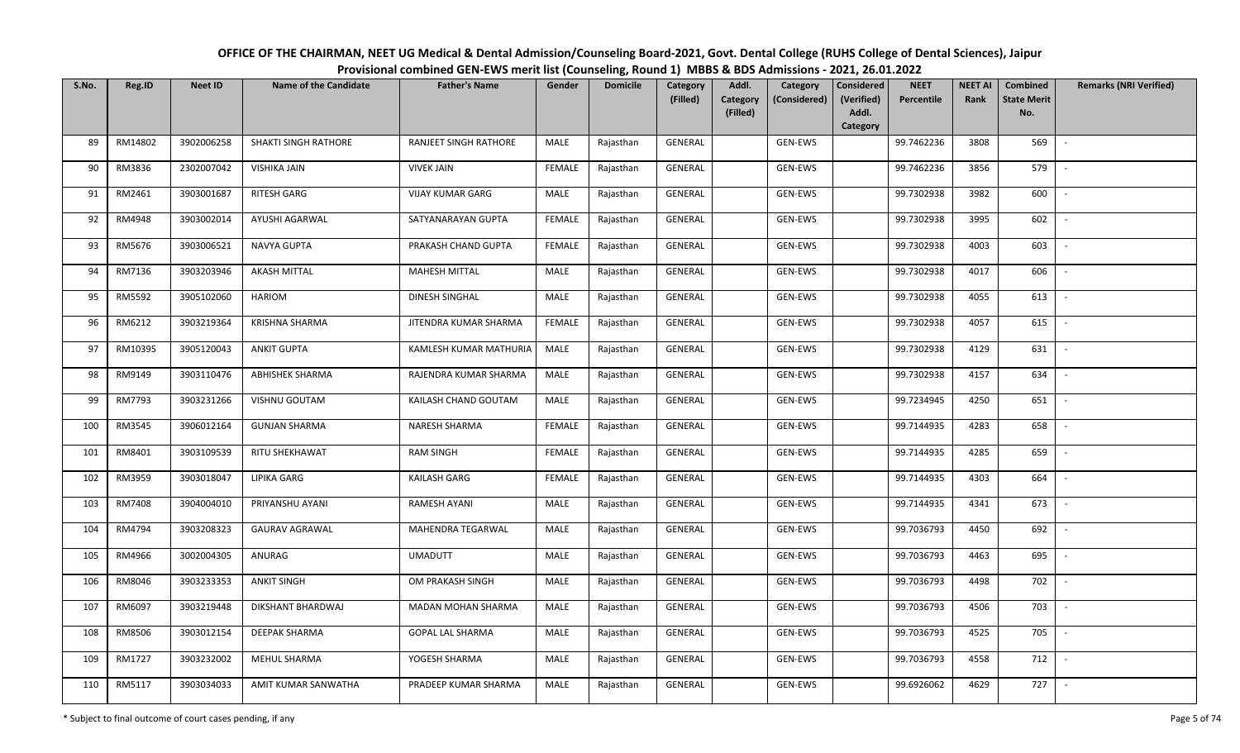| OFFICE OF THE CHAIRMAN, NEET UG Medical & Dental Admission/Counseling Board-2021, Govt. Dental College (RUHS College of Dental Sciences), Jaipur |  |  |  |  |  |  |  |  |  |  |  |  |
|--------------------------------------------------------------------------------------------------------------------------------------------------|--|--|--|--|--|--|--|--|--|--|--|--|
| Provisional combined GEN-EWS merit list (Counseling, Round 1) MBBS & BDS Admissions - 2021, 26.01.2022                                           |  |  |  |  |  |  |  |  |  |  |  |  |
|                                                                                                                                                  |  |  |  |  |  |  |  |  |  |  |  |  |

| S.No. | Reg.ID  | <b>Neet ID</b> | <b>Name of the Candidate</b> | <b>Father's Name</b>         | Gender        | <b>Domicile</b> | <b>Category</b> | Addl.                | Category       | <b>Considered</b>   | <b>NEET</b> | <b>NEET AI</b> | Combined                  | <b>Remarks (NRI Verified)</b> |
|-------|---------|----------------|------------------------------|------------------------------|---------------|-----------------|-----------------|----------------------|----------------|---------------------|-------------|----------------|---------------------------|-------------------------------|
|       |         |                |                              |                              |               |                 | (Filled)        | Category<br>(Filled) | (Considered)   | (Verified)<br>Addl. | Percentile  | Rank           | <b>State Merit</b><br>No. |                               |
|       |         |                |                              |                              |               |                 |                 |                      |                | Category            |             |                |                           |                               |
| 89    | RM14802 | 3902006258     | <b>SHAKTI SINGH RATHORE</b>  | <b>RANJEET SINGH RATHORE</b> | MALE          | Rajasthan       | <b>GENERAL</b>  |                      | <b>GEN-EWS</b> |                     | 99.7462236  | 3808           | 569                       | $\overline{\phantom{a}}$      |
| 90    | RM3836  | 2302007042     | <b>VISHIKA JAIN</b>          | <b>VIVEK JAIN</b>            | FEMALE        | Rajasthan       | GENERAL         |                      | GEN-EWS        |                     | 99.7462236  | 3856           | 579                       |                               |
| 91    | RM2461  | 3903001687     | RITESH GARG                  | <b>VIJAY KUMAR GARG</b>      | MALE          | Rajasthan       | GENERAL         |                      | GEN-EWS        |                     | 99.7302938  | 3982           | 600                       | $\sim$                        |
| 92    | RM4948  | 3903002014     | AYUSHI AGARWAL               | SATYANARAYAN GUPTA           | <b>FEMALE</b> | Rajasthan       | GENERAL         |                      | GEN-EWS        |                     | 99.7302938  | 3995           | 602                       | $\overline{\phantom{a}}$      |
| 93    | RM5676  | 3903006521     | NAVYA GUPTA                  | PRAKASH CHAND GUPTA          | <b>FEMALE</b> | Rajasthan       | GENERAL         |                      | GEN-EWS        |                     | 99.7302938  | 4003           | 603                       | $\sim$                        |
| 94    | RM7136  | 3903203946     | <b>AKASH MITTAL</b>          | <b>MAHESH MITTAL</b>         | MALE          | Rajasthan       | GENERAL         |                      | GEN-EWS        |                     | 99.7302938  | 4017           | 606                       | $\overline{\phantom{a}}$      |
| 95    | RM5592  | 3905102060     | <b>HARIOM</b>                | DINESH SINGHAL               | MALE          | Rajasthan       | GENERAL         |                      | GEN-EWS        |                     | 99.7302938  | 4055           | 613                       |                               |
| 96    | RM6212  | 3903219364     | <b>KRISHNA SHARMA</b>        | JITENDRA KUMAR SHARMA        | <b>FEMALE</b> | Rajasthan       | GENERAL         |                      | GEN-EWS        |                     | 99.7302938  | 4057           | 615                       |                               |
| 97    | RM10395 | 3905120043     | <b>ANKIT GUPTA</b>           | KAMLESH KUMAR MATHURIA       | MALE          | Rajasthan       | GENERAL         |                      | GEN-EWS        |                     | 99.7302938  | 4129           | 631                       |                               |
| 98    | RM9149  | 3903110476     | <b>ABHISHEK SHARMA</b>       | RAJENDRA KUMAR SHARMA        | MALE          | Rajasthan       | GENERAL         |                      | GEN-EWS        |                     | 99.7302938  | 4157           | 634                       |                               |
| 99    | RM7793  | 3903231266     | VISHNU GOUTAM                | KAILASH CHAND GOUTAM         | MALE          | Rajasthan       | GENERAL         |                      | GEN-EWS        |                     | 99.7234945  | 4250           | 651                       |                               |
| 100   | RM3545  | 3906012164     | <b>GUNJAN SHARMA</b>         | NARESH SHARMA                | <b>FEMALE</b> | Rajasthan       | GENERAL         |                      | GEN-EWS        |                     | 99.7144935  | 4283           | 658                       | $\sim$                        |
| 101   | RM8401  | 3903109539     | RITU SHEKHAWAT               | <b>RAM SINGH</b>             | <b>FEMALE</b> | Rajasthan       | GENERAL         |                      | GEN-EWS        |                     | 99.7144935  | 4285           | 659                       |                               |
| 102   | RM3959  | 3903018047     | <b>LIPIKA GARG</b>           | KAILASH GARG                 | <b>FEMALE</b> | Rajasthan       | GENERAL         |                      | GEN-EWS        |                     | 99.7144935  | 4303           | 664                       | $\sim$                        |
| 103   | RM7408  | 3904004010     | PRIYANSHU AYANI              | <b>RAMESH AYANI</b>          | MALE          | Rajasthan       | GENERAL         |                      | GEN-EWS        |                     | 99.7144935  | 4341           | 673                       | $\overline{\phantom{a}}$      |
| 104   | RM4794  | 3903208323     | <b>GAURAV AGRAWAL</b>        | MAHENDRA TEGARWAL            | MALE          | Rajasthan       | GENERAL         |                      | GEN-EWS        |                     | 99.7036793  | 4450           | 692                       | $\overline{\phantom{a}}$      |
| 105   | RM4966  | 3002004305     | ANURAG                       | <b>UMADUTT</b>               | MALE          | Rajasthan       | GENERAL         |                      | GEN-EWS        |                     | 99.7036793  | 4463           | 695                       | $\sim$                        |
| 106   | RM8046  | 3903233353     | <b>ANKIT SINGH</b>           | OM PRAKASH SINGH             | MALE          | Rajasthan       | GENERAL         |                      | GEN-EWS        |                     | 99.7036793  | 4498           | 702                       |                               |
| 107   | RM6097  | 3903219448     | DIKSHANT BHARDWAJ            | <b>MADAN MOHAN SHARMA</b>    | MALE          | Rajasthan       | GENERAL         |                      | GEN-EWS        |                     | 99.7036793  | 4506           | 703                       |                               |
| 108   | RM8506  | 3903012154     | DEEPAK SHARMA                | <b>GOPAL LAL SHARMA</b>      | MALE          | Rajasthan       | GENERAL         |                      | GEN-EWS        |                     | 99.7036793  | 4525           | 705                       |                               |
| 109   | RM1727  | 3903232002     | MEHUL SHARMA                 | YOGESH SHARMA                | MALE          | Rajasthan       | GENERAL         |                      | GEN-EWS        |                     | 99.7036793  | 4558           | 712                       |                               |
| 110   | RM5117  | 3903034033     | AMIT KUMAR SANWATHA          | PRADEEP KUMAR SHARMA         | MALE          | Rajasthan       | GENERAL         |                      | GEN-EWS        |                     | 99.6926062  | 4629           | 727                       |                               |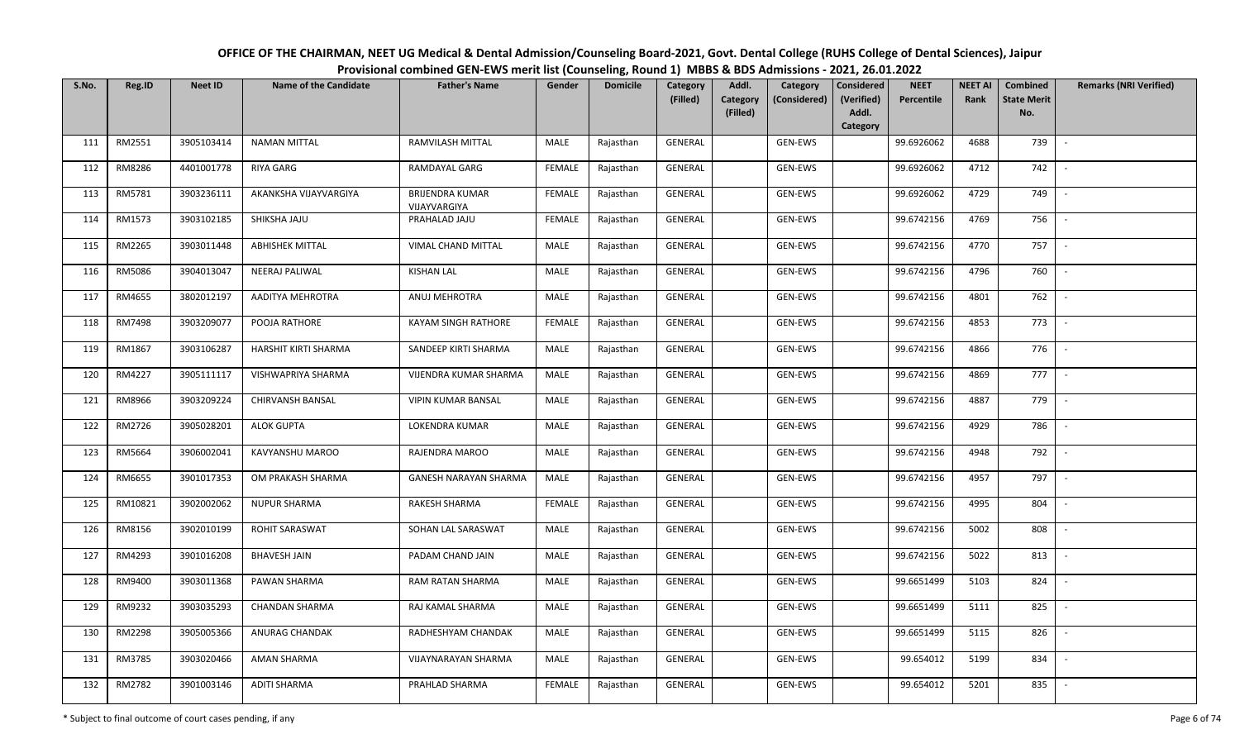| OFFICE OF THE CHAIRMAN, NEET UG Medical & Dental Admission/Counseling Board-2021, Govt. Dental College (RUHS College of Dental Sciences), Jaipur |
|--------------------------------------------------------------------------------------------------------------------------------------------------|
| Provisional combined GEN-EWS merit list (Counseling, Round 1) MBBS & BDS Admissions - 2021, 26.01.2022                                           |

| S.No. | Reg.ID  | <b>Neet ID</b> | <b>Name of the Candidate</b> | <b>Father's Name</b>                   | Gender        | <b>Domicile</b> | Category<br>(Filled) | Addl.<br>Category | Category<br>(Considered) | <b>Considered</b><br>(Verified) | <b>NEET</b><br>Percentile | <b>NEET AI</b><br>Rank | Combined<br><b>State Merit</b> | <b>Remarks (NRI Verified)</b> |
|-------|---------|----------------|------------------------------|----------------------------------------|---------------|-----------------|----------------------|-------------------|--------------------------|---------------------------------|---------------------------|------------------------|--------------------------------|-------------------------------|
|       |         |                |                              |                                        |               |                 |                      | (Filled)          |                          | Addl.                           |                           |                        | No.                            |                               |
|       |         |                |                              |                                        |               |                 |                      |                   |                          | Category                        |                           |                        |                                |                               |
| 111   | RM2551  | 3905103414     | <b>NAMAN MITTAL</b>          | RAMVILASH MITTAL                       | MALE          | Rajasthan       | <b>GENERAL</b>       |                   | <b>GEN-EWS</b>           |                                 | 99.6926062                | 4688                   | 739                            | $\sim$                        |
| 112   | RM8286  | 4401001778     | RIYA GARG                    | <b>RAMDAYAL GARG</b>                   | <b>FEMALE</b> | Rajasthan       | GENERAL              |                   | GEN-EWS                  |                                 | 99.6926062                | 4712                   | 742                            |                               |
| 113   | RM5781  | 3903236111     | AKANKSHA VIJAYVARGIYA        | <b>BRIJENDRA KUMAR</b><br>VIJAYVARGIYA | <b>FEMALE</b> | Rajasthan       | GENERAL              |                   | GEN-EWS                  |                                 | 99.6926062                | 4729                   | 749                            | $\sim$                        |
| 114   | RM1573  | 3903102185     | SHIKSHA JAJU                 | PRAHALAD JAJU                          | <b>FEMALE</b> | Rajasthan       | GENERAL              |                   | GEN-EWS                  |                                 | 99.6742156                | 4769                   | 756                            | $\overline{\phantom{a}}$      |
| 115   | RM2265  | 3903011448     | <b>ABHISHEK MITTAL</b>       | VIMAL CHAND MITTAL                     | MALE          | Rajasthan       | GENERAL              |                   | GEN-EWS                  |                                 | 99.6742156                | 4770                   | 757                            | $\sim$                        |
| 116   | RM5086  | 3904013047     | NEERAJ PALIWAL               | <b>KISHAN LAL</b>                      | <b>MALE</b>   | Rajasthan       | GENERAL              |                   | GEN-EWS                  |                                 | 99.6742156                | 4796                   | 760                            | $\overline{\phantom{a}}$      |
| 117   | RM4655  | 3802012197     | AADITYA MEHROTRA             | ANUJ MEHROTRA                          | MALE          | Rajasthan       | <b>GENERAL</b>       |                   | GEN-EWS                  |                                 | 99.6742156                | 4801                   | 762                            |                               |
| 118   | RM7498  | 3903209077     | POOJA RATHORE                | KAYAM SINGH RATHORE                    | <b>FEMALE</b> | Rajasthan       | <b>GENERAL</b>       |                   | GEN-EWS                  |                                 | 99.6742156                | 4853                   | 773                            |                               |
| 119   | RM1867  | 3903106287     | HARSHIT KIRTI SHARMA         | SANDEEP KIRTI SHARMA                   | MALE          | Rajasthan       | <b>GENERAL</b>       |                   | GEN-EWS                  |                                 | 99.6742156                | 4866                   | 776                            | $\overline{\phantom{a}}$      |
| 120   | RM4227  | 3905111117     | VISHWAPRIYA SHARMA           | VIJENDRA KUMAR SHARMA                  | MALE          | Rajasthan       | GENERAL              |                   | GEN-EWS                  |                                 | 99.6742156                | 4869                   | 777                            |                               |
| 121   | RM8966  | 3903209224     | CHIRVANSH BANSAL             | <b>VIPIN KUMAR BANSAL</b>              | MALE          | Rajasthan       | GENERAL              |                   | GEN-EWS                  |                                 | 99.6742156                | 4887                   | 779                            |                               |
| 122   | RM2726  | 3905028201     | <b>ALOK GUPTA</b>            | LOKENDRA KUMAR                         | MALE          | Rajasthan       | GENERAL              |                   | GEN-EWS                  |                                 | 99.6742156                | 4929                   | 786                            | $\sim$                        |
| 123   | RM5664  | 3906002041     | KAVYANSHU MAROO              | RAJENDRA MAROO                         | MALE          | Rajasthan       | GENERAL              |                   | GEN-EWS                  |                                 | 99.6742156                | 4948                   | 792                            |                               |
| 124   | RM6655  | 3901017353     | OM PRAKASH SHARMA            | GANESH NARAYAN SHARMA                  | MALE          | Rajasthan       | GENERAL              |                   | GEN-EWS                  |                                 | 99.6742156                | 4957                   | 797                            | $\overline{\phantom{a}}$      |
| 125   | RM10821 | 3902002062     | <b>NUPUR SHARMA</b>          | <b>RAKESH SHARMA</b>                   | <b>FEMALE</b> | Rajasthan       | GENERAL              |                   | GEN-EWS                  |                                 | 99.6742156                | 4995                   | 804                            | $\overline{\phantom{a}}$      |
| 126   | RM8156  | 3902010199     | ROHIT SARASWAT               | SOHAN LAL SARASWAT                     | MALE          | Rajasthan       | GENERAL              |                   | GEN-EWS                  |                                 | 99.6742156                | 5002                   | 808                            | $\sim$                        |
| 127   | RM4293  | 3901016208     | <b>BHAVESH JAIN</b>          | PADAM CHAND JAIN                       | MALE          | Rajasthan       | GENERAL              |                   | GEN-EWS                  |                                 | 99.6742156                | 5022                   | 813                            | $\sim$                        |
| 128   | RM9400  | 3903011368     | PAWAN SHARMA                 | RAM RATAN SHARMA                       | MALE          | Rajasthan       | <b>GENERAL</b>       |                   | GEN-EWS                  |                                 | 99.6651499                | 5103                   | 824                            |                               |
| 129   | RM9232  | 3903035293     | <b>CHANDAN SHARMA</b>        | RAJ KAMAL SHARMA                       | MALE          | Rajasthan       | <b>GENERAL</b>       |                   | GEN-EWS                  |                                 | 99.6651499                | 5111                   | 825                            |                               |
| 130   | RM2298  | 3905005366     | ANURAG CHANDAK               | RADHESHYAM CHANDAK                     | MALE          | Rajasthan       | GENERAL              |                   | GEN-EWS                  |                                 | 99.6651499                | 5115                   | 826                            |                               |
| 131   | RM3785  | 3903020466     | <b>AMAN SHARMA</b>           | VIJAYNARAYAN SHARMA                    | <b>MALE</b>   | Rajasthan       | GENERAL              |                   | GEN-EWS                  |                                 | 99.654012                 | 5199                   | 834                            |                               |
| 132   | RM2782  | 3901003146     | <b>ADITI SHARMA</b>          | PRAHLAD SHARMA                         | <b>FEMALE</b> | Rajasthan       | GENERAL              |                   | GEN-EWS                  |                                 | 99.654012                 | 5201                   | 835                            |                               |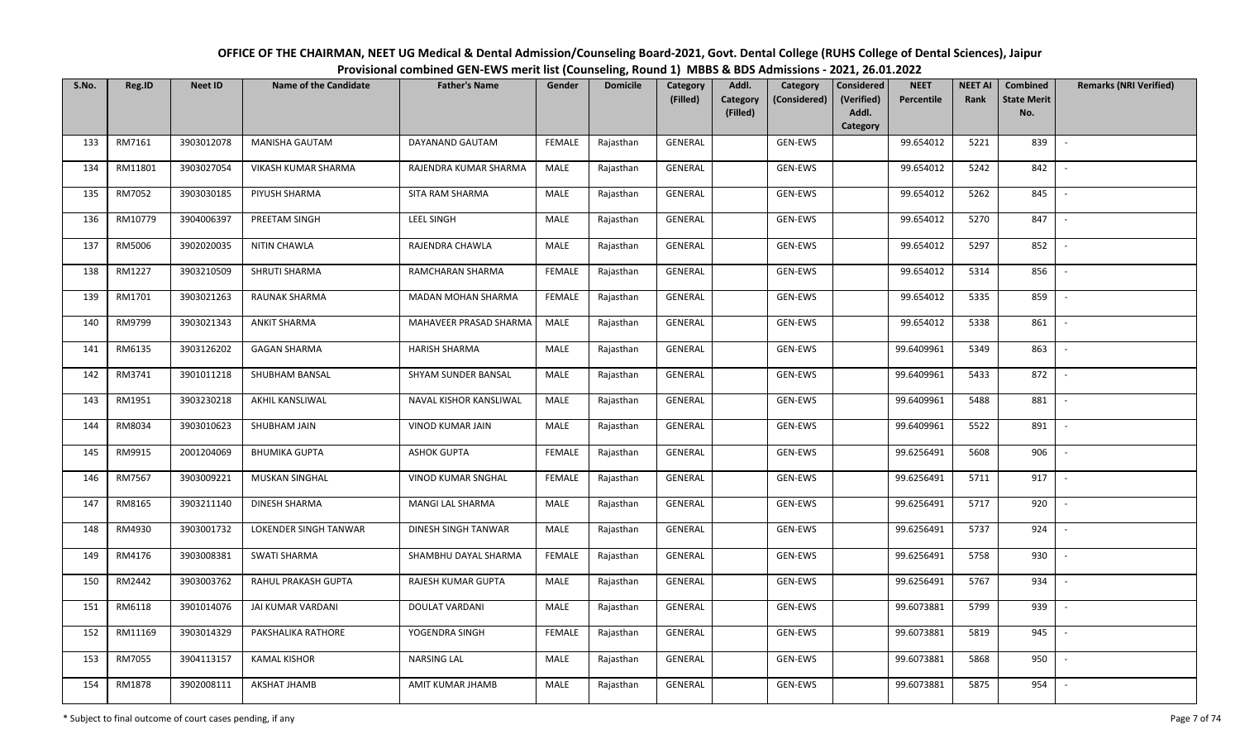| OFFICE OF THE CHAIRMAN, NEET UG Medical & Dental Admission/Counseling Board-2021, Govt. Dental College (RUHS College of Dental Sciences), Jaipur |
|--------------------------------------------------------------------------------------------------------------------------------------------------|
| Provisional combined GEN-EWS merit list (Counseling, Round 1) MBBS & BDS Admissions - 2021, 26.01.2022                                           |

| S.No. | Reg.ID  | <b>Neet ID</b> | <b>Name of the Candidate</b> | <b>Father's Name</b>   | Gender        | <b>Domicile</b> | Category<br>(Filled) | Addl.<br>Category | Category<br>(Considered) | <b>Considered</b><br>(Verified) | <b>NEET</b><br>Percentile | <b>NEET AI</b><br>Rank | Combined<br><b>State Merit</b> | <b>Remarks (NRI Verified)</b> |
|-------|---------|----------------|------------------------------|------------------------|---------------|-----------------|----------------------|-------------------|--------------------------|---------------------------------|---------------------------|------------------------|--------------------------------|-------------------------------|
|       |         |                |                              |                        |               |                 |                      | (Filled)          |                          | Addl.<br>Category               |                           |                        | No.                            |                               |
| 133   | RM7161  | 3903012078     | <b>MANISHA GAUTAM</b>        | DAYANAND GAUTAM        | <b>FEMALE</b> | Rajasthan       | GENERAL              |                   | GEN-EWS                  |                                 | 99.654012                 | 5221                   | 839                            | $\sim$                        |
| 134   | RM11801 | 3903027054     | VIKASH KUMAR SHARMA          | RAJENDRA KUMAR SHARMA  | MALE          | Rajasthan       | GENERAL              |                   | GEN-EWS                  |                                 | 99.654012                 | 5242                   | 842                            |                               |
| 135   | RM7052  | 3903030185     | PIYUSH SHARMA                | SITA RAM SHARMA        | MALE          | Rajasthan       | GENERAL              |                   | GEN-EWS                  |                                 | 99.654012                 | 5262                   | 845                            | $\sim$                        |
| 136   | RM10779 | 3904006397     | PREETAM SINGH                | LEEL SINGH             | MALE          | Rajasthan       | GENERAL              |                   | GEN-EWS                  |                                 | 99.654012                 | 5270                   | 847                            | $\overline{\phantom{a}}$      |
| 137   | RM5006  | 3902020035     | NITIN CHAWLA                 | RAJENDRA CHAWLA        | MALE          | Rajasthan       | GENERAL              |                   | GEN-EWS                  |                                 | 99.654012                 | 5297                   | 852                            | $\overline{\phantom{a}}$      |
| 138   | RM1227  | 3903210509     | SHRUTI SHARMA                | RAMCHARAN SHARMA       | <b>FEMALE</b> | Rajasthan       | GENERAL              |                   | GEN-EWS                  |                                 | 99.654012                 | 5314                   | 856                            | $\overline{\phantom{a}}$      |
| 139   | RM1701  | 3903021263     | RAUNAK SHARMA                | MADAN MOHAN SHARMA     | <b>FEMALE</b> | Rajasthan       | GENERAL              |                   | GEN-EWS                  |                                 | 99.654012                 | 5335                   | 859                            |                               |
| 140   | RM9799  | 3903021343     | <b>ANKIT SHARMA</b>          | MAHAVEER PRASAD SHARMA | MALE          | Rajasthan       | <b>GENERAL</b>       |                   | GEN-EWS                  |                                 | 99.654012                 | 5338                   | 861                            |                               |
| 141   | RM6135  | 3903126202     | <b>GAGAN SHARMA</b>          | <b>HARISH SHARMA</b>   | <b>MALE</b>   | Rajasthan       | GENERAL              |                   | GEN-EWS                  |                                 | 99.6409961                | 5349                   | 863                            | $\overline{\phantom{a}}$      |
| 142   | RM3741  | 3901011218     | SHUBHAM BANSAL               | SHYAM SUNDER BANSAL    | MALE          | Rajasthan       | GENERAL              |                   | GEN-EWS                  |                                 | 99.6409961                | 5433                   | 872                            | $\overline{\phantom{a}}$      |
| 143   | RM1951  | 3903230218     | AKHIL KANSLIWAL              | NAVAL KISHOR KANSLIWAL | MALE          | Rajasthan       | GENERAL              |                   | GEN-EWS                  |                                 | 99.6409961                | 5488                   | 881                            |                               |
| 144   | RM8034  | 3903010623     | SHUBHAM JAIN                 | VINOD KUMAR JAIN       | MALE          | Rajasthan       | GENERAL              |                   | GEN-EWS                  |                                 | 99.6409961                | 5522                   | 891                            | $\sim$                        |
| 145   | RM9915  | 2001204069     | <b>BHUMIKA GUPTA</b>         | <b>ASHOK GUPTA</b>     | <b>FEMALE</b> | Rajasthan       | GENERAL              |                   | GEN-EWS                  |                                 | 99.6256491                | 5608                   | 906                            |                               |
| 146   | RM7567  | 3903009221     | <b>MUSKAN SINGHAL</b>        | VINOD KUMAR SNGHAL     | <b>FEMALE</b> | Rajasthan       | GENERAL              |                   | GEN-EWS                  |                                 | 99.6256491                | 5711                   | 917                            | $\sim$                        |
| 147   | RM8165  | 3903211140     | <b>DINESH SHARMA</b>         | MANGI LAL SHARMA       | MALE          | Rajasthan       | GENERAL              |                   | GEN-EWS                  |                                 | 99.6256491                | 5717                   | 920                            | $\sim$                        |
| 148   | RM4930  | 3903001732     | LOKENDER SINGH TANWAR        | DINESH SINGH TANWAR    | MALE          | Rajasthan       | GENERAL              |                   | GEN-EWS                  |                                 | 99.6256491                | 5737                   | 924                            | $\overline{\phantom{a}}$      |
| 149   | RM4176  | 3903008381     | <b>SWATI SHARMA</b>          | SHAMBHU DAYAL SHARMA   | <b>FEMALE</b> | Rajasthan       | GENERAL              |                   | GEN-EWS                  |                                 | 99.6256491                | 5758                   | 930                            | $\sim$                        |
| 150   | RM2442  | 3903003762     | RAHUL PRAKASH GUPTA          | RAJESH KUMAR GUPTA     | MALE          | Rajasthan       | GENERAL              |                   | GEN-EWS                  |                                 | 99.6256491                | 5767                   | 934                            |                               |
| 151   | RM6118  | 3901014076     | JAI KUMAR VARDANI            | <b>DOULAT VARDANI</b>  | MALE          | Rajasthan       | <b>GENERAL</b>       |                   | GEN-EWS                  |                                 | 99.6073881                | 5799                   | 939                            |                               |
| 152   | RM11169 | 3903014329     | PAKSHALIKA RATHORE           | YOGENDRA SINGH         | <b>FEMALE</b> | Rajasthan       | GENERAL              |                   | GEN-EWS                  |                                 | 99.6073881                | 5819                   | 945                            |                               |
| 153   | RM7055  | 3904113157     | KAMAL KISHOR                 | <b>NARSING LAL</b>     | MALE          | Rajasthan       | GENERAL              |                   | GEN-EWS                  |                                 | 99.6073881                | 5868                   | 950                            |                               |
| 154   | RM1878  | 3902008111     | AKSHAT JHAMB                 | AMIT KUMAR JHAMB       | MALE          | Rajasthan       | GENERAL              |                   | GEN-EWS                  |                                 | 99.6073881                | 5875                   | 954                            |                               |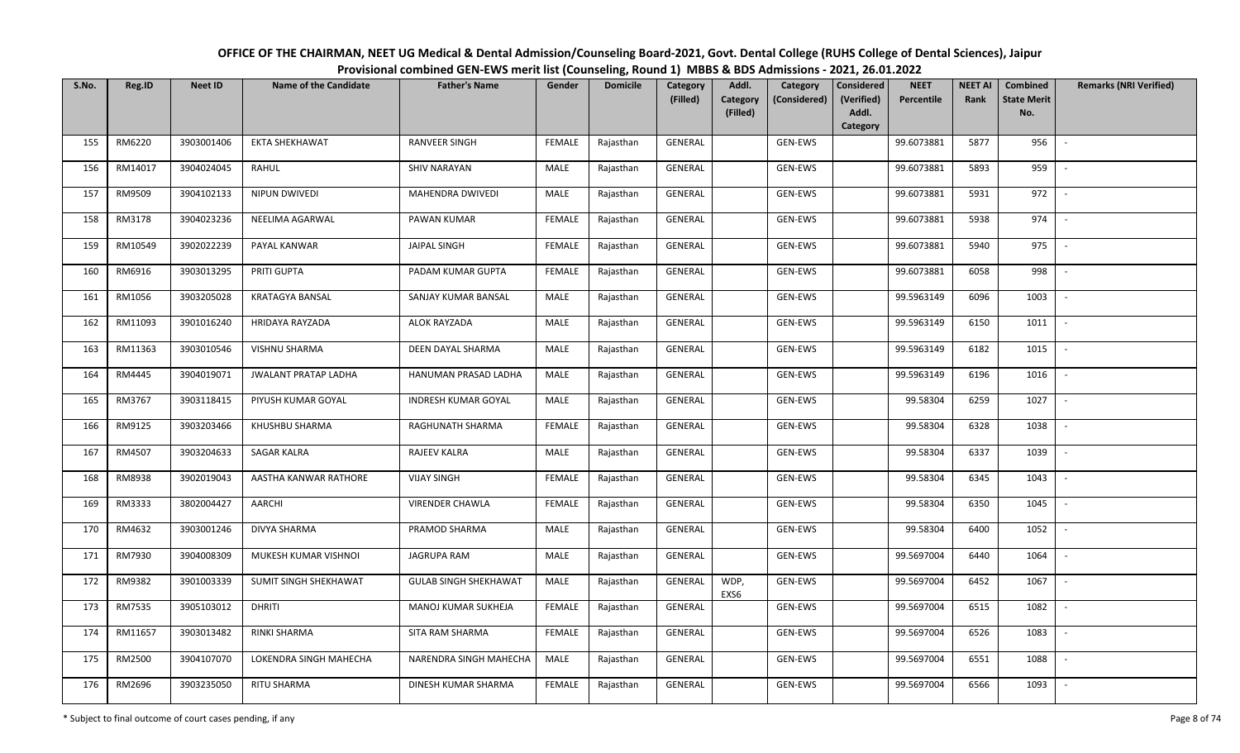| OFFICE OF THE CHAIRMAN, NEET UG Medical & Dental Admission/Counseling Board-2021, Govt. Dental College (RUHS College of Dental Sciences), Jaipur |
|--------------------------------------------------------------------------------------------------------------------------------------------------|
| Provisional combined GEN-EWS merit list (Counseling, Round 1) MBBS & BDS Admissions - 2021, 26.01.2022                                           |

| S.No. | Reg.ID  | <b>Neet ID</b> | <b>Name of the Candidate</b> | <b>Father's Name</b>         | Gender        | <b>Domicile</b> | Category<br>(Filled) | Addl.<br><b>Category</b><br>(Filled) | Category<br>(Considered) | Considered<br>(Verified)<br>Addl.<br>Category | <b>NEET</b><br>Percentile | <b>NEET AI</b><br>Rank | Combined<br><b>State Merit</b><br>No. | <b>Remarks (NRI Verified)</b> |
|-------|---------|----------------|------------------------------|------------------------------|---------------|-----------------|----------------------|--------------------------------------|--------------------------|-----------------------------------------------|---------------------------|------------------------|---------------------------------------|-------------------------------|
| 155   | RM6220  | 3903001406     | <b>EKTA SHEKHAWAT</b>        | <b>RANVEER SINGH</b>         | <b>FEMALE</b> | Rajasthan       | GENERAL              |                                      | GEN-EWS                  |                                               | 99.6073881                | 5877                   | 956                                   |                               |
| 156   | RM14017 | 3904024045     | RAHUL                        | <b>SHIV NARAYAN</b>          | MALE          | Rajasthan       | GENERAL              |                                      | GEN-EWS                  |                                               | 99.6073881                | 5893                   | 959                                   |                               |
| 157   | RM9509  | 3904102133     | NIPUN DWIVEDI                | MAHENDRA DWIVEDI             | MALE          | Rajasthan       | GENERAL              |                                      | GEN-EWS                  |                                               | 99.6073881                | 5931                   | 972                                   | $\sim$                        |
| 158   | RM3178  | 3904023236     | NEELIMA AGARWAL              | PAWAN KUMAR                  | <b>FEMALE</b> | Rajasthan       | GENERAL              |                                      | GEN-EWS                  |                                               | 99.6073881                | 5938                   | 974                                   | $\overline{\phantom{a}}$      |
| 159   | RM10549 | 3902022239     | PAYAL KANWAR                 | <b>JAIPAL SINGH</b>          | <b>FEMALE</b> | Rajasthan       | GENERAL              |                                      | GEN-EWS                  |                                               | 99.6073881                | 5940                   | 975                                   | $\overline{\phantom{a}}$      |
| 160   | RM6916  | 3903013295     | PRITI GUPTA                  | PADAM KUMAR GUPTA            | <b>FEMALE</b> | Rajasthan       | GENERAL              |                                      | GEN-EWS                  |                                               | 99.6073881                | 6058                   | 998                                   | $\sim$                        |
| 161   | RM1056  | 3903205028     | KRATAGYA BANSAL              | SANJAY KUMAR BANSAL          | MALE          | Rajasthan       | GENERAL              |                                      | GEN-EWS                  |                                               | 99.5963149                | 6096                   | 1003                                  |                               |
| 162   | RM11093 | 3901016240     | HRIDAYA RAYZADA              | ALOK RAYZADA                 | MALE          | Rajasthan       | <b>GENERAL</b>       |                                      | GEN-EWS                  |                                               | 99.5963149                | 6150                   | 1011                                  | $\overline{\phantom{a}}$      |
| 163   | RM11363 | 3903010546     | VISHNU SHARMA                | DEEN DAYAL SHARMA            | MALE          | Rajasthan       | GENERAL              |                                      | GEN-EWS                  |                                               | 99.5963149                | 6182                   | 1015                                  | $\overline{\phantom{a}}$      |
| 164   | RM4445  | 3904019071     | <b>JWALANT PRATAP LADHA</b>  | HANUMAN PRASAD LADHA         | MALE          | Rajasthan       | GENERAL              |                                      | GEN-EWS                  |                                               | 99.5963149                | 6196                   | 1016                                  |                               |
| 165   | RM3767  | 3903118415     | PIYUSH KUMAR GOYAL           | <b>INDRESH KUMAR GOYAL</b>   | MALE          | Rajasthan       | GENERAL              |                                      | GEN-EWS                  |                                               | 99.58304                  | 6259                   | 1027                                  |                               |
| 166   | RM9125  | 3903203466     | KHUSHBU SHARMA               | RAGHUNATH SHARMA             | <b>FEMALE</b> | Rajasthan       | GENERAL              |                                      | GEN-EWS                  |                                               | 99.58304                  | 6328                   | 1038                                  | $\sim$                        |
| 167   | RM4507  | 3903204633     | <b>SAGAR KALRA</b>           | RAJEEV KALRA                 | MALE          | Rajasthan       | GENERAL              |                                      | GEN-EWS                  |                                               | 99.58304                  | 6337                   | 1039                                  |                               |
| 168   | RM8938  | 3902019043     | AASTHA KANWAR RATHORE        | <b>VIJAY SINGH</b>           | <b>FEMALE</b> | Rajasthan       | GENERAL              |                                      | GEN-EWS                  |                                               | 99.58304                  | 6345                   | 1043                                  | $\sim$                        |
| 169   | RM3333  | 3802004427     | AARCHI                       | <b>VIRENDER CHAWLA</b>       | <b>FEMALE</b> | Rajasthan       | GENERAL              |                                      | GEN-EWS                  |                                               | 99.58304                  | 6350                   | 1045                                  | $\sim$                        |
| 170   | RM4632  | 3903001246     | DIVYA SHARMA                 | PRAMOD SHARMA                | MALE          | Rajasthan       | GENERAL              |                                      | GEN-EWS                  |                                               | 99.58304                  | 6400                   | 1052                                  | $\sim$                        |
| 171   | RM7930  | 3904008309     | MUKESH KUMAR VISHNOI         | JAGRUPA RAM                  | MALE          | Rajasthan       | GENERAL              |                                      | GEN-EWS                  |                                               | 99.5697004                | 6440                   | 1064                                  | $\sim$                        |
| 172   | RM9382  | 3901003339     | SUMIT SINGH SHEKHAWAT        | <b>GULAB SINGH SHEKHAWAT</b> | MALE          | Rajasthan       | GENERAL              | WDP,<br>EXS6                         | GEN-EWS                  |                                               | 99.5697004                | 6452                   | 1067                                  |                               |
| 173   | RM7535  | 3905103012     | <b>DHRITI</b>                | MANOJ KUMAR SUKHEJA          | <b>FEMALE</b> | Rajasthan       | <b>GENERAL</b>       |                                      | GEN-EWS                  |                                               | 99.5697004                | 6515                   | 1082                                  |                               |
| 174   | RM11657 | 3903013482     | RINKI SHARMA                 | SITA RAM SHARMA              | <b>FEMALE</b> | Rajasthan       | <b>GENERAL</b>       |                                      | GEN-EWS                  |                                               | 99.5697004                | 6526                   | 1083                                  |                               |
| 175   | RM2500  | 3904107070     | LOKENDRA SINGH MAHECHA       | NARENDRA SINGH MAHECHA       | MALE          | Rajasthan       | GENERAL              |                                      | GEN-EWS                  |                                               | 99.5697004                | 6551                   | 1088                                  |                               |
| 176   | RM2696  | 3903235050     | <b>RITU SHARMA</b>           | DINESH KUMAR SHARMA          | <b>FEMALE</b> | Rajasthan       | GENERAL              |                                      | GEN-EWS                  |                                               | 99.5697004                | 6566                   | 1093                                  |                               |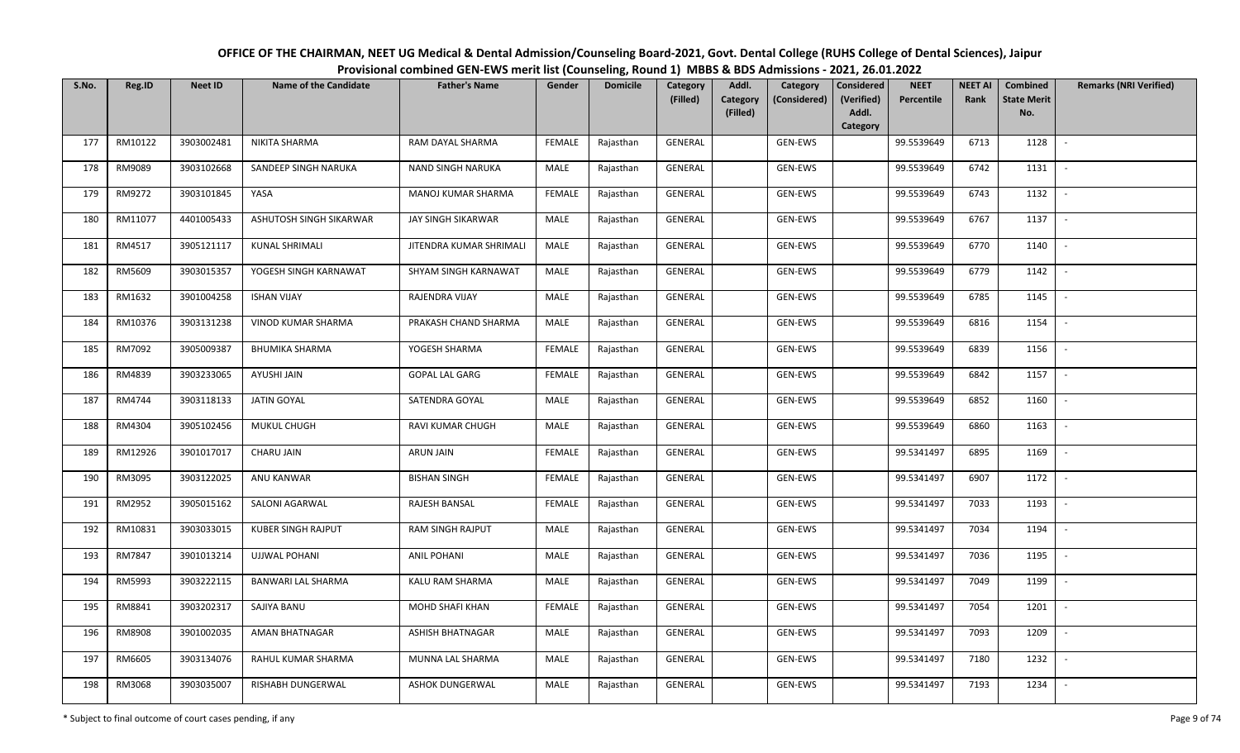| OFFICE OF THE CHAIRMAN, NEET UG Medical & Dental Admission/Counseling Board-2021, Govt. Dental College (RUHS College of Dental Sciences), Jaipur |  |  |  |  |  |  |  |  |  |  |  |  |
|--------------------------------------------------------------------------------------------------------------------------------------------------|--|--|--|--|--|--|--|--|--|--|--|--|
| Provisional combined GEN-EWS merit list (Counseling, Round 1) MBBS & BDS Admissions - 2021, 26.01.2022                                           |  |  |  |  |  |  |  |  |  |  |  |  |
|                                                                                                                                                  |  |  |  |  |  |  |  |  |  |  |  |  |

| S.No. | Reg.ID  | <b>Neet ID</b> | <b>Name of the Candidate</b> | <b>Father's Name</b>     | Gender        | <b>Domicile</b> | <b>Category</b><br>(Filled) | Addl.<br>Category | Category<br>(Considered) | <b>Considered</b><br>(Verified) | <b>NEET</b><br>Percentile | <b>NEET AI</b><br>Rank | Combined<br><b>State Merit</b> | <b>Remarks (NRI Verified)</b> |
|-------|---------|----------------|------------------------------|--------------------------|---------------|-----------------|-----------------------------|-------------------|--------------------------|---------------------------------|---------------------------|------------------------|--------------------------------|-------------------------------|
|       |         |                |                              |                          |               |                 |                             | (Filled)          |                          | Addl.                           |                           |                        | No.                            |                               |
|       |         |                |                              |                          |               |                 |                             |                   |                          | Category                        |                           |                        |                                |                               |
| 177   | RM10122 | 3903002481     | NIKITA SHARMA                | RAM DAYAL SHARMA         | <b>FEMALE</b> | Rajasthan       | <b>GENERAL</b>              |                   | GEN-EWS                  |                                 | 99.5539649                | 6713                   | 1128                           | $\sim$                        |
| 178   | RM9089  | 3903102668     | SANDEEP SINGH NARUKA         | <b>NAND SINGH NARUKA</b> | MALE          | Rajasthan       | GENERAL                     |                   | GEN-EWS                  |                                 | 99.5539649                | 6742                   | 1131                           |                               |
| 179   | RM9272  | 3903101845     | YASA                         | MANOJ KUMAR SHARMA       | <b>FEMALE</b> | Rajasthan       | GENERAL                     |                   | GEN-EWS                  |                                 | 99.5539649                | 6743                   | 1132                           | $\sim$                        |
| 180   | RM11077 | 4401005433     | ASHUTOSH SINGH SIKARWAR      | JAY SINGH SIKARWAR       | MALE          | Rajasthan       | GENERAL                     |                   | GEN-EWS                  |                                 | 99.5539649                | 6767                   | 1137                           | $\sim$                        |
| 181   | RM4517  | 3905121117     | <b>KUNAL SHRIMALI</b>        | JITENDRA KUMAR SHRIMALI  | MALE          | Rajasthan       | GENERAL                     |                   | GEN-EWS                  |                                 | 99.5539649                | 6770                   | 1140                           | $\sim$                        |
| 182   | RM5609  | 3903015357     | YOGESH SINGH KARNAWAT        | SHYAM SINGH KARNAWAT     | <b>MALE</b>   | Rajasthan       | GENERAL                     |                   | GEN-EWS                  |                                 | 99.5539649                | 6779                   | 1142                           | $\overline{\phantom{a}}$      |
| 183   | RM1632  | 3901004258     | <b>ISHAN VIJAY</b>           | RAJENDRA VIJAY           | MALE          | Rajasthan       | GENERAL                     |                   | GEN-EWS                  |                                 | 99.5539649                | 6785                   | 1145                           |                               |
| 184   | RM10376 | 3903131238     | VINOD KUMAR SHARMA           | PRAKASH CHAND SHARMA     | MALE          | Rajasthan       | <b>GENERAL</b>              |                   | GEN-EWS                  |                                 | 99.5539649                | 6816                   | 1154                           |                               |
| 185   | RM7092  | 3905009387     | <b>BHUMIKA SHARMA</b>        | YOGESH SHARMA            | <b>FEMALE</b> | Rajasthan       | GENERAL                     |                   | GEN-EWS                  |                                 | 99.5539649                | 6839                   | 1156                           | $\overline{\phantom{a}}$      |
| 186   | RM4839  | 3903233065     | AYUSHI JAIN                  | <b>GOPAL LAL GARG</b>    | <b>FEMALE</b> | Rajasthan       | GENERAL                     |                   | GEN-EWS                  |                                 | 99.5539649                | 6842                   | 1157                           | $\sim$                        |
| 187   | RM4744  | 3903118133     | <b>JATIN GOYAL</b>           | SATENDRA GOYAL           | MALE          | Rajasthan       | GENERAL                     |                   | GEN-EWS                  |                                 | 99.5539649                | 6852                   | 1160                           |                               |
| 188   | RM4304  | 3905102456     | MUKUL CHUGH                  | <b>RAVI KUMAR CHUGH</b>  | MALE          | Rajasthan       | GENERAL                     |                   | GEN-EWS                  |                                 | 99.5539649                | 6860                   | 1163                           | $\sim$                        |
| 189   | RM12926 | 3901017017     | CHARU JAIN                   | <b>ARUN JAIN</b>         | <b>FEMALE</b> | Rajasthan       | GENERAL                     |                   | GEN-EWS                  |                                 | 99.5341497                | 6895                   | 1169                           |                               |
| 190   | RM3095  | 3903122025     | ANU KANWAR                   | <b>BISHAN SINGH</b>      | <b>FEMALE</b> | Rajasthan       | GENERAL                     |                   | GEN-EWS                  |                                 | 99.5341497                | 6907                   | 1172                           | $\sim$                        |
| 191   | RM2952  | 3905015162     | <b>SALONI AGARWAL</b>        | RAJESH BANSAL            | <b>FEMALE</b> | Rajasthan       | GENERAL                     |                   | GEN-EWS                  |                                 | 99.5341497                | 7033                   | 1193                           | $\overline{\phantom{a}}$      |
| 192   | RM10831 | 3903033015     | <b>KUBER SINGH RAJPUT</b>    | <b>RAM SINGH RAJPUT</b>  | MALE          | Rajasthan       | GENERAL                     |                   | GEN-EWS                  |                                 | 99.5341497                | 7034                   | 1194                           | $\sim$                        |
| 193   | RM7847  | 3901013214     | <b>UJJWAL POHANI</b>         | <b>ANIL POHANI</b>       | MALE          | Rajasthan       | GENERAL                     |                   | GEN-EWS                  |                                 | 99.5341497                | 7036                   | 1195                           | $\sim$                        |
| 194   | RM5993  | 3903222115     | BANWARI LAL SHARMA           | KALU RAM SHARMA          | MALE          | Rajasthan       | <b>GENERAL</b>              |                   | GEN-EWS                  |                                 | 99.5341497                | 7049                   | 1199                           |                               |
| 195   | RM8841  | 3903202317     | SAJIYA BANU                  | MOHD SHAFI KHAN          | <b>FEMALE</b> | Rajasthan       | <b>GENERAL</b>              |                   | GEN-EWS                  |                                 | 99.5341497                | 7054                   | 1201                           |                               |
| 196   | RM8908  | 3901002035     | AMAN BHATNAGAR               | <b>ASHISH BHATNAGAR</b>  | MALE          | Rajasthan       | GENERAL                     |                   | GEN-EWS                  |                                 | 99.5341497                | 7093                   | 1209                           |                               |
| 197   | RM6605  | 3903134076     | RAHUL KUMAR SHARMA           | MUNNA LAL SHARMA         | MALE          | Rajasthan       | GENERAL                     |                   | GEN-EWS                  |                                 | 99.5341497                | 7180                   | 1232                           |                               |
| 198   | RM3068  | 3903035007     | RISHABH DUNGERWAL            | ASHOK DUNGERWAL          | MALE          | Rajasthan       | GENERAL                     |                   | GEN-EWS                  |                                 | 99.5341497                | 7193                   | 1234                           |                               |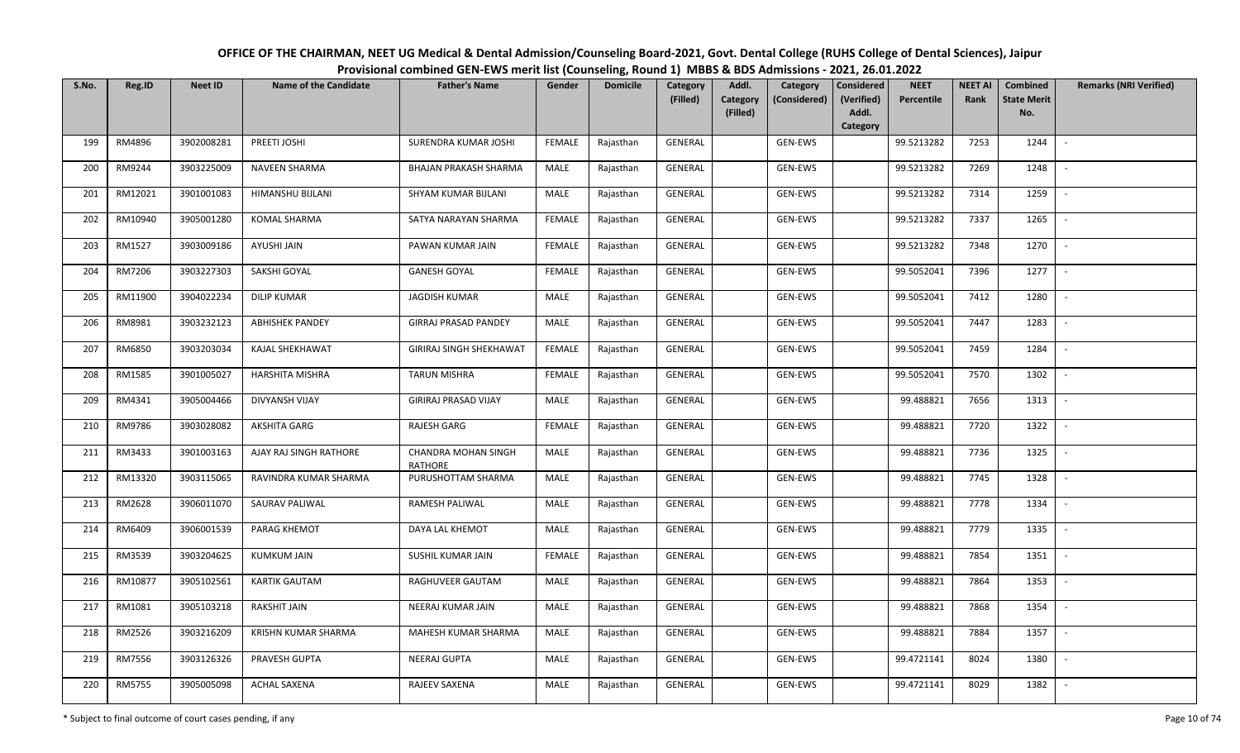| OFFICE OF THE CHAIRMAN, NEET UG Medical & Dental Admission/Counseling Board-2021, Govt. Dental College (RUHS College of Dental Sciences), Jaipur |  |  |  |  |  |  |  |  |  |  |  |  |
|--------------------------------------------------------------------------------------------------------------------------------------------------|--|--|--|--|--|--|--|--|--|--|--|--|
| Provisional combined GEN-EWS merit list (Counseling, Round 1) MBBS & BDS Admissions - 2021, 26.01.2022                                           |  |  |  |  |  |  |  |  |  |  |  |  |
|                                                                                                                                                  |  |  |  |  |  |  |  |  |  |  |  |  |

| S.No. | Reg.ID  | <b>Neet ID</b> | <b>Name of the Candidate</b> | <b>Father's Name</b>           | Gender        | <b>Domicile</b> | Category<br>(Filled) | Addl.                | Category<br>(Considered) | Considered<br>(Verified) | <b>NEET</b><br><b>Percentile</b> | <b>NEET AI</b><br>Rank | Combined<br><b>State Merit</b> | <b>Remarks (NRI Verified)</b> |
|-------|---------|----------------|------------------------------|--------------------------------|---------------|-----------------|----------------------|----------------------|--------------------------|--------------------------|----------------------------------|------------------------|--------------------------------|-------------------------------|
|       |         |                |                              |                                |               |                 |                      | Category<br>(Filled) |                          | Addl.                    |                                  |                        | No.                            |                               |
|       |         |                |                              |                                |               |                 |                      |                      |                          | Category                 |                                  |                        |                                |                               |
| 199   | RM4896  | 3902008281     | PREETI JOSHI                 | SURENDRA KUMAR JOSHI           | <b>FEMALE</b> | Rajasthan       | GENERAL              |                      | GEN-EWS                  |                          | 99.5213282                       | 7253                   | 1244                           | $\sim$                        |
| 200   | RM9244  | 3903225009     | NAVEEN SHARMA                | BHAJAN PRAKASH SHARMA          | MALE          | Rajasthan       | GENERAL              |                      | GEN-EWS                  |                          | 99.5213282                       | 7269                   | 1248                           |                               |
| 201   | RM12021 | 3901001083     | HIMANSHU BIJLANI             | SHYAM KUMAR BIJLANI            | MALE          | Rajasthan       | GENERAL              |                      | GEN-EWS                  |                          | 99.5213282                       | 7314                   | 1259                           | $\overline{\phantom{a}}$      |
| 202   | RM10940 | 3905001280     | <b>KOMAL SHARMA</b>          | SATYA NARAYAN SHARMA           | <b>FEMALE</b> | Rajasthan       | GENERAL              |                      | GEN-EWS                  |                          | 99.5213282                       | 7337                   | 1265                           | $\overline{\phantom{a}}$      |
| 203   | RM1527  | 3903009186     | AYUSHI JAIN                  | PAWAN KUMAR JAIN               | <b>FEMALE</b> | Rajasthan       | GENERAL              |                      | GEN-EWS                  |                          | 99.5213282                       | 7348                   | 1270                           | $\overline{\phantom{a}}$      |
| 204   | RM7206  | 3903227303     | SAKSHI GOYAL                 | <b>GANESH GOYAL</b>            | <b>FEMALE</b> | Rajasthan       | GENERAL              |                      | GEN-EWS                  |                          | 99.5052041                       | 7396                   | 1277                           | $\overline{\phantom{a}}$      |
| 205   | RM11900 | 3904022234     | <b>DILIP KUMAR</b>           | <b>JAGDISH KUMAR</b>           | MALE          | Rajasthan       | GENERAL              |                      | GEN-EWS                  |                          | 99.5052041                       | 7412                   | 1280                           | $\sim$                        |
| 206   | RM8981  | 3903232123     | <b>ABHISHEK PANDEY</b>       | <b>GIRRAJ PRASAD PANDEY</b>    | MALE          | Rajasthan       | GENERAL              |                      | GEN-EWS                  |                          | 99.5052041                       | 7447                   | 1283                           |                               |
| 207   | RM6850  | 3903203034     | KAJAL SHEKHAWAT              | <b>GIRIRAJ SINGH SHEKHAWAT</b> | <b>FEMALE</b> | Rajasthan       | <b>GENERAL</b>       |                      | GEN-EWS                  |                          | 99.5052041                       | 7459                   | 1284                           |                               |
| 208   | RM1585  | 3901005027     | HARSHITA MISHRA              | <b>TARUN MISHRA</b>            | FEMALE        | Rajasthan       | GENERAL              |                      | GEN-EWS                  |                          | 99.5052041                       | 7570                   | 1302                           |                               |
| 209   | RM4341  | 3905004466     | DIVYANSH VIJAY               | GIRIRAJ PRASAD VIJAY           | MALE          | Rajasthan       | GENERAL              |                      | GEN-EWS                  |                          | 99.488821                        | 7656                   | 1313                           |                               |
| 210   | RM9786  | 3903028082     | AKSHITA GARG                 | RAJESH GARG                    | <b>FEMALE</b> | Rajasthan       | GENERAL              |                      | GEN-EWS                  |                          | 99.488821                        | 7720                   | 1322                           |                               |
| 211   | RM3433  | 3901003163     | AJAY RAJ SINGH RATHORE       | CHANDRA MOHAN SINGH<br>RATHORE | MALE          | Rajasthan       | GENERAL              |                      | GEN-EWS                  |                          | 99.488821                        | 7736                   | 1325                           |                               |
| 212   | RM13320 | 3903115065     | RAVINDRA KUMAR SHARMA        | PURUSHOTTAM SHARMA             | MALE          | Rajasthan       | GENERAL              |                      | GEN-EWS                  |                          | 99.488821                        | 7745                   | 1328                           | $\sim$                        |
| 213   | RM2628  | 3906011070     | SAURAV PALIWAL               | RAMESH PALIWAL                 | MALE          | Rajasthan       | GENERAL              |                      | GEN-EWS                  |                          | 99.488821                        | 7778                   | 1334                           | $\overline{\phantom{a}}$      |
| 214   | RM6409  | 3906001539     | PARAG KHEMOT                 | DAYA LAL KHEMOT                | MALE          | Rajasthan       | GENERAL              |                      | GEN-EWS                  |                          | 99.488821                        | 7779                   | 1335                           | $\sim$                        |
| 215   | RM3539  | 3903204625     | <b>KUMKUM JAIN</b>           | SUSHIL KUMAR JAIN              | <b>FEMALE</b> | Rajasthan       | GENERAL              |                      | GEN-EWS                  |                          | 99.488821                        | 7854                   | 1351                           | $\overline{\phantom{a}}$      |
| 216   | RM10877 | 3905102561     | <b>KARTIK GAUTAM</b>         | RAGHUVEER GAUTAM               | MALE          | Rajasthan       | GENERAL              |                      | GEN-EWS                  |                          | 99.488821                        | 7864                   | 1353                           | $\overline{\phantom{a}}$      |
| 217   | RM1081  | 3905103218     | RAKSHIT JAIN                 | NEERAJ KUMAR JAIN              | MALE          | Rajasthan       | GENERAL              |                      | GEN-EWS                  |                          | 99.488821                        | 7868                   | 1354                           |                               |
| 218   | RM2526  | 3903216209     | KRISHN KUMAR SHARMA          | MAHESH KUMAR SHARMA            | MALE          | Rajasthan       | <b>GENERAL</b>       |                      | GEN-EWS                  |                          | 99.488821                        | 7884                   | 1357                           |                               |
| 219   | RM7556  | 3903126326     | PRAVESH GUPTA                | <b>NEERAJ GUPTA</b>            | <b>MALE</b>   | Rajasthan       | GENERAL              |                      | GEN-EWS                  |                          | 99.4721141                       | 8024                   | 1380                           | $\overline{\phantom{a}}$      |
| 220   | RM5755  | 3905005098     | <b>ACHAL SAXENA</b>          | RAJEEV SAXENA                  | MALE          | Rajasthan       | GENERAL              |                      | GEN-EWS                  |                          | 99.4721141                       | 8029                   | 1382                           |                               |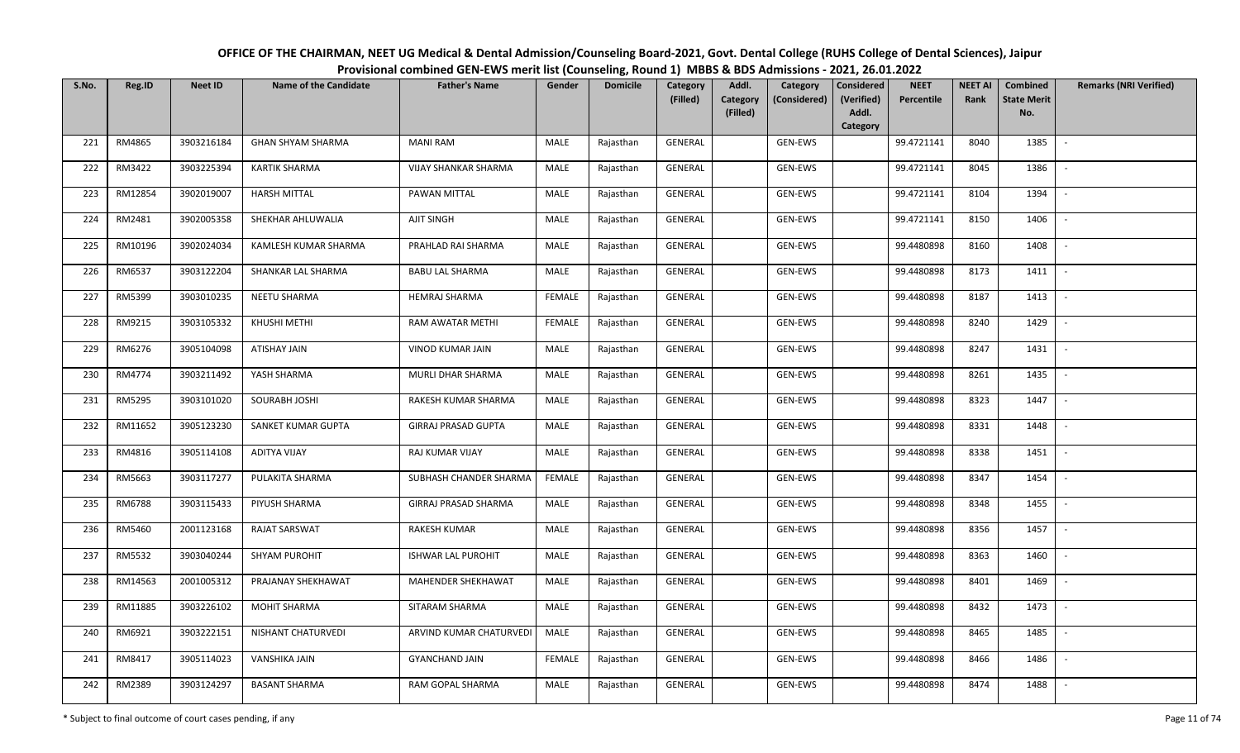| OFFICE OF THE CHAIRMAN, NEET UG Medical & Dental Admission/Counseling Board-2021, Govt. Dental College (RUHS College of Dental Sciences), Jaipur |
|--------------------------------------------------------------------------------------------------------------------------------------------------|
| Provisional combined GEN-EWS merit list (Counseling, Round 1) MBBS & BDS Admissions - 2021, 26.01.2022                                           |

| S.No. | Reg.ID  | <b>Neet ID</b> | <b>Name of the Candidate</b> | <b>Father's Name</b>        | Gender        | <b>Domicile</b> | Category<br>(Filled) | Addl.<br>Category<br>Category<br>(Considered) | <b>Considered</b><br>(Verified) | <b>NEET</b><br>Percentile | <b>NEET AI</b><br>Rank | Combined<br><b>State Merit</b> | <b>Remarks (NRI Verified)</b> |
|-------|---------|----------------|------------------------------|-----------------------------|---------------|-----------------|----------------------|-----------------------------------------------|---------------------------------|---------------------------|------------------------|--------------------------------|-------------------------------|
|       |         |                |                              |                             |               |                 |                      | (Filled)                                      | Addl.<br>Category               |                           |                        | No.                            |                               |
| 221   | RM4865  | 3903216184     | <b>GHAN SHYAM SHARMA</b>     | <b>MANI RAM</b>             | MALE          | Rajasthan       | GENERAL              | GEN-EWS                                       |                                 | 99.4721141                | 8040                   | 1385                           | $\sim$                        |
| 222   | RM3422  | 3903225394     | <b>KARTIK SHARMA</b>         | <b>VIJAY SHANKAR SHARMA</b> | MALE          | Rajasthan       | GENERAL              | GEN-EWS                                       |                                 | 99.4721141                | 8045                   | 1386                           |                               |
| 223   | RM12854 | 3902019007     | <b>HARSH MITTAL</b>          | PAWAN MITTAL                | MALE          | Rajasthan       | GENERAL              | GEN-EWS                                       |                                 | 99.4721141                | 8104                   | 1394                           | $\sim$                        |
| 224   | RM2481  | 3902005358     | SHEKHAR AHLUWALIA            | <b>AJIT SINGH</b>           | MALE          | Rajasthan       | GENERAL              | GEN-EWS                                       |                                 | 99.4721141                | 8150                   | 1406                           | $\overline{\phantom{a}}$      |
| 225   | RM10196 | 3902024034     | KAMLESH KUMAR SHARMA         | PRAHLAD RAI SHARMA          | MALE          | Rajasthan       | GENERAL              | GEN-EWS                                       |                                 | 99.4480898                | 8160                   | 1408                           | $\sim$                        |
| 226   | RM6537  | 3903122204     | SHANKAR LAL SHARMA           | <b>BABU LAL SHARMA</b>      | <b>MALE</b>   | Rajasthan       | GENERAL              | GEN-EWS                                       |                                 | 99.4480898                | 8173                   | 1411                           | $\overline{\phantom{a}}$      |
| 227   | RM5399  | 3903010235     | NEETU SHARMA                 | <b>HEMRAJ SHARMA</b>        | <b>FEMALE</b> | Rajasthan       | GENERAL              | GEN-EWS                                       |                                 | 99.4480898                | 8187                   | 1413                           |                               |
| 228   | RM9215  | 3903105332     | KHUSHI METHI                 | RAM AWATAR METHI            | <b>FEMALE</b> | Rajasthan       | GENERAL              | GEN-EWS                                       |                                 | 99.4480898                | 8240                   | 1429                           |                               |
| 229   | RM6276  | 3905104098     | ATISHAY JAIN                 | <b>VINOD KUMAR JAIN</b>     | <b>MALE</b>   | Rajasthan       | <b>GENERAL</b>       | GEN-EWS                                       |                                 | 99.4480898                | 8247                   | 1431                           | $\overline{\phantom{a}}$      |
| 230   | RM4774  | 3903211492     | YASH SHARMA                  | MURLI DHAR SHARMA           | MALE          | Rajasthan       | GENERAL              | GEN-EWS                                       |                                 | 99.4480898                | 8261                   | 1435                           | $\overline{\phantom{a}}$      |
| 231   | RM5295  | 3903101020     | SOURABH JOSHI                | RAKESH KUMAR SHARMA         | MALE          | Rajasthan       | GENERAL              | GEN-EWS                                       |                                 | 99.4480898                | 8323                   | 1447                           |                               |
| 232   | RM11652 | 3905123230     | SANKET KUMAR GUPTA           | <b>GIRRAJ PRASAD GUPTA</b>  | MALE          | Rajasthan       | GENERAL              | GEN-EWS                                       |                                 | 99.4480898                | 8331                   | 1448                           | $\sim$                        |
| 233   | RM4816  | 3905114108     | <b>ADITYA VIJAY</b>          | RAJ KUMAR VIJAY             | MALE          | Rajasthan       | GENERAL              | GEN-EWS                                       |                                 | 99.4480898                | 8338                   | 1451                           |                               |
| 234   | RM5663  | 3903117277     | PULAKITA SHARMA              | SUBHASH CHANDER SHARMA      | <b>FEMALE</b> | Rajasthan       | GENERAL              | GEN-EWS                                       |                                 | 99.4480898                | 8347                   | 1454                           | $\sim$                        |
| 235   | RM6788  | 3903115433     | PIYUSH SHARMA                | GIRRAJ PRASAD SHARMA        | MALE          | Rajasthan       | GENERAL              | GEN-EWS                                       |                                 | 99.4480898                | 8348                   | 1455                           | $\sim$                        |
| 236   | RM5460  | 2001123168     | <b>RAJAT SARSWAT</b>         | <b>RAKESH KUMAR</b>         | MALE          | Rajasthan       | GENERAL              | GEN-EWS                                       |                                 | 99.4480898                | 8356                   | 1457                           | $\sim$                        |
| 237   | RM5532  | 3903040244     | SHYAM PUROHIT                | <b>ISHWAR LAL PUROHIT</b>   | <b>MALE</b>   | Rajasthan       | GENERAL              | GEN-EWS                                       |                                 | 99.4480898                | 8363                   | 1460                           | $\sim$                        |
| 238   | RM14563 | 2001005312     | PRAJANAY SHEKHAWAT           | MAHENDER SHEKHAWAT          | MALE          | Rajasthan       | GENERAL              | GEN-EWS                                       |                                 | 99.4480898                | 8401                   | 1469                           |                               |
| 239   | RM11885 | 3903226102     | <b>MOHIT SHARMA</b>          | SITARAM SHARMA              | MALE          | Rajasthan       | GENERAL              | GEN-EWS                                       |                                 | 99.4480898                | 8432                   | 1473                           |                               |
| 240   | RM6921  | 3903222151     | NISHANT CHATURVEDI           | ARVIND KUMAR CHATURVEDI     | MALE          | Rajasthan       | <b>GENERAL</b>       | GEN-EWS                                       |                                 | 99.4480898                | 8465                   | 1485                           |                               |
| 241   | RM8417  | 3905114023     | <b>VANSHIKA JAIN</b>         | <b>GYANCHAND JAIN</b>       | <b>FEMALE</b> | Rajasthan       | GENERAL              | GEN-EWS                                       |                                 | 99.4480898                | 8466                   | 1486                           |                               |
| 242   | RM2389  | 3903124297     | <b>BASANT SHARMA</b>         | RAM GOPAL SHARMA            | MALE          | Rajasthan       | <b>GENERAL</b>       | GEN-EWS                                       |                                 | 99.4480898                | 8474                   | 1488                           |                               |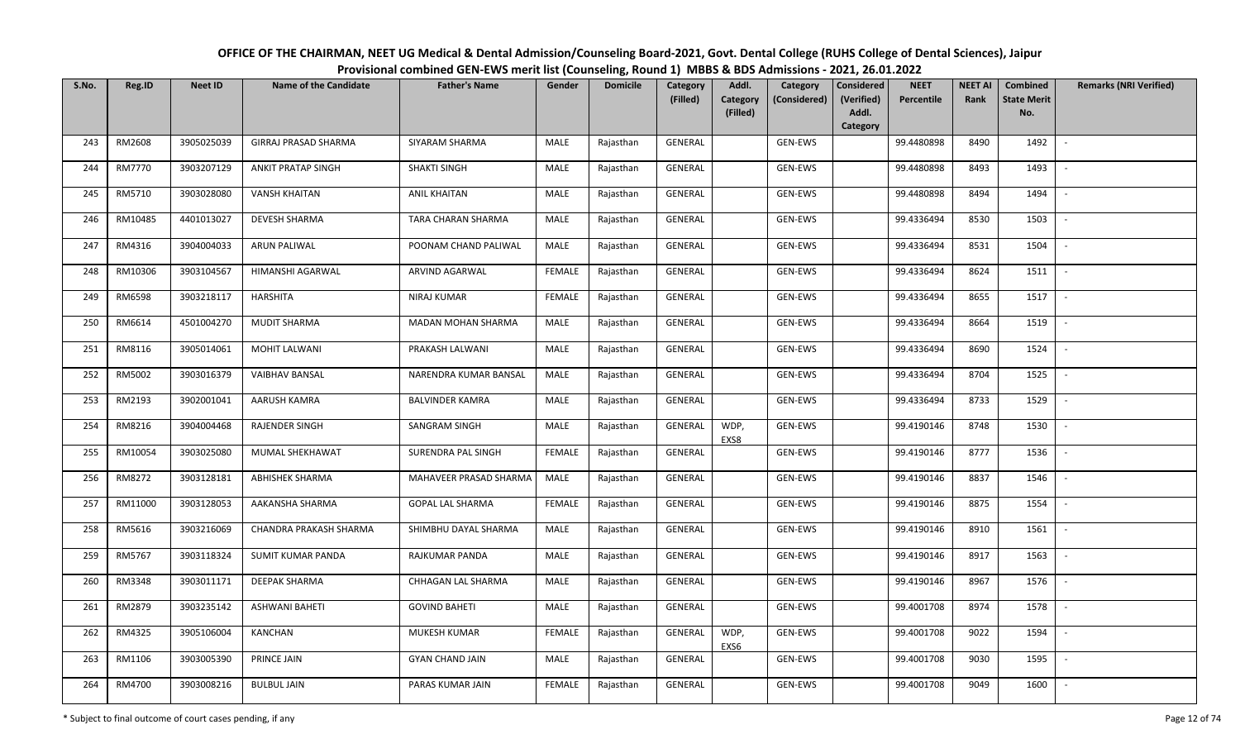| OFFICE OF THE CHAIRMAN, NEET UG Medical & Dental Admission/Counseling Board-2021, Govt. Dental College (RUHS College of Dental Sciences), Jaipur |  |  |  |  |  |  |  |  |  |  |  |  |
|--------------------------------------------------------------------------------------------------------------------------------------------------|--|--|--|--|--|--|--|--|--|--|--|--|
| Provisional combined GEN-EWS merit list (Counseling, Round 1) MBBS & BDS Admissions - 2021, 26.01.2022                                           |  |  |  |  |  |  |  |  |  |  |  |  |
|                                                                                                                                                  |  |  |  |  |  |  |  |  |  |  |  |  |

| S.No. | Reg.ID  | <b>Neet ID</b> | <b>Name of the Candidate</b> | <b>Father's Name</b>    | Gender        | <b>Domicile</b> | Category<br>(Filled) | Addl.<br><b>Category</b> | Category<br>(Considered) | <b>Considered</b><br>(Verified) | <b>NEET</b><br>Percentile | <b>NEET AI</b><br>Rank | Combined<br><b>State Merit</b> | <b>Remarks (NRI Verified)</b> |
|-------|---------|----------------|------------------------------|-------------------------|---------------|-----------------|----------------------|--------------------------|--------------------------|---------------------------------|---------------------------|------------------------|--------------------------------|-------------------------------|
|       |         |                |                              |                         |               |                 |                      | (Filled)                 |                          | Addl.<br>Category               |                           |                        | No.                            |                               |
| 243   | RM2608  | 3905025039     | <b>GIRRAJ PRASAD SHARMA</b>  | SIYARAM SHARMA          | MALE          | Rajasthan       | GENERAL              |                          | <b>GEN-EWS</b>           |                                 | 99.4480898                | 8490                   | 1492                           | $\overline{\phantom{a}}$      |
| 244   | RM7770  | 3903207129     | <b>ANKIT PRATAP SINGH</b>    | <b>SHAKTI SINGH</b>     | MALE          | Rajasthan       | GENERAL              |                          | GEN-EWS                  |                                 | 99.4480898                | 8493                   | 1493                           |                               |
| 245   | RM5710  | 3903028080     | <b>VANSH KHAITAN</b>         | ANIL KHAITAN            | MALE          | Rajasthan       | GENERAL              |                          | GEN-EWS                  |                                 | 99.4480898                | 8494                   | 1494                           | $\sim$                        |
| 246   | RM10485 | 4401013027     | DEVESH SHARMA                | TARA CHARAN SHARMA      | <b>MALE</b>   | Rajasthan       | GENERAL              |                          | GEN-EWS                  |                                 | 99.4336494                | 8530                   | 1503                           | $\sim$                        |
| 247   | RM4316  | 3904004033     | ARUN PALIWAL                 | POONAM CHAND PALIWAL    | MALE          | Rajasthan       | GENERAL              |                          | GEN-EWS                  |                                 | 99.4336494                | 8531                   | 1504                           | $\sim$                        |
| 248   | RM10306 | 3903104567     | HIMANSHI AGARWAL             | ARVIND AGARWAL          | <b>FEMALE</b> | Rajasthan       | GENERAL              |                          | GEN-EWS                  |                                 | 99.4336494                | 8624                   | 1511                           | $\sim$                        |
| 249   | RM6598  | 3903218117     | HARSHITA                     | NIRAJ KUMAR             | <b>FEMALE</b> | Rajasthan       | GENERAL              |                          | GEN-EWS                  |                                 | 99.4336494                | 8655                   | 1517                           |                               |
| 250   | RM6614  | 4501004270     | <b>MUDIT SHARMA</b>          | MADAN MOHAN SHARMA      | MALE          | Rajasthan       | GENERAL              |                          | GEN-EWS                  |                                 | 99.4336494                | 8664                   | 1519                           |                               |
| 251   | RM8116  | 3905014061     | MOHIT LALWANI                | PRAKASH LALWANI         | MALE          | Rajasthan       | GENERAL              |                          | GEN-EWS                  |                                 | 99.4336494                | 8690                   | 1524                           |                               |
| 252   | RM5002  | 3903016379     | <b>VAIBHAV BANSAL</b>        | NARENDRA KUMAR BANSAL   | MALE          | Rajasthan       | GENERAL              |                          | GEN-EWS                  |                                 | 99.4336494                | 8704                   | 1525                           | $\overline{\phantom{a}}$      |
| 253   | RM2193  | 3902001041     | AARUSH KAMRA                 | <b>BALVINDER KAMRA</b>  | MALE          | Rajasthan       | GENERAL              |                          | GEN-EWS                  |                                 | 99.4336494                | 8733                   | 1529                           |                               |
| 254   | RM8216  | 3904004468     | RAJENDER SINGH               | SANGRAM SINGH           | MALE          | Rajasthan       | GENERAL              | WDP,<br>EXS8             | GEN-EWS                  |                                 | 99.4190146                | 8748                   | 1530                           | $\overline{\phantom{a}}$      |
| 255   | RM10054 | 3903025080     | MUMAL SHEKHAWAT              | SURENDRA PAL SINGH      | <b>FEMALE</b> | Rajasthan       | GENERAL              |                          | GEN-EWS                  |                                 | 99.4190146                | 8777                   | 1536                           |                               |
| 256   | RM8272  | 3903128181     | ABHISHEK SHARMA              | MAHAVEER PRASAD SHARMA  | MALE          | Rajasthan       | GENERAL              |                          | GEN-EWS                  |                                 | 99.4190146                | 8837                   | 1546                           | $\sim$                        |
| 257   | RM11000 | 3903128053     | AAKANSHA SHARMA              | <b>GOPAL LAL SHARMA</b> | <b>FEMALE</b> | Rajasthan       | GENERAL              |                          | <b>GEN-EWS</b>           |                                 | 99.4190146                | 8875                   | 1554                           | $\overline{\phantom{a}}$      |
| 258   | RM5616  | 3903216069     | CHANDRA PRAKASH SHARMA       | SHIMBHU DAYAL SHARMA    | MALE          | Rajasthan       | GENERAL              |                          | GEN-EWS                  |                                 | 99.4190146                | 8910                   | 1561                           | $\overline{\phantom{a}}$      |
| 259   | RM5767  | 3903118324     | SUMIT KUMAR PANDA            | RAJKUMAR PANDA          | MALE          | Rajasthan       | GENERAL              |                          | GEN-EWS                  |                                 | 99.4190146                | 8917                   | 1563                           | $\overline{\phantom{a}}$      |
| 260   | RM3348  | 3903011171     | DEEPAK SHARMA                | CHHAGAN LAL SHARMA      | MALE          | Rajasthan       | GENERAL              |                          | GEN-EWS                  |                                 | 99.4190146                | 8967                   | 1576                           | $\sim$                        |
| 261   | RM2879  | 3903235142     | <b>ASHWANI BAHETI</b>        | <b>GOVIND BAHETI</b>    | MALE          | Rajasthan       | GENERAL              |                          | GEN-EWS                  |                                 | 99.4001708                | 8974                   | 1578                           |                               |
| 262   | RM4325  | 3905106004     | KANCHAN                      | MUKESH KUMAR            | <b>FEMALE</b> | Rajasthan       | <b>GENERAL</b>       | WDP,<br>EXS6             | GEN-EWS                  |                                 | 99.4001708                | 9022                   | 1594                           |                               |
| 263   | RM1106  | 3903005390     | PRINCE JAIN                  | <b>GYAN CHAND JAIN</b>  | MALE          | Rajasthan       | <b>GENERAL</b>       |                          | GEN-EWS                  |                                 | 99.4001708                | 9030                   | 1595                           | $\sim$                        |
| 264   | RM4700  | 3903008216     | <b>BULBUL JAIN</b>           | PARAS KUMAR JAIN        | FEMALE        | Rajasthan       | GENERAL              |                          | GEN-EWS                  |                                 | 99.4001708                | 9049                   | 1600                           |                               |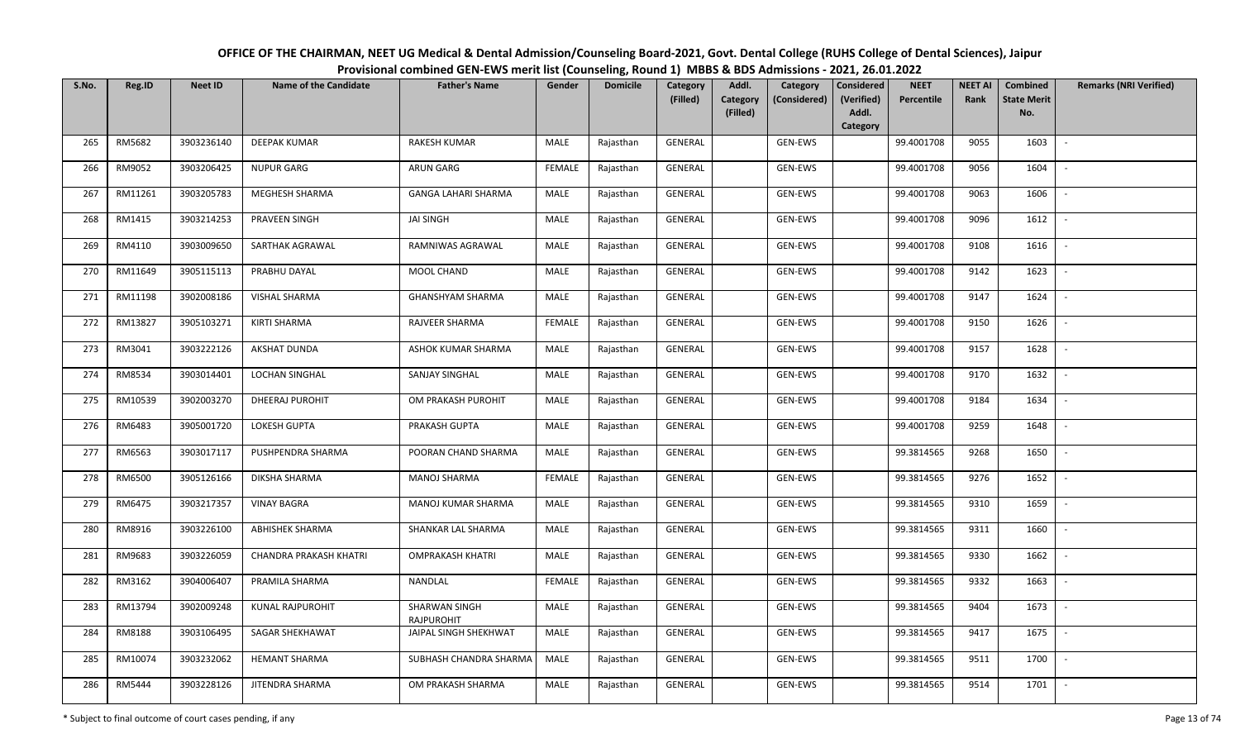| OFFICE OF THE CHAIRMAN, NEET UG Medical & Dental Admission/Counseling Board-2021, Govt. Dental College (RUHS College of Dental Sciences), Jaipur |
|--------------------------------------------------------------------------------------------------------------------------------------------------|
| Provisional combined GEN-EWS merit list (Counseling, Round 1) MBBS & BDS Admissions - 2021, 26.01.2022                                           |

| S.No. | Reg.ID  | <b>Neet ID</b> | <b>Name of the Candidate</b>  | <b>Father's Name</b>               | Gender        | <b>Domicile</b> | Category<br>(Filled) | Addl.<br>Category<br>Category<br>(Considered) | <b>Considered</b><br>(Verified) | <b>NEET</b><br>Percentile | <b>NEET AI</b><br>Rank | Combined<br><b>State Merit</b> | <b>Remarks (NRI Verified)</b> |
|-------|---------|----------------|-------------------------------|------------------------------------|---------------|-----------------|----------------------|-----------------------------------------------|---------------------------------|---------------------------|------------------------|--------------------------------|-------------------------------|
|       |         |                |                               |                                    |               |                 |                      | (Filled)                                      | Addl.<br>Category               |                           |                        | No.                            |                               |
| 265   | RM5682  | 3903236140     | <b>DEEPAK KUMAR</b>           | <b>RAKESH KUMAR</b>                | MALE          | Rajasthan       | <b>GENERAL</b>       | GEN-EWS                                       |                                 | 99.4001708                | 9055                   | 1603                           | $\sim$                        |
| 266   | RM9052  | 3903206425     | <b>NUPUR GARG</b>             | ARUN GARG                          | <b>FEMALE</b> | Rajasthan       | GENERAL              | GEN-EWS                                       |                                 | 99.4001708                | 9056                   | 1604                           |                               |
| 267   | RM11261 | 3903205783     | MEGHESH SHARMA                | <b>GANGA LAHARI SHARMA</b>         | <b>MALE</b>   | Rajasthan       | GENERAL              | GEN-EWS                                       |                                 | 99.4001708                | 9063                   | 1606                           | $\overline{\phantom{a}}$      |
| 268   | RM1415  | 3903214253     | PRAVEEN SINGH                 | JAI SINGH                          | MALE          | Rajasthan       | GENERAL              | GEN-EWS                                       |                                 | 99.4001708                | 9096                   | 1612                           | $\overline{\phantom{a}}$      |
| 269   | RM4110  | 3903009650     | SARTHAK AGRAWAL               | RAMNIWAS AGRAWAL                   | <b>MALE</b>   | Rajasthan       | GENERAL              | GEN-EWS                                       |                                 | 99.4001708                | 9108                   | 1616                           | $\overline{\phantom{a}}$      |
| 270   | RM11649 | 3905115113     | PRABHU DAYAL                  | MOOL CHAND                         | <b>MALE</b>   | Rajasthan       | GENERAL              | GEN-EWS                                       |                                 | 99.4001708                | 9142                   | 1623                           | $\overline{\phantom{a}}$      |
| 271   | RM11198 | 3902008186     | VISHAL SHARMA                 | GHANSHYAM SHARMA                   | <b>MALE</b>   | Rajasthan       | GENERAL              | GEN-EWS                                       |                                 | 99.4001708                | 9147                   | 1624                           |                               |
| 272   | RM13827 | 3905103271     | KIRTI SHARMA                  | RAJVEER SHARMA                     | <b>FEMALE</b> | Rajasthan       | GENERAL              | GEN-EWS                                       |                                 | 99.4001708                | 9150                   | 1626                           |                               |
| 273   | RM3041  | 3903222126     | <b>AKSHAT DUNDA</b>           | ASHOK KUMAR SHARMA                 | <b>MALE</b>   | Rajasthan       | <b>GENERAL</b>       | GEN-EWS                                       |                                 | 99.4001708                | 9157                   | 1628                           |                               |
| 274   | RM8534  | 3903014401     | LOCHAN SINGHAL                | SANJAY SINGHAL                     | MALE          | Rajasthan       | GENERAL              | GEN-EWS                                       |                                 | 99.4001708                | 9170                   | 1632                           | $\overline{\phantom{a}}$      |
| 275   | RM10539 | 3902003270     | DHEERAJ PUROHIT               | OM PRAKASH PUROHIT                 | MALE          | Rajasthan       | GENERAL              | GEN-EWS                                       |                                 | 99.4001708                | 9184                   | 1634                           |                               |
| 276   | RM6483  | 3905001720     | <b>LOKESH GUPTA</b>           | PRAKASH GUPTA                      | MALE          | Rajasthan       | GENERAL              | GEN-EWS                                       |                                 | 99.4001708                | 9259                   | 1648                           | $\blacksquare$                |
| 277   | RM6563  | 3903017117     | PUSHPENDRA SHARMA             | POORAN CHAND SHARMA                | MALE          | Rajasthan       | GENERAL              | GEN-EWS                                       |                                 | 99.3814565                | 9268                   | 1650                           |                               |
| 278   | RM6500  | 3905126166     | DIKSHA SHARMA                 | <b>MANOJ SHARMA</b>                | <b>FEMALE</b> | Rajasthan       | GENERAL              | GEN-EWS                                       |                                 | 99.3814565                | 9276                   | 1652                           | $\sim$                        |
| 279   | RM6475  | 3903217357     | <b>VINAY BAGRA</b>            | MANOJ KUMAR SHARMA                 | <b>MALE</b>   | Rajasthan       | GENERAL              | GEN-EWS                                       |                                 | 99.3814565                | 9310                   | 1659                           | $\overline{\phantom{a}}$      |
| 280   | RM8916  | 3903226100     | <b>ABHISHEK SHARMA</b>        | SHANKAR LAL SHARMA                 | MALE          | Rajasthan       | GENERAL              | GEN-EWS                                       |                                 | 99.3814565                | 9311                   | 1660                           | $\sim$                        |
| 281   | RM9683  | 3903226059     | <b>CHANDRA PRAKASH KHATRI</b> | <b>OMPRAKASH KHATRI</b>            | MALE          | Rajasthan       | GENERAL              | GEN-EWS                                       |                                 | 99.3814565                | 9330                   | 1662                           | $\sim$                        |
| 282   | RM3162  | 3904006407     | PRAMILA SHARMA                | NANDLAL                            | <b>FEMALE</b> | Rajasthan       | GENERAL              | GEN-EWS                                       |                                 | 99.3814565                | 9332                   | 1663                           |                               |
| 283   | RM13794 | 3902009248     | KUNAL RAJPUROHIT              | SHARWAN SINGH<br><b>RAJPUROHIT</b> | MALE          | Rajasthan       | <b>GENERAL</b>       | GEN-EWS                                       |                                 | 99.3814565                | 9404                   | 1673                           |                               |
| 284   | RM8188  | 3903106495     | SAGAR SHEKHAWAT               | JAIPAL SINGH SHEKHWAT              | <b>MALE</b>   | Rajasthan       | <b>GENERAL</b>       | GEN-EWS                                       |                                 | 99.3814565                | 9417                   | 1675                           |                               |
| 285   | RM10074 | 3903232062     | <b>HEMANT SHARMA</b>          | SUBHASH CHANDRA SHARMA             | <b>MALE</b>   | Rajasthan       | GENERAL              | GEN-EWS                                       |                                 | 99.3814565                | 9511                   | 1700                           |                               |
| 286   | RM5444  | 3903228126     | JITENDRA SHARMA               | OM PRAKASH SHARMA                  | <b>MALE</b>   | Rajasthan       | <b>GENERAL</b>       | GEN-EWS                                       |                                 | 99.3814565                | 9514                   | 1701                           |                               |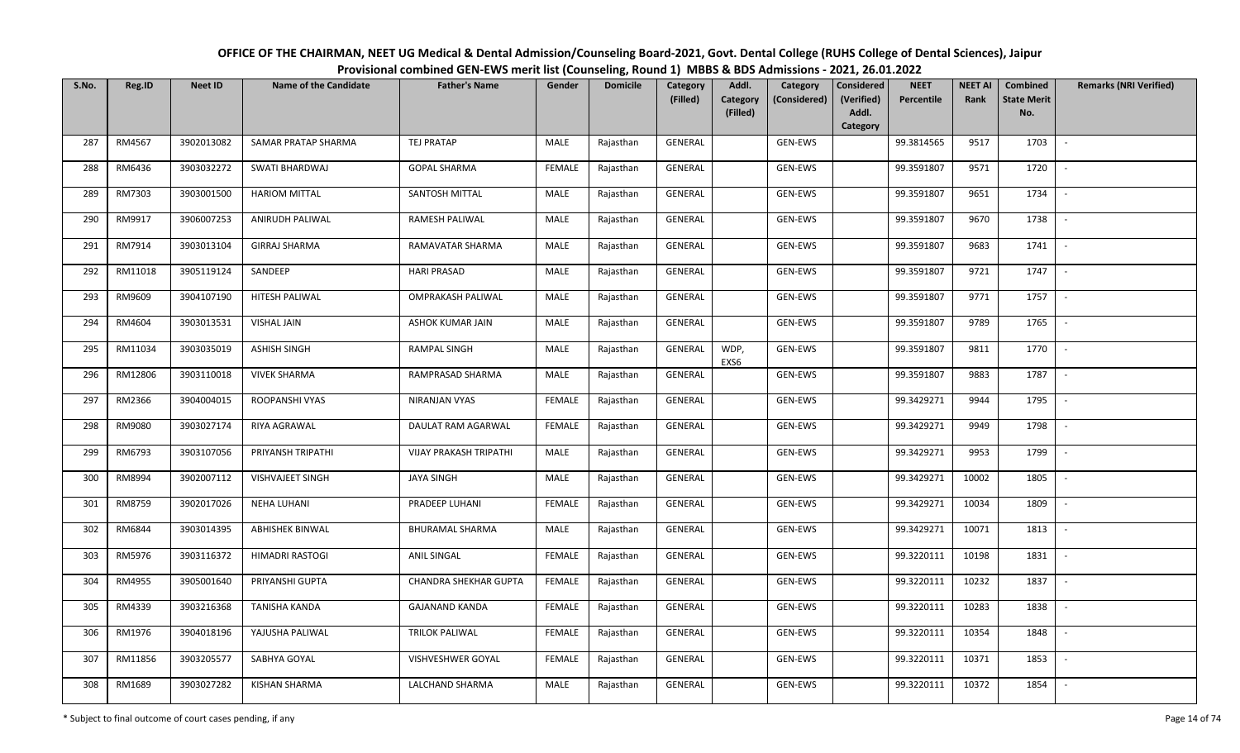| OFFICE OF THE CHAIRMAN, NEET UG Medical & Dental Admission/Counseling Board-2021, Govt. Dental College (RUHS College of Dental Sciences), Jaipur |
|--------------------------------------------------------------------------------------------------------------------------------------------------|
| Provisional combined GEN-EWS merit list (Counseling, Round 1) MBBS & BDS Admissions - 2021, 26.01.2022                                           |

| S.No. | Reg.ID  | <b>Neet ID</b> | <b>Name of the Candidate</b> | <b>Father's Name</b>     | Gender        | <b>Domicile</b> | Category<br>(Filled) | Addl.<br>Category | Category<br>(Considered) | <b>Considered</b><br>(Verified) | <b>NEET</b><br>Percentile | <b>NEET AI</b><br>Rank | Combined<br><b>State Merit</b> | <b>Remarks (NRI Verified)</b> |
|-------|---------|----------------|------------------------------|--------------------------|---------------|-----------------|----------------------|-------------------|--------------------------|---------------------------------|---------------------------|------------------------|--------------------------------|-------------------------------|
|       |         |                |                              |                          |               |                 |                      | (Filled)          |                          | Addl.<br>Category               |                           |                        | No.                            |                               |
| 287   | RM4567  | 3902013082     | SAMAR PRATAP SHARMA          | <b>TEJ PRATAP</b>        | MALE          | Rajasthan       | GENERAL              |                   | GEN-EWS                  |                                 | 99.3814565                | 9517                   | 1703                           | $\overline{\phantom{a}}$      |
| 288   | RM6436  | 3903032272     | SWATI BHARDWAJ               | <b>GOPAL SHARMA</b>      | <b>FEMALE</b> | Rajasthan       | GENERAL              |                   | GEN-EWS                  |                                 | 99.3591807                | 9571                   | 1720                           |                               |
| 289   | RM7303  | 3903001500     | <b>HARIOM MITTAL</b>         | SANTOSH MITTAL           | <b>MALE</b>   | Rajasthan       | GENERAL              |                   | GEN-EWS                  |                                 | 99.3591807                | 9651                   | 1734                           | $\sim$                        |
| 290   | RM9917  | 3906007253     | ANIRUDH PALIWAL              | RAMESH PALIWAL           | MALE          | Rajasthan       | GENERAL              |                   | GEN-EWS                  |                                 | 99.3591807                | 9670                   | 1738                           | $\sim$                        |
| 291   | RM7914  | 3903013104     | <b>GIRRAJ SHARMA</b>         | RAMAVATAR SHARMA         | MALE          | Rajasthan       | GENERAL              |                   | GEN-EWS                  |                                 | 99.3591807                | 9683                   | 1741                           | $\sim$                        |
| 292   | RM11018 | 3905119124     | SANDEEP                      | <b>HARI PRASAD</b>       | <b>MALE</b>   | Rajasthan       | GENERAL              |                   | GEN-EWS                  |                                 | 99.3591807                | 9721                   | 1747                           | $\overline{\phantom{a}}$      |
| 293   | RM9609  | 3904107190     | HITESH PALIWAL               | <b>OMPRAKASH PALIWAL</b> | <b>MALE</b>   | Rajasthan       | GENERAL              |                   | GEN-EWS                  |                                 | 99.3591807                | 9771                   | 1757                           |                               |
| 294   | RM4604  | 3903013531     | <b>VISHAL JAIN</b>           | ASHOK KUMAR JAIN         | MALE          | Rajasthan       | <b>GENERAL</b>       |                   | GEN-EWS                  |                                 | 99.3591807                | 9789                   | 1765                           |                               |
| 295   | RM11034 | 3903035019     | <b>ASHISH SINGH</b>          | <b>RAMPAL SINGH</b>      | <b>MALE</b>   | Rajasthan       | <b>GENERAL</b>       | WDP,<br>EXS6      | GEN-EWS                  |                                 | 99.3591807                | 9811                   | 1770                           | $\overline{\phantom{a}}$      |
| 296   | RM12806 | 3903110018     | <b>VIVEK SHARMA</b>          | RAMPRASAD SHARMA         | MALE          | Rajasthan       | GENERAL              |                   | GEN-EWS                  |                                 | 99.3591807                | 9883                   | 1787                           | $\sim$                        |
| 297   | RM2366  | 3904004015     | ROOPANSHI VYAS               | <b>NIRANJAN VYAS</b>     | <b>FEMALE</b> | Rajasthan       | GENERAL              |                   | GEN-EWS                  |                                 | 99.3429271                | 9944                   | 1795                           |                               |
| 298   | RM9080  | 3903027174     | RIYA AGRAWAL                 | DAULAT RAM AGARWAL       | <b>FEMALE</b> | Rajasthan       | GENERAL              |                   | GEN-EWS                  |                                 | 99.3429271                | 9949                   | 1798                           | $\sim$                        |
| 299   | RM6793  | 3903107056     | PRIYANSH TRIPATHI            | VIJAY PRAKASH TRIPATHI   | MALE          | Rajasthan       | GENERAL              |                   | GEN-EWS                  |                                 | 99.3429271                | 9953                   | 1799                           |                               |
| 300   | RM8994  | 3902007112     | <b>VISHVAJEET SINGH</b>      | <b>JAYA SINGH</b>        | MALE          | Rajasthan       | GENERAL              |                   | GEN-EWS                  |                                 | 99.3429271                | 10002                  | 1805                           | $\sim$                        |
| 301   | RM8759  | 3902017026     | <b>NEHA LUHANI</b>           | PRADEEP LUHANI           | <b>FEMALE</b> | Rajasthan       | GENERAL              |                   | GEN-EWS                  |                                 | 99.3429271                | 10034                  | 1809                           | $\sim$                        |
| 302   | RM6844  | 3903014395     | <b>ABHISHEK BINWAL</b>       | BHURAMAL SHARMA          | MALE          | Rajasthan       | GENERAL              |                   | GEN-EWS                  |                                 | 99.3429271                | 10071                  | 1813                           | $\sim$                        |
| 303   | RM5976  | 3903116372     | HIMADRI RASTOGI              | <b>ANIL SINGAL</b>       | <b>FEMALE</b> | Rajasthan       | GENERAL              |                   | GEN-EWS                  |                                 | 99.3220111                | 10198                  | 1831                           | $\overline{\phantom{a}}$      |
| 304   | RM4955  | 3905001640     | PRIYANSHI GUPTA              | CHANDRA SHEKHAR GUPTA    | <b>FEMALE</b> | Rajasthan       | GENERAL              |                   | GEN-EWS                  |                                 | 99.3220111                | 10232                  | 1837                           |                               |
| 305   | RM4339  | 3903216368     | TANISHA KANDA                | <b>GAJANAND KANDA</b>    | <b>FEMALE</b> | Rajasthan       | <b>GENERAL</b>       |                   | GEN-EWS                  |                                 | 99.3220111                | 10283                  | 1838                           |                               |
| 306   | RM1976  | 3904018196     | YAJUSHA PALIWAL              | <b>TRILOK PALIWAL</b>    | <b>FEMALE</b> | Rajasthan       | <b>GENERAL</b>       |                   | GEN-EWS                  |                                 | 99.3220111                | 10354                  | 1848                           |                               |
| 307   | RM11856 | 3903205577     | SABHYA GOYAL                 | VISHVESHWER GOYAL        | <b>FEMALE</b> | Rajasthan       | GENERAL              |                   | GEN-EWS                  |                                 | 99.3220111                | 10371                  | 1853                           |                               |
| 308   | RM1689  | 3903027282     | <b>KISHAN SHARMA</b>         | LALCHAND SHARMA          | MALE          | Rajasthan       | <b>GENERAL</b>       |                   | GEN-EWS                  |                                 | 99.3220111                | 10372                  | 1854                           |                               |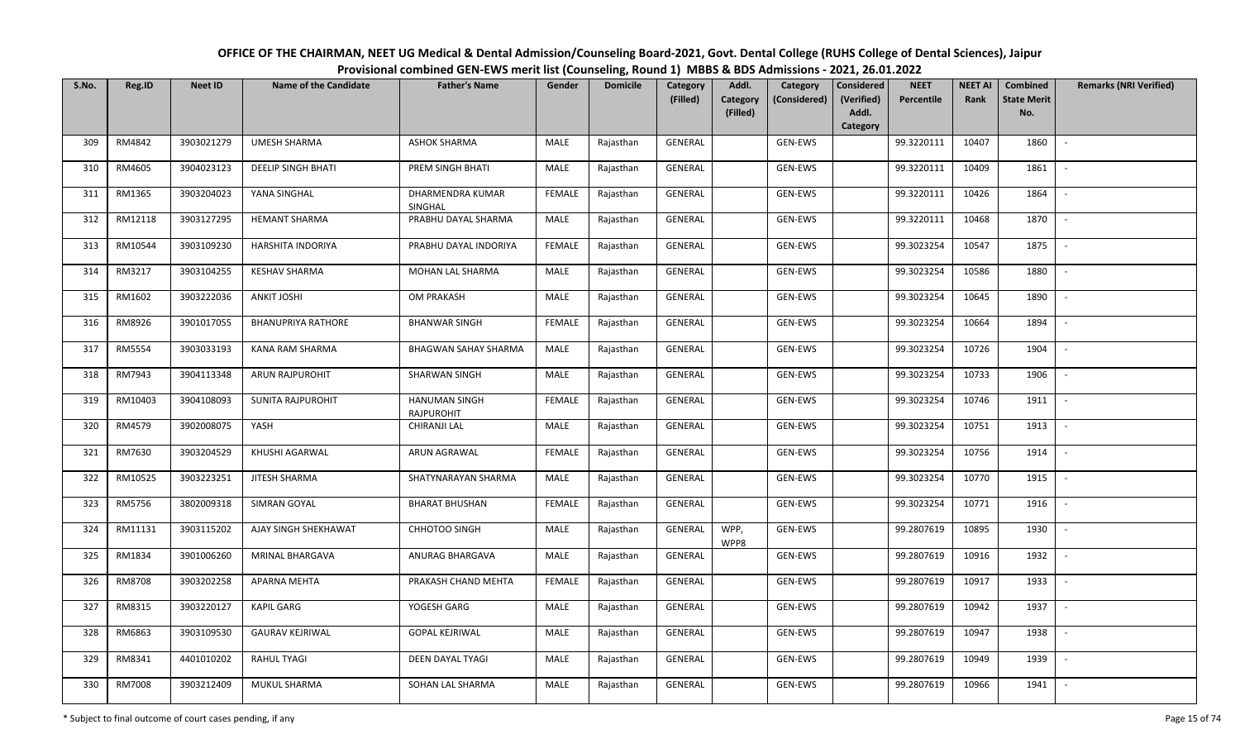## OFFICE OF THE CHAIRMAN, NEET UG Medical & Dental Admission/Counseling Board-2021, Govt. Dental College (RUHS College of Dental Sciences), JaipurProvisional combined GEN-EWS merit list (Counseling, Round 1) MBBS & BDS Admissions - 2021, 26.01.2022

| S.No. | Reg.ID  | <b>Neet ID</b> | Name of the Candidate     | <b>Father's Name</b>                      | Gender        | <b>Domicile</b> | Category<br>(Filled) | Addl.<br><b>Category</b> | Category<br>(Considered) | Considered<br>(Verified) | <b>NEET</b><br>Percentile | <b>NEET AI</b><br>Rank | Combined<br><b>State Merit</b> | <b>Remarks (NRI Verified)</b> |
|-------|---------|----------------|---------------------------|-------------------------------------------|---------------|-----------------|----------------------|--------------------------|--------------------------|--------------------------|---------------------------|------------------------|--------------------------------|-------------------------------|
|       |         |                |                           |                                           |               |                 |                      | (Filled)                 |                          | Addl.<br>Category        |                           |                        | No.                            |                               |
| 309   | RM4842  | 3903021279     | UMESH SHARMA              | <b>ASHOK SHARMA</b>                       | MALE          | Rajasthan       | GENERAL              |                          | GEN-EWS                  |                          | 99.3220111                | 10407                  | 1860                           | $\sim$                        |
| 310   | RM4605  | 3904023123     | <b>DEELIP SINGH BHATI</b> | PREM SINGH BHATI                          | MALE          | Rajasthan       | GENERAL              |                          | GEN-EWS                  |                          | 99.3220111                | 10409                  | 1861                           | $\overline{\phantom{a}}$      |
| 311   | RM1365  | 3903204023     | YANA SINGHAL              | DHARMENDRA KUMAR<br>SINGHAL               | <b>FEMALE</b> | Rajasthan       | GENERAL              |                          | GEN-EWS                  |                          | 99.3220111                | 10426                  | 1864                           | $\sim$                        |
| 312   | RM12118 | 3903127295     | <b>HEMANT SHARMA</b>      | PRABHU DAYAL SHARMA                       | MALE          | Rajasthan       | GENERAL              |                          | GEN-EWS                  |                          | 99.3220111                | 10468                  | 1870                           | $\sim$                        |
| 313   | RM10544 | 3903109230     | HARSHITA INDORIYA         | PRABHU DAYAL INDORIYA                     | <b>FEMALE</b> | Rajasthan       | GENERAL              |                          | GEN-EWS                  |                          | 99.3023254                | 10547                  | 1875                           | $\sim$                        |
| 314   | RM3217  | 3903104255     | <b>KESHAV SHARMA</b>      | MOHAN LAL SHARMA                          | MALE          | Rajasthan       | GENERAL              |                          | GEN-EWS                  |                          | 99.3023254                | 10586                  | 1880                           | $\overline{\phantom{a}}$      |
| 315   | RM1602  | 3903222036     | <b>ANKIT JOSHI</b>        | OM PRAKASH                                | MALE          | Rajasthan       | GENERAL              |                          | GEN-EWS                  |                          | 99.3023254                | 10645                  | 1890                           |                               |
| 316   | RM8926  | 3901017055     | <b>BHANUPRIYA RATHORE</b> | <b>BHANWAR SINGH</b>                      | <b>FEMALE</b> | Rajasthan       | GENERAL              |                          | GEN-EWS                  |                          | 99.3023254                | 10664                  | 1894                           |                               |
| 317   | RM5554  | 3903033193     | KANA RAM SHARMA           | <b>BHAGWAN SAHAY SHARMA</b>               | MALE          | Rajasthan       | GENERAL              |                          | GEN-EWS                  |                          | 99.3023254                | 10726                  | 1904                           | $\overline{\phantom{a}}$      |
| 318   | RM7943  | 3904113348     | ARUN RAJPUROHIT           | SHARWAN SINGH                             | MALE          | Rajasthan       | GENERAL              |                          | GEN-EWS                  |                          | 99.3023254                | 10733                  | 1906                           | $\sim$                        |
| 319   | RM10403 | 3904108093     | SUNITA RAJPUROHIT         | <b>HANUMAN SINGH</b><br><b>RAJPUROHIT</b> | <b>FEMALE</b> | Rajasthan       | GENERAL              |                          | GEN-EWS                  |                          | 99.3023254                | 10746                  | 1911                           |                               |
| 320   | RM4579  | 3902008075     | YASH                      | CHIRANJI LAL                              | MALE          | Rajasthan       | GENERAL              |                          | GEN-EWS                  |                          | 99.3023254                | 10751                  | 1913                           | $\sim$                        |
| 321   | RM7630  | 3903204529     | KHUSHI AGARWAL            | ARUN AGRAWAL                              | <b>FEMALE</b> | Rajasthan       | GENERAL              |                          | GEN-EWS                  |                          | 99.3023254                | 10756                  | 1914                           |                               |
| 322   | RM10525 | 3903223251     | <b>JITESH SHARMA</b>      | SHATYNARAYAN SHARMA                       | MALE          | Rajasthan       | GENERAL              |                          | GEN-EWS                  |                          | 99.3023254                | 10770                  | 1915                           | $\sim$                        |
| 323   | RM5756  | 3802009318     | SIMRAN GOYAL              | <b>BHARAT BHUSHAN</b>                     | <b>FEMALE</b> | Rajasthan       | GENERAL              |                          | GEN-EWS                  |                          | 99.3023254                | 10771                  | 1916                           | $\overline{\phantom{a}}$      |
| 324   | RM11131 | 3903115202     | AJAY SINGH SHEKHAWAT      | CHHOTOO SINGH                             | MALE          | Rajasthan       | GENERAL              | WPP,<br>WPP8             | GEN-EWS                  |                          | 99.2807619                | 10895                  | 1930                           | $\overline{\phantom{a}}$      |
| 325   | RM1834  | 3901006260     | MRINAL BHARGAVA           | ANURAG BHARGAVA                           | MALE          | Rajasthan       | GENERAL              |                          | GEN-EWS                  |                          | 99.2807619                | 10916                  | 1932                           | $\sim$                        |
| 326   | RM8708  | 3903202258     | APARNA MEHTA              | PRAKASH CHAND MEHTA                       | <b>FEMALE</b> | Rajasthan       | GENERAL              |                          | GEN-EWS                  |                          | 99.2807619                | 10917                  | 1933                           | $\sim$                        |
| 327   | RM8315  | 3903220127     | <b>KAPIL GARG</b>         | YOGESH GARG                               | <b>MALE</b>   | Rajasthan       | GENERAL              |                          | GEN-EWS                  |                          | 99.2807619                | 10942                  | 1937                           | $\overline{\phantom{a}}$      |
| 328   | RM6863  | 3903109530     | <b>GAURAV KEJRIWAL</b>    | <b>GOPAL KEJRIWAL</b>                     | MALE          | Rajasthan       | GENERAL              |                          | GEN-EWS                  |                          | 99.2807619                | 10947                  | 1938                           |                               |
| 329   | RM8341  | 4401010202     | <b>RAHUL TYAGI</b>        | DEEN DAYAL TYAGI                          | MALE          | Rajasthan       | GENERAL              |                          | GEN-EWS                  |                          | 99.2807619                | 10949                  | 1939                           | $\overline{\phantom{a}}$      |
| 330   | RM7008  | 3903212409     | MUKUL SHARMA              | SOHAN LAL SHARMA                          | MALE          | Rajasthan       | GENERAL              |                          | GEN-EWS                  |                          | 99.2807619                | 10966                  | 1941                           | $\overline{\phantom{a}}$      |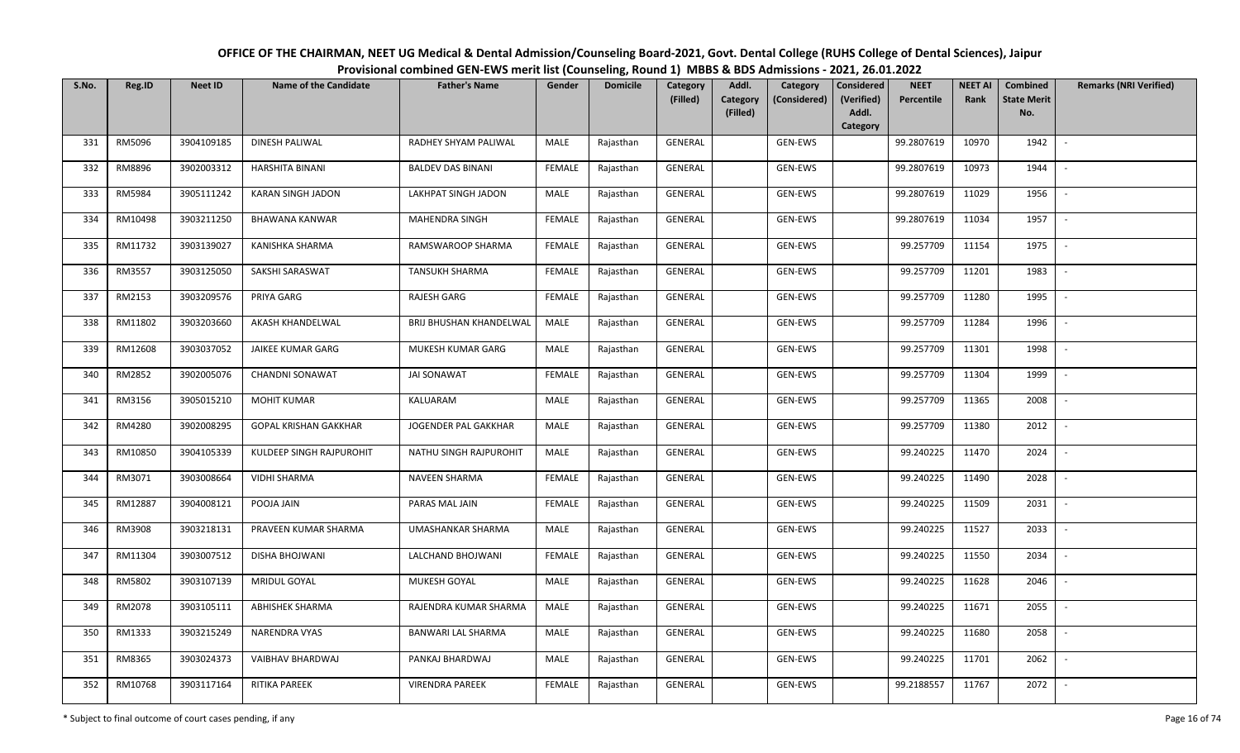| OFFICE OF THE CHAIRMAN, NEET UG Medical & Dental Admission/Counseling Board-2021, Govt. Dental College (RUHS College of Dental Sciences), Jaipur |  |
|--------------------------------------------------------------------------------------------------------------------------------------------------|--|
| Provisional combined GEN-EWS merit list (Counseling, Round 1) MBBS & BDS Admissions - 2021, 26.01.2022                                           |  |

| S.No. | Reg.ID  | <b>Neet ID</b> | <b>Name of the Candidate</b> | <b>Father's Name</b>     | Gender        | <b>Domicile</b> | <b>Category</b><br>(Filled) | Addl.<br>Category | Category<br>(Considered) | <b>Considered</b><br>(Verified) | <b>NEET</b><br>Percentile | <b>NEET AI</b><br>Rank | Combined<br><b>State Merit</b> | <b>Remarks (NRI Verified)</b> |
|-------|---------|----------------|------------------------------|--------------------------|---------------|-----------------|-----------------------------|-------------------|--------------------------|---------------------------------|---------------------------|------------------------|--------------------------------|-------------------------------|
|       |         |                |                              |                          |               |                 |                             | (Filled)          |                          | Addl.                           |                           |                        | No.                            |                               |
|       |         |                |                              |                          |               |                 |                             |                   |                          | Category                        |                           |                        |                                |                               |
| 331   | RM5096  | 3904109185     | DINESH PALIWAL               | RADHEY SHYAM PALIWAL     | MALE          | Rajasthan       | <b>GENERAL</b>              |                   | <b>GEN-EWS</b>           |                                 | 99.2807619                | 10970                  | 1942                           | $\overline{\phantom{a}}$      |
| 332   | RM8896  | 3902003312     | HARSHITA BINANI              | <b>BALDEV DAS BINANI</b> | <b>FEMALE</b> | Rajasthan       | GENERAL                     |                   | GEN-EWS                  |                                 | 99.2807619                | 10973                  | 1944                           |                               |
| 333   | RM5984  | 3905111242     | KARAN SINGH JADON            | LAKHPAT SINGH JADON      | MALE          | Rajasthan       | GENERAL                     |                   | GEN-EWS                  |                                 | 99.2807619                | 11029                  | 1956                           | $\sim$                        |
| 334   | RM10498 | 3903211250     | BHAWANA KANWAR               | MAHENDRA SINGH           | <b>FEMALE</b> | Rajasthan       | GENERAL                     |                   | GEN-EWS                  |                                 | 99.2807619                | 11034                  | 1957                           | $\sim$                        |
| 335   | RM11732 | 3903139027     | KANISHKA SHARMA              | RAMSWAROOP SHARMA        | <b>FEMALE</b> | Rajasthan       | GENERAL                     |                   | GEN-EWS                  |                                 | 99.257709                 | 11154                  | 1975                           | $\sim$                        |
| 336   | RM3557  | 3903125050     | SAKSHI SARASWAT              | <b>TANSUKH SHARMA</b>    | <b>FEMALE</b> | Rajasthan       | GENERAL                     |                   | GEN-EWS                  |                                 | 99.257709                 | 11201                  | 1983                           | $\overline{\phantom{a}}$      |
| 337   | RM2153  | 3903209576     | PRIYA GARG                   | RAJESH GARG              | FEMALE        | Rajasthan       | GENERAL                     |                   | GEN-EWS                  |                                 | 99.257709                 | 11280                  | 1995                           |                               |
| 338   | RM11802 | 3903203660     | AKASH KHANDELWAL             | BRIJ BHUSHAN KHANDELWAL  | MALE          | Rajasthan       | <b>GENERAL</b>              |                   | GEN-EWS                  |                                 | 99.257709                 | 11284                  | 1996                           |                               |
| 339   | RM12608 | 3903037052     | <b>JAIKEE KUMAR GARG</b>     | MUKESH KUMAR GARG        | MALE          | Rajasthan       | GENERAL                     |                   | GEN-EWS                  |                                 | 99.257709                 | 11301                  | 1998                           | $\overline{\phantom{a}}$      |
| 340   | RM2852  | 3902005076     | CHANDNI SONAWAT              | <b>JAI SONAWAT</b>       | <b>FEMALE</b> | Rajasthan       | GENERAL                     |                   | GEN-EWS                  |                                 | 99.257709                 | 11304                  | 1999                           | $\sim$                        |
| 341   | RM3156  | 3905015210     | <b>MOHIT KUMAR</b>           | KALUARAM                 | MALE          | Rajasthan       | GENERAL                     |                   | GEN-EWS                  |                                 | 99.257709                 | 11365                  | 2008                           |                               |
| 342   | RM4280  | 3902008295     | <b>GOPAL KRISHAN GAKKHAR</b> | JOGENDER PAL GAKKHAR     | MALE          | Rajasthan       | GENERAL                     |                   | GEN-EWS                  |                                 | 99.257709                 | 11380                  | 2012                           | $\mathbb{Z}$                  |
| 343   | RM10850 | 3904105339     | KULDEEP SINGH RAJPUROHIT     | NATHU SINGH RAJPUROHIT   | MALE          | Rajasthan       | GENERAL                     |                   | GEN-EWS                  |                                 | 99.240225                 | 11470                  | 2024                           |                               |
| 344   | RM3071  | 3903008664     | <b>VIDHI SHARMA</b>          | <b>NAVEEN SHARMA</b>     | <b>FEMALE</b> | Rajasthan       | GENERAL                     |                   | GEN-EWS                  |                                 | 99.240225                 | 11490                  | 2028                           | $\overline{\phantom{a}}$      |
| 345   | RM12887 | 3904008121     | POOJA JAIN                   | PARAS MAL JAIN           | <b>FEMALE</b> | Rajasthan       | GENERAL                     |                   | GEN-EWS                  |                                 | 99.240225                 | 11509                  | 2031                           | $\sim$                        |
| 346   | RM3908  | 3903218131     | PRAVEEN KUMAR SHARMA         | <b>UMASHANKAR SHARMA</b> | MALE          | Rajasthan       | GENERAL                     |                   | GEN-EWS                  |                                 | 99.240225                 | 11527                  | 2033                           | $\sim$                        |
| 347   | RM11304 | 3903007512     | DISHA BHOJWANI               | LALCHAND BHOJWANI        | <b>FEMALE</b> | Rajasthan       | GENERAL                     |                   | GEN-EWS                  |                                 | 99.240225                 | 11550                  | 2034                           | $\sim$                        |
| 348   | RM5802  | 3903107139     | MRIDUL GOYAL                 | MUKESH GOYAL             | MALE          | Rajasthan       | GENERAL                     |                   | GEN-EWS                  |                                 | 99.240225                 | 11628                  | 2046                           |                               |
| 349   | RM2078  | 3903105111     | <b>ABHISHEK SHARMA</b>       | RAJENDRA KUMAR SHARMA    | MALE          | Rajasthan       | <b>GENERAL</b>              |                   | GEN-EWS                  |                                 | 99.240225                 | 11671                  | 2055                           |                               |
| 350   | RM1333  | 3903215249     | NARENDRA VYAS                | BANWARI LAL SHARMA       | MALE          | Rajasthan       | GENERAL                     |                   | GEN-EWS                  |                                 | 99.240225                 | 11680                  | 2058                           |                               |
| 351   | RM8365  | 3903024373     | VAIBHAV BHARDWAJ             | PANKAJ BHARDWAJ          | MALE          | Rajasthan       | GENERAL                     |                   | GEN-EWS                  |                                 | 99.240225                 | 11701                  | 2062                           |                               |
| 352   | RM10768 | 3903117164     | RITIKA PAREEK                | <b>VIRENDRA PAREEK</b>   | <b>FEMALE</b> | Rajasthan       | GENERAL                     |                   | GEN-EWS                  |                                 | 99.2188557                | 11767                  | 2072                           |                               |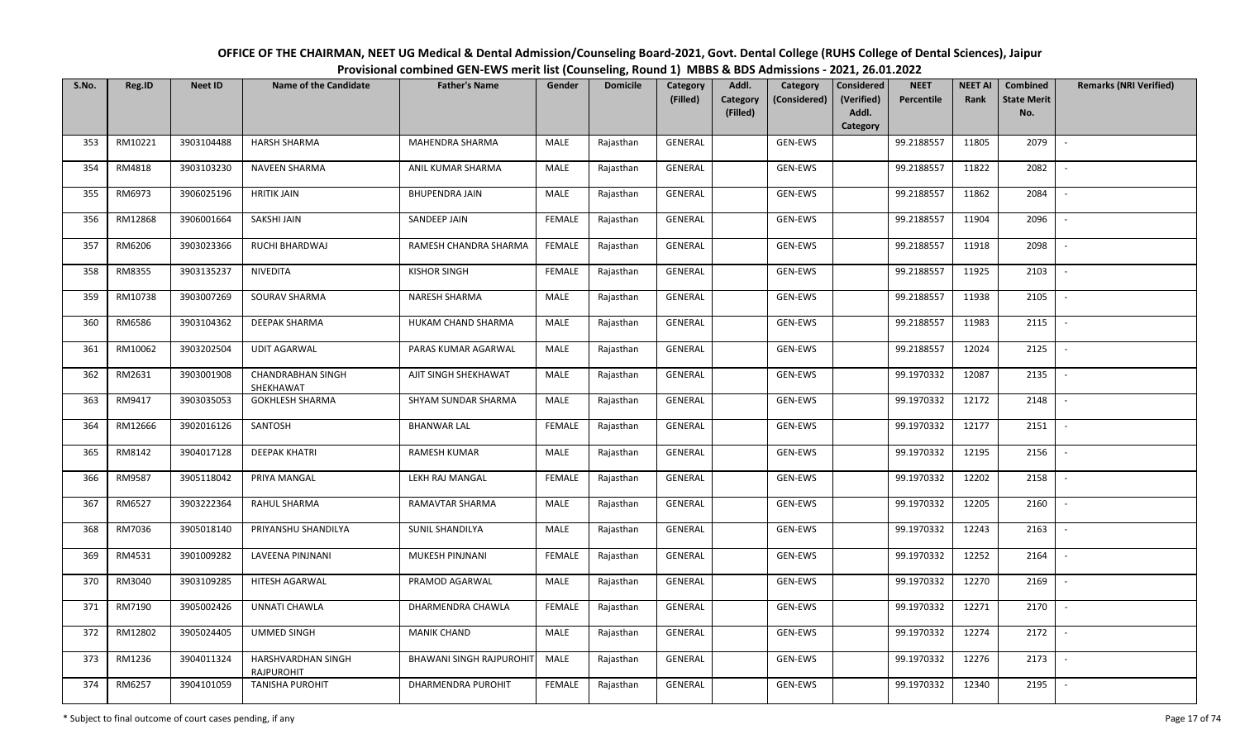| OFFICE OF THE CHAIRMAN, NEET UG Medical & Dental Admission/Counseling Board-2021, Govt. Dental College (RUHS College of Dental Sciences), Jaipur |
|--------------------------------------------------------------------------------------------------------------------------------------------------|
| Provisional combined GEN-EWS merit list (Counseling, Round 1) MBBS & BDS Admissions - 2021, 26.01.2022                                           |

| S.No. | Reg.ID  | <b>Neet ID</b> | <b>Name of the Candidate</b>            | <b>Father's Name</b>            | Gender        | <b>Domicile</b> | Category<br>(Filled) | Addl.<br>Category | Category<br>(Considered) | <b>Considered</b><br>(Verified) | <b>NEET</b><br>Percentile | <b>NEET AI</b><br>Rank | <b>Combined</b><br><b>State Merit</b> | <b>Remarks (NRI Verified)</b> |
|-------|---------|----------------|-----------------------------------------|---------------------------------|---------------|-----------------|----------------------|-------------------|--------------------------|---------------------------------|---------------------------|------------------------|---------------------------------------|-------------------------------|
|       |         |                |                                         |                                 |               |                 |                      | (Filled)          |                          | Addl.<br>Category               |                           |                        | No.                                   |                               |
| 353   | RM10221 | 3903104488     | <b>HARSH SHARMA</b>                     | MAHENDRA SHARMA                 | MALE          | Rajasthan       | GENERAL              |                   | GEN-EWS                  |                                 | 99.2188557                | 11805                  | 2079                                  | $\overline{\phantom{a}}$      |
| 354   | RM4818  | 3903103230     | NAVEEN SHARMA                           | ANIL KUMAR SHARMA               | MALE          | Rajasthan       | GENERAL              |                   | GEN-EWS                  |                                 | 99.2188557                | 11822                  | 2082                                  |                               |
| 355   | RM6973  | 3906025196     | <b>HRITIK JAIN</b>                      | <b>BHUPENDRA JAIN</b>           | MALE          | Rajasthan       | GENERAL              |                   | GEN-EWS                  |                                 | 99.2188557                | 11862                  | 2084                                  | $\overline{\phantom{a}}$      |
| 356   | RM12868 | 3906001664     | SAKSHI JAIN                             | SANDEEP JAIN                    | <b>FEMALE</b> | Rajasthan       | GENERAL              |                   | GEN-EWS                  |                                 | 99.2188557                | 11904                  | 2096                                  | $\overline{\phantom{a}}$      |
| 357   | RM6206  | 3903023366     | RUCHI BHARDWAJ                          | RAMESH CHANDRA SHARMA           | <b>FEMALE</b> | Rajasthan       | GENERAL              |                   | GEN-EWS                  |                                 | 99.2188557                | 11918                  | 2098                                  |                               |
| 358   | RM8355  | 3903135237     | NIVEDITA                                | <b>KISHOR SINGH</b>             | <b>FEMALE</b> | Rajasthan       | GENERAL              |                   | GEN-EWS                  |                                 | 99.2188557                | 11925                  | 2103                                  | $\overline{\phantom{a}}$      |
| 359   | RM10738 | 3903007269     | SOURAV SHARMA                           | NARESH SHARMA                   | MALE          | Rajasthan       | GENERAL              |                   | GEN-EWS                  |                                 | 99.2188557                | 11938                  | 2105                                  |                               |
| 360   | RM6586  | 3903104362     | DEEPAK SHARMA                           | HUKAM CHAND SHARMA              | MALE          | Rajasthan       | <b>GENERAL</b>       |                   | GEN-EWS                  |                                 | 99.2188557                | 11983                  | 2115                                  |                               |
| 361   | RM10062 | 3903202504     | <b>UDIT AGARWAL</b>                     | PARAS KUMAR AGARWAL             | <b>MALE</b>   | Rajasthan       | <b>GENERAL</b>       |                   | GEN-EWS                  |                                 | 99.2188557                | 12024                  | 2125                                  |                               |
| 362   | RM2631  | 3903001908     | <b>CHANDRABHAN SINGH</b><br>SHEKHAWAT   | AJIT SINGH SHEKHAWAT            | MALE          | Rajasthan       | GENERAL              |                   | GEN-EWS                  |                                 | 99.1970332                | 12087                  | 2135                                  | $\overline{\phantom{a}}$      |
| 363   | RM9417  | 3903035053     | <b>GOKHLESH SHARMA</b>                  | SHYAM SUNDAR SHARMA             | MALE          | Rajasthan       | GENERAL              |                   | GEN-EWS                  |                                 | 99.1970332                | 12172                  | 2148                                  |                               |
| 364   | RM12666 | 3902016126     | SANTOSH                                 | <b>BHANWAR LAL</b>              | <b>FEMALE</b> | Rajasthan       | GENERAL              |                   | GEN-EWS                  |                                 | 99.1970332                | 12177                  | 2151                                  | $\overline{\phantom{a}}$      |
| 365   | RM8142  | 3904017128     | <b>DEEPAK KHATRI</b>                    | RAMESH KUMAR                    | MALE          | Rajasthan       | GENERAL              |                   | GEN-EWS                  |                                 | 99.1970332                | 12195                  | 2156                                  |                               |
| 366   | RM9587  | 3905118042     | PRIYA MANGAL                            | LEKH RAJ MANGAL                 | <b>FEMALE</b> | Rajasthan       | GENERAL              |                   | GEN-EWS                  |                                 | 99.1970332                | 12202                  | 2158                                  | $\overline{\phantom{a}}$      |
| 367   | RM6527  | 3903222364     | RAHUL SHARMA                            | RAMAVTAR SHARMA                 | MALE          | Rajasthan       | GENERAL              |                   | GEN-EWS                  |                                 | 99.1970332                | 12205                  | 2160                                  | $\sim$                        |
| 368   | RM7036  | 3905018140     | PRIYANSHU SHANDILYA                     | SUNIL SHANDILYA                 | MALE          | Rajasthan       | GENERAL              |                   | GEN-EWS                  |                                 | 99.1970332                | 12243                  | 2163                                  | $\overline{\phantom{a}}$      |
| 369   | RM4531  | 3901009282     | LAVEENA PINJNANI                        | MUKESH PINJNANI                 | <b>FEMALE</b> | Rajasthan       | GENERAL              |                   | GEN-EWS                  |                                 | 99.1970332                | 12252                  | 2164                                  | $\overline{a}$                |
| 370   | RM3040  | 3903109285     | HITESH AGARWAL                          | PRAMOD AGARWAL                  | MALE          | Rajasthan       | GENERAL              |                   | GEN-EWS                  |                                 | 99.1970332                | 12270                  | 2169                                  |                               |
| 371   | RM7190  | 3905002426     | <b>UNNATI CHAWLA</b>                    | DHARMENDRA CHAWLA               | <b>FEMALE</b> | Rajasthan       | <b>GENERAL</b>       |                   | GEN-EWS                  |                                 | 99.1970332                | 12271                  | 2170                                  |                               |
| 372   | RM12802 | 3905024405     | UMMED SINGH                             | <b>MANIK CHAND</b>              | MALE          | Rajasthan       | <b>GENERAL</b>       |                   | GEN-EWS                  |                                 | 99.1970332                | 12274                  | 2172                                  |                               |
| 373   | RM1236  | 3904011324     | HARSHVARDHAN SINGH<br><b>RAJPUROHIT</b> | <b>BHAWANI SINGH RAJPUROHIT</b> | MALE          | Rajasthan       | GENERAL              |                   | GEN-EWS                  |                                 | 99.1970332                | 12276                  | 2173                                  |                               |
| 374   | RM6257  | 3904101059     | <b>TANISHA PUROHIT</b>                  | DHARMENDRA PUROHIT              | <b>FEMALE</b> | Rajasthan       | GENERAL              |                   | GEN-EWS                  |                                 | 99.1970332                | 12340                  | 2195                                  |                               |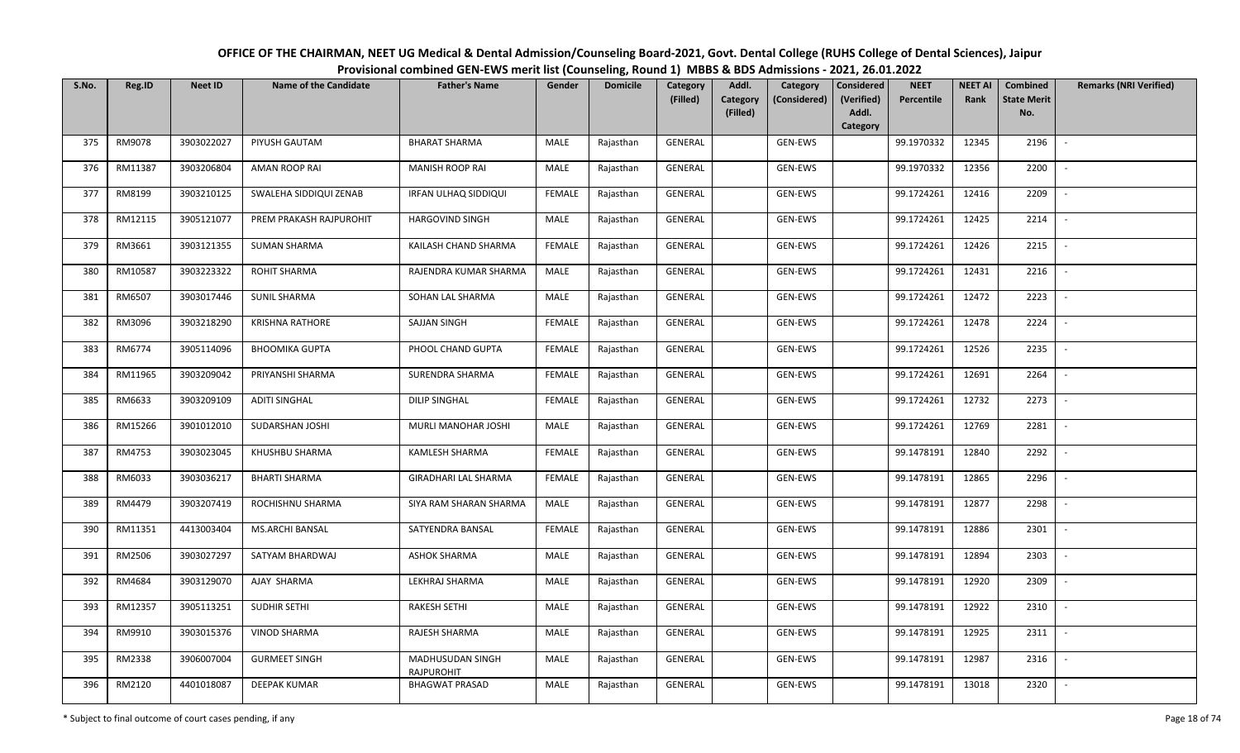| OFFICE OF THE CHAIRMAN, NEET UG Medical & Dental Admission/Counseling Board-2021, Govt. Dental College (RUHS College of Dental Sciences), Jaipur |  |
|--------------------------------------------------------------------------------------------------------------------------------------------------|--|
| Provisional combined GEN-EWS merit list (Counseling, Round 1) MBBS & BDS Admissions - 2021, 26.01.2022                                           |  |

| S.No. | Reg.ID  | <b>Neet ID</b> | <b>Name of the Candidate</b> | <b>Father's Name</b>                  | Gender        | <b>Domicile</b> | Category<br>(Filled) | Addl.<br>Category | Category<br>(Considered) | <b>Considered</b><br>(Verified) | <b>NEET</b><br>Percentile | <b>NEET AI</b><br>Rank | <b>Combined</b><br><b>State Merit</b> | <b>Remarks (NRI Verified)</b> |
|-------|---------|----------------|------------------------------|---------------------------------------|---------------|-----------------|----------------------|-------------------|--------------------------|---------------------------------|---------------------------|------------------------|---------------------------------------|-------------------------------|
|       |         |                |                              |                                       |               |                 |                      | (Filled)          |                          | Addl.<br>Category               |                           |                        | No.                                   |                               |
| 375   | RM9078  | 3903022027     | PIYUSH GAUTAM                | <b>BHARAT SHARMA</b>                  | MALE          | Rajasthan       | <b>GENERAL</b>       |                   | GEN-EWS                  |                                 | 99.1970332                | 12345                  | 2196                                  |                               |
| 376   | RM11387 | 3903206804     | <b>AMAN ROOP RAI</b>         | <b>MANISH ROOP RAI</b>                | MALE          | Rajasthan       | GENERAL              |                   | GEN-EWS                  |                                 | 99.1970332                | 12356                  | 2200                                  |                               |
| 377   | RM8199  | 3903210125     | SWALEHA SIDDIQUI ZENAB       | IRFAN ULHAQ SIDDIQUI                  | <b>FEMALE</b> | Rajasthan       | GENERAL              |                   | GEN-EWS                  |                                 | 99.1724261                | 12416                  | 2209                                  | $\overline{\phantom{a}}$      |
| 378   | RM12115 | 3905121077     | PREM PRAKASH RAJPUROHIT      | <b>HARGOVIND SINGH</b>                | MALE          | Rajasthan       | GENERAL              |                   | GEN-EWS                  |                                 | 99.1724261                | 12425                  | 2214                                  | $\overline{\phantom{a}}$      |
| 379   | RM3661  | 3903121355     | <b>SUMAN SHARMA</b>          | KAILASH CHAND SHARMA                  | <b>FEMALE</b> | Rajasthan       | GENERAL              |                   | GEN-EWS                  |                                 | 99.1724261                | 12426                  | 2215                                  |                               |
| 380   | RM10587 | 3903223322     | ROHIT SHARMA                 | RAJENDRA KUMAR SHARMA                 | <b>MALE</b>   | Rajasthan       | <b>GENERAL</b>       |                   | GEN-EWS                  |                                 | 99.1724261                | 12431                  | 2216                                  | $\overline{\phantom{a}}$      |
| 381   | RM6507  | 3903017446     | <b>SUNIL SHARMA</b>          | SOHAN LAL SHARMA                      | MALE          | Rajasthan       | GENERAL              |                   | GEN-EWS                  |                                 | 99.1724261                | 12472                  | 2223                                  |                               |
| 382   | RM3096  | 3903218290     | <b>KRISHNA RATHORE</b>       | SAJJAN SINGH                          | <b>FEMALE</b> | Rajasthan       | <b>GENERAL</b>       |                   | GEN-EWS                  |                                 | 99.1724261                | 12478                  | 2224                                  |                               |
| 383   | RM6774  | 3905114096     | <b>BHOOMIKA GUPTA</b>        | PHOOL CHAND GUPTA                     | <b>FEMALE</b> | Rajasthan       | <b>GENERAL</b>       |                   | GEN-EWS                  |                                 | 99.1724261                | 12526                  | 2235                                  |                               |
| 384   | RM11965 | 3903209042     | PRIYANSHI SHARMA             | SURENDRA SHARMA                       | <b>FEMALE</b> | Rajasthan       | GENERAL              |                   | GEN-EWS                  |                                 | 99.1724261                | 12691                  | 2264                                  | $\overline{\phantom{a}}$      |
| 385   | RM6633  | 3903209109     | <b>ADITI SINGHAL</b>         | <b>DILIP SINGHAL</b>                  | <b>FEMALE</b> | Rajasthan       | GENERAL              |                   | GEN-EWS                  |                                 | 99.1724261                | 12732                  | 2273                                  |                               |
| 386   | RM15266 | 3901012010     | SUDARSHAN JOSHI              | MURLI MANOHAR JOSHI                   | MALE          | Rajasthan       | GENERAL              |                   | GEN-EWS                  |                                 | 99.1724261                | 12769                  | 2281                                  | $\blacksquare$                |
| 387   | RM4753  | 3903023045     | KHUSHBU SHARMA               | KAMLESH SHARMA                        | <b>FEMALE</b> | Rajasthan       | GENERAL              |                   | GEN-EWS                  |                                 | 99.1478191                | 12840                  | 2292                                  |                               |
| 388   | RM6033  | 3903036217     | <b>BHARTI SHARMA</b>         | GIRADHARI LAL SHARMA                  | <b>FEMALE</b> | Rajasthan       | GENERAL              |                   | GEN-EWS                  |                                 | 99.1478191                | 12865                  | 2296                                  | $\overline{\phantom{a}}$      |
| 389   | RM4479  | 3903207419     | ROCHISHNU SHARMA             | SIYA RAM SHARAN SHARMA                | MALE          | Rajasthan       | GENERAL              |                   | GEN-EWS                  |                                 | 99.1478191                | 12877                  | 2298                                  | $\overline{\phantom{a}}$      |
| 390   | RM11351 | 4413003404     | <b>MS.ARCHI BANSAL</b>       | SATYENDRA BANSAL                      | <b>FEMALE</b> | Rajasthan       | GENERAL              |                   | GEN-EWS                  |                                 | 99.1478191                | 12886                  | 2301                                  | $\overline{\phantom{a}}$      |
| 391   | RM2506  | 3903027297     | SATYAM BHARDWAJ              | <b>ASHOK SHARMA</b>                   | MALE          | Rajasthan       | GENERAL              |                   | GEN-EWS                  |                                 | 99.1478191                | 12894                  | 2303                                  | $\sim$                        |
| 392   | RM4684  | 3903129070     | AJAY SHARMA                  | LEKHRAJ SHARMA                        | MALE          | Rajasthan       | GENERAL              |                   | GEN-EWS                  |                                 | 99.1478191                | 12920                  | 2309                                  |                               |
| 393   | RM12357 | 3905113251     | SUDHIR SETHI                 | <b>RAKESH SETHI</b>                   | MALE          | Rajasthan       | <b>GENERAL</b>       |                   | GEN-EWS                  |                                 | 99.1478191                | 12922                  | 2310                                  |                               |
| 394   | RM9910  | 3903015376     | <b>VINOD SHARMA</b>          | RAJESH SHARMA                         | MALE          | Rajasthan       | <b>GENERAL</b>       |                   | GEN-EWS                  |                                 | 99.1478191                | 12925                  | 2311                                  |                               |
| 395   | RM2338  | 3906007004     | <b>GURMEET SINGH</b>         | MADHUSUDAN SINGH<br><b>RAJPUROHIT</b> | <b>MALE</b>   | Rajasthan       | GENERAL              |                   | GEN-EWS                  |                                 | 99.1478191                | 12987                  | 2316                                  |                               |
| 396   | RM2120  | 4401018087     | DEEPAK KUMAR                 | <b>BHAGWAT PRASAD</b>                 | MALE          | Rajasthan       | <b>GENERAL</b>       |                   | GEN-EWS                  |                                 | 99.1478191                | 13018                  | 2320                                  |                               |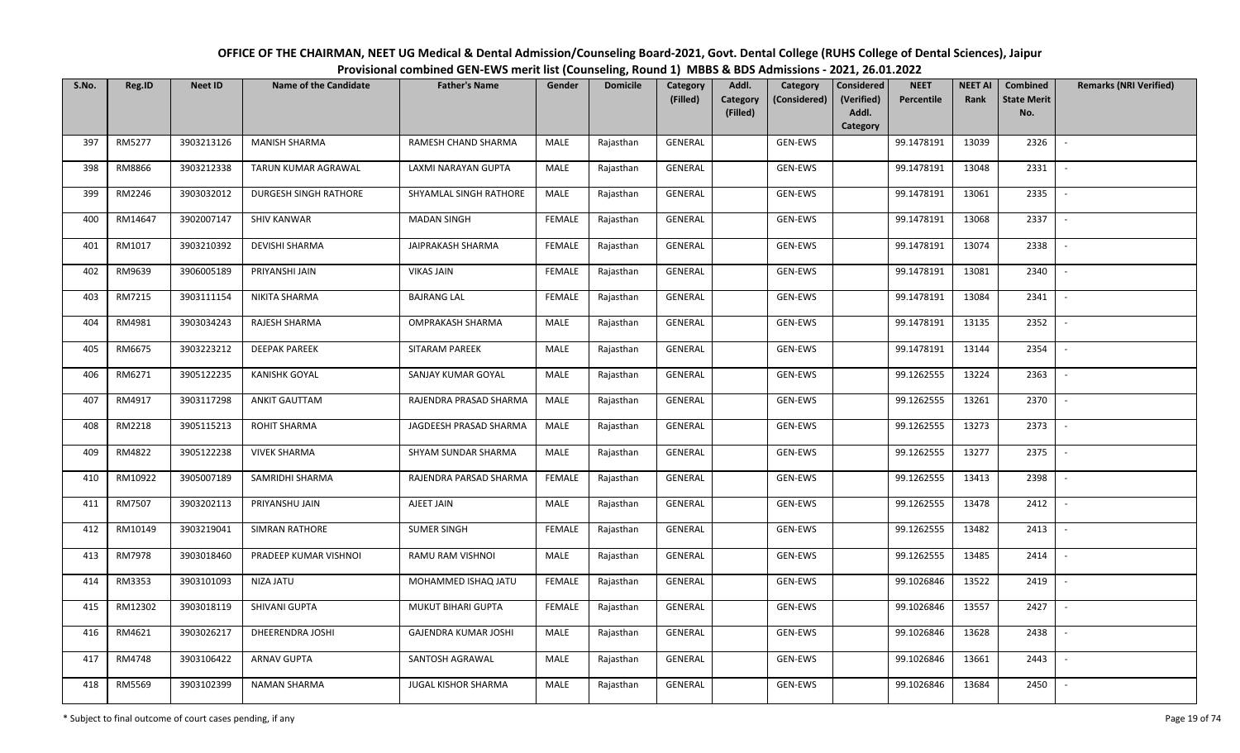OFFICE OF THE CHAIRMAN, NEET UG Medical & Dental Admission/Counseling Board-2021, Govt. Dental College (RUHS College of Dental Sciences), JaipurProvisional combined GEN-EWS merit list (Counseling, Round 1) MBBS & BDS Admissions - 2021, 26.01.2022

| S.No. | Reg.ID  | <b>Neet ID</b> | <b>Name of the Candidate</b> | <b>Father's Name</b>        | Gender        | <b>Domicile</b> | Category<br>(Filled) | Addl.<br>Category | Category<br>(Considered) | Considered<br>(Verified) | <b>NEET</b><br>Percentile | <b>NEET AI</b><br>Rank | Combined<br><b>State Merit</b> | <b>Remarks (NRI Verified)</b> |
|-------|---------|----------------|------------------------------|-----------------------------|---------------|-----------------|----------------------|-------------------|--------------------------|--------------------------|---------------------------|------------------------|--------------------------------|-------------------------------|
|       |         |                |                              |                             |               |                 |                      | (Filled)          |                          | Addl.                    |                           |                        | No.                            |                               |
| 397   | RM5277  | 3903213126     | <b>MANISH SHARMA</b>         | RAMESH CHAND SHARMA         | MALE          | Rajasthan       | <b>GENERAL</b>       |                   | GEN-EWS                  | Category                 | 99.1478191                | 13039                  | 2326                           | $\blacksquare$                |
|       |         |                |                              |                             |               |                 |                      |                   |                          |                          |                           |                        |                                |                               |
| 398   | RM8866  | 3903212338     | TARUN KUMAR AGRAWAL          | LAXMI NARAYAN GUPTA         | MALE          | Rajasthan       | GENERAL              |                   | GEN-EWS                  |                          | 99.1478191                | 13048                  | 2331                           |                               |
| 399   | RM2246  | 3903032012     | DURGESH SINGH RATHORE        | SHYAMLAL SINGH RATHORE      | MALE          | Rajasthan       | GENERAL              |                   | GEN-EWS                  |                          | 99.1478191                | 13061                  | 2335                           | $\sim$                        |
| 400   | RM14647 | 3902007147     | <b>SHIV KANWAR</b>           | <b>MADAN SINGH</b>          | <b>FEMALE</b> | Rajasthan       | GENERAL              |                   | GEN-EWS                  |                          | 99.1478191                | 13068                  | 2337                           | $\sim$                        |
| 401   | RM1017  | 3903210392     | <b>DEVISHI SHARMA</b>        | JAIPRAKASH SHARMA           | <b>FEMALE</b> | Rajasthan       | GENERAL              |                   | GEN-EWS                  |                          | 99.1478191                | 13074                  | 2338                           | $\overline{\phantom{a}}$      |
| 402   | RM9639  | 3906005189     | PRIYANSHI JAIN               | <b>VIKAS JAIN</b>           | <b>FEMALE</b> | Rajasthan       | GENERAL              |                   | GEN-EWS                  |                          | 99.1478191                | 13081                  | 2340                           | $\overline{\phantom{a}}$      |
| 403   | RM7215  | 3903111154     | NIKITA SHARMA                | <b>BAJRANG LAL</b>          | <b>FEMALE</b> | Rajasthan       | GENERAL              |                   | GEN-EWS                  |                          | 99.1478191                | 13084                  | 2341                           |                               |
| 404   | RM4981  | 3903034243     | RAJESH SHARMA                | <b>OMPRAKASH SHARMA</b>     | MALE          | Rajasthan       | <b>GENERAL</b>       |                   | GEN-EWS                  |                          | 99.1478191                | 13135                  | 2352                           |                               |
| 405   | RM6675  | 3903223212     | <b>DEEPAK PAREEK</b>         | SITARAM PAREEK              | MALE          | Rajasthan       | <b>GENERAL</b>       |                   | GEN-EWS                  |                          | 99.1478191                | 13144                  | 2354                           |                               |
| 406   | RM6271  | 3905122235     | <b>KANISHK GOYAL</b>         | SANJAY KUMAR GOYAL          | MALE          | Rajasthan       | GENERAL              |                   | GEN-EWS                  |                          | 99.1262555                | 13224                  | 2363                           | $\sim$                        |
| 407   | RM4917  | 3903117298     | ANKIT GAUTTAM                | RAJENDRA PRASAD SHARMA      | MALE          | Rajasthan       | GENERAL              |                   | GEN-EWS                  |                          | 99.1262555                | 13261                  | 2370                           |                               |
| 408   | RM2218  | 3905115213     | ROHIT SHARMA                 | JAGDEESH PRASAD SHARMA      | <b>MALE</b>   | Rajasthan       | GENERAL              |                   | GEN-EWS                  |                          | 99.1262555                | 13273                  | 2373                           | $\blacksquare$                |
| 409   | RM4822  | 3905122238     | <b>VIVEK SHARMA</b>          | SHYAM SUNDAR SHARMA         | MALE          | Rajasthan       | GENERAL              |                   | GEN-EWS                  |                          | 99.1262555                | 13277                  | 2375                           |                               |
| 410   | RM10922 | 3905007189     | SAMRIDHI SHARMA              | RAJENDRA PARSAD SHARMA      | <b>FEMALE</b> | Rajasthan       | GENERAL              |                   | GEN-EWS                  |                          | 99.1262555                | 13413                  | 2398                           | $\overline{\phantom{a}}$      |
| 411   | RM7507  | 3903202113     | PRIYANSHU JAIN               | AJEET JAIN                  | MALE          | Rajasthan       | GENERAL              |                   | GEN-EWS                  |                          | 99.1262555                | 13478                  | 2412                           | $\sim$                        |
| 412   | RM10149 | 3903219041     | <b>SIMRAN RATHORE</b>        | <b>SUMER SINGH</b>          | <b>FEMALE</b> | Rajasthan       | GENERAL              |                   | GEN-EWS                  |                          | 99.1262555                | 13482                  | 2413                           | $\sim$                        |
| 413   | RM7978  | 3903018460     | PRADEEP KUMAR VISHNOI        | RAMU RAM VISHNOI            | MALE          | Rajasthan       | GENERAL              |                   | GEN-EWS                  |                          | 99.1262555                | 13485                  | 2414                           | $\overline{\phantom{a}}$      |
| 414   | RM3353  | 3903101093     | NIZA JATU                    | MOHAMMED ISHAQ JATU         | <b>FEMALE</b> | Rajasthan       | GENERAL              |                   | GEN-EWS                  |                          | 99.1026846                | 13522                  | 2419                           | $\overline{\phantom{a}}$      |
| 415   | RM12302 | 3903018119     | SHIVANI GUPTA                | MUKUT BIHARI GUPTA          | <b>FEMALE</b> | Rajasthan       | <b>GENERAL</b>       |                   | GEN-EWS                  |                          | 99.1026846                | 13557                  | 2427                           |                               |
| 416   | RM4621  | 3903026217     | DHEERENDRA JOSHI             | <b>GAJENDRA KUMAR JOSHI</b> | MALE          | Rajasthan       | GENERAL              |                   | GEN-EWS                  |                          | 99.1026846                | 13628                  | 2438                           |                               |
| 417   | RM4748  | 3903106422     | <b>ARNAV GUPTA</b>           | SANTOSH AGRAWAL             | <b>MALE</b>   | Rajasthan       | GENERAL              |                   | GEN-EWS                  |                          | 99.1026846                | 13661                  | 2443                           |                               |
| 418   | RM5569  | 3903102399     | <b>NAMAN SHARMA</b>          | JUGAL KISHOR SHARMA         | MALE          | Rajasthan       | GENERAL              |                   | GEN-EWS                  |                          | 99.1026846                | 13684                  | 2450                           |                               |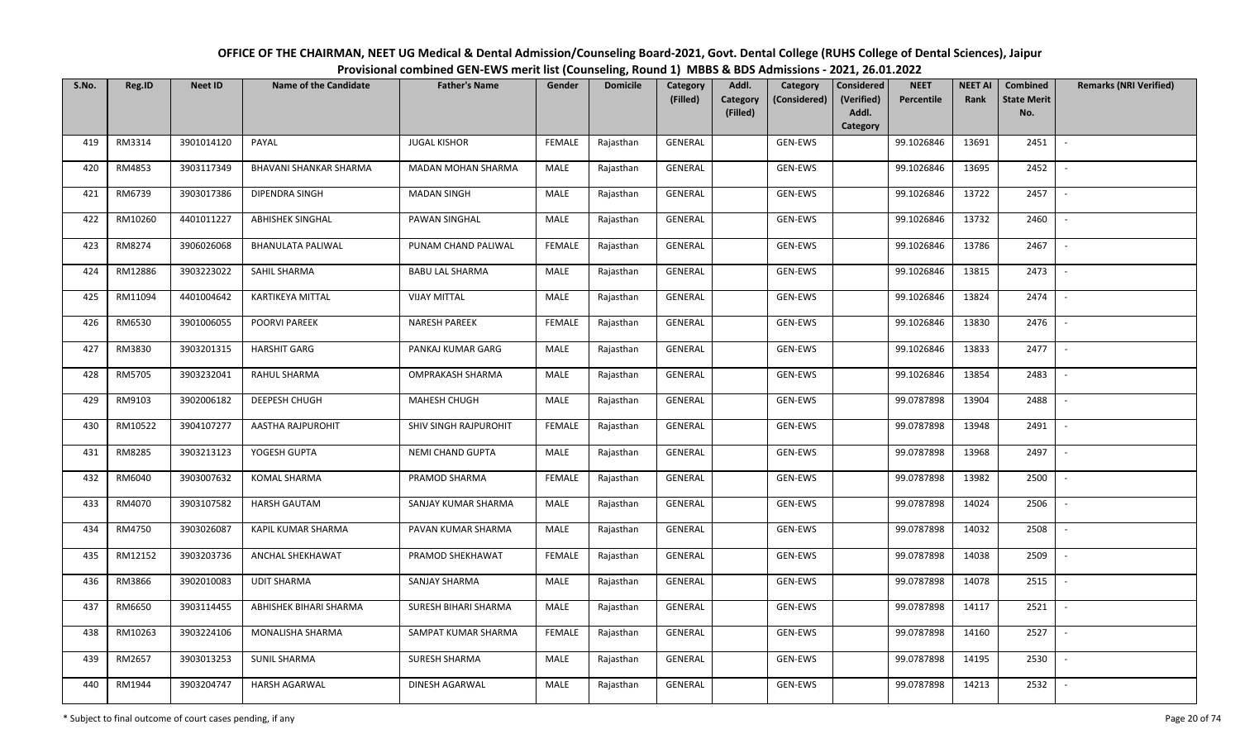| OFFICE OF THE CHAIRMAN, NEET UG Medical & Dental Admission/Counseling Board-2021, Govt. Dental College (RUHS College of Dental Sciences), Jaipur |
|--------------------------------------------------------------------------------------------------------------------------------------------------|
| Provisional combined GEN-EWS merit list (Counseling, Round 1) MBBS & BDS Admissions - 2021, 26.01.2022                                           |
|                                                                                                                                                  |

| S.No. | Reg.ID  | <b>Neet ID</b> | <b>Name of the Candidate</b> | <b>Father's Name</b>    | Gender        | <b>Domicile</b> | Category<br>(Filled) | Addl.<br><b>Category</b> | Category<br>(Considered) | <b>Considered</b><br>(Verified) | <b>NEET</b><br>Percentile | <b>NEET AI</b><br>Rank | Combined<br><b>State Merit</b> | <b>Remarks (NRI Verified)</b> |
|-------|---------|----------------|------------------------------|-------------------------|---------------|-----------------|----------------------|--------------------------|--------------------------|---------------------------------|---------------------------|------------------------|--------------------------------|-------------------------------|
|       |         |                |                              |                         |               |                 |                      | (Filled)                 |                          | Addl.<br>Category               |                           |                        | No.                            |                               |
| 419   | RM3314  | 3901014120     | PAYAL                        | <b>JUGAL KISHOR</b>     | <b>FEMALE</b> | Rajasthan       | GENERAL              |                          | GEN-EWS                  |                                 | 99.1026846                | 13691                  | 2451                           | $\overline{\phantom{a}}$      |
| 420   | RM4853  | 3903117349     | BHAVANI SHANKAR SHARMA       | MADAN MOHAN SHARMA      | MALE          | Rajasthan       | GENERAL              |                          | GEN-EWS                  |                                 | 99.1026846                | 13695                  | 2452                           |                               |
| 421   | RM6739  | 3903017386     | DIPENDRA SINGH               | <b>MADAN SINGH</b>      | MALE          | Rajasthan       | GENERAL              |                          | GEN-EWS                  |                                 | 99.1026846                | 13722                  | 2457                           | $\sim$                        |
| 422   | RM10260 | 4401011227     | <b>ABHISHEK SINGHAL</b>      | PAWAN SINGHAL           | MALE          | Rajasthan       | GENERAL              |                          | GEN-EWS                  |                                 | 99.1026846                | 13732                  | 2460                           | $\sim$                        |
| 423   | RM8274  | 3906026068     | <b>BHANULATA PALIWAL</b>     | PUNAM CHAND PALIWAL     | <b>FEMALE</b> | Rajasthan       | GENERAL              |                          | GEN-EWS                  |                                 | 99.1026846                | 13786                  | 2467                           | $\sim$                        |
| 424   | RM12886 | 3903223022     | SAHIL SHARMA                 | <b>BABU LAL SHARMA</b>  | MALE          | Rajasthan       | GENERAL              |                          | GEN-EWS                  |                                 | 99.1026846                | 13815                  | 2473                           | $\overline{\phantom{a}}$      |
| 425   | RM11094 | 4401004642     | KARTIKEYA MITTAL             | <b>VIJAY MITTAL</b>     | <b>MALE</b>   | Rajasthan       | GENERAL              |                          | GEN-EWS                  |                                 | 99.1026846                | 13824                  | 2474                           |                               |
| 426   | RM6530  | 3901006055     | POORVI PAREEK                | <b>NARESH PAREEK</b>    | <b>FEMALE</b> | Rajasthan       | <b>GENERAL</b>       |                          | GEN-EWS                  |                                 | 99.1026846                | 13830                  | 2476                           | $\blacksquare$                |
| 427   | RM3830  | 3903201315     | <b>HARSHIT GARG</b>          | PANKAJ KUMAR GARG       | MALE          | Rajasthan       | <b>GENERAL</b>       |                          | GEN-EWS                  |                                 | 99.1026846                | 13833                  | 2477                           |                               |
| 428   | RM5705  | 3903232041     | RAHUL SHARMA                 | <b>OMPRAKASH SHARMA</b> | MALE          | Rajasthan       | GENERAL              |                          | GEN-EWS                  |                                 | 99.1026846                | 13854                  | 2483                           | $\sim$                        |
| 429   | RM9103  | 3902006182     | DEEPESH CHUGH                | <b>MAHESH CHUGH</b>     | MALE          | Rajasthan       | GENERAL              |                          | GEN-EWS                  |                                 | 99.0787898                | 13904                  | 2488                           |                               |
| 430   | RM10522 | 3904107277     | AASTHA RAJPUROHIT            | SHIV SINGH RAJPUROHIT   | <b>FEMALE</b> | Rajasthan       | GENERAL              |                          | GEN-EWS                  |                                 | 99.0787898                | 13948                  | 2491                           | $\overline{\phantom{a}}$      |
| 431   | RM8285  | 3903213123     | YOGESH GUPTA                 | NEMI CHAND GUPTA        | MALE          | Rajasthan       | GENERAL              |                          | GEN-EWS                  |                                 | 99.0787898                | 13968                  | 2497                           |                               |
| 432   | RM6040  | 3903007632     | KOMAL SHARMA                 | PRAMOD SHARMA           | <b>FEMALE</b> | Rajasthan       | GENERAL              |                          | GEN-EWS                  |                                 | 99.0787898                | 13982                  | 2500                           | $\sim$                        |
| 433   | RM4070  | 3903107582     | <b>HARSH GAUTAM</b>          | SANJAY KUMAR SHARMA     | MALE          | Rajasthan       | GENERAL              |                          | GEN-EWS                  |                                 | 99.0787898                | 14024                  | 2506                           | $\overline{\phantom{a}}$      |
| 434   | RM4750  | 3903026087     | KAPIL KUMAR SHARMA           | PAVAN KUMAR SHARMA      | MALE          | Rajasthan       | GENERAL              |                          | GEN-EWS                  |                                 | 99.0787898                | 14032                  | 2508                           | $\sim$                        |
| 435   | RM12152 | 3903203736     | ANCHAL SHEKHAWAT             | PRAMOD SHEKHAWAT        | <b>FEMALE</b> | Rajasthan       | GENERAL              |                          | GEN-EWS                  |                                 | 99.0787898                | 14038                  | 2509                           | $\overline{\phantom{a}}$      |
| 436   | RM3866  | 3902010083     | <b>UDIT SHARMA</b>           | SANJAY SHARMA           | MALE          | Rajasthan       | GENERAL              |                          | GEN-EWS                  |                                 | 99.0787898                | 14078                  | 2515                           | $\sim$                        |
| 437   | RM6650  | 3903114455     | ABHISHEK BIHARI SHARMA       | SURESH BIHARI SHARMA    | MALE          | Rajasthan       | GENERAL              |                          | GEN-EWS                  |                                 | 99.0787898                | 14117                  | 2521                           |                               |
| 438   | RM10263 | 3903224106     | MONALISHA SHARMA             | SAMPAT KUMAR SHARMA     | <b>FEMALE</b> | Rajasthan       | GENERAL              |                          | GEN-EWS                  |                                 | 99.0787898                | 14160                  | 2527                           |                               |
| 439   | RM2657  | 3903013253     | <b>SUNIL SHARMA</b>          | <b>SURESH SHARMA</b>    | MALE          | Rajasthan       | GENERAL              |                          | GEN-EWS                  |                                 | 99.0787898                | 14195                  | 2530                           | $\overline{\phantom{a}}$      |
| 440   | RM1944  | 3903204747     | <b>HARSH AGARWAL</b>         | DINESH AGARWAL          | MALE          | Rajasthan       | GENERAL              |                          | GEN-EWS                  |                                 | 99.0787898                | 14213                  | 2532                           |                               |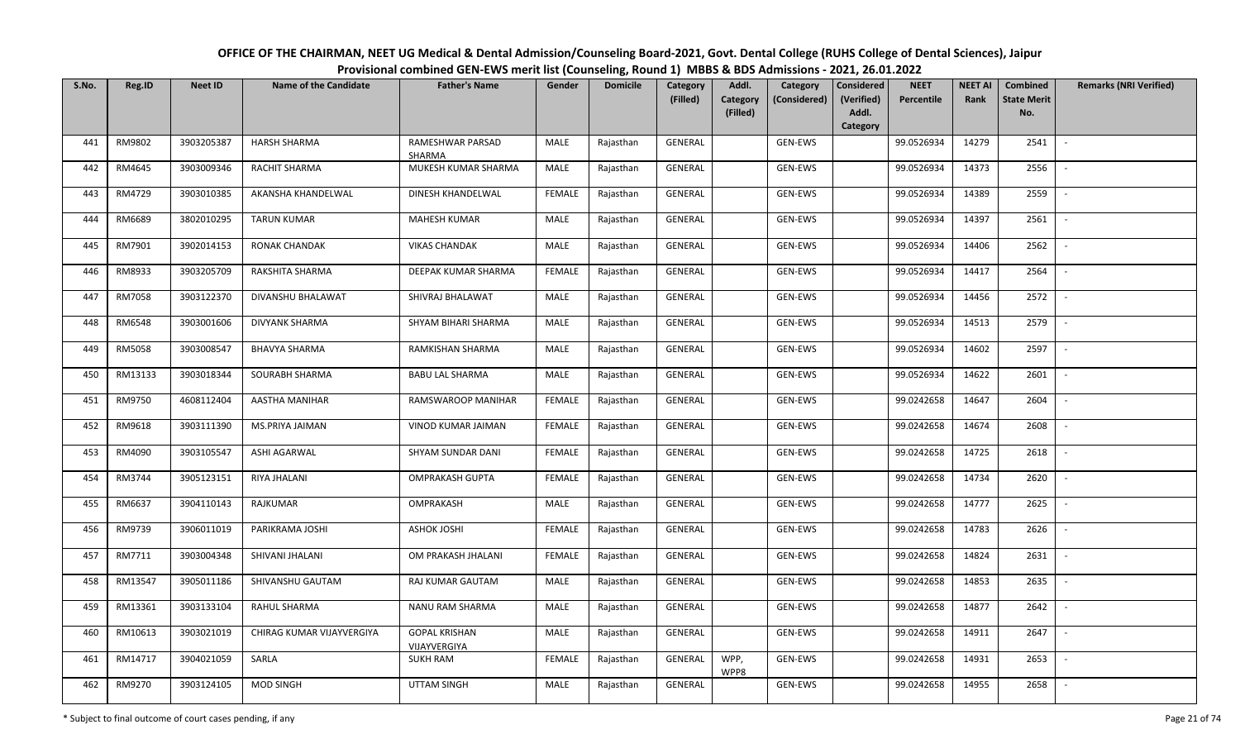| OFFICE OF THE CHAIRMAN, NEET UG Medical & Dental Admission/Counseling Board-2021, Govt. Dental College (RUHS College of Dental Sciences), Jaipur |
|--------------------------------------------------------------------------------------------------------------------------------------------------|
| Provisional combined GEN-EWS merit list (Counseling, Round 1) MBBS & BDS Admissions - 2021, 26.01.2022                                           |

| S.No. | Reg.ID  | <b>Neet ID</b> | <b>Name of the Candidate</b> | <b>Father's Name</b>                 | Gender        | <b>Domicile</b> | Category<br>(Filled) | Addl.<br>Category<br>Category<br>(Considered) | <b>Considered</b><br>(Verified) | <b>NEET</b><br>Percentile | <b>NEET AI</b><br>Rank | Combined<br><b>State Merit</b> | <b>Remarks (NRI Verified)</b> |
|-------|---------|----------------|------------------------------|--------------------------------------|---------------|-----------------|----------------------|-----------------------------------------------|---------------------------------|---------------------------|------------------------|--------------------------------|-------------------------------|
|       |         |                |                              |                                      |               |                 |                      | (Filled)                                      | Addl.<br>Category               |                           |                        | No.                            |                               |
| 441   | RM9802  | 3903205387     | <b>HARSH SHARMA</b>          | RAMESHWAR PARSAD<br>SHARMA           | MALE          | Rajasthan       | GENERAL              | GEN-EWS                                       |                                 | 99.0526934                | 14279                  | 2541                           |                               |
| 442   | RM4645  | 3903009346     | <b>RACHIT SHARMA</b>         | MUKESH KUMAR SHARMA                  | MALE          | Rajasthan       | GENERAL              | GEN-EWS                                       |                                 | 99.0526934                | 14373                  | 2556                           |                               |
| 443   | RM4729  | 3903010385     | AKANSHA KHANDELWAL           | DINESH KHANDELWAL                    | <b>FEMALE</b> | Rajasthan       | GENERAL              | GEN-EWS                                       |                                 | 99.0526934                | 14389                  | 2559                           | $\sim$                        |
| 444   | RM6689  | 3802010295     | <b>TARUN KUMAR</b>           | MAHESH KUMAR                         | MALE          | Rajasthan       | GENERAL              | GEN-EWS                                       |                                 | 99.0526934                | 14397                  | 2561                           | $\overline{\phantom{a}}$      |
| 445   | RM7901  | 3902014153     | RONAK CHANDAK                | <b>VIKAS CHANDAK</b>                 | MALE          | Rajasthan       | GENERAL              | GEN-EWS                                       |                                 | 99.0526934                | 14406                  | 2562                           | $\overline{\phantom{a}}$      |
| 446   | RM8933  | 3903205709     | RAKSHITA SHARMA              | DEEPAK KUMAR SHARMA                  | <b>FEMALE</b> | Rajasthan       | GENERAL              | GEN-EWS                                       |                                 | 99.0526934                | 14417                  | 2564                           | $\blacksquare$                |
| 447   | RM7058  | 3903122370     | DIVANSHU BHALAWAT            | SHIVRAJ BHALAWAT                     | MALE          | Rajasthan       | <b>GENERAL</b>       | GEN-EWS                                       |                                 | 99.0526934                | 14456                  | 2572                           |                               |
| 448   | RM6548  | 3903001606     | <b>DIVYANK SHARMA</b>        | SHYAM BIHARI SHARMA                  | MALE          | Rajasthan       | <b>GENERAL</b>       | GEN-EWS                                       |                                 | 99.0526934                | 14513                  | 2579                           | $\sim$                        |
| 449   | RM5058  | 3903008547     | <b>BHAVYA SHARMA</b>         | RAMKISHAN SHARMA                     | <b>MALE</b>   | Rajasthan       | GENERAL              | GEN-EWS                                       |                                 | 99.0526934                | 14602                  | 2597                           |                               |
| 450   | RM13133 | 3903018344     | SOURABH SHARMA               | <b>BABU LAL SHARMA</b>               | MALE          | Rajasthan       | GENERAL              | GEN-EWS                                       |                                 | 99.0526934                | 14622                  | 2601                           |                               |
| 451   | RM9750  | 4608112404     | AASTHA MANIHAR               | RAMSWAROOP MANIHAR                   | <b>FEMALE</b> | Rajasthan       | GENERAL              | GEN-EWS                                       |                                 | 99.0242658                | 14647                  | 2604                           |                               |
| 452   | RM9618  | 3903111390     | MS.PRIYA JAIMAN              | VINOD KUMAR JAIMAN                   | FEMALE        | Rajasthan       | GENERAL              | GEN-EWS                                       |                                 | 99.0242658                | 14674                  | 2608                           |                               |
| 453   | RM4090  | 3903105547     | ASHI AGARWAL                 | SHYAM SUNDAR DANI                    | <b>FEMALE</b> | Rajasthan       | GENERAL              | GEN-EWS                                       |                                 | 99.0242658                | 14725                  | 2618                           |                               |
| 454   | RM3744  | 3905123151     | RIYA JHALANI                 | <b>OMPRAKASH GUPTA</b>               | <b>FEMALE</b> | Rajasthan       | GENERAL              | GEN-EWS                                       |                                 | 99.0242658                | 14734                  | 2620                           | $\sim$                        |
| 455   | RM6637  | 3904110143     | RAJKUMAR                     | OMPRAKASH                            | MALE          | Rajasthan       | GENERAL              | GEN-EWS                                       |                                 | 99.0242658                | 14777                  | 2625                           | $\overline{\phantom{a}}$      |
| 456   | RM9739  | 3906011019     | PARIKRAMA JOSHI              | <b>ASHOK JOSHI</b>                   | <b>FEMALE</b> | Rajasthan       | GENERAL              | GEN-EWS                                       |                                 | 99.0242658                | 14783                  | 2626                           |                               |
| 457   | RM7711  | 3903004348     | SHIVANI JHALANI              | OM PRAKASH JHALANI                   | <b>FEMALE</b> | Rajasthan       | GENERAL              | GEN-EWS                                       |                                 | 99.0242658                | 14824                  | 2631                           | $\overline{\phantom{a}}$      |
| 458   | RM13547 | 3905011186     | SHIVANSHU GAUTAM             | RAJ KUMAR GAUTAM                     | MALE          | Rajasthan       | GENERAL              | GEN-EWS                                       |                                 | 99.0242658                | 14853                  | 2635                           |                               |
| 459   | RM13361 | 3903133104     | RAHUL SHARMA                 | NANU RAM SHARMA                      | <b>MALE</b>   | Rajasthan       | <b>GENERAL</b>       | GEN-EWS                                       |                                 | 99.0242658                | 14877                  | 2642                           |                               |
| 460   | RM10613 | 3903021019     | CHIRAG KUMAR VIJAYVERGIYA    | <b>GOPAL KRISHAN</b><br>VIJAYVERGIYA | <b>MALE</b>   | Rajasthan       | <b>GENERAL</b>       | GEN-EWS                                       |                                 | 99.0242658                | 14911                  | 2647                           | $\overline{\phantom{a}}$      |
| 461   | RM14717 | 3904021059     | SARLA                        | <b>SUKH RAM</b>                      | <b>FEMALE</b> | Rajasthan       | GENERAL              | WPP,<br>GEN-EWS<br>WPP8                       |                                 | 99.0242658                | 14931                  | 2653                           | $\overline{\phantom{a}}$      |
| 462   | RM9270  | 3903124105     | <b>MOD SINGH</b>             | <b>UTTAM SINGH</b>                   | MALE          | Rajasthan       | GENERAL              | GEN-EWS                                       |                                 | 99.0242658                | 14955                  | 2658                           |                               |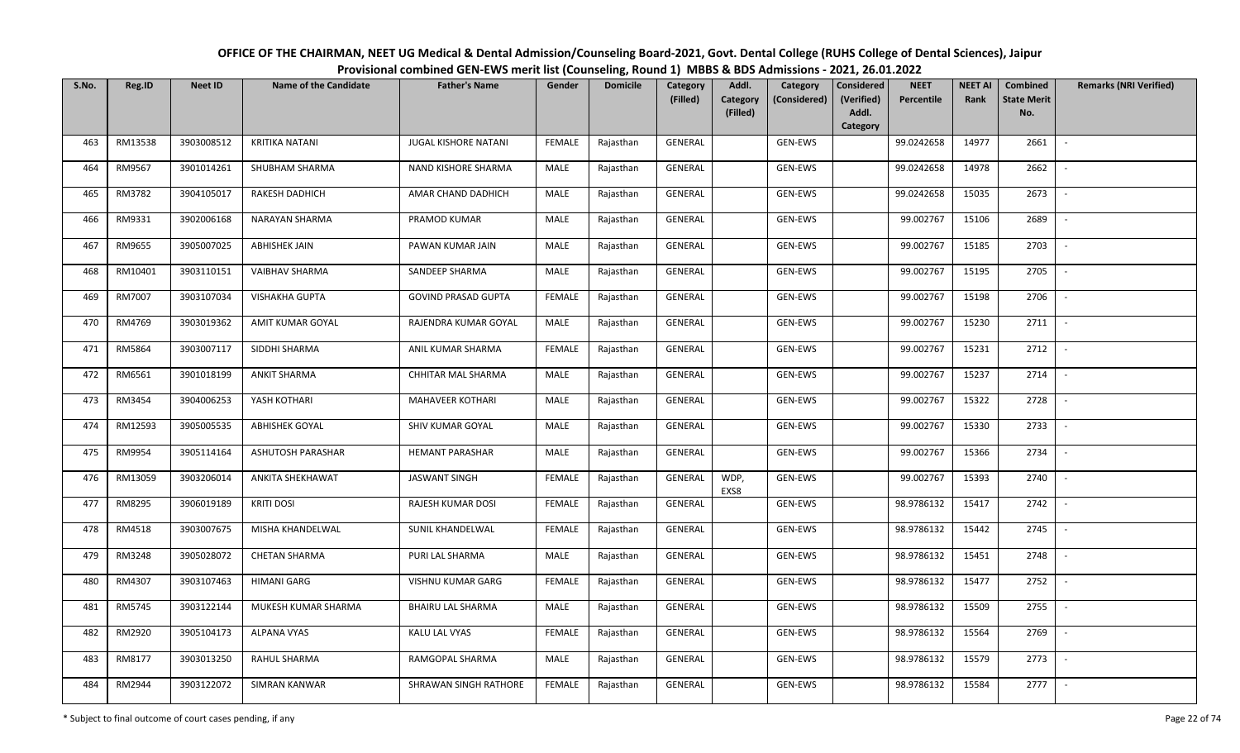| OFFICE OF THE CHAIRMAN, NEET UG Medical & Dental Admission/Counseling Board-2021, Govt. Dental College (RUHS College of Dental Sciences), Jaipur |
|--------------------------------------------------------------------------------------------------------------------------------------------------|
| Provisional combined GEN-EWS merit list (Counseling, Round 1) MBBS & BDS Admissions - 2021, 26.01.2022                                           |

| S.No. | Reg.ID  | <b>Neet ID</b> | <b>Name of the Candidate</b> | <b>Father's Name</b>       | Gender        | <b>Domicile</b> | Category<br>(Filled) | Addl.<br><b>Category</b><br>(Filled) | Category<br>(Considered) | <b>Considered</b><br>(Verified)<br>Addl.<br>Category | <b>NEET</b><br>Percentile | <b>NEET AI</b><br>Rank | Combined<br><b>State Merit</b><br>No. | <b>Remarks (NRI Verified)</b> |
|-------|---------|----------------|------------------------------|----------------------------|---------------|-----------------|----------------------|--------------------------------------|--------------------------|------------------------------------------------------|---------------------------|------------------------|---------------------------------------|-------------------------------|
| 463   | RM13538 | 3903008512     | <b>KRITIKA NATANI</b>        | JUGAL KISHORE NATANI       | <b>FEMALE</b> | Rajasthan       | GENERAL              |                                      | GEN-EWS                  |                                                      | 99.0242658                | 14977                  | 2661                                  | $\overline{\phantom{a}}$      |
| 464   | RM9567  | 3901014261     | SHUBHAM SHARMA               | NAND KISHORE SHARMA        | MALE          | Rajasthan       | GENERAL              |                                      | GEN-EWS                  |                                                      | 99.0242658                | 14978                  | 2662                                  | $\overline{\phantom{a}}$      |
| 465   | RM3782  | 3904105017     | <b>RAKESH DADHICH</b>        | AMAR CHAND DADHICH         | MALE          | Rajasthan       | GENERAL              |                                      | <b>GEN-EWS</b>           |                                                      | 99.0242658                | 15035                  | 2673                                  | $\sim$                        |
| 466   | RM9331  | 3902006168     | NARAYAN SHARMA               | PRAMOD KUMAR               | MALE          | Rajasthan       | GENERAL              |                                      | GEN-EWS                  |                                                      | 99.002767                 | 15106                  | 2689                                  | $\sim$                        |
| 467   | RM9655  | 3905007025     | <b>ABHISHEK JAIN</b>         | PAWAN KUMAR JAIN           | MALE          | Rajasthan       | GENERAL              |                                      | GEN-EWS                  |                                                      | 99.002767                 | 15185                  | 2703                                  | $\sim$                        |
| 468   | RM10401 | 3903110151     | <b>VAIBHAV SHARMA</b>        | SANDEEP SHARMA             | MALE          | Rajasthan       | GENERAL              |                                      | GEN-EWS                  |                                                      | 99.002767                 | 15195                  | 2705                                  | $\overline{\phantom{a}}$      |
| 469   | RM7007  | 3903107034     | <b>VISHAKHA GUPTA</b>        | <b>GOVIND PRASAD GUPTA</b> | <b>FEMALE</b> | Rajasthan       | GENERAL              |                                      | GEN-EWS                  |                                                      | 99.002767                 | 15198                  | 2706                                  |                               |
| 470   | RM4769  | 3903019362     | AMIT KUMAR GOYAL             | RAJENDRA KUMAR GOYAL       | MALE          | Rajasthan       | GENERAL              |                                      | GEN-EWS                  |                                                      | 99.002767                 | 15230                  | 2711                                  | $\overline{\phantom{a}}$      |
| 471   | RM5864  | 3903007117     | SIDDHI SHARMA                | ANIL KUMAR SHARMA          | <b>FEMALE</b> | Rajasthan       | GENERAL              |                                      | GEN-EWS                  |                                                      | 99.002767                 | 15231                  | 2712                                  | $\overline{\phantom{a}}$      |
| 472   | RM6561  | 3901018199     | <b>ANKIT SHARMA</b>          | CHHITAR MAL SHARMA         | MALE          | Rajasthan       | GENERAL              |                                      | GEN-EWS                  |                                                      | 99.002767                 | 15237                  | 2714                                  | $\overline{\phantom{a}}$      |
| 473   | RM3454  | 3904006253     | YASH KOTHARI                 | MAHAVEER KOTHARI           | MALE          | Rajasthan       | GENERAL              |                                      | GEN-EWS                  |                                                      | 99.002767                 | 15322                  | 2728                                  |                               |
| 474   | RM12593 | 3905005535     | <b>ABHISHEK GOYAL</b>        | SHIV KUMAR GOYAL           | MALE          | Rajasthan       | GENERAL              |                                      | GEN-EWS                  |                                                      | 99.002767                 | 15330                  | 2733                                  | $\overline{\phantom{a}}$      |
| 475   | RM9954  | 3905114164     | ASHUTOSH PARASHAR            | <b>HEMANT PARASHAR</b>     | MALE          | Rajasthan       | GENERAL              |                                      | GEN-EWS                  |                                                      | 99.002767                 | 15366                  | 2734                                  | $\overline{\phantom{a}}$      |
| 476   | RM13059 | 3903206014     | ANKITA SHEKHAWAT             | <b>JASWANT SINGH</b>       | <b>FEMALE</b> | Rajasthan       | GENERAL              | WDP,<br>EXS8                         | GEN-EWS                  |                                                      | 99.002767                 | 15393                  | 2740                                  | $\overline{\phantom{a}}$      |
| 477   | RM8295  | 3906019189     | <b>KRITI DOSI</b>            | RAJESH KUMAR DOSI          | <b>FEMALE</b> | Rajasthan       | GENERAL              |                                      | GEN-EWS                  |                                                      | 98.9786132                | 15417                  | 2742                                  | $\sim$                        |
| 478   | RM4518  | 3903007675     | MISHA KHANDELWAL             | SUNIL KHANDELWAL           | <b>FEMALE</b> | Rajasthan       | GENERAL              |                                      | GEN-EWS                  |                                                      | 98.9786132                | 15442                  | 2745                                  | $\mathcal{L}_{\mathcal{A}}$   |
| 479   | RM3248  | 3905028072     | <b>CHETAN SHARMA</b>         | PURI LAL SHARMA            | MALE          | Rajasthan       | GENERAL              |                                      | GEN-EWS                  |                                                      | 98.9786132                | 15451                  | 2748                                  | $\overline{\phantom{a}}$      |
| 480   | RM4307  | 3903107463     | <b>HIMANI GARG</b>           | VISHNU KUMAR GARG          | <b>FEMALE</b> | Rajasthan       | GENERAL              |                                      | GEN-EWS                  |                                                      | 98.9786132                | 15477                  | 2752                                  |                               |
| 481   | RM5745  | 3903122144     | MUKESH KUMAR SHARMA          | BHAIRU LAL SHARMA          | MALE          | Rajasthan       | GENERAL              |                                      | GEN-EWS                  |                                                      | 98.9786132                | 15509                  | 2755                                  | $\overline{\phantom{a}}$      |
| 482   | RM2920  | 3905104173     | <b>ALPANA VYAS</b>           | KALU LAL VYAS              | <b>FEMALE</b> | Rajasthan       | GENERAL              |                                      | GEN-EWS                  |                                                      | 98.9786132                | 15564                  | 2769                                  |                               |
| 483   | RM8177  | 3903013250     | RAHUL SHARMA                 | RAMGOPAL SHARMA            | MALE          | Rajasthan       | GENERAL              |                                      | GEN-EWS                  |                                                      | 98.9786132                | 15579                  | 2773                                  | $\overline{\phantom{a}}$      |
| 484   | RM2944  | 3903122072     | SIMRAN KANWAR                | SHRAWAN SINGH RATHORE      | <b>FEMALE</b> | Rajasthan       | GENERAL              |                                      | GEN-EWS                  |                                                      | 98.9786132                | 15584                  | 2777                                  |                               |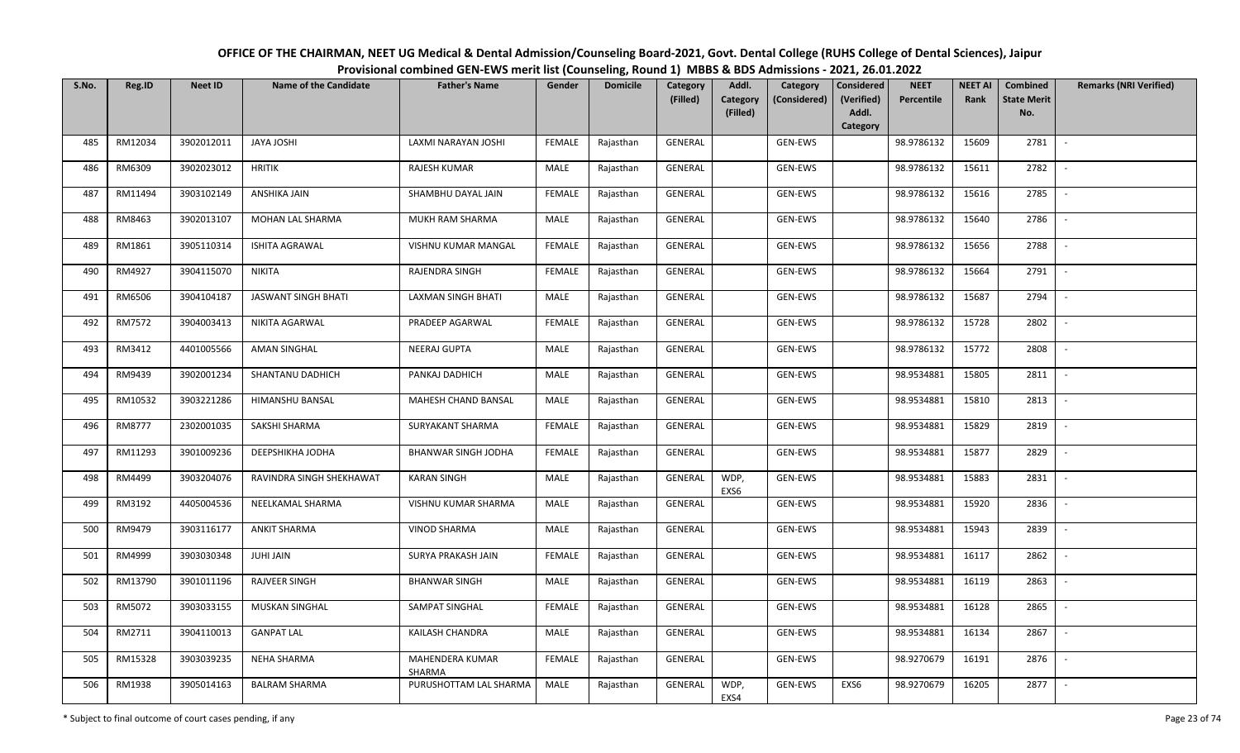## OFFICE OF THE CHAIRMAN, NEET UG Medical & Dental Admission/Counseling Board-2021, Govt. Dental College (RUHS College of Dental Sciences), JaipurProvisional combined GEN-EWS merit list (Counseling, Round 1) MBBS & BDS Admissions - 2021, 26.01.2022

| S.No. | Reg.ID  | <b>Neet ID</b> | <b>Name of the Candidate</b> | <b>Father's Name</b>      | Gender        | <b>Domicile</b> | Category       | Addl.                       | Category       | Considered<br><b>NEET</b>         | <b>NEET AI</b> | Combined                  | <b>Remarks (NRI Verified)</b> |
|-------|---------|----------------|------------------------------|---------------------------|---------------|-----------------|----------------|-----------------------------|----------------|-----------------------------------|----------------|---------------------------|-------------------------------|
|       |         |                |                              |                           |               |                 | (Filled)       | <b>Category</b><br>(Filled) | (Considered)   | (Verified)<br>Percentile<br>Addl. | Rank           | <b>State Merit</b><br>No. |                               |
|       |         |                |                              |                           |               |                 |                |                             |                | Category                          |                |                           |                               |
| 485   | RM12034 | 3902012011     | <b>JAYA JOSHI</b>            | LAXMI NARAYAN JOSHI       | FEMALE        | Rajasthan       | <b>GENERAL</b> |                             | <b>GEN-EWS</b> | 98.9786132                        | 15609          | 2781                      | $\mathbb{L}$                  |
| 486   | RM6309  | 3902023012     | <b>HRITIK</b>                | RAJESH KUMAR              | MALE          | Rajasthan       | GENERAL        |                             | <b>GEN-EWS</b> | 98.9786132                        | 15611          | 2782                      | $\overline{\phantom{a}}$      |
| 487   | RM11494 | 3903102149     | ANSHIKA JAIN                 | SHAMBHU DAYAL JAIN        | <b>FEMALE</b> | Rajasthan       | GENERAL        |                             | GEN-EWS        | 98.9786132                        | 15616          | 2785                      | $\sim$                        |
| 488   | RM8463  | 3902013107     | MOHAN LAL SHARMA             | MUKH RAM SHARMA           | MALE          | Rajasthan       | GENERAL        |                             | GEN-EWS        | 98.9786132                        | 15640          | 2786                      | $\sim$                        |
| 489   | RM1861  | 3905110314     | <b>ISHITA AGRAWAL</b>        | VISHNU KUMAR MANGAL       | <b>FEMALE</b> | Rajasthan       | GENERAL        |                             | GEN-EWS        | 98.9786132                        | 15656          | 2788                      | $\sim$                        |
| 490   | RM4927  | 3904115070     | <b>NIKITA</b>                | RAJENDRA SINGH            | <b>FEMALE</b> | Rajasthan       | GENERAL        |                             | GEN-EWS        | 98.9786132                        | 15664          | 2791                      | $\overline{\phantom{a}}$      |
| 491   | RM6506  | 3904104187     | JASWANT SINGH BHATI          | LAXMAN SINGH BHATI        | MALE          | Rajasthan       | GENERAL        |                             | GEN-EWS        | 98.9786132                        | 15687          | 2794                      |                               |
| 492   | RM7572  | 3904003413     | NIKITA AGARWAL               | PRADEEP AGARWAL           | <b>FEMALE</b> | Rajasthan       | GENERAL        |                             | GEN-EWS        | 98.9786132                        | 15728          | 2802                      |                               |
| 493   | RM3412  | 4401005566     | AMAN SINGHAL                 | NEERAJ GUPTA              | MALE          | Rajasthan       | <b>GENERAL</b> |                             | GEN-EWS        | 98.9786132                        | 15772          | 2808                      |                               |
| 494   | RM9439  | 3902001234     | SHANTANU DADHICH             | PANKAJ DADHICH            | MALE          | Rajasthan       | GENERAL        |                             | GEN-EWS        | 98.9534881                        | 15805          | 2811                      | $\sim$                        |
| 495   | RM10532 | 3903221286     | HIMANSHU BANSAL              | MAHESH CHAND BANSAL       | MALE          | Rajasthan       | GENERAL        |                             | GEN-EWS        | 98.9534881                        | 15810          | 2813                      |                               |
| 496   | RM8777  | 2302001035     | SAKSHI SHARMA                | SURYAKANT SHARMA          | FEMALE        | Rajasthan       | GENERAL        |                             | GEN-EWS        | 98.9534881                        | 15829          | 2819                      | $\sim$                        |
| 497   | RM11293 | 3901009236     | DEEPSHIKHA JODHA             | BHANWAR SINGH JODHA       | FEMALE        | Rajasthan       | GENERAL        |                             | GEN-EWS        | 98.9534881                        | 15877          | 2829                      |                               |
| 498   | RM4499  | 3903204076     | RAVINDRA SINGH SHEKHAWAT     | <b>KARAN SINGH</b>        | MALE          | Rajasthan       | GENERAL        | WDP,<br>EXS6                | GEN-EWS        | 98.9534881                        | 15883          | 2831                      | $\sim$                        |
| 499   | RM3192  | 4405004536     | NEELKAMAL SHARMA             | VISHNU KUMAR SHARMA       | MALE          | Rajasthan       | <b>GENERAL</b> |                             | GEN-EWS        | 98.9534881                        | 15920          | 2836                      | $\overline{\phantom{a}}$      |
| 500   | RM9479  | 3903116177     | <b>ANKIT SHARMA</b>          | <b>VINOD SHARMA</b>       | MALE          | Rajasthan       | GENERAL        |                             | GEN-EWS        | 98.9534881                        | 15943          | 2839                      | $\sim$                        |
| 501   | RM4999  | 3903030348     | JUHI JAIN                    | SURYA PRAKASH JAIN        | <b>FEMALE</b> | Rajasthan       | GENERAL        |                             | GEN-EWS        | 98.9534881                        | 16117          | 2862                      | $\sim$                        |
| 502   | RM13790 | 3901011196     | <b>RAJVEER SINGH</b>         | <b>BHANWAR SINGH</b>      | <b>MALE</b>   | Rajasthan       | GENERAL        |                             | GEN-EWS        | 98.9534881                        | 16119          | 2863                      | $\sim$                        |
| 503   | RM5072  | 3903033155     | MUSKAN SINGHAL               | SAMPAT SINGHAL            | <b>FEMALE</b> | Rajasthan       | GENERAL        |                             | GEN-EWS        | 98.9534881                        | 16128          | 2865                      | $\mathbb{L}$                  |
| 504   | RM2711  | 3904110013     | <b>GANPAT LAL</b>            | KAILASH CHANDRA           | MALE          | Rajasthan       | GENERAL        |                             | GEN-EWS        | 98.9534881                        | 16134          | 2867                      |                               |
| 505   | RM15328 | 3903039235     | NEHA SHARMA                  | MAHENDERA KUMAR<br>SHARMA | <b>FEMALE</b> | Rajasthan       | <b>GENERAL</b> |                             | GEN-EWS        | 98.9270679                        | 16191          | 2876                      | $\sim$                        |
| 506   | RM1938  | 3905014163     | <b>BALRAM SHARMA</b>         | PURUSHOTTAM LAL SHARMA    | MALE          | Rajasthan       | GENERAL        | WDP,<br>EXS4                | GEN-EWS        | EXS6<br>98.9270679                | 16205          | 2877                      |                               |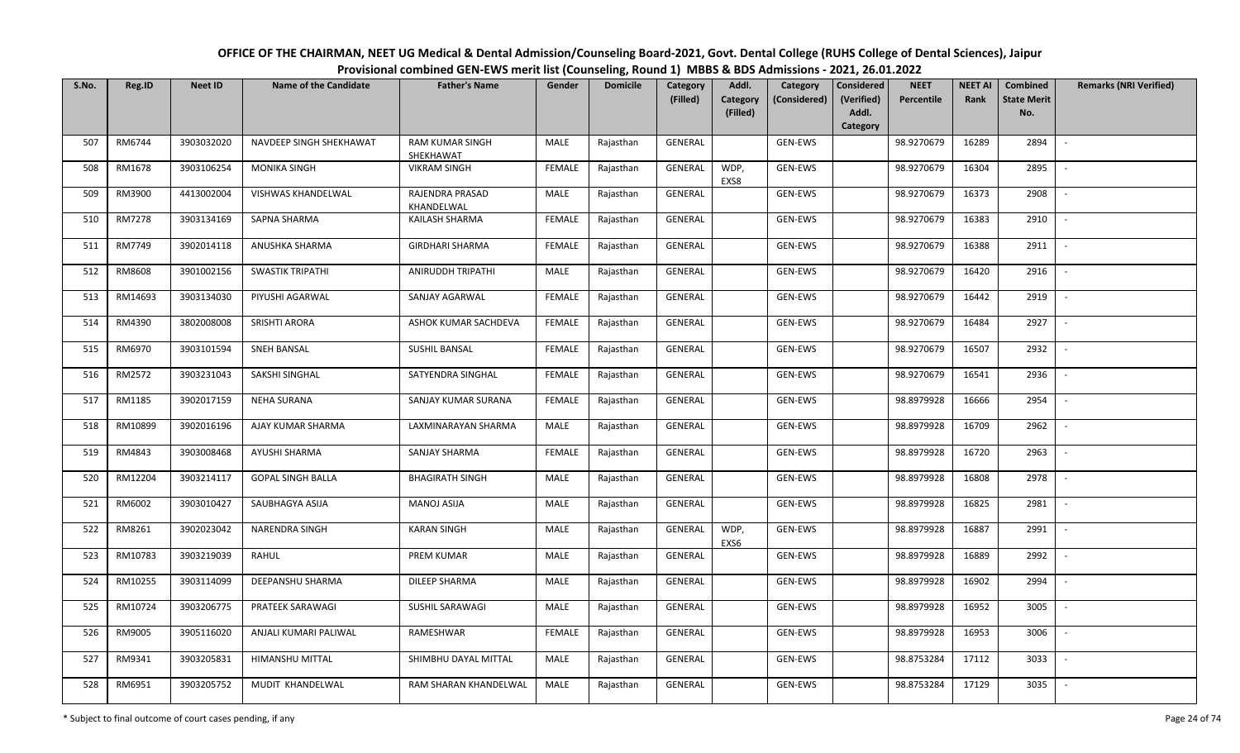| OFFICE OF THE CHAIRMAN, NEET UG Medical & Dental Admission/Counseling Board-2021, Govt. Dental College (RUHS College of Dental Sciences), Jaipur |
|--------------------------------------------------------------------------------------------------------------------------------------------------|
| Provisional combined GEN-EWS merit list (Counseling, Round 1) MBBS & BDS Admissions - 2021, 26.01.2022                                           |

| S.No. | Reg.ID        | <b>Neet ID</b> | <b>Name of the Candidate</b> | <b>Father's Name</b>                | Gender        | <b>Domicile</b> | Category<br>(Filled) | Addl.<br><b>Category</b> | Category<br>(Considered) | <b>Considered</b><br>(Verified) | <b>NEET</b><br>Percentile | <b>NEET AI</b><br>Rank | Combined<br><b>State Merit</b> | <b>Remarks (NRI Verified)</b> |
|-------|---------------|----------------|------------------------------|-------------------------------------|---------------|-----------------|----------------------|--------------------------|--------------------------|---------------------------------|---------------------------|------------------------|--------------------------------|-------------------------------|
|       |               |                |                              |                                     |               |                 |                      | (Filled)                 |                          | Addl.<br>Category               |                           |                        | No.                            |                               |
| 507   | RM6744        | 3903032020     | NAVDEEP SINGH SHEKHAWAT      | <b>RAM KUMAR SINGH</b><br>SHEKHAWAT | MALE          | Rajasthan       | <b>GENERAL</b>       |                          | <b>GEN-EWS</b>           |                                 | 98.9270679                | 16289                  | 2894                           | $\sim$                        |
| 508   | RM1678        | 3903106254     | <b>MONIKA SINGH</b>          | <b>VIKRAM SINGH</b>                 | <b>FEMALE</b> | Rajasthan       | GENERAL              | WDP,<br>EXS8             | GEN-EWS                  |                                 | 98.9270679                | 16304                  | 2895                           |                               |
| 509   | RM3900        | 4413002004     | VISHWAS KHANDELWAL           | RAJENDRA PRASAD<br>KHANDELWAL       | <b>MALE</b>   | Rajasthan       | <b>GENERAL</b>       |                          | GEN-EWS                  |                                 | 98.9270679                | 16373                  | 2908                           | $\sim$                        |
| 510   | <b>RM7278</b> | 3903134169     | SAPNA SHARMA                 | KAILASH SHARMA                      | <b>FEMALE</b> | Rajasthan       | GENERAL              |                          | GEN-EWS                  |                                 | 98.9270679                | 16383                  | 2910                           | $\sim$                        |
| 511   | RM7749        | 3902014118     | ANUSHKA SHARMA               | <b>GIRDHARI SHARMA</b>              | <b>FEMALE</b> | Rajasthan       | GENERAL              |                          | GEN-EWS                  |                                 | 98.9270679                | 16388                  | 2911                           | $\overline{\phantom{a}}$      |
| 512   | RM8608        | 3901002156     | <b>SWASTIK TRIPATHI</b>      | ANIRUDDH TRIPATHI                   | <b>MALE</b>   | Rajasthan       | <b>GENERAL</b>       |                          | GEN-EWS                  |                                 | 98.9270679                | 16420                  | 2916                           | $\overline{\phantom{a}}$      |
| 513   | RM14693       | 3903134030     | PIYUSHI AGARWAL              | SANJAY AGARWAL                      | <b>FEMALE</b> | Rajasthan       | GENERAL              |                          | GEN-EWS                  |                                 | 98.9270679                | 16442                  | 2919                           |                               |
| 514   | RM4390        | 3802008008     | SRISHTI ARORA                | ASHOK KUMAR SACHDEVA                | <b>FEMALE</b> | Rajasthan       | <b>GENERAL</b>       |                          | GEN-EWS                  |                                 | 98.9270679                | 16484                  | 2927                           |                               |
| 515   | RM6970        | 3903101594     | <b>SNEH BANSAL</b>           | <b>SUSHIL BANSAL</b>                | <b>FEMALE</b> | Rajasthan       | <b>GENERAL</b>       |                          | GEN-EWS                  |                                 | 98.9270679                | 16507                  | 2932                           |                               |
| 516   | RM2572        | 3903231043     | SAKSHI SINGHAL               | SATYENDRA SINGHAL                   | <b>FEMALE</b> | Rajasthan       | GENERAL              |                          | GEN-EWS                  |                                 | 98.9270679                | 16541                  | 2936                           | $\sim$                        |
| 517   | RM1185        | 3902017159     | <b>NEHA SURANA</b>           | SANJAY KUMAR SURANA                 | <b>FEMALE</b> | Rajasthan       | GENERAL              |                          | GEN-EWS                  |                                 | 98.8979928                | 16666                  | 2954                           |                               |
| 518   | RM10899       | 3902016196     | AJAY KUMAR SHARMA            | LAXMINARAYAN SHARMA                 | MALE          | Rajasthan       | GENERAL              |                          | GEN-EWS                  |                                 | 98.8979928                | 16709                  | 2962                           | $\sim$                        |
| 519   | RM4843        | 3903008468     | AYUSHI SHARMA                | SANJAY SHARMA                       | <b>FEMALE</b> | Rajasthan       | GENERAL              |                          | GEN-EWS                  |                                 | 98.8979928                | 16720                  | 2963                           |                               |
| 520   | RM12204       | 3903214117     | <b>GOPAL SINGH BALLA</b>     | <b>BHAGIRATH SINGH</b>              | MALE          | Rajasthan       | GENERAL              |                          | GEN-EWS                  |                                 | 98.8979928                | 16808                  | 2978                           | $\overline{\phantom{a}}$      |
| 521   | RM6002        | 3903010427     | SAUBHAGYA ASIJA              | MANOJ ASIJA                         | MALE          | Rajasthan       | GENERAL              |                          | GEN-EWS                  |                                 | 98.8979928                | 16825                  | 2981                           | $\sim$                        |
| 522   | RM8261        | 3902023042     | NARENDRA SINGH               | <b>KARAN SINGH</b>                  | MALE          | Rajasthan       | GENERAL              | WDP,<br>EXS6             | <b>GEN-EWS</b>           |                                 | 98.8979928                | 16887                  | 2991                           | $\sim$                        |
| 523   | RM10783       | 3903219039     | RAHUL                        | PREM KUMAR                          | MALE          | Rajasthan       | <b>GENERAL</b>       |                          | GEN-EWS                  |                                 | 98.8979928                | 16889                  | 2992                           | $\overline{\phantom{a}}$      |
| 524   | RM10255       | 3903114099     | DEEPANSHU SHARMA             | <b>DILEEP SHARMA</b>                | MALE          | Rajasthan       | GENERAL              |                          | GEN-EWS                  |                                 | 98.8979928                | 16902                  | 2994                           |                               |
| 525   | RM10724       | 3903206775     | PRATEEK SARAWAGI             | SUSHIL SARAWAGI                     | MALE          | Rajasthan       | <b>GENERAL</b>       |                          | GEN-EWS                  |                                 | 98.8979928                | 16952                  | 3005                           |                               |
| 526   | RM9005        | 3905116020     | ANJALI KUMARI PALIWAL        | RAMESHWAR                           | <b>FEMALE</b> | Rajasthan       | <b>GENERAL</b>       |                          | GEN-EWS                  |                                 | 98.8979928                | 16953                  | 3006                           |                               |
| 527   | RM9341        | 3903205831     | HIMANSHU MITTAL              | SHIMBHU DAYAL MITTAL                | MALE          | Rajasthan       | GENERAL              |                          | GEN-EWS                  |                                 | 98.8753284                | 17112                  | 3033                           |                               |
| 528   | RM6951        | 3903205752     | MUDIT KHANDELWAL             | RAM SHARAN KHANDELWAL               | MALE          | Rajasthan       | <b>GENERAL</b>       |                          | GEN-EWS                  |                                 | 98.8753284                | 17129                  | 3035                           |                               |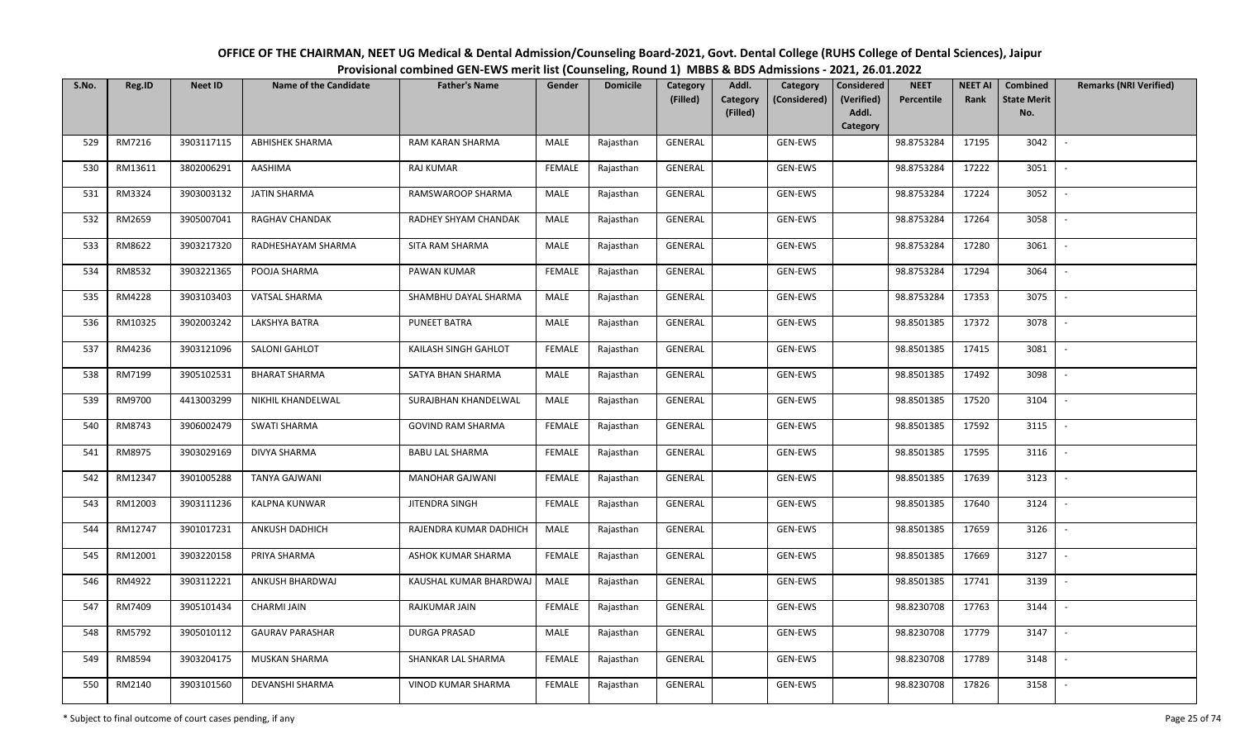| OFFICE OF THE CHAIRMAN, NEET UG Medical & Dental Admission/Counseling Board-2021, Govt. Dental College (RUHS College of Dental Sciences), Jaipur |  |
|--------------------------------------------------------------------------------------------------------------------------------------------------|--|
| Provisional combined GEN-EWS merit list (Counseling, Round 1) MBBS & BDS Admissions - 2021, 26.01.2022                                           |  |

| S.No. | Reg.ID  | <b>Neet ID</b> | <b>Name of the Candidate</b> | <b>Father's Name</b>     | Gender        | <b>Domicile</b> | <b>Category</b><br>(Filled) | Addl.<br>Category | Category<br>(Considered) | <b>Considered</b><br>(Verified) | <b>NEET</b><br>Percentile | <b>NEET AI</b><br>Rank | Combined<br><b>State Merit</b> | <b>Remarks (NRI Verified)</b> |
|-------|---------|----------------|------------------------------|--------------------------|---------------|-----------------|-----------------------------|-------------------|--------------------------|---------------------------------|---------------------------|------------------------|--------------------------------|-------------------------------|
|       |         |                |                              |                          |               |                 |                             | (Filled)          |                          | Addl.                           |                           |                        | No.                            |                               |
|       |         |                |                              |                          |               |                 |                             |                   |                          | Category                        |                           |                        |                                |                               |
| 529   | RM7216  | 3903117115     | <b>ABHISHEK SHARMA</b>       | RAM KARAN SHARMA         | MALE          | Rajasthan       | <b>GENERAL</b>              |                   | <b>GEN-EWS</b>           |                                 | 98.8753284                | 17195                  | 3042                           | $\sim$                        |
| 530   | RM13611 | 3802006291     | AASHIMA                      | <b>RAJ KUMAR</b>         | <b>FEMALE</b> | Rajasthan       | GENERAL                     |                   | GEN-EWS                  |                                 | 98.8753284                | 17222                  | 3051                           |                               |
| 531   | RM3324  | 3903003132     | <b>JATIN SHARMA</b>          | RAMSWAROOP SHARMA        | MALE          | Rajasthan       | GENERAL                     |                   | GEN-EWS                  |                                 | 98.8753284                | 17224                  | 3052                           | $\sim$                        |
| 532   | RM2659  | 3905007041     | RAGHAV CHANDAK               | RADHEY SHYAM CHANDAK     | MALE          | Rajasthan       | GENERAL                     |                   | GEN-EWS                  |                                 | 98.8753284                | 17264                  | 3058                           | $\overline{\phantom{a}}$      |
| 533   | RM8622  | 3903217320     | RADHESHAYAM SHARMA           | SITA RAM SHARMA          | MALE          | Rajasthan       | GENERAL                     |                   | GEN-EWS                  |                                 | 98.8753284                | 17280                  | 3061                           |                               |
| 534   | RM8532  | 3903221365     | POOJA SHARMA                 | PAWAN KUMAR              | <b>FEMALE</b> | Rajasthan       | GENERAL                     |                   | GEN-EWS                  |                                 | 98.8753284                | 17294                  | 3064                           | $\overline{\phantom{a}}$      |
| 535   | RM4228  | 3903103403     | VATSAL SHARMA                | SHAMBHU DAYAL SHARMA     | MALE          | Rajasthan       | GENERAL                     |                   | GEN-EWS                  |                                 | 98.8753284                | 17353                  | 3075                           |                               |
| 536   | RM10325 | 3902003242     | LAKSHYA BATRA                | <b>PUNEET BATRA</b>      | MALE          | Rajasthan       | GENERAL                     |                   | GEN-EWS                  |                                 | 98.8501385                | 17372                  | 3078                           |                               |
| 537   | RM4236  | 3903121096     | SALONI GAHLOT                | KAILASH SINGH GAHLOT     | <b>FEMALE</b> | Rajasthan       | GENERAL                     |                   | GEN-EWS                  |                                 | 98.8501385                | 17415                  | 3081                           |                               |
| 538   | RM7199  | 3905102531     | <b>BHARAT SHARMA</b>         | SATYA BHAN SHARMA        | MALE          | Rajasthan       | GENERAL                     |                   | GEN-EWS                  |                                 | 98.8501385                | 17492                  | 3098                           |                               |
| 539   | RM9700  | 4413003299     | NIKHIL KHANDELWAL            | SURAJBHAN KHANDELWAL     | MALE          | Rajasthan       | GENERAL                     |                   | GEN-EWS                  |                                 | 98.8501385                | 17520                  | 3104                           |                               |
| 540   | RM8743  | 3906002479     | <b>SWATI SHARMA</b>          | <b>GOVIND RAM SHARMA</b> | <b>FEMALE</b> | Rajasthan       | GENERAL                     |                   | GEN-EWS                  |                                 | 98.8501385                | 17592                  | 3115                           | $\sim$                        |
| 541   | RM8975  | 3903029169     | DIVYA SHARMA                 | <b>BABU LAL SHARMA</b>   | <b>FEMALE</b> | Rajasthan       | GENERAL                     |                   | GEN-EWS                  |                                 | 98.8501385                | 17595                  | 3116                           |                               |
| 542   | RM12347 | 3901005288     | <b>TANYA GAJWANI</b>         | <b>MANOHAR GAJWANI</b>   | <b>FEMALE</b> | Rajasthan       | GENERAL                     |                   | GEN-EWS                  |                                 | 98.8501385                | 17639                  | 3123                           | $\sim$                        |
| 543   | RM12003 | 3903111236     | <b>KALPNA KUNWAR</b>         | JITENDRA SINGH           | <b>FEMALE</b> | Rajasthan       | GENERAL                     |                   | GEN-EWS                  |                                 | 98.8501385                | 17640                  | 3124                           | $\sim$                        |
| 544   | RM12747 | 3901017231     | ANKUSH DADHICH               | RAJENDRA KUMAR DADHICH   | MALE          | Rajasthan       | GENERAL                     |                   | GEN-EWS                  |                                 | 98.8501385                | 17659                  | 3126                           | $\sim$                        |
| 545   | RM12001 | 3903220158     | PRIYA SHARMA                 | ASHOK KUMAR SHARMA       | <b>FEMALE</b> | Rajasthan       | GENERAL                     |                   | GEN-EWS                  |                                 | 98.8501385                | 17669                  | 3127                           | $\sim$                        |
| 546   | RM4922  | 3903112221     | ANKUSH BHARDWAJ              | KAUSHAL KUMAR BHARDWAJ   | MALE          | Rajasthan       | GENERAL                     |                   | GEN-EWS                  |                                 | 98.8501385                | 17741                  | 3139                           |                               |
| 547   | RM7409  | 3905101434     | <b>CHARMI JAIN</b>           | RAJKUMAR JAIN            | <b>FEMALE</b> | Rajasthan       | <b>GENERAL</b>              |                   | GEN-EWS                  |                                 | 98.8230708                | 17763                  | 3144                           |                               |
| 548   | RM5792  | 3905010112     | <b>GAURAV PARASHAR</b>       | <b>DURGA PRASAD</b>      | MALE          | Rajasthan       | GENERAL                     |                   | GEN-EWS                  |                                 | 98.8230708                | 17779                  | 3147                           |                               |
| 549   | RM8594  | 3903204175     | <b>MUSKAN SHARMA</b>         | SHANKAR LAL SHARMA       | <b>FEMALE</b> | Rajasthan       | GENERAL                     |                   | GEN-EWS                  |                                 | 98.8230708                | 17789                  | 3148                           |                               |
| 550   | RM2140  | 3903101560     | DEVANSHI SHARMA              | VINOD KUMAR SHARMA       | <b>FEMALE</b> | Rajasthan       | GENERAL                     |                   | GEN-EWS                  |                                 | 98.8230708                | 17826                  | 3158                           |                               |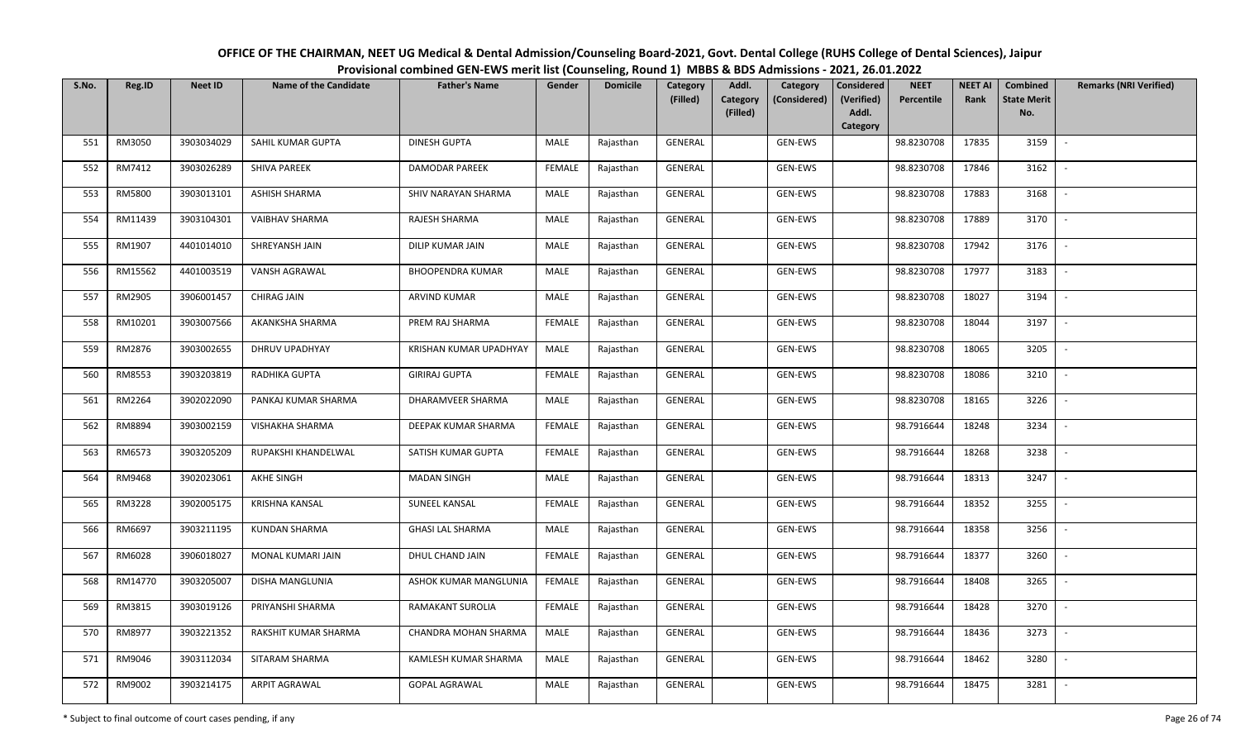| OFFICE OF THE CHAIRMAN, NEET UG Medical & Dental Admission/Counseling Board-2021, Govt. Dental College (RUHS College of Dental Sciences), Jaipur |
|--------------------------------------------------------------------------------------------------------------------------------------------------|
| Provisional combined GEN-EWS merit list (Counseling, Round 1) MBBS & BDS Admissions - 2021, 26.01.2022                                           |

| S.No. | Reg.ID  | <b>Neet ID</b> | <b>Name of the Candidate</b> | <b>Father's Name</b>    | Gender        | <b>Domicile</b> | Category<br>(Filled) | Addl.<br><b>Category</b> | Category<br>(Considered) | <b>Considered</b><br>(Verified) | <b>NEET</b><br>Percentile | <b>NEET AI</b><br>Rank | Combined<br><b>State Merit</b> | <b>Remarks (NRI Verified)</b> |
|-------|---------|----------------|------------------------------|-------------------------|---------------|-----------------|----------------------|--------------------------|--------------------------|---------------------------------|---------------------------|------------------------|--------------------------------|-------------------------------|
|       |         |                |                              |                         |               |                 |                      | (Filled)                 |                          | Addl.<br>Category               |                           |                        | No.                            |                               |
| 551   | RM3050  | 3903034029     | SAHIL KUMAR GUPTA            | <b>DINESH GUPTA</b>     | MALE          | Rajasthan       | GENERAL              |                          | GEN-EWS                  |                                 | 98.8230708                | 17835                  | 3159                           | $\overline{\phantom{a}}$      |
| 552   | RM7412  | 3903026289     | <b>SHIVA PAREEK</b>          | <b>DAMODAR PAREEK</b>   | <b>FEMALE</b> | Rajasthan       | GENERAL              |                          | GEN-EWS                  |                                 | 98.8230708                | 17846                  | 3162                           |                               |
| 553   | RM5800  | 3903013101     | ASHISH SHARMA                | SHIV NARAYAN SHARMA     | MALE          | Rajasthan       | GENERAL              |                          | GEN-EWS                  |                                 | 98.8230708                | 17883                  | 3168                           | $\sim$                        |
| 554   | RM11439 | 3903104301     | <b>VAIBHAV SHARMA</b>        | RAJESH SHARMA           | MALE          | Rajasthan       | GENERAL              |                          | GEN-EWS                  |                                 | 98.8230708                | 17889                  | 3170                           | $\sim$                        |
| 555   | RM1907  | 4401014010     | SHREYANSH JAIN               | DILIP KUMAR JAIN        | MALE          | Rajasthan       | GENERAL              |                          | GEN-EWS                  |                                 | 98.8230708                | 17942                  | 3176                           | $\overline{\phantom{a}}$      |
| 556   | RM15562 | 4401003519     | VANSH AGRAWAL                | <b>BHOOPENDRA KUMAR</b> | <b>MALE</b>   | Rajasthan       | GENERAL              |                          | GEN-EWS                  |                                 | 98.8230708                | 17977                  | 3183                           | $\overline{\phantom{a}}$      |
| 557   | RM2905  | 3906001457     | CHIRAG JAIN                  | ARVIND KUMAR            | MALE          | Rajasthan       | GENERAL              |                          | GEN-EWS                  |                                 | 98.8230708                | 18027                  | 3194                           |                               |
| 558   | RM10201 | 3903007566     | AKANKSHA SHARMA              | PREM RAJ SHARMA         | <b>FEMALE</b> | Rajasthan       | GENERAL              |                          | GEN-EWS                  |                                 | 98.8230708                | 18044                  | 3197                           |                               |
| 559   | RM2876  | 3903002655     | <b>DHRUV UPADHYAY</b>        | KRISHAN KUMAR UPADHYAY  | MALE          | Rajasthan       | GENERAL              |                          | GEN-EWS                  |                                 | 98.8230708                | 18065                  | 3205                           | $\overline{\phantom{a}}$      |
| 560   | RM8553  | 3903203819     | RADHIKA GUPTA                | <b>GIRIRAJ GUPTA</b>    | <b>FEMALE</b> | Rajasthan       | GENERAL              |                          | GEN-EWS                  |                                 | 98.8230708                | 18086                  | 3210                           | $\overline{\phantom{a}}$      |
| 561   | RM2264  | 3902022090     | PANKAJ KUMAR SHARMA          | DHARAMVEER SHARMA       | MALE          | Rajasthan       | GENERAL              |                          | GEN-EWS                  |                                 | 98.8230708                | 18165                  | 3226                           |                               |
| 562   | RM8894  | 3903002159     | VISHAKHA SHARMA              | DEEPAK KUMAR SHARMA     | <b>FEMALE</b> | Rajasthan       | GENERAL              |                          | GEN-EWS                  |                                 | 98.7916644                | 18248                  | 3234                           | $\sim$                        |
| 563   | RM6573  | 3903205209     | RUPAKSHI KHANDELWAL          | SATISH KUMAR GUPTA      | <b>FEMALE</b> | Rajasthan       | GENERAL              |                          | GEN-EWS                  |                                 | 98.7916644                | 18268                  | 3238                           |                               |
| 564   | RM9468  | 3902023061     | <b>AKHE SINGH</b>            | <b>MADAN SINGH</b>      | MALE          | Rajasthan       | GENERAL              |                          | GEN-EWS                  |                                 | 98.7916644                | 18313                  | 3247                           | $\sim$                        |
| 565   | RM3228  | 3902005175     | <b>KRISHNA KANSAL</b>        | <b>SUNEEL KANSAL</b>    | <b>FEMALE</b> | Rajasthan       | GENERAL              |                          | GEN-EWS                  |                                 | 98.7916644                | 18352                  | 3255                           | $\sim$                        |
| 566   | RM6697  | 3903211195     | <b>KUNDAN SHARMA</b>         | <b>GHASI LAL SHARMA</b> | MALE          | Rajasthan       | GENERAL              |                          | GEN-EWS                  |                                 | 98.7916644                | 18358                  | 3256                           | $\sim$                        |
| 567   | RM6028  | 3906018027     | MONAL KUMARI JAIN            | DHUL CHAND JAIN         | <b>FEMALE</b> | Rajasthan       | GENERAL              |                          | GEN-EWS                  |                                 | 98.7916644                | 18377                  | 3260                           | $\sim$                        |
| 568   | RM14770 | 3903205007     | DISHA MANGLUNIA              | ASHOK KUMAR MANGLUNIA   | <b>FEMALE</b> | Rajasthan       | GENERAL              |                          | GEN-EWS                  |                                 | 98.7916644                | 18408                  | 3265                           |                               |
| 569   | RM3815  | 3903019126     | PRIYANSHI SHARMA             | RAMAKANT SUROLIA        | <b>FEMALE</b> | Rajasthan       | <b>GENERAL</b>       |                          | GEN-EWS                  |                                 | 98.7916644                | 18428                  | 3270                           |                               |
| 570   | RM8977  | 3903221352     | RAKSHIT KUMAR SHARMA         | CHANDRA MOHAN SHARMA    | MALE          | Rajasthan       | <b>GENERAL</b>       |                          | GEN-EWS                  |                                 | 98.7916644                | 18436                  | 3273                           |                               |
| 571   | RM9046  | 3903112034     | SITARAM SHARMA               | KAMLESH KUMAR SHARMA    | MALE          | Rajasthan       | GENERAL              |                          | GEN-EWS                  |                                 | 98.7916644                | 18462                  | 3280                           |                               |
| 572   | RM9002  | 3903214175     | ARPIT AGRAWAL                | <b>GOPAL AGRAWAL</b>    | MALE          | Rajasthan       | <b>GENERAL</b>       |                          | GEN-EWS                  |                                 | 98.7916644                | 18475                  | 3281                           |                               |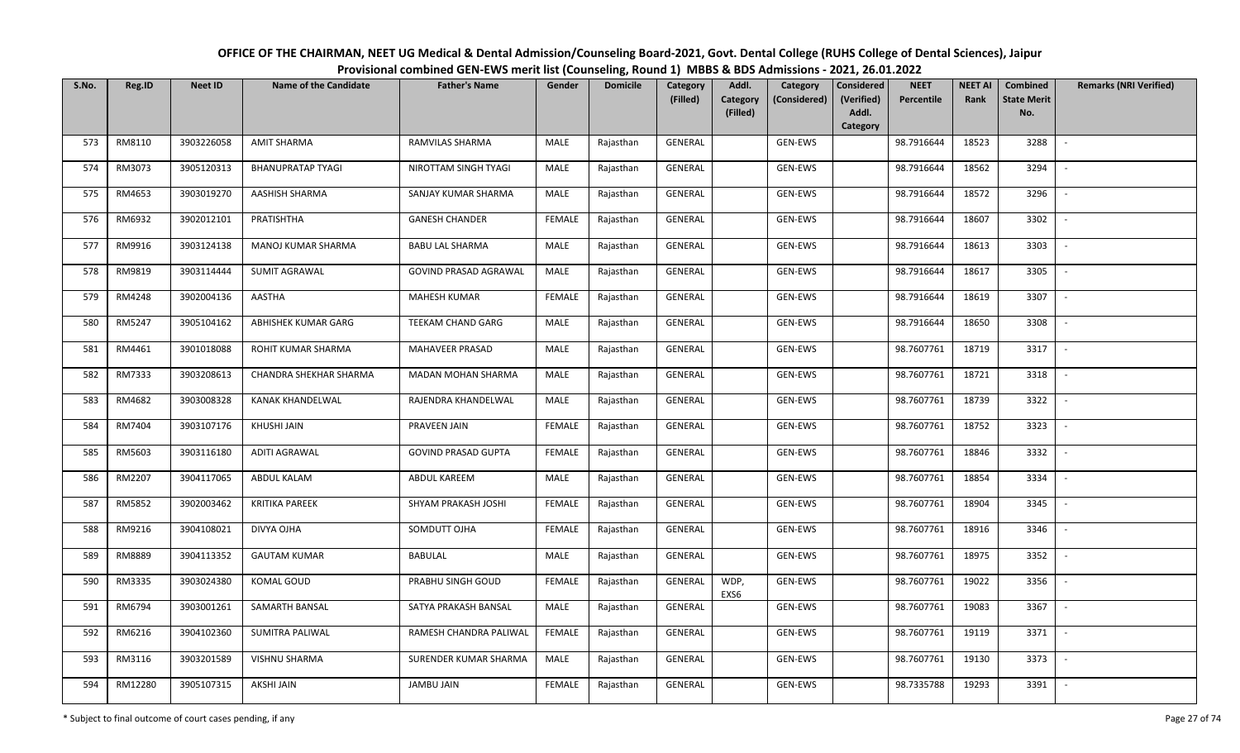| OFFICE OF THE CHAIRMAN, NEET UG Medical & Dental Admission/Counseling Board-2021, Govt. Dental College (RUHS College of Dental Sciences), Jaipur |  |
|--------------------------------------------------------------------------------------------------------------------------------------------------|--|
| Provisional combined GEN-EWS merit list (Counseling, Round 1) MBBS & BDS Admissions - 2021, 26.01.2022                                           |  |

| S.No. | Reg.ID  | <b>Neet ID</b> | <b>Name of the Candidate</b> | <b>Father's Name</b>       | Gender        | <b>Domicile</b> | Category<br>(Filled) | Addl.<br><b>Category</b> | Category<br>(Considered) | <b>Considered</b><br>(Verified) | <b>NEET</b><br>Percentile | <b>NEET AI</b><br>Rank | <b>Combined</b><br><b>State Merit</b> | <b>Remarks (NRI Verified)</b> |
|-------|---------|----------------|------------------------------|----------------------------|---------------|-----------------|----------------------|--------------------------|--------------------------|---------------------------------|---------------------------|------------------------|---------------------------------------|-------------------------------|
|       |         |                |                              |                            |               |                 |                      | (Filled)                 |                          | Addl.<br>Category               |                           |                        | No.                                   |                               |
| 573   | RM8110  | 3903226058     | <b>AMIT SHARMA</b>           | RAMVILAS SHARMA            | MALE          | Rajasthan       | GENERAL              |                          | GEN-EWS                  |                                 | 98.7916644                | 18523                  | 3288                                  | $\sim$                        |
| 574   | RM3073  | 3905120313     | <b>BHANUPRATAP TYAGI</b>     | NIROTTAM SINGH TYAGI       | MALE          | Rajasthan       | GENERAL              |                          | GEN-EWS                  |                                 | 98.7916644                | 18562                  | 3294                                  |                               |
| 575   | RM4653  | 3903019270     | AASHISH SHARMA               | SANJAY KUMAR SHARMA        | MALE          | Rajasthan       | GENERAL              |                          | GEN-EWS                  |                                 | 98.7916644                | 18572                  | 3296                                  | $\overline{\phantom{a}}$      |
| 576   | RM6932  | 3902012101     | PRATISHTHA                   | <b>GANESH CHANDER</b>      | <b>FEMALE</b> | Rajasthan       | GENERAL              |                          | GEN-EWS                  |                                 | 98.7916644                | 18607                  | 3302                                  | $\overline{\phantom{a}}$      |
| 577   | RM9916  | 3903124138     | MANOJ KUMAR SHARMA           | <b>BABU LAL SHARMA</b>     | MALE          | Rajasthan       | GENERAL              |                          | GEN-EWS                  |                                 | 98.7916644                | 18613                  | 3303                                  | $\sim$                        |
| 578   | RM9819  | 3903114444     | <b>SUMIT AGRAWAL</b>         | GOVIND PRASAD AGRAWAL      | <b>MALE</b>   | Rajasthan       | GENERAL              |                          | GEN-EWS                  |                                 | 98.7916644                | 18617                  | 3305                                  | $\overline{\phantom{a}}$      |
| 579   | RM4248  | 3902004136     | AASTHA                       | <b>MAHESH KUMAR</b>        | <b>FEMALE</b> | Rajasthan       | GENERAL              |                          | GEN-EWS                  |                                 | 98.7916644                | 18619                  | 3307                                  |                               |
| 580   | RM5247  | 3905104162     | ABHISHEK KUMAR GARG          | TEEKAM CHAND GARG          | MALE          | Rajasthan       | GENERAL              |                          | GEN-EWS                  |                                 | 98.7916644                | 18650                  | 3308                                  |                               |
| 581   | RM4461  | 3901018088     | ROHIT KUMAR SHARMA           | MAHAVEER PRASAD            | <b>MALE</b>   | Rajasthan       | GENERAL              |                          | GEN-EWS                  |                                 | 98.7607761                | 18719                  | 3317                                  | $\overline{\phantom{a}}$      |
| 582   | RM7333  | 3903208613     | CHANDRA SHEKHAR SHARMA       | MADAN MOHAN SHARMA         | MALE          | Rajasthan       | GENERAL              |                          | GEN-EWS                  |                                 | 98.7607761                | 18721                  | 3318                                  | $\overline{\phantom{a}}$      |
| 583   | RM4682  | 3903008328     | KANAK KHANDELWAL             | RAJENDRA KHANDELWAL        | MALE          | Rajasthan       | GENERAL              |                          | GEN-EWS                  |                                 | 98.7607761                | 18739                  | 3322                                  |                               |
| 584   | RM7404  | 3903107176     | <b>KHUSHI JAIN</b>           | PRAVEEN JAIN               | <b>FEMALE</b> | Rajasthan       | GENERAL              |                          | GEN-EWS                  |                                 | 98.7607761                | 18752                  | 3323                                  | $\blacksquare$                |
| 585   | RM5603  | 3903116180     | <b>ADITI AGRAWAL</b>         | <b>GOVIND PRASAD GUPTA</b> | <b>FEMALE</b> | Rajasthan       | GENERAL              |                          | GEN-EWS                  |                                 | 98.7607761                | 18846                  | 3332                                  |                               |
| 586   | RM2207  | 3904117065     | ABDUL KALAM                  | ABDUL KAREEM               | MALE          | Rajasthan       | GENERAL              |                          | GEN-EWS                  |                                 | 98.7607761                | 18854                  | 3334                                  | $\sim$                        |
| 587   | RM5852  | 3902003462     | <b>KRITIKA PAREEK</b>        | SHYAM PRAKASH JOSHI        | <b>FEMALE</b> | Rajasthan       | GENERAL              |                          | GEN-EWS                  |                                 | 98.7607761                | 18904                  | 3345                                  | $\sim$                        |
| 588   | RM9216  | 3904108021     | DIVYA OJHA                   | SOMDUTT OJHA               | <b>FEMALE</b> | Rajasthan       | GENERAL              |                          | GEN-EWS                  |                                 | 98.7607761                | 18916                  | 3346                                  | $\overline{\phantom{a}}$      |
| 589   | RM8889  | 3904113352     | <b>GAUTAM KUMAR</b>          | BABULAL                    | MALE          | Rajasthan       | GENERAL              |                          | GEN-EWS                  |                                 | 98.7607761                | 18975                  | 3352                                  | $\sim$                        |
| 590   | RM3335  | 3903024380     | KOMAL GOUD                   | PRABHU SINGH GOUD          | <b>FEMALE</b> | Rajasthan       | <b>GENERAL</b>       | WDP,<br>EXS6             | GEN-EWS                  |                                 | 98.7607761                | 19022                  | 3356                                  |                               |
| 591   | RM6794  | 3903001261     | SAMARTH BANSAL               | SATYA PRAKASH BANSAL       | MALE          | Rajasthan       | <b>GENERAL</b>       |                          | GEN-EWS                  |                                 | 98.7607761                | 19083                  | 3367                                  |                               |
| 592   | RM6216  | 3904102360     | SUMITRA PALIWAL              | RAMESH CHANDRA PALIWAL     | <b>FEMALE</b> | Rajasthan       | <b>GENERAL</b>       |                          | GEN-EWS                  |                                 | 98.7607761                | 19119                  | 3371                                  |                               |
| 593   | RM3116  | 3903201589     | VISHNU SHARMA                | SURENDER KUMAR SHARMA      | MALE          | Rajasthan       | GENERAL              |                          | GEN-EWS                  |                                 | 98.7607761                | 19130                  | 3373                                  |                               |
| 594   | RM12280 | 3905107315     | <b>AKSHI JAIN</b>            | JAMBU JAIN                 | <b>FEMALE</b> | Rajasthan       | GENERAL              |                          | GEN-EWS                  |                                 | 98.7335788                | 19293                  | 3391                                  |                               |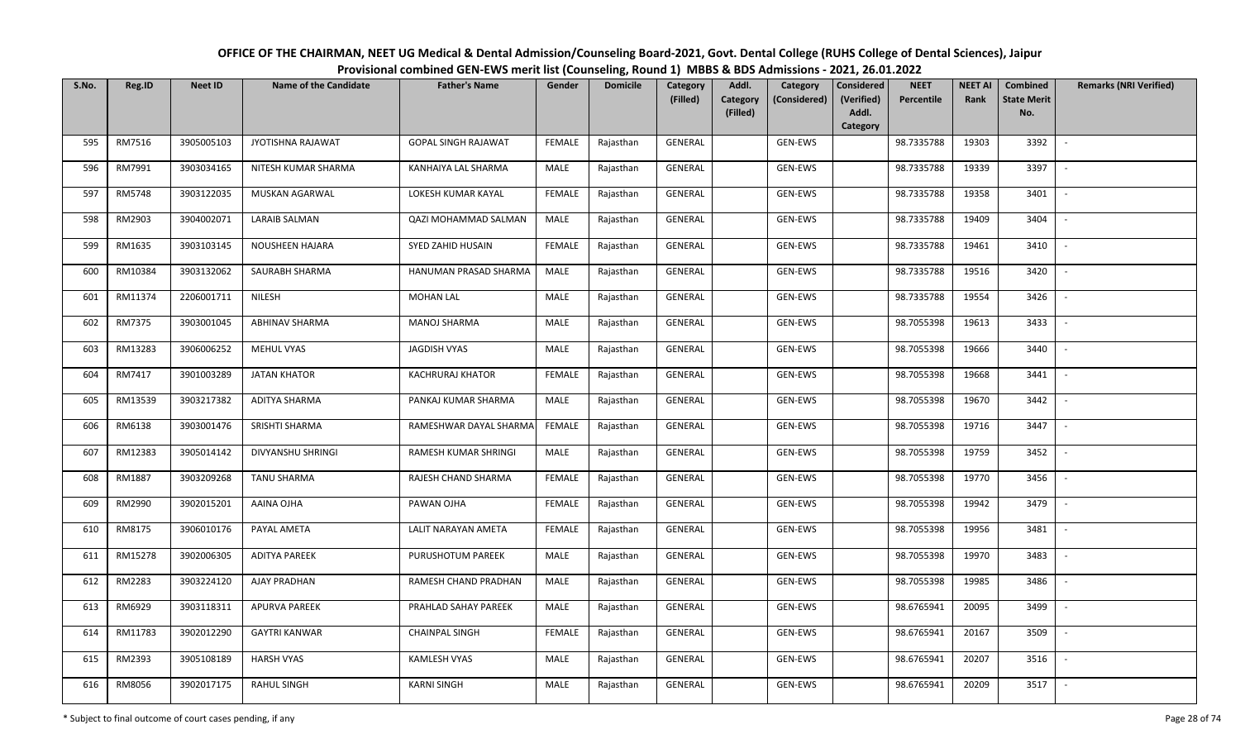OFFICE OF THE CHAIRMAN, NEET UG Medical & Dental Admission/Counseling Board-2021, Govt. Dental College (RUHS College of Dental Sciences), JaipurProvisional combined GEN-EWS merit list (Counseling, Round 1) MBBS & BDS Admissions - 2021, 26.01.2022

| S.No. | Reg.ID  | <b>Neet ID</b> | <b>Name of the Candidate</b> | <b>Father's Name</b>       | Gender        | <b>Domicile</b> | Category<br>(Filled) | Addl.<br>Category | Category<br>(Considered) | Considered<br>(Verified) | <b>NEET</b><br><b>Percentile</b> | <b>NEET AI</b><br>Rank | Combined<br><b>State Merit</b> | <b>Remarks (NRI Verified)</b> |
|-------|---------|----------------|------------------------------|----------------------------|---------------|-----------------|----------------------|-------------------|--------------------------|--------------------------|----------------------------------|------------------------|--------------------------------|-------------------------------|
|       |         |                |                              |                            |               |                 |                      | (Filled)          |                          | Addl.                    |                                  |                        | No.                            |                               |
| 595   | RM7516  | 3905005103     | JYOTISHNA RAJAWAT            | <b>GOPAL SINGH RAJAWAT</b> | <b>FEMALE</b> | Rajasthan       | <b>GENERAL</b>       |                   | GEN-EWS                  | Category                 | 98.7335788                       | 19303                  | 3392                           | $\sim$                        |
|       |         |                |                              |                            |               |                 |                      |                   |                          |                          |                                  |                        |                                |                               |
| 596   | RM7991  | 3903034165     | NITESH KUMAR SHARMA          | KANHAIYA LAL SHARMA        | MALE          | Rajasthan       | GENERAL              |                   | GEN-EWS                  |                          | 98.7335788                       | 19339                  | 3397                           |                               |
| 597   | RM5748  | 3903122035     | MUSKAN AGARWAL               | LOKESH KUMAR KAYAL         | <b>FEMALE</b> | Rajasthan       | GENERAL              |                   | GEN-EWS                  |                          | 98.7335788                       | 19358                  | 3401                           | $\sim$                        |
| 598   | RM2903  | 3904002071     | <b>LARAIB SALMAN</b>         | QAZI MOHAMMAD SALMAN       | MALE          | Rajasthan       | GENERAL              |                   | GEN-EWS                  |                          | 98.7335788                       | 19409                  | 3404                           | $\overline{\phantom{a}}$      |
| 599   | RM1635  | 3903103145     | NOUSHEEN HAJARA              | SYED ZAHID HUSAIN          | FEMALE        | Rajasthan       | GENERAL              |                   | GEN-EWS                  |                          | 98.7335788                       | 19461                  | 3410                           | $\overline{\phantom{a}}$      |
| 600   | RM10384 | 3903132062     | SAURABH SHARMA               | HANUMAN PRASAD SHARMA      | MALE          | Rajasthan       | GENERAL              |                   | GEN-EWS                  |                          | 98.7335788                       | 19516                  | 3420                           |                               |
| 601   | RM11374 | 2206001711     | NILESH                       | <b>MOHAN LAL</b>           | MALE          | Rajasthan       | GENERAL              |                   | GEN-EWS                  |                          | 98.7335788                       | 19554                  | 3426                           |                               |
| 602   | RM7375  | 3903001045     | <b>ABHINAV SHARMA</b>        | <b>MANOJ SHARMA</b>        | MALE          | Rajasthan       | <b>GENERAL</b>       |                   | GEN-EWS                  |                          | 98.7055398                       | 19613                  | 3433                           |                               |
| 603   | RM13283 | 3906006252     | MEHUL VYAS                   | JAGDISH VYAS               | MALE          | Rajasthan       | GENERAL              |                   | GEN-EWS                  |                          | 98.7055398                       | 19666                  | 3440                           |                               |
| 604   | RM7417  | 3901003289     | <b>JATAN KHATOR</b>          | <b>KACHRURAJ KHATOR</b>    | <b>FEMALE</b> | Rajasthan       | GENERAL              |                   | GEN-EWS                  |                          | 98.7055398                       | 19668                  | 3441                           | $\overline{\phantom{a}}$      |
| 605   | RM13539 | 3903217382     | <b>ADITYA SHARMA</b>         | PANKAJ KUMAR SHARMA        | MALE          | Rajasthan       | GENERAL              |                   | GEN-EWS                  |                          | 98.7055398                       | 19670                  | 3442                           |                               |
| 606   | RM6138  | 3903001476     | SRISHTI SHARMA               | RAMESHWAR DAYAL SHARMA     | <b>FEMALE</b> | Rajasthan       | GENERAL              |                   | GEN-EWS                  |                          | 98.7055398                       | 19716                  | 3447                           | $\sim$                        |
| 607   | RM12383 | 3905014142     | DIVYANSHU SHRINGI            | RAMESH KUMAR SHRINGI       | MALE          | Rajasthan       | GENERAL              |                   | GEN-EWS                  |                          | 98.7055398                       | 19759                  | 3452                           |                               |
| 608   | RM1887  | 3903209268     | <b>TANU SHARMA</b>           | RAJESH CHAND SHARMA        | <b>FEMALE</b> | Rajasthan       | GENERAL              |                   | GEN-EWS                  |                          | 98.7055398                       | 19770                  | 3456                           | $\overline{\phantom{a}}$      |
| 609   | RM2990  | 3902015201     | AAINA OJHA                   | PAWAN OJHA                 | <b>FEMALE</b> | Rajasthan       | GENERAL              |                   | GEN-EWS                  |                          | 98.7055398                       | 19942                  | 3479                           | $\sim$                        |
| 610   | RM8175  | 3906010176     | PAYAL AMETA                  | LALIT NARAYAN AMETA        | <b>FEMALE</b> | Rajasthan       | GENERAL              |                   | GEN-EWS                  |                          | 98.7055398                       | 19956                  | 3481                           | $\sim$                        |
| 611   | RM15278 | 3902006305     | <b>ADITYA PAREEK</b>         | PURUSHOTUM PAREEK          | MALE          | Rajasthan       | GENERAL              |                   | GEN-EWS                  |                          | 98.7055398                       | 19970                  | 3483                           | $\sim$                        |
| 612   | RM2283  | 3903224120     | AJAY PRADHAN                 | RAMESH CHAND PRADHAN       | MALE          | Rajasthan       | GENERAL              |                   | GEN-EWS                  |                          | 98.7055398                       | 19985                  | 3486                           |                               |
| 613   | RM6929  | 3903118311     | <b>APURVA PAREEK</b>         | PRAHLAD SAHAY PAREEK       | MALE          | Rajasthan       | <b>GENERAL</b>       |                   | GEN-EWS                  |                          | 98.6765941                       | 20095                  | 3499                           |                               |
| 614   | RM11783 | 3902012290     | <b>GAYTRI KANWAR</b>         | <b>CHAINPAL SINGH</b>      | <b>FEMALE</b> | Rajasthan       | GENERAL              |                   | GEN-EWS                  |                          | 98.6765941                       | 20167                  | 3509                           |                               |
| 615   | RM2393  | 3905108189     | <b>HARSH VYAS</b>            | KAMLESH VYAS               | <b>MALE</b>   | Rajasthan       | GENERAL              |                   | GEN-EWS                  |                          | 98.6765941                       | 20207                  | 3516                           |                               |
| 616   | RM8056  | 3902017175     | <b>RAHUL SINGH</b>           | <b>KARNI SINGH</b>         | MALE          | Rajasthan       | GENERAL              |                   | GEN-EWS                  |                          | 98.6765941                       | 20209                  | 3517                           |                               |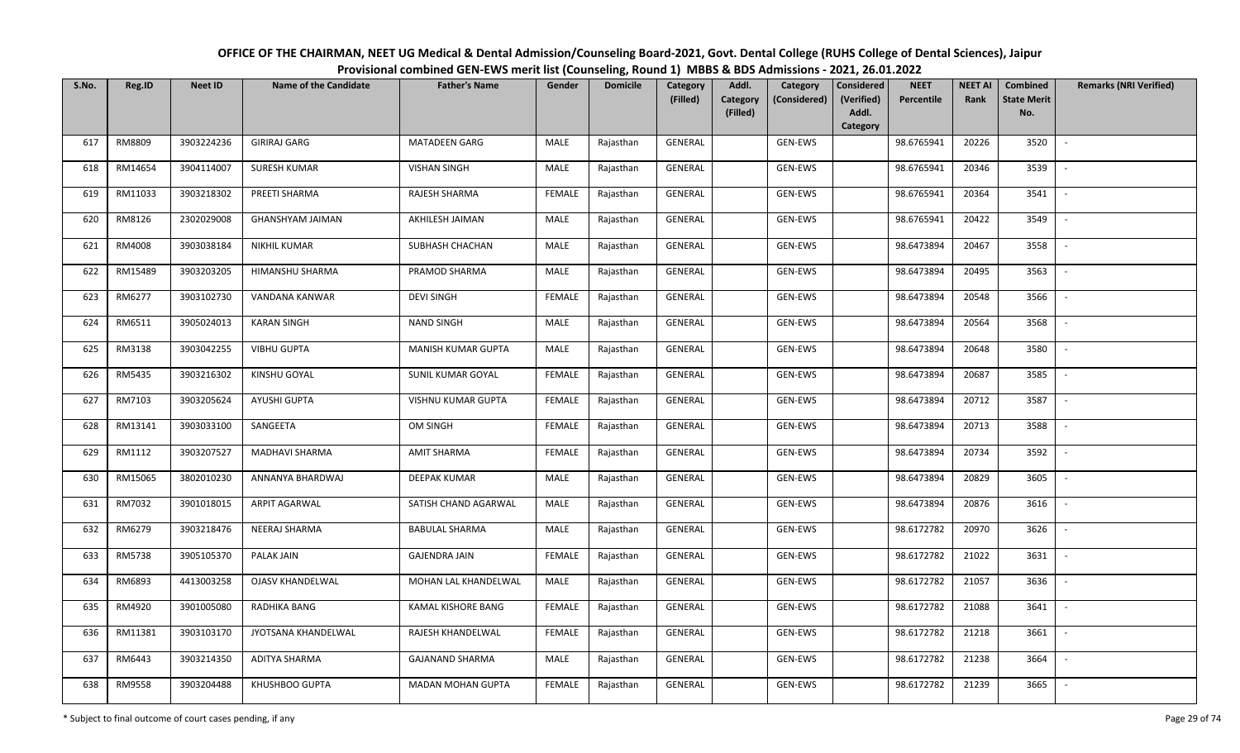| OFFICE OF THE CHAIRMAN, NEET UG Medical & Dental Admission/Counseling Board-2021, Govt. Dental College (RUHS College of Dental Sciences), Jaipur |
|--------------------------------------------------------------------------------------------------------------------------------------------------|
| Provisional combined GEN-EWS merit list (Counseling, Round 1) MBBS & BDS Admissions - 2021, 26.01.2022                                           |

| S.No. | Reg.ID  | <b>Neet ID</b> | <b>Name of the Candidate</b> | <b>Father's Name</b>     | Gender        | <b>Domicile</b> | Category<br>(Filled) | Addl.<br><b>Category</b><br>(Filled) | Category<br>(Considered) | Considered<br>(Verified)<br>Addl.<br>Category | <b>NEET</b><br>Percentile | <b>NEET AI</b><br>Rank | Combined<br><b>State Merit</b><br>No. | <b>Remarks (NRI Verified)</b> |
|-------|---------|----------------|------------------------------|--------------------------|---------------|-----------------|----------------------|--------------------------------------|--------------------------|-----------------------------------------------|---------------------------|------------------------|---------------------------------------|-------------------------------|
| 617   | RM8809  | 3903224236     | <b>GIRIRAJ GARG</b>          | <b>MATADEEN GARG</b>     | MALE          | Rajasthan       | GENERAL              |                                      | GEN-EWS                  |                                               | 98.6765941                | 20226                  | 3520                                  |                               |
| 618   | RM14654 | 3904114007     | <b>SURESH KUMAR</b>          | <b>VISHAN SINGH</b>      | MALE          | Rajasthan       | GENERAL              |                                      | GEN-EWS                  |                                               | 98.6765941                | 20346                  | 3539                                  |                               |
| 619   | RM11033 | 3903218302     | PREETI SHARMA                | RAJESH SHARMA            | <b>FEMALE</b> | Rajasthan       | GENERAL              |                                      | GEN-EWS                  |                                               | 98.6765941                | 20364                  | 3541                                  | $\sim$                        |
| 620   | RM8126  | 2302029008     | <b>GHANSHYAM JAIMAN</b>      | AKHILESH JAIMAN          | MALE          | Rajasthan       | GENERAL              |                                      | GEN-EWS                  |                                               | 98.6765941                | 20422                  | 3549                                  | $\overline{\phantom{a}}$      |
| 621   | RM4008  | 3903038184     | NIKHIL KUMAR                 | SUBHASH CHACHAN          | MALE          | Rajasthan       | GENERAL              |                                      | GEN-EWS                  |                                               | 98.6473894                | 20467                  | 3558                                  | $\sim$                        |
| 622   | RM15489 | 3903203205     | HIMANSHU SHARMA              | PRAMOD SHARMA            | MALE          | Rajasthan       | GENERAL              |                                      | GEN-EWS                  |                                               | 98.6473894                | 20495                  | 3563                                  | $\sim$                        |
| 623   | RM6277  | 3903102730     | VANDANA KANWAR               | <b>DEVI SINGH</b>        | <b>FEMALE</b> | Rajasthan       | GENERAL              |                                      | GEN-EWS                  |                                               | 98.6473894                | 20548                  | 3566                                  |                               |
| 624   | RM6511  | 3905024013     | <b>KARAN SINGH</b>           | <b>NAND SINGH</b>        | MALE          | Rajasthan       | <b>GENERAL</b>       |                                      | GEN-EWS                  |                                               | 98.6473894                | 20564                  | 3568                                  |                               |
| 625   | RM3138  | 3903042255     | <b>VIBHU GUPTA</b>           | MANISH KUMAR GUPTA       | MALE          | Rajasthan       | GENERAL              |                                      | GEN-EWS                  |                                               | 98.6473894                | 20648                  | 3580                                  |                               |
| 626   | RM5435  | 3903216302     | KINSHU GOYAL                 | <b>SUNIL KUMAR GOYAL</b> | <b>FEMALE</b> | Rajasthan       | GENERAL              |                                      | GEN-EWS                  |                                               | 98.6473894                | 20687                  | 3585                                  |                               |
| 627   | RM7103  | 3903205624     | AYUSHI GUPTA                 | VISHNU KUMAR GUPTA       | <b>FEMALE</b> | Rajasthan       | GENERAL              |                                      | GEN-EWS                  |                                               | 98.6473894                | 20712                  | 3587                                  |                               |
| 628   | RM13141 | 3903033100     | SANGEETA                     | OM SINGH                 | <b>FEMALE</b> | Rajasthan       | GENERAL              |                                      | GEN-EWS                  |                                               | 98.6473894                | 20713                  | 3588                                  | $\sim$                        |
| 629   | RM1112  | 3903207527     | MADHAVI SHARMA               | <b>AMIT SHARMA</b>       | <b>FEMALE</b> | Rajasthan       | GENERAL              |                                      | GEN-EWS                  |                                               | 98.6473894                | 20734                  | 3592                                  |                               |
| 630   | RM15065 | 3802010230     | ANNANYA BHARDWAJ             | <b>DEEPAK KUMAR</b>      | MALE          | Rajasthan       | GENERAL              |                                      | GEN-EWS                  |                                               | 98.6473894                | 20829                  | 3605                                  | $\sim$                        |
| 631   | RM7032  | 3901018015     | ARPIT AGARWAL                | SATISH CHAND AGARWAL     | <b>MALE</b>   | Rajasthan       | GENERAL              |                                      | GEN-EWS                  |                                               | 98.6473894                | 20876                  | 3616                                  | $\sim$                        |
| 632   | RM6279  | 3903218476     | NEERAJ SHARMA                | <b>BABULAL SHARMA</b>    | MALE          | Rajasthan       | GENERAL              |                                      | GEN-EWS                  |                                               | 98.6172782                | 20970                  | 3626                                  | $\sim$                        |
| 633   | RM5738  | 3905105370     | PALAK JAIN                   | <b>GAJENDRA JAIN</b>     | <b>FEMALE</b> | Rajasthan       | GENERAL              |                                      | GEN-EWS                  |                                               | 98.6172782                | 21022                  | 3631                                  | $\sim$                        |
| 634   | RM6893  | 4413003258     | OJASV KHANDELWAL             | MOHAN LAL KHANDELWAL     | MALE          | Rajasthan       | GENERAL              |                                      | GEN-EWS                  |                                               | 98.6172782                | 21057                  | 3636                                  |                               |
| 635   | RM4920  | 3901005080     | RADHIKA BANG                 | KAMAL KISHORE BANG       | <b>FEMALE</b> | Rajasthan       | GENERAL              |                                      | GEN-EWS                  |                                               | 98.6172782                | 21088                  | 3641                                  |                               |
| 636   | RM11381 | 3903103170     | JYOTSANA KHANDELWAL          | RAJESH KHANDELWAL        | <b>FEMALE</b> | Rajasthan       | GENERAL              |                                      | GEN-EWS                  |                                               | 98.6172782                | 21218                  | 3661                                  |                               |
| 637   | RM6443  | 3903214350     | <b>ADITYA SHARMA</b>         | <b>GAJANAND SHARMA</b>   | MALE          | Rajasthan       | GENERAL              |                                      | GEN-EWS                  |                                               | 98.6172782                | 21238                  | 3664                                  |                               |
| 638   | RM9558  | 3903204488     | KHUSHBOO GUPTA               | <b>MADAN MOHAN GUPTA</b> | <b>FEMALE</b> | Rajasthan       | GENERAL              |                                      | GEN-EWS                  |                                               | 98.6172782                | 21239                  | 3665                                  |                               |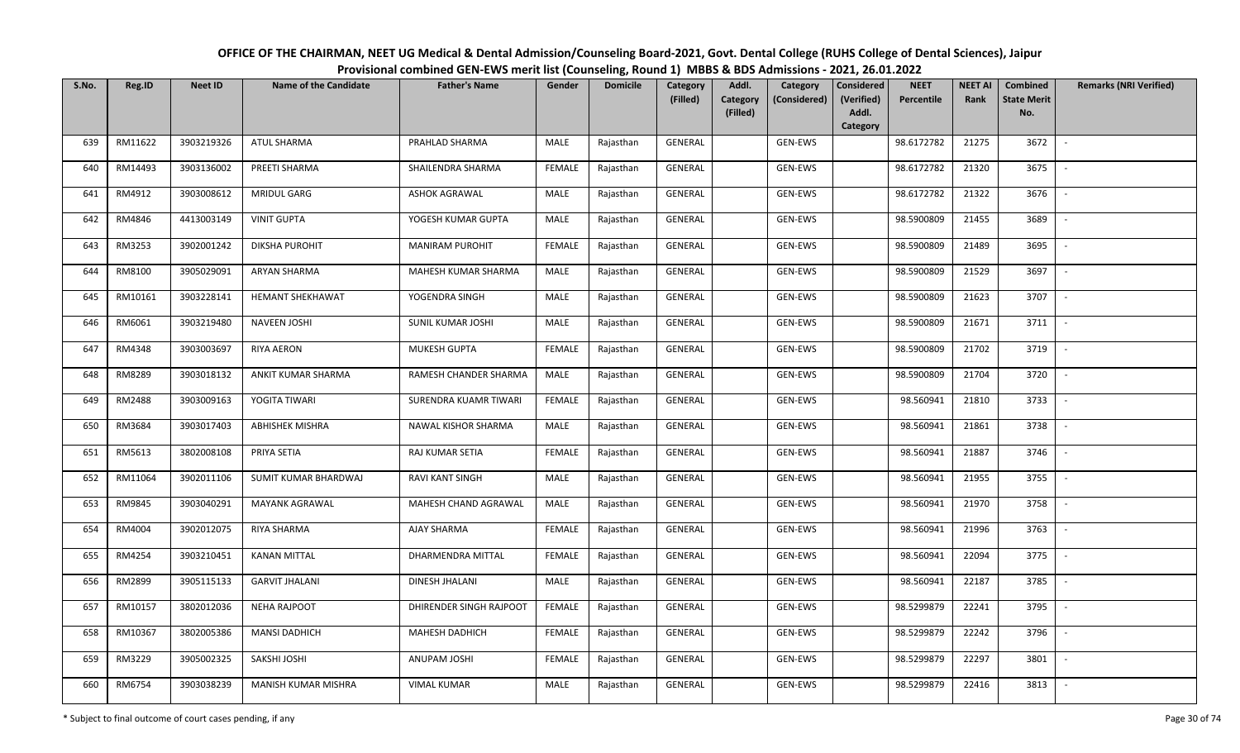| OFFICE OF THE CHAIRMAN, NEET UG Medical & Dental Admission/Counseling Board-2021, Govt. Dental College (RUHS College of Dental Sciences), Jaipur |  |
|--------------------------------------------------------------------------------------------------------------------------------------------------|--|
| Provisional combined GEN-EWS merit list (Counseling, Round 1) MBBS & BDS Admissions - 2021, 26.01.2022                                           |  |

| S.No. | Reg.ID  | <b>Neet ID</b> | <b>Name of the Candidate</b> | <b>Father's Name</b>    | Gender        | <b>Domicile</b> | Category<br>(Filled) | Addl.<br>Category<br>Category<br>(Considered) | <b>Considered</b><br>(Verified) | <b>NEET</b><br>Percentile | <b>NEET AI</b><br>Rank | Combined<br><b>State Merit</b> | <b>Remarks (NRI Verified)</b> |
|-------|---------|----------------|------------------------------|-------------------------|---------------|-----------------|----------------------|-----------------------------------------------|---------------------------------|---------------------------|------------------------|--------------------------------|-------------------------------|
|       |         |                |                              |                         |               |                 |                      | (Filled)                                      | Addl.<br>Category               |                           |                        | No.                            |                               |
| 639   | RM11622 | 3903219326     | <b>ATUL SHARMA</b>           | PRAHLAD SHARMA          | MALE          | Rajasthan       | GENERAL              | GEN-EWS                                       |                                 | 98.6172782                | 21275                  | 3672                           | $\overline{\phantom{a}}$      |
| 640   | RM14493 | 3903136002     | PREETI SHARMA                | SHAILENDRA SHARMA       | <b>FEMALE</b> | Rajasthan       | GENERAL              | GEN-EWS                                       |                                 | 98.6172782                | 21320                  | 3675                           |                               |
| 641   | RM4912  | 3903008612     | MRIDUL GARG                  | <b>ASHOK AGRAWAL</b>    | MALE          | Rajasthan       | GENERAL              | GEN-EWS                                       |                                 | 98.6172782                | 21322                  | 3676                           | $\sim$                        |
| 642   | RM4846  | 4413003149     | <b>VINIT GUPTA</b>           | YOGESH KUMAR GUPTA      | MALE          | Rajasthan       | GENERAL              | GEN-EWS                                       |                                 | 98.5900809                | 21455                  | 3689                           | $\overline{\phantom{a}}$      |
| 643   | RM3253  | 3902001242     | <b>DIKSHA PUROHIT</b>        | <b>MANIRAM PUROHIT</b>  | <b>FEMALE</b> | Rajasthan       | GENERAL              | GEN-EWS                                       |                                 | 98.5900809                | 21489                  | 3695                           | $\overline{\phantom{a}}$      |
| 644   | RM8100  | 3905029091     | <b>ARYAN SHARMA</b>          | MAHESH KUMAR SHARMA     | <b>MALE</b>   | Rajasthan       | GENERAL              | GEN-EWS                                       |                                 | 98.5900809                | 21529                  | 3697                           | $\overline{\phantom{a}}$      |
| 645   | RM10161 | 3903228141     | <b>HEMANT SHEKHAWAT</b>      | YOGENDRA SINGH          | MALE          | Rajasthan       | GENERAL              | GEN-EWS                                       |                                 | 98.5900809                | 21623                  | 3707                           |                               |
| 646   | RM6061  | 3903219480     | <b>NAVEEN JOSHI</b>          | SUNIL KUMAR JOSHI       | MALE          | Rajasthan       | <b>GENERAL</b>       | GEN-EWS                                       |                                 | 98.5900809                | 21671                  | 3711                           |                               |
| 647   | RM4348  | 3903003697     | <b>RIYA AERON</b>            | MUKESH GUPTA            | <b>FEMALE</b> | Rajasthan       | <b>GENERAL</b>       | GEN-EWS                                       |                                 | 98.5900809                | 21702                  | 3719                           | $\overline{\phantom{a}}$      |
| 648   | RM8289  | 3903018132     | ANKIT KUMAR SHARMA           | RAMESH CHANDER SHARMA   | MALE          | Rajasthan       | GENERAL              | GEN-EWS                                       |                                 | 98.5900809                | 21704                  | 3720                           | $\overline{\phantom{a}}$      |
| 649   | RM2488  | 3903009163     | YOGITA TIWARI                | SURENDRA KUAMR TIWARI   | <b>FEMALE</b> | Rajasthan       | GENERAL              | GEN-EWS                                       |                                 | 98.560941                 | 21810                  | 3733                           |                               |
| 650   | RM3684  | 3903017403     | <b>ABHISHEK MISHRA</b>       | NAWAL KISHOR SHARMA     | MALE          | Rajasthan       | GENERAL              | GEN-EWS                                       |                                 | 98.560941                 | 21861                  | 3738                           | $\sim$                        |
| 651   | RM5613  | 3802008108     | PRIYA SETIA                  | RAJ KUMAR SETIA         | <b>FEMALE</b> | Rajasthan       | GENERAL              | GEN-EWS                                       |                                 | 98.560941                 | 21887                  | 3746                           |                               |
| 652   | RM11064 | 3902011106     | SUMIT KUMAR BHARDWAJ         | <b>RAVI KANT SINGH</b>  | MALE          | Rajasthan       | GENERAL              | GEN-EWS                                       |                                 | 98.560941                 | 21955                  | 3755                           | $\sim$                        |
| 653   | RM9845  | 3903040291     | <b>MAYANK AGRAWAL</b>        | MAHESH CHAND AGRAWAL    | MALE          | Rajasthan       | GENERAL              | GEN-EWS                                       |                                 | 98.560941                 | 21970                  | 3758                           | $\sim$                        |
| 654   | RM4004  | 3902012075     | RIYA SHARMA                  | AJAY SHARMA             | <b>FEMALE</b> | Rajasthan       | GENERAL              | GEN-EWS                                       |                                 | 98.560941                 | 21996                  | 3763                           | $\sim$                        |
| 655   | RM4254  | 3903210451     | <b>KANAN MITTAL</b>          | DHARMENDRA MITTAL       | <b>FEMALE</b> | Rajasthan       | GENERAL              | GEN-EWS                                       |                                 | 98.560941                 | 22094                  | 3775                           | $\overline{\phantom{a}}$      |
| 656   | RM2899  | 3905115133     | <b>GARVIT JHALANI</b>        | DINESH JHALANI          | MALE          | Rajasthan       | GENERAL              | GEN-EWS                                       |                                 | 98.560941                 | 22187                  | 3785                           |                               |
| 657   | RM10157 | 3802012036     | <b>NEHA RAJPOOT</b>          | DHIRENDER SINGH RAJPOOT | <b>FEMALE</b> | Rajasthan       | <b>GENERAL</b>       | GEN-EWS                                       |                                 | 98.5299879                | 22241                  | 3795                           |                               |
| 658   | RM10367 | 3802005386     | <b>MANSI DADHICH</b>         | MAHESH DADHICH          | <b>FEMALE</b> | Rajasthan       | <b>GENERAL</b>       | GEN-EWS                                       |                                 | 98.5299879                | 22242                  | 3796                           |                               |
| 659   | RM3229  | 3905002325     | SAKSHI JOSHI                 | <b>ANUPAM JOSHI</b>     | <b>FEMALE</b> | Rajasthan       | GENERAL              | GEN-EWS                                       |                                 | 98.5299879                | 22297                  | 3801                           |                               |
| 660   | RM6754  | 3903038239     | MANISH KUMAR MISHRA          | <b>VIMAL KUMAR</b>      | <b>MALE</b>   | Rajasthan       | <b>GENERAL</b>       | GEN-EWS                                       |                                 | 98.5299879                | 22416                  | 3813                           |                               |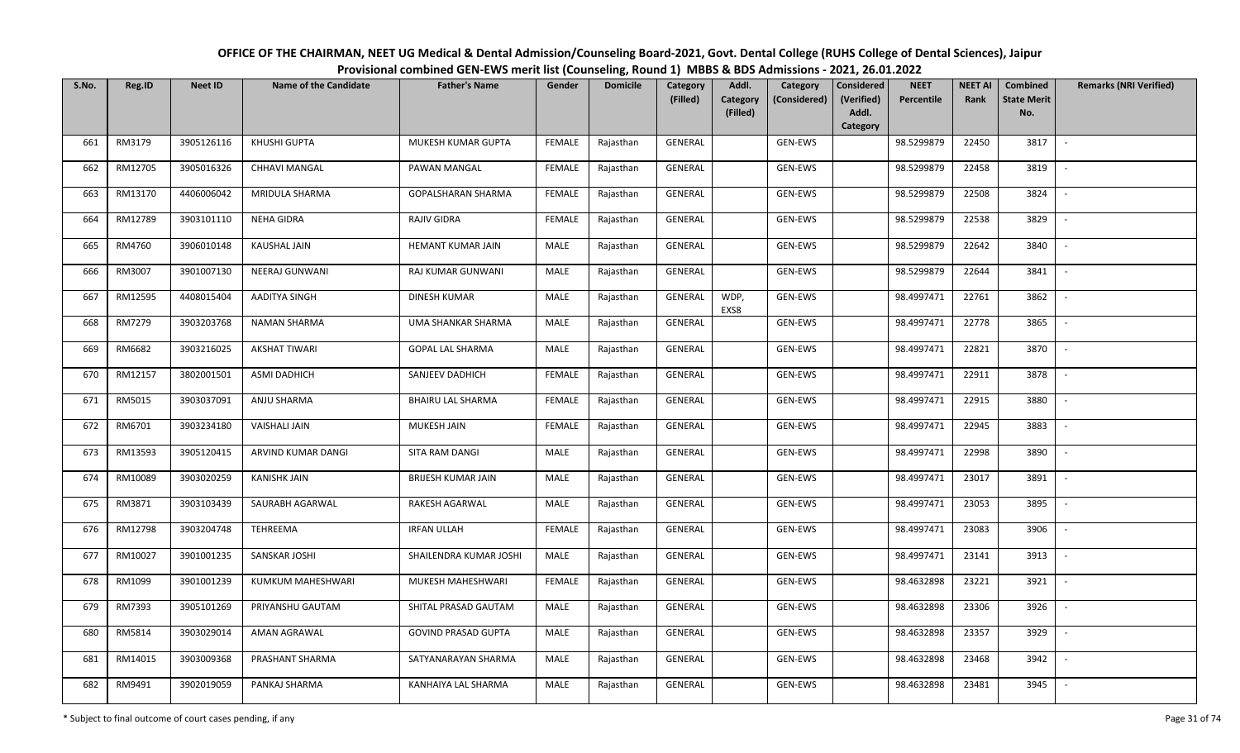| OFFICE OF THE CHAIRMAN, NEET UG Medical & Dental Admission/Counseling Board-2021, Govt. Dental College (RUHS College of Dental Sciences), Jaipur |
|--------------------------------------------------------------------------------------------------------------------------------------------------|
| Provisional combined GEN-EWS merit list (Counseling, Round 1) MBBS & BDS Admissions - 2021, 26.01.2022                                           |

| S.No. | Reg.ID  | <b>Neet ID</b> | <b>Name of the Candidate</b> | <b>Father's Name</b>       | Gender        | <b>Domicile</b> | <b>Category</b> | Addl.                | Category       | <b>Considered</b>   | <b>NEET</b> | <b>NEET AI</b> | Combined                  | <b>Remarks (NRI Verified)</b> |
|-------|---------|----------------|------------------------------|----------------------------|---------------|-----------------|-----------------|----------------------|----------------|---------------------|-------------|----------------|---------------------------|-------------------------------|
|       |         |                |                              |                            |               |                 | (Filled)        | Category<br>(Filled) | (Considered)   | (Verified)<br>Addl. | Percentile  | Rank           | <b>State Merit</b><br>No. |                               |
|       |         |                |                              |                            |               |                 |                 |                      |                | Category            |             |                |                           |                               |
| 661   | RM3179  | 3905126116     | KHUSHI GUPTA                 | MUKESH KUMAR GUPTA         | <b>FEMALE</b> | Rajasthan       | <b>GENERAL</b>  |                      | <b>GEN-EWS</b> |                     | 98.5299879  | 22450          | 3817                      | $\overline{\phantom{a}}$      |
| 662   | RM12705 | 3905016326     | <b>CHHAVI MANGAL</b>         | PAWAN MANGAL               | <b>FEMALE</b> | Rajasthan       | GENERAL         |                      | GEN-EWS        |                     | 98.5299879  | 22458          | 3819                      |                               |
| 663   | RM13170 | 4406006042     | MRIDULA SHARMA               | GOPALSHARAN SHARMA         | <b>FEMALE</b> | Rajasthan       | GENERAL         |                      | GEN-EWS        |                     | 98.5299879  | 22508          | 3824                      | $\sim$                        |
| 664   | RM12789 | 3903101110     | NEHA GIDRA                   | RAJIV GIDRA                | <b>FEMALE</b> | Rajasthan       | GENERAL         |                      | GEN-EWS        |                     | 98.5299879  | 22538          | 3829                      | $\overline{\phantom{a}}$      |
| 665   | RM4760  | 3906010148     | <b>KAUSHAL JAIN</b>          | HEMANT KUMAR JAIN          | MALE          | Rajasthan       | GENERAL         |                      | GEN-EWS        |                     | 98.5299879  | 22642          | 3840                      | $\sim$                        |
| 666   | RM3007  | 3901007130     | NEERAJ GUNWANI               | RAJ KUMAR GUNWANI          | <b>MALE</b>   | Rajasthan       | GENERAL         |                      | GEN-EWS        |                     | 98.5299879  | 22644          | 3841                      | $\overline{\phantom{a}}$      |
| 667   | RM12595 | 4408015404     | AADITYA SINGH                | <b>DINESH KUMAR</b>        | MALE          | Rajasthan       | <b>GENERAL</b>  | WDP,<br>EXS8         | GEN-EWS        |                     | 98.4997471  | 22761          | 3862                      |                               |
| 668   | RM7279  | 3903203768     | <b>NAMAN SHARMA</b>          | UMA SHANKAR SHARMA         | MALE          | Rajasthan       | <b>GENERAL</b>  |                      | GEN-EWS        |                     | 98.4997471  | 22778          | 3865                      |                               |
| 669   | RM6682  | 3903216025     | <b>AKSHAT TIWARI</b>         | <b>GOPAL LAL SHARMA</b>    | MALE          | Rajasthan       | GENERAL         |                      | GEN-EWS        |                     | 98.4997471  | 22821          | 3870                      | $\overline{\phantom{a}}$      |
| 670   | RM12157 | 3802001501     | ASMI DADHICH                 | SANJEEV DADHICH            | <b>FEMALE</b> | Rajasthan       | GENERAL         |                      | GEN-EWS        |                     | 98.4997471  | 22911          | 3878                      | $\sim$                        |
| 671   | RM5015  | 3903037091     | ANJU SHARMA                  | <b>BHAIRU LAL SHARMA</b>   | <b>FEMALE</b> | Rajasthan       | GENERAL         |                      | GEN-EWS        |                     | 98.4997471  | 22915          | 3880                      |                               |
| 672   | RM6701  | 3903234180     | <b>VAISHALI JAIN</b>         | MUKESH JAIN                | FEMALE        | Rajasthan       | GENERAL         |                      | GEN-EWS        |                     | 98.4997471  | 22945          | 3883                      | $\sim$                        |
| 673   | RM13593 | 3905120415     | ARVIND KUMAR DANGI           | SITA RAM DANGI             | MALE          | Rajasthan       | GENERAL         |                      | GEN-EWS        |                     | 98.4997471  | 22998          | 3890                      |                               |
| 674   | RM10089 | 3903020259     | <b>KANISHK JAIN</b>          | <b>BRIJESH KUMAR JAIN</b>  | MALE          | Rajasthan       | GENERAL         |                      | GEN-EWS        |                     | 98.4997471  | 23017          | 3891                      | $\sim$                        |
| 675   | RM3871  | 3903103439     | SAURABH AGARWAL              | RAKESH AGARWAL             | MALE          | Rajasthan       | GENERAL         |                      | GEN-EWS        |                     | 98.4997471  | 23053          | 3895                      | $\sim$                        |
| 676   | RM12798 | 3903204748     | TEHREEMA                     | <b>IRFAN ULLAH</b>         | <b>FEMALE</b> | Rajasthan       | GENERAL         |                      | GEN-EWS        |                     | 98.4997471  | 23083          | 3906                      | $\sim$                        |
| 677   | RM10027 | 3901001235     | SANSKAR JOSHI                | SHAILENDRA KUMAR JOSHI     | MALE          | Rajasthan       | GENERAL         |                      | GEN-EWS        |                     | 98.4997471  | 23141          | 3913                      | $\sim$                        |
| 678   | RM1099  | 3901001239     | KUMKUM MAHESHWARI            | MUKESH MAHESHWARI          | <b>FEMALE</b> | Rajasthan       | GENERAL         |                      | GEN-EWS        |                     | 98.4632898  | 23221          | 3921                      |                               |
| 679   | RM7393  | 3905101269     | PRIYANSHU GAUTAM             | SHITAL PRASAD GAUTAM       | MALE          | Rajasthan       | <b>GENERAL</b>  |                      | GEN-EWS        |                     | 98.4632898  | 23306          | 3926                      |                               |
| 680   | RM5814  | 3903029014     | AMAN AGRAWAL                 | <b>GOVIND PRASAD GUPTA</b> | MALE          | Rajasthan       | GENERAL         |                      | GEN-EWS        |                     | 98.4632898  | 23357          | 3929                      |                               |
| 681   | RM14015 | 3903009368     | PRASHANT SHARMA              | SATYANARAYAN SHARMA        | <b>MALE</b>   | Rajasthan       | GENERAL         |                      | GEN-EWS        |                     | 98.4632898  | 23468          | 3942                      |                               |
| 682   | RM9491  | 3902019059     | PANKAJ SHARMA                | KANHAIYA LAL SHARMA        | MALE          | Rajasthan       | GENERAL         |                      | GEN-EWS        |                     | 98.4632898  | 23481          | 3945                      |                               |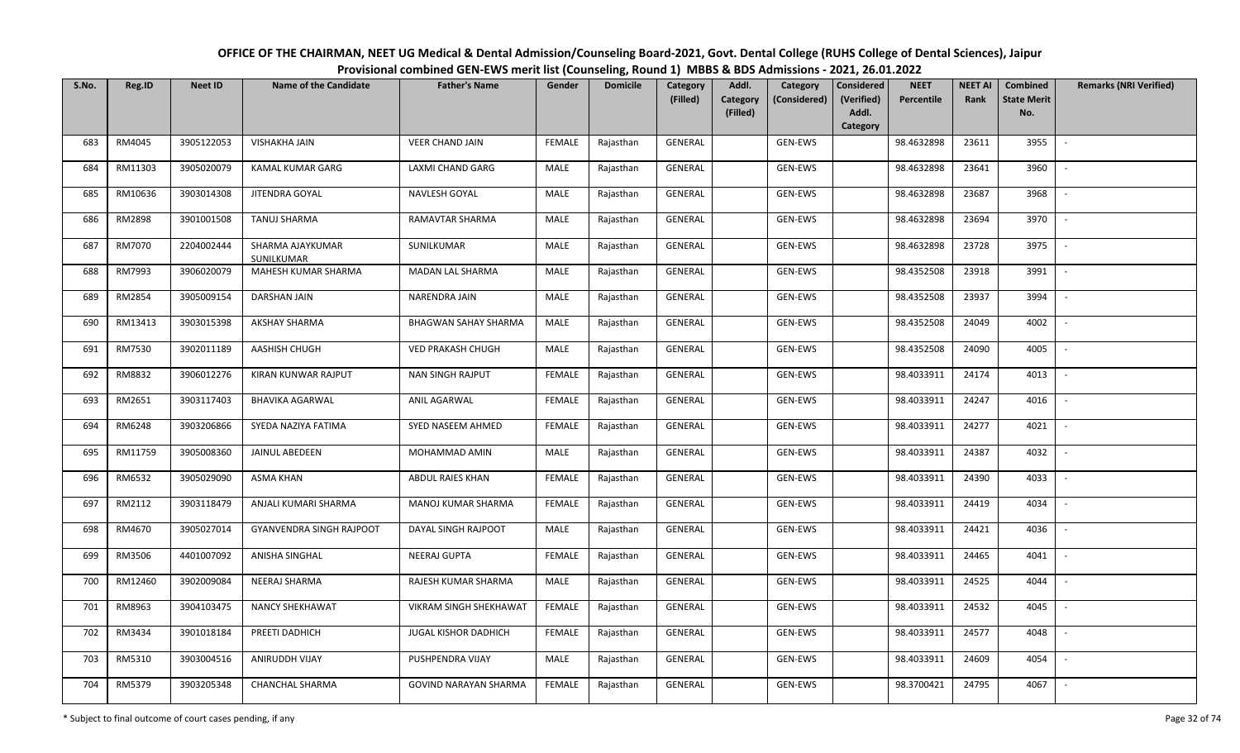| OFFICE OF THE CHAIRMAN, NEET UG Medical & Dental Admission/Counseling Board-2021, Govt. Dental College (RUHS College of Dental Sciences), Jaipur |
|--------------------------------------------------------------------------------------------------------------------------------------------------|
| Provisional combined GEN-EWS merit list (Counseling, Round 1) MBBS & BDS Admissions - 2021, 26.01.2022                                           |

| S.No. | Reg.ID  | <b>Neet ID</b> | <b>Name of the Candidate</b>   | <b>Father's Name</b>         | Gender        | <b>Domicile</b> | <b>Category</b> | Addl.                | Category       | <b>Considered</b>   | <b>NEET</b> | <b>NEET AI</b> | Combined                  | <b>Remarks (NRI Verified)</b> |
|-------|---------|----------------|--------------------------------|------------------------------|---------------|-----------------|-----------------|----------------------|----------------|---------------------|-------------|----------------|---------------------------|-------------------------------|
|       |         |                |                                |                              |               |                 | (Filled)        | Category<br>(Filled) | (Considered)   | (Verified)<br>Addl. | Percentile  | Rank           | <b>State Merit</b><br>No. |                               |
|       |         |                |                                |                              |               |                 |                 |                      |                | Category            |             |                |                           |                               |
| 683   | RM4045  | 3905122053     | <b>VISHAKHA JAIN</b>           | <b>VEER CHAND JAIN</b>       | <b>FEMALE</b> | Rajasthan       | <b>GENERAL</b>  |                      | <b>GEN-EWS</b> |                     | 98.4632898  | 23611          | 3955                      | $\overline{\phantom{a}}$      |
| 684   | RM11303 | 3905020079     | KAMAL KUMAR GARG               | LAXMI CHAND GARG             | MALE          | Rajasthan       | GENERAL         |                      | GEN-EWS        |                     | 98.4632898  | 23641          | 3960                      |                               |
| 685   | RM10636 | 3903014308     | JITENDRA GOYAL                 | NAVLESH GOYAL                | MALE          | Rajasthan       | GENERAL         |                      | GEN-EWS        |                     | 98.4632898  | 23687          | 3968                      | $\sim$                        |
| 686   | RM2898  | 3901001508     | <b>TANUJ SHARMA</b>            | RAMAVTAR SHARMA              | MALE          | Rajasthan       | GENERAL         |                      | GEN-EWS        |                     | 98.4632898  | 23694          | 3970                      | $\overline{\phantom{a}}$      |
| 687   | RM7070  | 2204002444     | SHARMA AJAYKUMAR<br>SUNILKUMAR | SUNILKUMAR                   | MALE          | Rajasthan       | GENERAL         |                      | GEN-EWS        |                     | 98.4632898  | 23728          | 3975                      | $\sim$                        |
| 688   | RM7993  | 3906020079     | MAHESH KUMAR SHARMA            | <b>MADAN LAL SHARMA</b>      | <b>MALE</b>   | Rajasthan       | GENERAL         |                      | GEN-EWS        |                     | 98.4352508  | 23918          | 3991                      | $\sim$                        |
| 689   | RM2854  | 3905009154     | DARSHAN JAIN                   | NARENDRA JAIN                | MALE          | Rajasthan       | <b>GENERAL</b>  |                      | GEN-EWS        |                     | 98.4352508  | 23937          | 3994                      |                               |
| 690   | RM13413 | 3903015398     | <b>AKSHAY SHARMA</b>           | <b>BHAGWAN SAHAY SHARMA</b>  | MALE          | Rajasthan       | <b>GENERAL</b>  |                      | GEN-EWS        |                     | 98.4352508  | 24049          | 4002                      |                               |
| 691   | RM7530  | 3902011189     | AASHISH CHUGH                  | <b>VED PRAKASH CHUGH</b>     | MALE          | Rajasthan       | <b>GENERAL</b>  |                      | GEN-EWS        |                     | 98.4352508  | 24090          | 4005                      |                               |
| 692   | RM8832  | 3906012276     | KIRAN KUNWAR RAJPUT            | <b>NAN SINGH RAJPUT</b>      | <b>FEMALE</b> | Rajasthan       | GENERAL         |                      | GEN-EWS        |                     | 98.4033911  | 24174          | 4013                      |                               |
| 693   | RM2651  | 3903117403     | <b>BHAVIKA AGARWAL</b>         | ANIL AGARWAL                 | <b>FEMALE</b> | Rajasthan       | GENERAL         |                      | GEN-EWS        |                     | 98.4033911  | 24247          | 4016                      |                               |
| 694   | RM6248  | 3903206866     | SYEDA NAZIYA FATIMA            | SYED NASEEM AHMED            | <b>FEMALE</b> | Rajasthan       | GENERAL         |                      | GEN-EWS        |                     | 98.4033911  | 24277          | 4021                      | $\sim$                        |
| 695   | RM11759 | 3905008360     | JAINUL ABEDEEN                 | MOHAMMAD AMIN                | MALE          | Rajasthan       | GENERAL         |                      | GEN-EWS        |                     | 98.4033911  | 24387          | 4032                      |                               |
| 696   | RM6532  | 3905029090     | <b>ASMA KHAN</b>               | ABDUL RAIES KHAN             | <b>FEMALE</b> | Rajasthan       | GENERAL         |                      | GEN-EWS        |                     | 98.4033911  | 24390          | 4033                      | $\overline{\phantom{a}}$      |
| 697   | RM2112  | 3903118479     | ANJALI KUMARI SHARMA           | MANOJ KUMAR SHARMA           | <b>FEMALE</b> | Rajasthan       | GENERAL         |                      | GEN-EWS        |                     | 98.4033911  | 24419          | 4034                      | $\overline{\phantom{a}}$      |
| 698   | RM4670  | 3905027014     | GYANVENDRA SINGH RAJPOOT       | DAYAL SINGH RAJPOOT          | MALE          | Rajasthan       | <b>GENERAL</b>  |                      | GEN-EWS        |                     | 98.4033911  | 24421          | 4036                      | $\overline{\phantom{a}}$      |
| 699   | RM3506  | 4401007092     | ANISHA SINGHAL                 | <b>NEERAJ GUPTA</b>          | <b>FEMALE</b> | Rajasthan       | GENERAL         |                      | GEN-EWS        |                     | 98.4033911  | 24465          | 4041                      | $\sim$                        |
| 700   | RM12460 | 3902009084     | NEERAJ SHARMA                  | RAJESH KUMAR SHARMA          | MALE          | Rajasthan       | GENERAL         |                      | GEN-EWS        |                     | 98.4033911  | 24525          | 4044                      |                               |
| 701   | RM8963  | 3904103475     | <b>NANCY SHEKHAWAT</b>         | VIKRAM SINGH SHEKHAWAT       | <b>FEMALE</b> | Rajasthan       | <b>GENERAL</b>  |                      | GEN-EWS        |                     | 98.4033911  | 24532          | 4045                      |                               |
| 702   | RM3434  | 3901018184     | PREETI DADHICH                 | JUGAL KISHOR DADHICH         | <b>FEMALE</b> | Rajasthan       | GENERAL         |                      | GEN-EWS        |                     | 98.4033911  | 24577          | 4048                      |                               |
| 703   | RM5310  | 3903004516     | ANIRUDDH VIJAY                 | PUSHPENDRA VIJAY             | <b>MALE</b>   | Rajasthan       | GENERAL         |                      | GEN-EWS        |                     | 98.4033911  | 24609          | 4054                      |                               |
| 704   | RM5379  | 3903205348     | CHANCHAL SHARMA                | <b>GOVIND NARAYAN SHARMA</b> | <b>FEMALE</b> | Rajasthan       | GENERAL         |                      | GEN-EWS        |                     | 98.3700421  | 24795          | 4067                      |                               |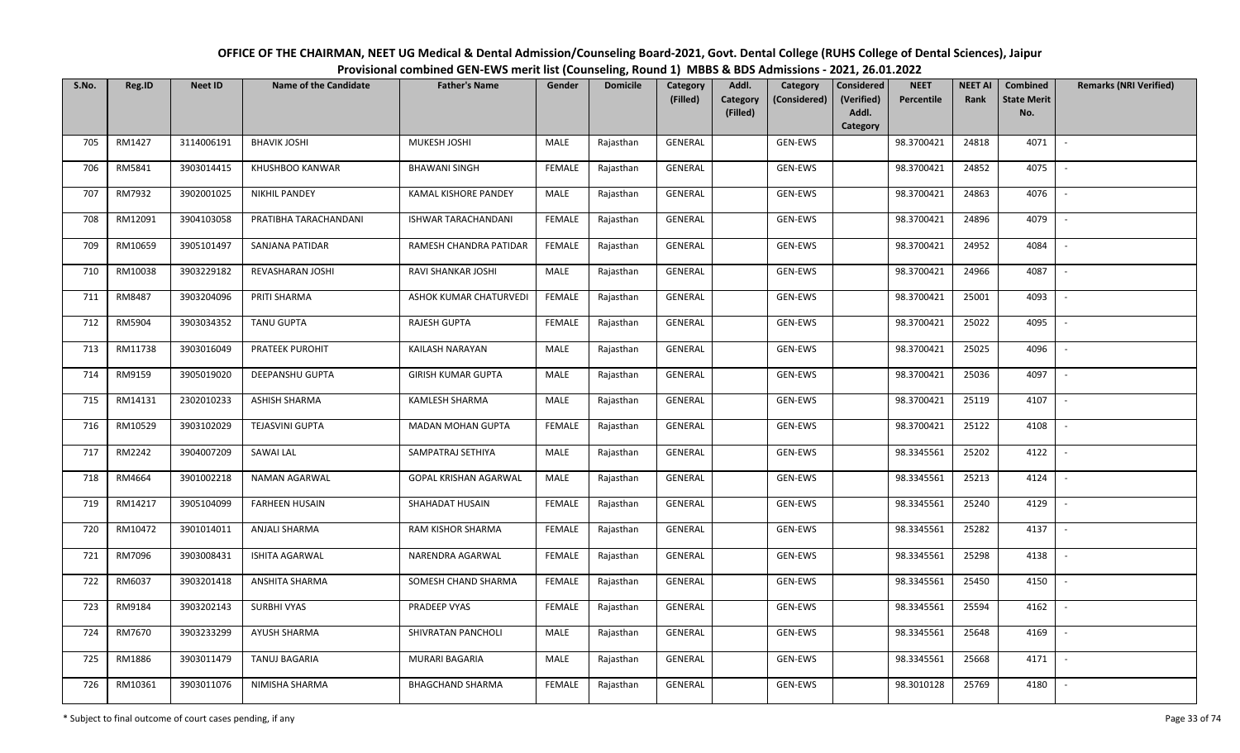| OFFICE OF THE CHAIRMAN, NEET UG Medical & Dental Admission/Counseling Board-2021, Govt. Dental College (RUHS College of Dental Sciences), Jaipur |  |
|--------------------------------------------------------------------------------------------------------------------------------------------------|--|
| Provisional combined GEN-EWS merit list (Counseling, Round 1) MBBS & BDS Admissions - 2021, 26.01.2022                                           |  |

| S.No. | Reg.ID  | <b>Neet ID</b> | <b>Name of the Candidate</b> | <b>Father's Name</b>      | Gender        | <b>Domicile</b> | <b>Category</b><br>(Filled) | Addl.                | Category     | <b>Considered</b><br>(Verified) | <b>NEET</b><br>Percentile | <b>NEET AI</b><br>Rank | Combined<br><b>State Merit</b> | <b>Remarks (NRI Verified)</b> |
|-------|---------|----------------|------------------------------|---------------------------|---------------|-----------------|-----------------------------|----------------------|--------------|---------------------------------|---------------------------|------------------------|--------------------------------|-------------------------------|
|       |         |                |                              |                           |               |                 |                             | Category<br>(Filled) | (Considered) | Addl.                           |                           |                        | No.                            |                               |
|       |         |                |                              |                           |               |                 |                             |                      |              | Category                        |                           |                        |                                |                               |
| 705   | RM1427  | 3114006191     | <b>BHAVIK JOSHI</b>          | MUKESH JOSHI              | MALE          | Rajasthan       | <b>GENERAL</b>              |                      | GEN-EWS      |                                 | 98.3700421                | 24818                  | 4071                           | $\sim$                        |
| 706   | RM5841  | 3903014415     | KHUSHBOO KANWAR              | <b>BHAWANI SINGH</b>      | <b>FEMALE</b> | Rajasthan       | GENERAL                     |                      | GEN-EWS      |                                 | 98.3700421                | 24852                  | 4075                           |                               |
| 707   | RM7932  | 3902001025     | <b>NIKHIL PANDEY</b>         | KAMAL KISHORE PANDEY      | MALE          | Rajasthan       | GENERAL                     |                      | GEN-EWS      |                                 | 98.3700421                | 24863                  | 4076                           | $\sim$                        |
| 708   | RM12091 | 3904103058     | PRATIBHA TARACHANDANI        | ISHWAR TARACHANDANI       | <b>FEMALE</b> | Rajasthan       | GENERAL                     |                      | GEN-EWS      |                                 | 98.3700421                | 24896                  | 4079                           | $\sim$                        |
| 709   | RM10659 | 3905101497     | SANJANA PATIDAR              | RAMESH CHANDRA PATIDAR    | <b>FEMALE</b> | Rajasthan       | GENERAL                     |                      | GEN-EWS      |                                 | 98.3700421                | 24952                  | 4084                           | $\sim$                        |
| 710   | RM10038 | 3903229182     | REVASHARAN JOSHI             | RAVI SHANKAR JOSHI        | MALE          | Rajasthan       | GENERAL                     |                      | GEN-EWS      |                                 | 98.3700421                | 24966                  | 4087                           | $\overline{\phantom{a}}$      |
| 711   | RM8487  | 3903204096     | PRITI SHARMA                 | ASHOK KUMAR CHATURVEDI    | <b>FEMALE</b> | Rajasthan       | GENERAL                     |                      | GEN-EWS      |                                 | 98.3700421                | 25001                  | 4093                           |                               |
| 712   | RM5904  | 3903034352     | <b>TANU GUPTA</b>            | <b>RAJESH GUPTA</b>       | <b>FEMALE</b> | Rajasthan       | GENERAL                     |                      | GEN-EWS      |                                 | 98.3700421                | 25022                  | 4095                           |                               |
| 713   | RM11738 | 3903016049     | PRATEEK PUROHIT              | KAILASH NARAYAN           | MALE          | Rajasthan       | GENERAL                     |                      | GEN-EWS      |                                 | 98.3700421                | 25025                  | 4096                           | $\overline{\phantom{a}}$      |
| 714   | RM9159  | 3905019020     | DEEPANSHU GUPTA              | <b>GIRISH KUMAR GUPTA</b> | MALE          | Rajasthan       | GENERAL                     |                      | GEN-EWS      |                                 | 98.3700421                | 25036                  | 4097                           | $\sim$                        |
| 715   | RM14131 | 2302010233     | <b>ASHISH SHARMA</b>         | KAMLESH SHARMA            | MALE          | Rajasthan       | GENERAL                     |                      | GEN-EWS      |                                 | 98.3700421                | 25119                  | 4107                           |                               |
| 716   | RM10529 | 3903102029     | <b>TEJASVINI GUPTA</b>       | <b>MADAN MOHAN GUPTA</b>  | <b>FEMALE</b> | Rajasthan       | GENERAL                     |                      | GEN-EWS      |                                 | 98.3700421                | 25122                  | 4108                           | $\sim$                        |
| 717   | RM2242  | 3904007209     | SAWAI LAL                    | SAMPATRAJ SETHIYA         | MALE          | Rajasthan       | GENERAL                     |                      | GEN-EWS      |                                 | 98.3345561                | 25202                  | 4122                           |                               |
| 718   | RM4664  | 3901002218     | NAMAN AGARWAL                | GOPAL KRISHAN AGARWAL     | MALE          | Rajasthan       | GENERAL                     |                      | GEN-EWS      |                                 | 98.3345561                | 25213                  | 4124                           | $\sim$                        |
| 719   | RM14217 | 3905104099     | <b>FARHEEN HUSAIN</b>        | SHAHADAT HUSAIN           | <b>FEMALE</b> | Rajasthan       | GENERAL                     |                      | GEN-EWS      |                                 | 98.3345561                | 25240                  | 4129                           | $\overline{\phantom{a}}$      |
| 720   | RM10472 | 3901014011     | ANJALI SHARMA                | RAM KISHOR SHARMA         | <b>FEMALE</b> | Rajasthan       | GENERAL                     |                      | GEN-EWS      |                                 | 98.3345561                | 25282                  | 4137                           | $\sim$                        |
| 721   | RM7096  | 3903008431     | ISHITA AGARWAL               | NARENDRA AGARWAL          | <b>FEMALE</b> | Rajasthan       | GENERAL                     |                      | GEN-EWS      |                                 | 98.3345561                | 25298                  | 4138                           | $\sim$                        |
| 722   | RM6037  | 3903201418     | ANSHITA SHARMA               | SOMESH CHAND SHARMA       | <b>FEMALE</b> | Rajasthan       | GENERAL                     |                      | GEN-EWS      |                                 | 98.3345561                | 25450                  | 4150                           |                               |
| 723   | RM9184  | 3903202143     | SURBHI VYAS                  | PRADEEP VYAS              | <b>FEMALE</b> | Rajasthan       | <b>GENERAL</b>              |                      | GEN-EWS      |                                 | 98.3345561                | 25594                  | 4162                           |                               |
| 724   | RM7670  | 3903233299     | AYUSH SHARMA                 | SHIVRATAN PANCHOLI        | MALE          | Rajasthan       | GENERAL                     |                      | GEN-EWS      |                                 | 98.3345561                | 25648                  | 4169                           |                               |
| 725   | RM1886  | 3903011479     | TANUJ BAGARIA                | MURARI BAGARIA            | <b>MALE</b>   | Rajasthan       | GENERAL                     |                      | GEN-EWS      |                                 | 98.3345561                | 25668                  | 4171                           |                               |
| 726   | RM10361 | 3903011076     | NIMISHA SHARMA               | <b>BHAGCHAND SHARMA</b>   | <b>FEMALE</b> | Rajasthan       | GENERAL                     |                      | GEN-EWS      |                                 | 98.3010128                | 25769                  | 4180                           |                               |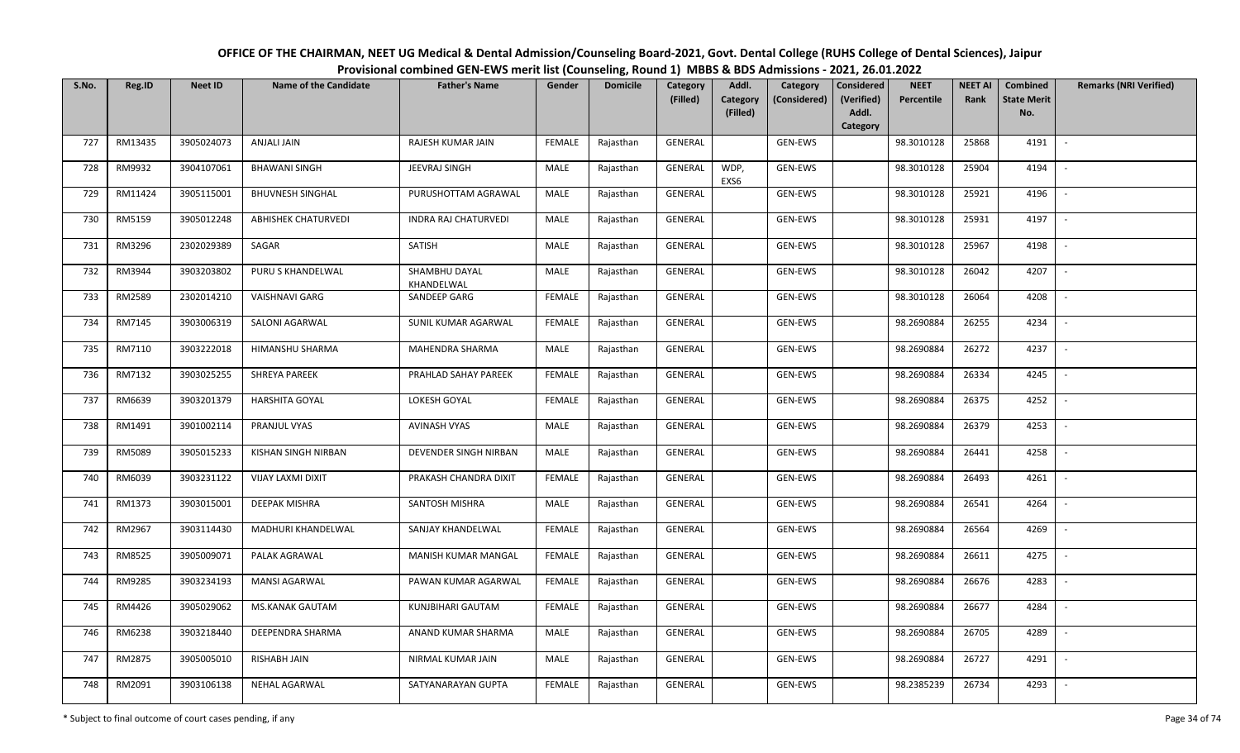| OFFICE OF THE CHAIRMAN, NEET UG Medical & Dental Admission/Counseling Board-2021, Govt. Dental College (RUHS College of Dental Sciences), Jaipur |
|--------------------------------------------------------------------------------------------------------------------------------------------------|
| Provisional combined GEN-EWS merit list (Counseling, Round 1) MBBS & BDS Admissions - 2021, 26.01.2022                                           |

| S.No. | Reg.ID  | <b>Neet ID</b> | <b>Name of the Candidate</b> | <b>Father's Name</b>        | Gender        | <b>Domicile</b> | Category<br>(Filled) | Addl.<br>Category | Category<br>(Considered) | <b>Considered</b><br>(Verified) | <b>NEET</b><br>Percentile | <b>NEET AI</b><br>Rank | Combined<br><b>State Merit</b> | <b>Remarks (NRI Verified)</b> |
|-------|---------|----------------|------------------------------|-----------------------------|---------------|-----------------|----------------------|-------------------|--------------------------|---------------------------------|---------------------------|------------------------|--------------------------------|-------------------------------|
|       |         |                |                              |                             |               |                 |                      | (Filled)          |                          | Addl.<br>Category               |                           |                        | No.                            |                               |
| 727   | RM13435 | 3905024073     | ANJALI JAIN                  | RAJESH KUMAR JAIN           | <b>FEMALE</b> | Rajasthan       | <b>GENERAL</b>       |                   | GEN-EWS                  |                                 | 98.3010128                | 25868                  | 4191                           |                               |
| 728   | RM9932  | 3904107061     | <b>BHAWANI SINGH</b>         | JEEVRAJ SINGH               | MALE          | Rajasthan       | <b>GENERAL</b>       | WDP,<br>EXS6      | GEN-EWS                  |                                 | 98.3010128                | 25904                  | 4194                           |                               |
| 729   | RM11424 | 3905115001     | <b>BHUVNESH SINGHAL</b>      | PURUSHOTTAM AGRAWAL         | MALE          | Rajasthan       | <b>GENERAL</b>       |                   | GEN-EWS                  |                                 | 98.3010128                | 25921                  | 4196                           | $\sim$                        |
| 730   | RM5159  | 3905012248     | <b>ABHISHEK CHATURVEDI</b>   | INDRA RAJ CHATURVEDI        | MALE          | Rajasthan       | GENERAL              |                   | GEN-EWS                  |                                 | 98.3010128                | 25931                  | 4197                           | $\overline{\phantom{a}}$      |
| 731   | RM3296  | 2302029389     | SAGAR                        | SATISH                      | MALE          | Rajasthan       | GENERAL              |                   | GEN-EWS                  |                                 | 98.3010128                | 25967                  | 4198                           | $\overline{\phantom{a}}$      |
| 732   | RM3944  | 3903203802     | PURU S KHANDELWAL            | SHAMBHU DAYAL<br>KHANDELWAL | MALE          | Rajasthan       | GENERAL              |                   | GEN-EWS                  |                                 | 98.3010128                | 26042                  | 4207                           | $\sim$                        |
| 733   | RM2589  | 2302014210     | <b>VAISHNAVI GARG</b>        | SANDEEP GARG                | <b>FEMALE</b> | Rajasthan       | GENERAL              |                   | GEN-EWS                  |                                 | 98.3010128                | 26064                  | 4208                           |                               |
| 734   | RM7145  | 3903006319     | SALONI AGARWAL               | SUNIL KUMAR AGARWAL         | <b>FEMALE</b> | Rajasthan       | <b>GENERAL</b>       |                   | GEN-EWS                  |                                 | 98.2690884                | 26255                  | 4234                           |                               |
| 735   | RM7110  | 3903222018     | HIMANSHU SHARMA              | MAHENDRA SHARMA             | MALE          | Rajasthan       | GENERAL              |                   | GEN-EWS                  |                                 | 98.2690884                | 26272                  | 4237                           |                               |
| 736   | RM7132  | 3903025255     | SHREYA PAREEK                | PRAHLAD SAHAY PAREEK        | <b>FEMALE</b> | Rajasthan       | GENERAL              |                   | GEN-EWS                  |                                 | 98.2690884                | 26334                  | 4245                           |                               |
| 737   | RM6639  | 3903201379     | <b>HARSHITA GOYAL</b>        | LOKESH GOYAL                | <b>FEMALE</b> | Rajasthan       | GENERAL              |                   | GEN-EWS                  |                                 | 98.2690884                | 26375                  | 4252                           |                               |
| 738   | RM1491  | 3901002114     | PRANJUL VYAS                 | <b>AVINASH VYAS</b>         | MALE          | Rajasthan       | GENERAL              |                   | GEN-EWS                  |                                 | 98.2690884                | 26379                  | 4253                           |                               |
| 739   | RM5089  | 3905015233     | KISHAN SINGH NIRBAN          | DEVENDER SINGH NIRBAN       | MALE          | Rajasthan       | GENERAL              |                   | GEN-EWS                  |                                 | 98.2690884                | 26441                  | 4258                           |                               |
| 740   | RM6039  | 3903231122     | VIJAY LAXMI DIXIT            | PRAKASH CHANDRA DIXIT       | <b>FEMALE</b> | Rajasthan       | GENERAL              |                   | GEN-EWS                  |                                 | 98.2690884                | 26493                  | 4261                           | $\sim$                        |
| 741   | RM1373  | 3903015001     | DEEPAK MISHRA                | SANTOSH MISHRA              | <b>MALE</b>   | Rajasthan       | GENERAL              |                   | <b>GEN-EWS</b>           |                                 | 98.2690884                | 26541                  | 4264                           | $\overline{\phantom{a}}$      |
| 742   | RM2967  | 3903114430     | MADHURI KHANDELWAL           | SANJAY KHANDELWAL           | <b>FEMALE</b> | Rajasthan       | GENERAL              |                   | GEN-EWS                  |                                 | 98.2690884                | 26564                  | 4269                           | $\sim$                        |
| 743   | RM8525  | 3905009071     | PALAK AGRAWAL                | MANISH KUMAR MANGAL         | <b>FEMALE</b> | Rajasthan       | GENERAL              |                   | GEN-EWS                  |                                 | 98.2690884                | 26611                  | 4275                           | $\overline{\phantom{a}}$      |
| 744   | RM9285  | 3903234193     | MANSI AGARWAL                | PAWAN KUMAR AGARWAL         | <b>FEMALE</b> | Rajasthan       | GENERAL              |                   | GEN-EWS                  |                                 | 98.2690884                | 26676                  | 4283                           |                               |
| 745   | RM4426  | 3905029062     | MS.KANAK GAUTAM              | KUNJBIHARI GAUTAM           | <b>FEMALE</b> | Rajasthan       | <b>GENERAL</b>       |                   | GEN-EWS                  |                                 | 98.2690884                | 26677                  | 4284                           |                               |
| 746   | RM6238  | 3903218440     | DEEPENDRA SHARMA             | ANAND KUMAR SHARMA          | MALE          | Rajasthan       | GENERAL              |                   | GEN-EWS                  |                                 | 98.2690884                | 26705                  | 4289                           |                               |
| 747   | RM2875  | 3905005010     | RISHABH JAIN                 | NIRMAL KUMAR JAIN           | <b>MALE</b>   | Rajasthan       | GENERAL              |                   | GEN-EWS                  |                                 | 98.2690884                | 26727                  | 4291                           |                               |
| 748   | RM2091  | 3903106138     | NEHAL AGARWAL                | SATYANARAYAN GUPTA          | <b>FEMALE</b> | Rajasthan       | GENERAL              |                   | GEN-EWS                  |                                 | 98.2385239                | 26734                  | 4293                           |                               |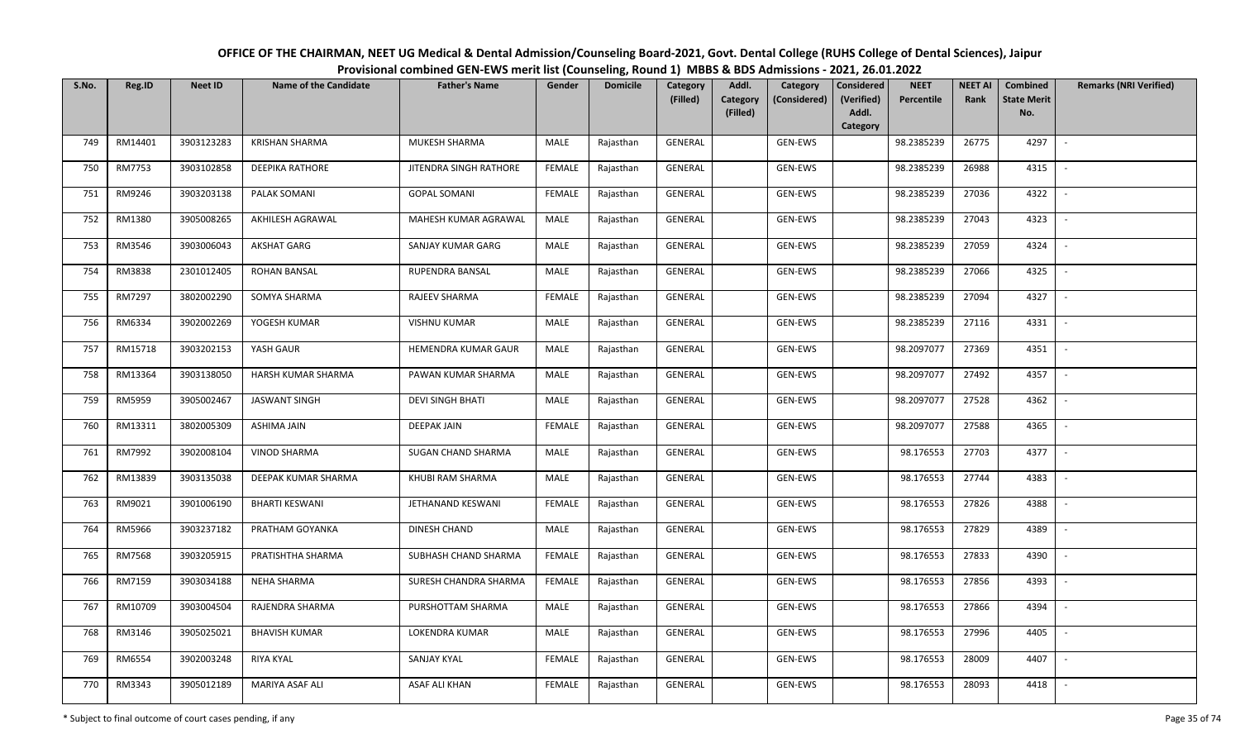| OFFICE OF THE CHAIRMAN, NEET UG Medical & Dental Admission/Counseling Board-2021, Govt. Dental College (RUHS College of Dental Sciences), Jaipur |  |  |  |  |  |  |  |  |  |  |  |  |
|--------------------------------------------------------------------------------------------------------------------------------------------------|--|--|--|--|--|--|--|--|--|--|--|--|
| Provisional combined GEN-EWS merit list (Counseling, Round 1) MBBS & BDS Admissions - 2021, 26.01.2022                                           |  |  |  |  |  |  |  |  |  |  |  |  |
|                                                                                                                                                  |  |  |  |  |  |  |  |  |  |  |  |  |

| S.No. | Reg.ID  | <b>Neet ID</b> | <b>Name of the Candidate</b> | <b>Father's Name</b>      | Gender        | <b>Domicile</b> | <b>Category</b><br>(Filled) | Addl.<br>Category<br>Category<br>(Considered) | <b>Considered</b><br>(Verified) | <b>NEET</b><br>Percentile | <b>NEET AI</b><br>Rank | <b>Combined</b><br><b>State Merit</b> | <b>Remarks (NRI Verified)</b> |
|-------|---------|----------------|------------------------------|---------------------------|---------------|-----------------|-----------------------------|-----------------------------------------------|---------------------------------|---------------------------|------------------------|---------------------------------------|-------------------------------|
|       |         |                |                              |                           |               |                 |                             | (Filled)                                      | Addl.<br>Category               |                           |                        | No.                                   |                               |
| 749   | RM14401 | 3903123283     | <b>KRISHAN SHARMA</b>        | MUKESH SHARMA             | MALE          | Rajasthan       | <b>GENERAL</b>              | GEN-EWS                                       |                                 | 98.2385239                | 26775                  | 4297                                  | $\overline{\phantom{a}}$      |
| 750   | RM7753  | 3903102858     | <b>DEEPIKA RATHORE</b>       | JITENDRA SINGH RATHORE    | <b>FEMALE</b> | Rajasthan       | GENERAL                     | GEN-EWS                                       |                                 | 98.2385239                | 26988                  | 4315                                  |                               |
| 751   | RM9246  | 3903203138     | PALAK SOMANI                 | <b>GOPAL SOMANI</b>       | <b>FEMALE</b> | Rajasthan       | GENERAL                     | GEN-EWS                                       |                                 | 98.2385239                | 27036                  | 4322                                  | $\sim$                        |
| 752   | RM1380  | 3905008265     | AKHILESH AGRAWAL             | MAHESH KUMAR AGRAWAL      | MALE          | Rajasthan       | GENERAL                     | GEN-EWS                                       |                                 | 98.2385239                | 27043                  | 4323                                  | $\sim$                        |
| 753   | RM3546  | 3903006043     | <b>AKSHAT GARG</b>           | SANJAY KUMAR GARG         | MALE          | Rajasthan       | GENERAL                     | GEN-EWS                                       |                                 | 98.2385239                | 27059                  | 4324                                  | $\sim$                        |
| 754   | RM3838  | 2301012405     | <b>ROHAN BANSAL</b>          | RUPENDRA BANSAL           | MALE          | Rajasthan       | GENERAL                     | GEN-EWS                                       |                                 | 98.2385239                | 27066                  | 4325                                  | $\overline{\phantom{a}}$      |
| 755   | RM7297  | 3802002290     | SOMYA SHARMA                 | RAJEEV SHARMA             | <b>FEMALE</b> | Rajasthan       | GENERAL                     | GEN-EWS                                       |                                 | 98.2385239                | 27094                  | 4327                                  |                               |
| 756   | RM6334  | 3902002269     | YOGESH KUMAR                 | <b>VISHNU KUMAR</b>       | MALE          | Rajasthan       | <b>GENERAL</b>              | GEN-EWS                                       |                                 | 98.2385239                | 27116                  | 4331                                  |                               |
| 757   | RM15718 | 3903202153     | YASH GAUR                    | HEMENDRA KUMAR GAUR       | <b>MALE</b>   | Rajasthan       | <b>GENERAL</b>              | GEN-EWS                                       |                                 | 98.2097077                | 27369                  | 4351                                  |                               |
| 758   | RM13364 | 3903138050     | HARSH KUMAR SHARMA           | PAWAN KUMAR SHARMA        | <b>MALE</b>   | Rajasthan       | GENERAL                     | GEN-EWS                                       |                                 | 98.2097077                | 27492                  | 4357                                  |                               |
| 759   | RM5959  | 3905002467     | <b>JASWANT SINGH</b>         | <b>DEVI SINGH BHATI</b>   | MALE          | Rajasthan       | GENERAL                     | GEN-EWS                                       |                                 | 98.2097077                | 27528                  | 4362                                  |                               |
| 760   | RM13311 | 3802005309     | ASHIMA JAIN                  | <b>DEEPAK JAIN</b>        | <b>FEMALE</b> | Rajasthan       | GENERAL                     | GEN-EWS                                       |                                 | 98.2097077                | 27588                  | 4365                                  | $\overline{\phantom{a}}$      |
| 761   | RM7992  | 3902008104     | VINOD SHARMA                 | <b>SUGAN CHAND SHARMA</b> | <b>MALE</b>   | Rajasthan       | GENERAL                     | GEN-EWS                                       |                                 | 98.176553                 | 27703                  | 4377                                  |                               |
| 762   | RM13839 | 3903135038     | DEEPAK KUMAR SHARMA          | KHUBI RAM SHARMA          | MALE          | Rajasthan       | GENERAL                     | GEN-EWS                                       |                                 | 98.176553                 | 27744                  | 4383                                  | $\sim$                        |
| 763   | RM9021  | 3901006190     | <b>BHARTI KESWANI</b>        | JETHANAND KESWANI         | <b>FEMALE</b> | Rajasthan       | GENERAL                     | GEN-EWS                                       |                                 | 98.176553                 | 27826                  | 4388                                  | $\overline{\phantom{a}}$      |
| 764   | RM5966  | 3903237182     | PRATHAM GOYANKA              | DINESH CHAND              | MALE          | Rajasthan       | GENERAL                     | GEN-EWS                                       |                                 | 98.176553                 | 27829                  | 4389                                  | $\sim$                        |
| 765   | RM7568  | 3903205915     | PRATISHTHA SHARMA            | SUBHASH CHAND SHARMA      | <b>FEMALE</b> | Rajasthan       | GENERAL                     | GEN-EWS                                       |                                 | 98.176553                 | 27833                  | 4390                                  | $\overline{\phantom{a}}$      |
| 766   | RM7159  | 3903034188     | <b>NEHA SHARMA</b>           | SURESH CHANDRA SHARMA     | <b>FEMALE</b> | Rajasthan       | <b>GENERAL</b>              | GEN-EWS                                       |                                 | 98.176553                 | 27856                  | 4393                                  | $\overline{\phantom{a}}$      |
| 767   | RM10709 | 3903004504     | RAJENDRA SHARMA              | PURSHOTTAM SHARMA         | MALE          | Rajasthan       | GENERAL                     | GEN-EWS                                       |                                 | 98.176553                 | 27866                  | 4394                                  |                               |
| 768   | RM3146  | 3905025021     | <b>BHAVISH KUMAR</b>         | LOKENDRA KUMAR            | MALE          | Rajasthan       | GENERAL                     | GEN-EWS                                       |                                 | 98.176553                 | 27996                  | 4405                                  |                               |
| 769   | RM6554  | 3902003248     | <b>RIYA KYAL</b>             | <b>SANJAY KYAL</b>        | <b>FEMALE</b> | Rajasthan       | <b>GENERAL</b>              | GEN-EWS                                       |                                 | 98.176553                 | 28009                  | 4407                                  | $\sim$                        |
| 770   | RM3343  | 3905012189     | MARIYA ASAF ALI              | ASAF ALI KHAN             | FEMALE        | Rajasthan       | GENERAL                     | GEN-EWS                                       |                                 | 98.176553                 | 28093                  | 4418                                  |                               |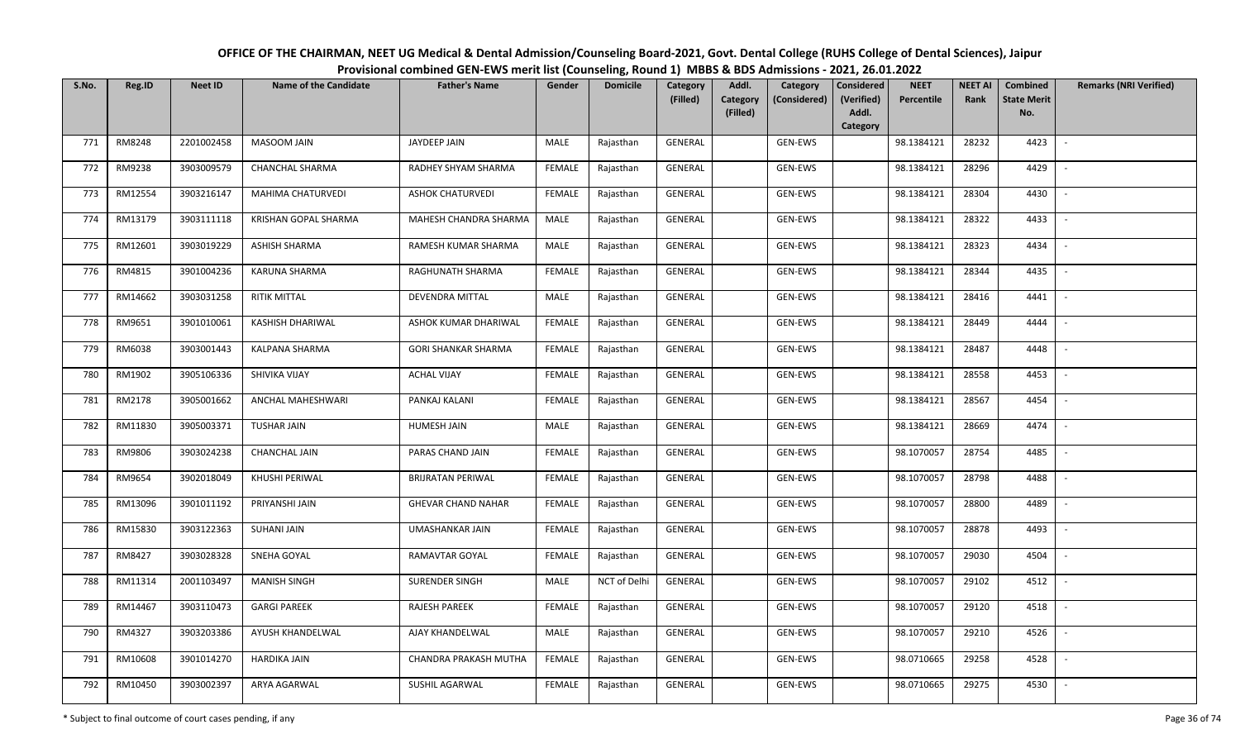| OFFICE OF THE CHAIRMAN, NEET UG Medical & Dental Admission/Counseling Board-2021, Govt. Dental College (RUHS College of Dental Sciences), Jaipur |
|--------------------------------------------------------------------------------------------------------------------------------------------------|
| Provisional combined GEN-EWS merit list (Counseling, Round 1) MBBS & BDS Admissions - 2021, 26.01.2022                                           |

| S.No. | Reg.ID  | <b>Neet ID</b> | <b>Name of the Candidate</b> | <b>Father's Name</b>       | Gender        | <b>Domicile</b> | Category<br>(Filled) | Addl.<br><b>Category</b><br>(Filled) | Category<br>(Considered) | <b>Considered</b><br>(Verified)<br>Addl.<br>Category | <b>NEET</b><br>Percentile | <b>NEET AI</b><br>Rank | Combined<br><b>State Merit</b><br>No. | <b>Remarks (NRI Verified)</b> |
|-------|---------|----------------|------------------------------|----------------------------|---------------|-----------------|----------------------|--------------------------------------|--------------------------|------------------------------------------------------|---------------------------|------------------------|---------------------------------------|-------------------------------|
| 771   | RM8248  | 2201002458     | MASOOM JAIN                  | JAYDEEP JAIN               | MALE          | Rajasthan       | GENERAL              |                                      | GEN-EWS                  |                                                      | 98.1384121                | 28232                  | 4423                                  | $\sim$                        |
| 772   | RM9238  | 3903009579     | <b>CHANCHAL SHARMA</b>       | RADHEY SHYAM SHARMA        | <b>FEMALE</b> | Rajasthan       | GENERAL              |                                      | GEN-EWS                  |                                                      | 98.1384121                | 28296                  | 4429                                  |                               |
| 773   | RM12554 | 3903216147     | MAHIMA CHATURVEDI            | <b>ASHOK CHATURVEDI</b>    | <b>FEMALE</b> | Rajasthan       | GENERAL              |                                      | <b>GEN-EWS</b>           |                                                      | 98.1384121                | 28304                  | 4430                                  | $\sim$                        |
| 774   | RM13179 | 3903111118     | KRISHAN GOPAL SHARMA         | MAHESH CHANDRA SHARMA      | MALE          | Rajasthan       | GENERAL              |                                      | GEN-EWS                  |                                                      | 98.1384121                | 28322                  | 4433                                  | $\overline{\phantom{a}}$      |
| 775   | RM12601 | 3903019229     | ASHISH SHARMA                | RAMESH KUMAR SHARMA        | MALE          | Rajasthan       | GENERAL              |                                      | GEN-EWS                  |                                                      | 98.1384121                | 28323                  | 4434                                  | $\sim$                        |
| 776   | RM4815  | 3901004236     | KARUNA SHARMA                | RAGHUNATH SHARMA           | <b>FEMALE</b> | Rajasthan       | GENERAL              |                                      | GEN-EWS                  |                                                      | 98.1384121                | 28344                  | 4435                                  | $\overline{\phantom{a}}$      |
| 777   | RM14662 | 3903031258     | <b>RITIK MITTAL</b>          | DEVENDRA MITTAL            | MALE          | Rajasthan       | GENERAL              |                                      | GEN-EWS                  |                                                      | 98.1384121                | 28416                  | 4441                                  |                               |
| 778   | RM9651  | 3901010061     | KASHISH DHARIWAL             | ASHOK KUMAR DHARIWAL       | <b>FEMALE</b> | Rajasthan       | GENERAL              |                                      | GEN-EWS                  |                                                      | 98.1384121                | 28449                  | 4444                                  | $\overline{\phantom{a}}$      |
| 779   | RM6038  | 3903001443     | KALPANA SHARMA               | <b>GORI SHANKAR SHARMA</b> | <b>FEMALE</b> | Rajasthan       | GENERAL              |                                      | GEN-EWS                  |                                                      | 98.1384121                | 28487                  | 4448                                  |                               |
| 780   | RM1902  | 3905106336     | SHIVIKA VIJAY                | <b>ACHAL VIJAY</b>         | <b>FEMALE</b> | Rajasthan       | GENERAL              |                                      | GEN-EWS                  |                                                      | 98.1384121                | 28558                  | 4453                                  | $\overline{\phantom{a}}$      |
| 781   | RM2178  | 3905001662     | ANCHAL MAHESHWARI            | PANKAJ KALANI              | <b>FEMALE</b> | Rajasthan       | GENERAL              |                                      | GEN-EWS                  |                                                      | 98.1384121                | 28567                  | 4454                                  |                               |
| 782   | RM11830 | 3905003371     | <b>TUSHAR JAIN</b>           | <b>HUMESH JAIN</b>         | MALE          | Rajasthan       | GENERAL              |                                      | GEN-EWS                  |                                                      | 98.1384121                | 28669                  | 4474                                  | $\overline{\phantom{a}}$      |
| 783   | RM9806  | 3903024238     | <b>CHANCHAL JAIN</b>         | PARAS CHAND JAIN           | <b>FEMALE</b> | Rajasthan       | GENERAL              |                                      | GEN-EWS                  |                                                      | 98.1070057                | 28754                  | 4485                                  |                               |
| 784   | RM9654  | 3902018049     | KHUSHI PERIWAL               | <b>BRIJRATAN PERIWAL</b>   | <b>FEMALE</b> | Rajasthan       | GENERAL              |                                      | GEN-EWS                  |                                                      | 98.1070057                | 28798                  | 4488                                  | $\overline{\phantom{a}}$      |
| 785   | RM13096 | 3901011192     | PRIYANSHI JAIN               | <b>GHEVAR CHAND NAHAR</b>  | <b>FEMALE</b> | Rajasthan       | GENERAL              |                                      | GEN-EWS                  |                                                      | 98.1070057                | 28800                  | 4489                                  | $\sim$                        |
| 786   | RM15830 | 3903122363     | SUHANI JAIN                  | UMASHANKAR JAIN            | <b>FEMALE</b> | Rajasthan       | GENERAL              |                                      | GEN-EWS                  |                                                      | 98.1070057                | 28878                  | 4493                                  | $\sim$                        |
| 787   | RM8427  | 3903028328     | SNEHA GOYAL                  | RAMAVTAR GOYAL             | <b>FEMALE</b> | Rajasthan       | GENERAL              |                                      | GEN-EWS                  |                                                      | 98.1070057                | 29030                  | 4504                                  | $\sim$                        |
| 788   | RM11314 | 2001103497     | <b>MANISH SINGH</b>          | SURENDER SINGH             | MALE          | NCT of Delhi    | GENERAL              |                                      | GEN-EWS                  |                                                      | 98.1070057                | 29102                  | 4512                                  |                               |
| 789   | RM14467 | 3903110473     | <b>GARGI PAREEK</b>          | RAJESH PAREEK              | <b>FEMALE</b> | Rajasthan       | GENERAL              |                                      | GEN-EWS                  |                                                      | 98.1070057                | 29120                  | 4518                                  |                               |
| 790   | RM4327  | 3903203386     | AYUSH KHANDELWAL             | AJAY KHANDELWAL            | MALE          | Rajasthan       | GENERAL              |                                      | GEN-EWS                  |                                                      | 98.1070057                | 29210                  | 4526                                  |                               |
| 791   | RM10608 | 3901014270     | <b>HARDIKA JAIN</b>          | CHANDRA PRAKASH MUTHA      | <b>FEMALE</b> | Rajasthan       | GENERAL              |                                      | GEN-EWS                  |                                                      | 98.0710665                | 29258                  | 4528                                  |                               |
| 792   | RM10450 | 3903002397     | ARYA AGARWAL                 | SUSHIL AGARWAL             | FEMALE        | Rajasthan       | GENERAL              |                                      | GEN-EWS                  |                                                      | 98.0710665                | 29275                  | 4530                                  |                               |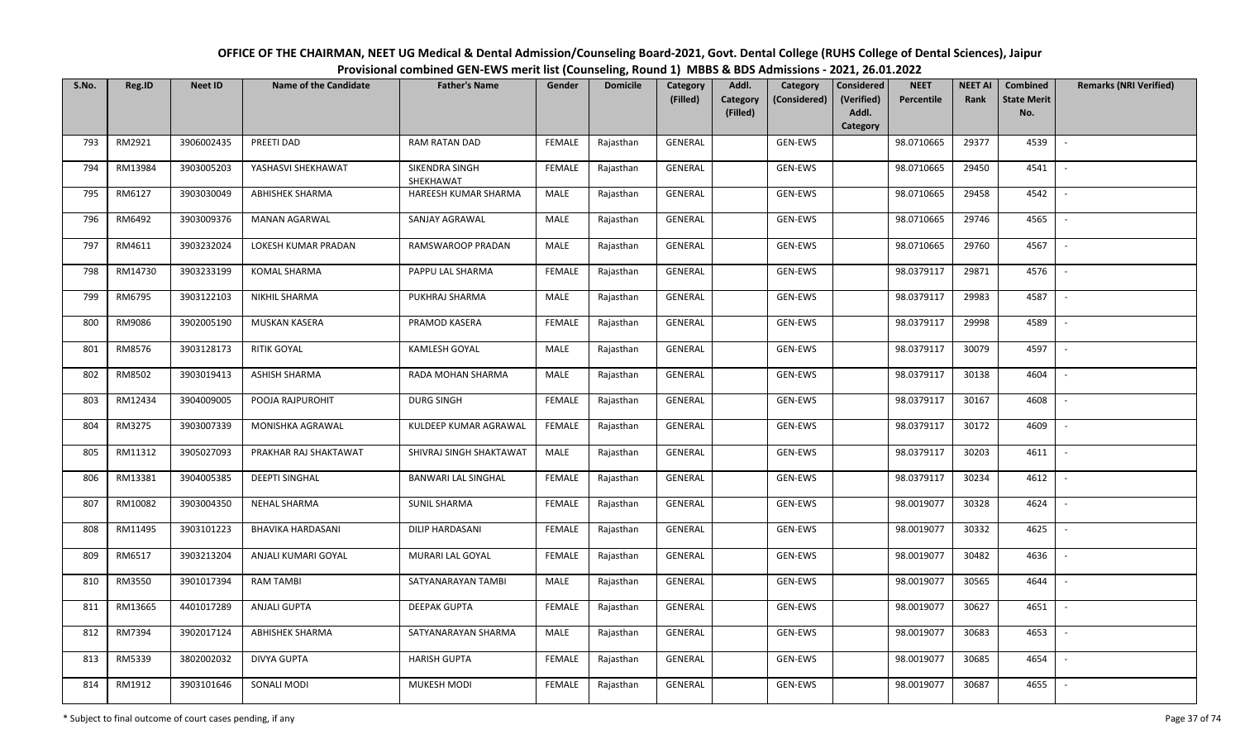| OFFICE OF THE CHAIRMAN, NEET UG Medical & Dental Admission/Counseling Board-2021, Govt. Dental College (RUHS College of Dental Sciences), Jaipur |
|--------------------------------------------------------------------------------------------------------------------------------------------------|
| Provisional combined GEN-EWS merit list (Counseling, Round 1) MBBS & BDS Admissions - 2021, 26.01.2022                                           |

| S.No. | Reg.ID  | <b>Neet ID</b> | <b>Name of the Candidate</b> | <b>Father's Name</b>        | Gender        | <b>Domicile</b> | Category<br>(Filled) | Addl.<br>Category<br>Category<br>(Considered)<br>(Filled) | <b>Considered</b><br>(Verified)<br>Addl. | <b>NEET</b><br>Percentile | <b>NEET AI</b><br>Rank | Combined<br><b>State Merit</b><br>No. | <b>Remarks (NRI Verified)</b> |
|-------|---------|----------------|------------------------------|-----------------------------|---------------|-----------------|----------------------|-----------------------------------------------------------|------------------------------------------|---------------------------|------------------------|---------------------------------------|-------------------------------|
|       |         |                |                              |                             |               |                 |                      |                                                           | Category                                 |                           |                        |                                       |                               |
| 793   | RM2921  | 3906002435     | PREETI DAD                   | RAM RATAN DAD               | FEMALE        | Rajasthan       | GENERAL              | GEN-EWS                                                   |                                          | 98.0710665                | 29377                  | 4539                                  |                               |
| 794   | RM13984 | 3903005203     | YASHASVI SHEKHAWAT           | SIKENDRA SINGH<br>SHEKHAWAT | <b>FEMALE</b> | Rajasthan       | GENERAL              | GEN-EWS                                                   |                                          | 98.0710665                | 29450                  | 4541                                  |                               |
| 795   | RM6127  | 3903030049     | ABHISHEK SHARMA              | HAREESH KUMAR SHARMA        | MALE          | Rajasthan       | GENERAL              | GEN-EWS                                                   |                                          | 98.0710665                | 29458                  | 4542                                  | $\sim$                        |
| 796   | RM6492  | 3903009376     | <b>MANAN AGARWAL</b>         | SANJAY AGRAWAL              | MALE          | Rajasthan       | GENERAL              | GEN-EWS                                                   |                                          | 98.0710665                | 29746                  | 4565                                  | $\overline{\phantom{a}}$      |
| 797   | RM4611  | 3903232024     | LOKESH KUMAR PRADAN          | RAMSWAROOP PRADAN           | MALE          | Rajasthan       | GENERAL              | GEN-EWS                                                   |                                          | 98.0710665                | 29760                  | 4567                                  | $\sim$                        |
| 798   | RM14730 | 3903233199     | <b>KOMAL SHARMA</b>          | PAPPU LAL SHARMA            | <b>FEMALE</b> | Rajasthan       | GENERAL              | GEN-EWS                                                   |                                          | 98.0379117                | 29871                  | 4576                                  | $\sim$                        |
| 799   | RM6795  | 3903122103     | <b>NIKHIL SHARMA</b>         | PUKHRAJ SHARMA              | MALE          | Rajasthan       | GENERAL              | GEN-EWS                                                   |                                          | 98.0379117                | 29983                  | 4587                                  |                               |
| 800   | RM9086  | 3902005190     | MUSKAN KASERA                | PRAMOD KASERA               | <b>FEMALE</b> | Rajasthan       | <b>GENERAL</b>       | GEN-EWS                                                   |                                          | 98.0379117                | 29998                  | 4589                                  |                               |
| 801   | RM8576  | 3903128173     | <b>RITIK GOYAL</b>           | KAMLESH GOYAL               | <b>MALE</b>   | Rajasthan       | GENERAL              | GEN-EWS                                                   |                                          | 98.0379117                | 30079                  | 4597                                  |                               |
| 802   | RM8502  | 3903019413     | <b>ASHISH SHARMA</b>         | RADA MOHAN SHARMA           | MALE          | Rajasthan       | GENERAL              | GEN-EWS                                                   |                                          | 98.0379117                | 30138                  | 4604                                  |                               |
| 803   | RM12434 | 3904009005     | POOJA RAJPUROHIT             | <b>DURG SINGH</b>           | <b>FEMALE</b> | Rajasthan       | GENERAL              | GEN-EWS                                                   |                                          | 98.0379117                | 30167                  | 4608                                  |                               |
| 804   | RM3275  | 3903007339     | MONISHKA AGRAWAL             | KULDEEP KUMAR AGRAWAL       | <b>FEMALE</b> | Rajasthan       | GENERAL              | GEN-EWS                                                   |                                          | 98.0379117                | 30172                  | 4609                                  | $\overline{\phantom{a}}$      |
| 805   | RM11312 | 3905027093     | PRAKHAR RAJ SHAKTAWAT        | SHIVRAJ SINGH SHAKTAWAT     | MALE          | Rajasthan       | GENERAL              | GEN-EWS                                                   |                                          | 98.0379117                | 30203                  | 4611                                  |                               |
| 806   | RM13381 | 3904005385     | <b>DEEPTI SINGHAL</b>        | BANWARI LAL SINGHAL         | <b>FEMALE</b> | Rajasthan       | GENERAL              | GEN-EWS                                                   |                                          | 98.0379117                | 30234                  | 4612                                  | $\overline{\phantom{a}}$      |
| 807   | RM10082 | 3903004350     | <b>NEHAL SHARMA</b>          | <b>SUNIL SHARMA</b>         | <b>FEMALE</b> | Rajasthan       | GENERAL              | GEN-EWS                                                   |                                          | 98.0019077                | 30328                  | 4624                                  | $\sim$                        |
| 808   | RM11495 | 3903101223     | <b>BHAVIKA HARDASANI</b>     | DILIP HARDASANI             | <b>FEMALE</b> | Rajasthan       | GENERAL              | GEN-EWS                                                   |                                          | 98.0019077                | 30332                  | 4625                                  | $\overline{\phantom{a}}$      |
| 809   | RM6517  | 3903213204     | ANJALI KUMARI GOYAL          | MURARI LAL GOYAL            | <b>FEMALE</b> | Rajasthan       | GENERAL              | GEN-EWS                                                   |                                          | 98.0019077                | 30482                  | 4636                                  | $\overline{\phantom{a}}$      |
| 810   | RM3550  | 3901017394     | <b>RAM TAMBI</b>             | SATYANARAYAN TAMBI          | MALE          | Rajasthan       | GENERAL              | GEN-EWS                                                   |                                          | 98.0019077                | 30565                  | 4644                                  | $\overline{\phantom{a}}$      |
| 811   | RM13665 | 4401017289     | ANJALI GUPTA                 | <b>DEEPAK GUPTA</b>         | <b>FEMALE</b> | Rajasthan       | GENERAL              | GEN-EWS                                                   |                                          | 98.0019077                | 30627                  | 4651                                  |                               |
| 812   | RM7394  | 3902017124     | ABHISHEK SHARMA              | SATYANARAYAN SHARMA         | MALE          | Rajasthan       | GENERAL              | GEN-EWS                                                   |                                          | 98.0019077                | 30683                  | 4653                                  |                               |
| 813   | RM5339  | 3802002032     | <b>DIVYA GUPTA</b>           | <b>HARISH GUPTA</b>         | <b>FEMALE</b> | Rajasthan       | <b>GENERAL</b>       | GEN-EWS                                                   |                                          | 98.0019077                | 30685                  | 4654                                  | $\sim$                        |
| 814   | RM1912  | 3903101646     | SONALI MODI                  | MUKESH MODI                 | FEMALE        | Rajasthan       | GENERAL              | GEN-EWS                                                   |                                          | 98.0019077                | 30687                  | 4655                                  |                               |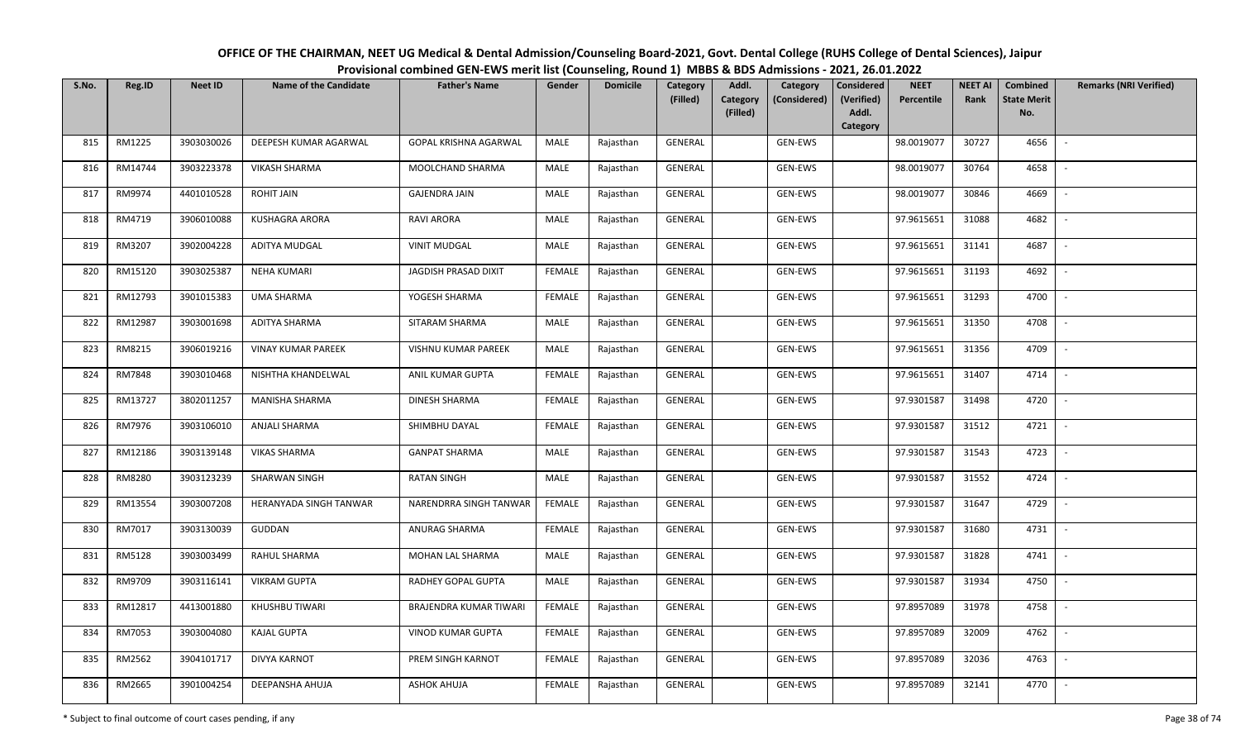| OFFICE OF THE CHAIRMAN, NEET UG Medical & Dental Admission/Counseling Board-2021, Govt. Dental College (RUHS College of Dental Sciences), Jaipur |
|--------------------------------------------------------------------------------------------------------------------------------------------------|
| Provisional combined GEN-EWS merit list (Counseling, Round 1) MBBS & BDS Admissions - 2021, 26.01.2022                                           |

| S.No. | Reg.ID  | <b>Neet ID</b> | <b>Name of the Candidate</b> | <b>Father's Name</b>          | Gender        | <b>Domicile</b> | <b>Category</b> | Addl.                | Category       | <b>Considered</b>   | <b>NEET</b> | <b>NEET AI</b> | Combined                  | <b>Remarks (NRI Verified)</b> |
|-------|---------|----------------|------------------------------|-------------------------------|---------------|-----------------|-----------------|----------------------|----------------|---------------------|-------------|----------------|---------------------------|-------------------------------|
|       |         |                |                              |                               |               |                 | (Filled)        | Category<br>(Filled) | (Considered)   | (Verified)<br>Addl. | Percentile  | Rank           | <b>State Merit</b><br>No. |                               |
|       |         |                |                              |                               |               |                 |                 |                      |                | Category            |             |                |                           |                               |
| 815   | RM1225  | 3903030026     | DEEPESH KUMAR AGARWAL        | <b>GOPAL KRISHNA AGARWAL</b>  | MALE          | Rajasthan       | <b>GENERAL</b>  |                      | <b>GEN-EWS</b> |                     | 98.0019077  | 30727          | 4656                      | $\overline{\phantom{a}}$      |
| 816   | RM14744 | 3903223378     | <b>VIKASH SHARMA</b>         | MOOLCHAND SHARMA              | MALE          | Rajasthan       | GENERAL         |                      | GEN-EWS        |                     | 98.0019077  | 30764          | 4658                      |                               |
| 817   | RM9974  | 4401010528     | ROHIT JAIN                   | <b>GAJENDRA JAIN</b>          | MALE          | Rajasthan       | GENERAL         |                      | GEN-EWS        |                     | 98.0019077  | 30846          | 4669                      | $\sim$                        |
| 818   | RM4719  | 3906010088     | KUSHAGRA ARORA               | RAVI ARORA                    | MALE          | Rajasthan       | GENERAL         |                      | GEN-EWS        |                     | 97.9615651  | 31088          | 4682                      | $\overline{\phantom{a}}$      |
| 819   | RM3207  | 3902004228     | ADITYA MUDGAL                | <b>VINIT MUDGAL</b>           | MALE          | Rajasthan       | GENERAL         |                      | GEN-EWS        |                     | 97.9615651  | 31141          | 4687                      | $\sim$                        |
| 820   | RM15120 | 3903025387     | <b>NEHA KUMARI</b>           | JAGDISH PRASAD DIXIT          | <b>FEMALE</b> | Rajasthan       | GENERAL         |                      | GEN-EWS        |                     | 97.9615651  | 31193          | 4692                      | $\overline{\phantom{a}}$      |
| 821   | RM12793 | 3901015383     | UMA SHARMA                   | YOGESH SHARMA                 | FEMALE        | Rajasthan       | GENERAL         |                      | GEN-EWS        |                     | 97.9615651  | 31293          | 4700                      |                               |
| 822   | RM12987 | 3903001698     | <b>ADITYA SHARMA</b>         | SITARAM SHARMA                | MALE          | Rajasthan       | GENERAL         |                      | GEN-EWS        |                     | 97.9615651  | 31350          | 4708                      |                               |
| 823   | RM8215  | 3906019216     | <b>VINAY KUMAR PAREEK</b>    | <b>VISHNU KUMAR PAREEK</b>    | MALE          | Rajasthan       | GENERAL         |                      | GEN-EWS        |                     | 97.9615651  | 31356          | 4709                      | $\overline{\phantom{a}}$      |
| 824   | RM7848  | 3903010468     | NISHTHA KHANDELWAL           | ANIL KUMAR GUPTA              | <b>FEMALE</b> | Rajasthan       | GENERAL         |                      | GEN-EWS        |                     | 97.9615651  | 31407          | 4714                      |                               |
| 825   | RM13727 | 3802011257     | <b>MANISHA SHARMA</b>        | <b>DINESH SHARMA</b>          | <b>FEMALE</b> | Rajasthan       | GENERAL         |                      | GEN-EWS        |                     | 97.9301587  | 31498          | 4720                      |                               |
| 826   | RM7976  | 3903106010     | <b>ANJALI SHARMA</b>         | SHIMBHU DAYAL                 | FEMALE        | Rajasthan       | GENERAL         |                      | GEN-EWS        |                     | 97.9301587  | 31512          | 4721                      | $\sim$                        |
| 827   | RM12186 | 3903139148     | <b>VIKAS SHARMA</b>          | <b>GANPAT SHARMA</b>          | MALE          | Rajasthan       | GENERAL         |                      | GEN-EWS        |                     | 97.9301587  | 31543          | 4723                      |                               |
| 828   | RM8280  | 3903123239     | <b>SHARWAN SINGH</b>         | <b>RATAN SINGH</b>            | MALE          | Rajasthan       | GENERAL         |                      | GEN-EWS        |                     | 97.9301587  | 31552          | 4724                      | $\sim$                        |
| 829   | RM13554 | 3903007208     | HERANYADA SINGH TANWAR       | NARENDRRA SINGH TANWAR        | <b>FEMALE</b> | Rajasthan       | GENERAL         |                      | GEN-EWS        |                     | 97.9301587  | 31647          | 4729                      | $\sim$                        |
| 830   | RM7017  | 3903130039     | <b>GUDDAN</b>                | ANURAG SHARMA                 | <b>FEMALE</b> | Rajasthan       | GENERAL         |                      | GEN-EWS        |                     | 97.9301587  | 31680          | 4731                      | $\sim$                        |
| 831   | RM5128  | 3903003499     | RAHUL SHARMA                 | MOHAN LAL SHARMA              | MALE          | Rajasthan       | GENERAL         |                      | GEN-EWS        |                     | 97.9301587  | 31828          | 4741                      | $\sim$                        |
| 832   | RM9709  | 3903116141     | <b>VIKRAM GUPTA</b>          | RADHEY GOPAL GUPTA            | MALE          | Rajasthan       | GENERAL         |                      | GEN-EWS        |                     | 97.9301587  | 31934          | 4750                      |                               |
| 833   | RM12817 | 4413001880     | KHUSHBU TIWARI               | <b>BRAJENDRA KUMAR TIWARI</b> | <b>FEMALE</b> | Rajasthan       | <b>GENERAL</b>  |                      | GEN-EWS        |                     | 97.8957089  | 31978          | 4758                      |                               |
| 834   | RM7053  | 3903004080     | <b>KAJAL GUPTA</b>           | VINOD KUMAR GUPTA             | <b>FEMALE</b> | Rajasthan       | GENERAL         |                      | GEN-EWS        |                     | 97.8957089  | 32009          | 4762                      |                               |
| 835   | RM2562  | 3904101717     | <b>DIVYA KARNOT</b>          | PREM SINGH KARNOT             | <b>FEMALE</b> | Rajasthan       | GENERAL         |                      | GEN-EWS        |                     | 97.8957089  | 32036          | 4763                      |                               |
| 836   | RM2665  | 3901004254     | DEEPANSHA AHUJA              | <b>ASHOK AHUJA</b>            | <b>FEMALE</b> | Rajasthan       | GENERAL         |                      | GEN-EWS        |                     | 97.8957089  | 32141          | 4770                      |                               |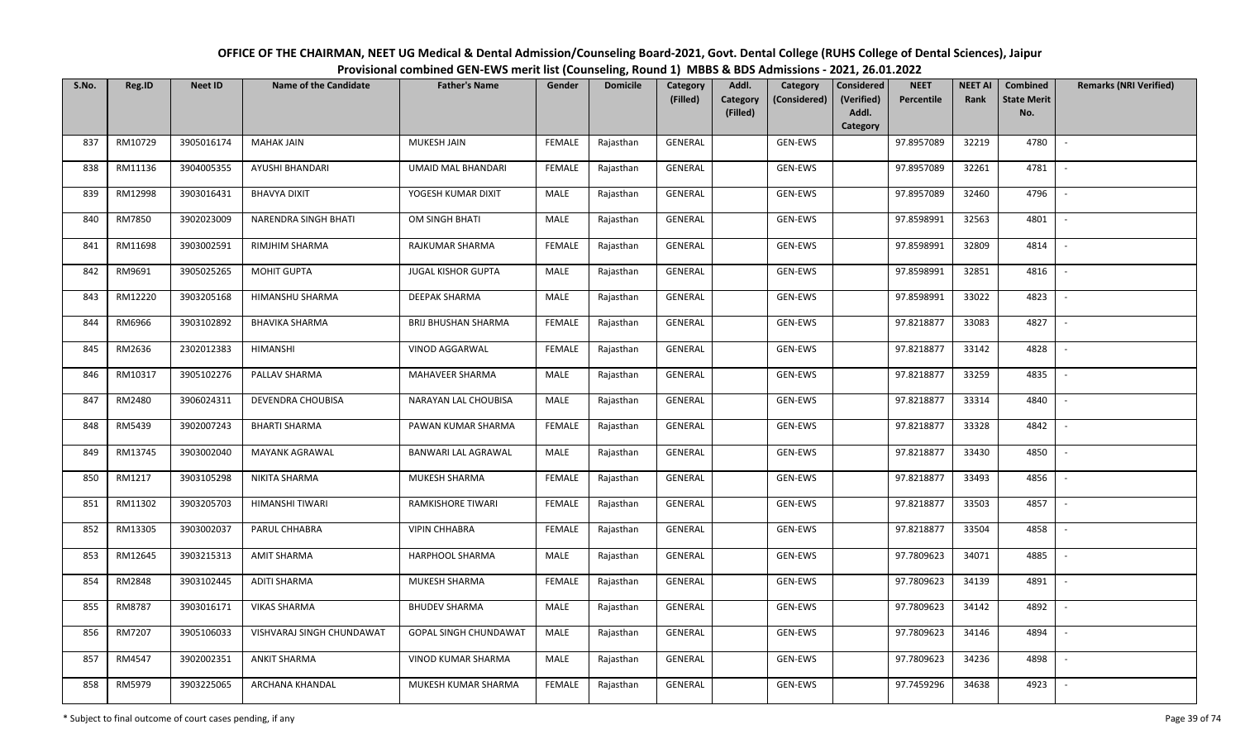| OFFICE OF THE CHAIRMAN, NEET UG Medical & Dental Admission/Counseling Board-2021, Govt. Dental College (RUHS College of Dental Sciences), Jaipur |  |  |  |  |  |  |  |  |  |  |  |  |  |
|--------------------------------------------------------------------------------------------------------------------------------------------------|--|--|--|--|--|--|--|--|--|--|--|--|--|
| Provisional combined GEN-EWS merit list (Counseling, Round 1) MBBS & BDS Admissions - 2021, 26.01.2022                                           |  |  |  |  |  |  |  |  |  |  |  |  |  |
|                                                                                                                                                  |  |  |  |  |  |  |  |  |  |  |  |  |  |

| S.No. | Reg.ID  | <b>Neet ID</b> | <b>Name of the Candidate</b> | <b>Father's Name</b>         | Gender        | <b>Domicile</b> | Category<br>(Filled) | Addl.<br>Category | Category<br>(Considered) | <b>Considered</b><br>(Verified) | <b>NEET</b><br>Percentile | <b>NEET AI</b><br>Rank | Combined<br><b>State Merit</b> | <b>Remarks (NRI Verified)</b> |
|-------|---------|----------------|------------------------------|------------------------------|---------------|-----------------|----------------------|-------------------|--------------------------|---------------------------------|---------------------------|------------------------|--------------------------------|-------------------------------|
|       |         |                |                              |                              |               |                 |                      | (Filled)          |                          | Addl.<br>Category               |                           |                        | No.                            |                               |
| 837   | RM10729 | 3905016174     | <b>MAHAK JAIN</b>            | MUKESH JAIN                  | <b>FEMALE</b> | Rajasthan       | GENERAL              |                   | GEN-EWS                  |                                 | 97.8957089                | 32219                  | 4780                           | $\overline{\phantom{a}}$      |
| 838   | RM11136 | 3904005355     | AYUSHI BHANDARI              | <b>UMAID MAL BHANDARI</b>    | <b>FEMALE</b> | Rajasthan       | GENERAL              |                   | GEN-EWS                  |                                 | 97.8957089                | 32261                  | 4781                           |                               |
| 839   | RM12998 | 3903016431     | <b>BHAVYA DIXIT</b>          | YOGESH KUMAR DIXIT           | MALE          | Rajasthan       | GENERAL              |                   | GEN-EWS                  |                                 | 97.8957089                | 32460                  | 4796                           | $\overline{\phantom{a}}$      |
| 840   | RM7850  | 3902023009     | NARENDRA SINGH BHATI         | OM SINGH BHATI               | MALE          | Rajasthan       | GENERAL              |                   | GEN-EWS                  |                                 | 97.8598991                | 32563                  | 4801                           | $\overline{\phantom{a}}$      |
| 841   | RM11698 | 3903002591     | RIMJHIM SHARMA               | RAJKUMAR SHARMA              | <b>FEMALE</b> | Rajasthan       | GENERAL              |                   | GEN-EWS                  |                                 | 97.8598991                | 32809                  | 4814                           | $\sim$                        |
| 842   | RM9691  | 3905025265     | <b>MOHIT GUPTA</b>           | <b>JUGAL KISHOR GUPTA</b>    | MALE          | Rajasthan       | GENERAL              |                   | GEN-EWS                  |                                 | 97.8598991                | 32851                  | 4816                           | $\overline{\phantom{a}}$      |
| 843   | RM12220 | 3903205168     | HIMANSHU SHARMA              | <b>DEEPAK SHARMA</b>         | <b>MALE</b>   | Rajasthan       | GENERAL              |                   | GEN-EWS                  |                                 | 97.8598991                | 33022                  | 4823                           |                               |
| 844   | RM6966  | 3903102892     | <b>BHAVIKA SHARMA</b>        | <b>BRIJ BHUSHAN SHARMA</b>   | <b>FEMALE</b> | Rajasthan       | <b>GENERAL</b>       |                   | GEN-EWS                  |                                 | 97.8218877                | 33083                  | 4827                           | $\overline{\phantom{a}}$      |
| 845   | RM2636  | 2302012383     | <b>HIMANSHI</b>              | VINOD AGGARWAL               | <b>FEMALE</b> | Rajasthan       | <b>GENERAL</b>       |                   | GEN-EWS                  |                                 | 97.8218877                | 33142                  | 4828                           |                               |
| 846   | RM10317 | 3905102276     | PALLAV SHARMA                | MAHAVEER SHARMA              | MALE          | Rajasthan       | GENERAL              |                   | GEN-EWS                  |                                 | 97.8218877                | 33259                  | 4835                           | $\sim$                        |
| 847   | RM2480  | 3906024311     | DEVENDRA CHOUBISA            | NARAYAN LAL CHOUBISA         | MALE          | Rajasthan       | GENERAL              |                   | GEN-EWS                  |                                 | 97.8218877                | 33314                  | 4840                           |                               |
| 848   | RM5439  | 3902007243     | <b>BHARTI SHARMA</b>         | PAWAN KUMAR SHARMA           | <b>FEMALE</b> | Rajasthan       | GENERAL              |                   | GEN-EWS                  |                                 | 97.8218877                | 33328                  | 4842                           | $\overline{\phantom{a}}$      |
| 849   | RM13745 | 3903002040     | <b>MAYANK AGRAWAL</b>        | <b>BANWARI LAL AGRAWAL</b>   | MALE          | Rajasthan       | GENERAL              |                   | GEN-EWS                  |                                 | 97.8218877                | 33430                  | 4850                           |                               |
| 850   | RM1217  | 3903105298     | NIKITA SHARMA                | MUKESH SHARMA                | <b>FEMALE</b> | Rajasthan       | GENERAL              |                   | GEN-EWS                  |                                 | 97.8218877                | 33493                  | 4856                           | $\overline{\phantom{a}}$      |
| 851   | RM11302 | 3903205703     | HIMANSHI TIWARI              | RAMKISHORE TIWARI            | <b>FEMALE</b> | Rajasthan       | GENERAL              |                   | GEN-EWS                  |                                 | 97.8218877                | 33503                  | 4857                           | $\overline{\phantom{a}}$      |
| 852   | RM13305 | 3903002037     | PARUL CHHABRA                | <b>VIPIN CHHABRA</b>         | <b>FEMALE</b> | Rajasthan       | GENERAL              |                   | GEN-EWS                  |                                 | 97.8218877                | 33504                  | 4858                           | $\sim$                        |
| 853   | RM12645 | 3903215313     | <b>AMIT SHARMA</b>           | HARPHOOL SHARMA              | MALE          | Rajasthan       | GENERAL              |                   | GEN-EWS                  |                                 | 97.7809623                | 34071                  | 4885                           | $\sim$                        |
| 854   | RM2848  | 3903102445     | <b>ADITI SHARMA</b>          | MUKESH SHARMA                | <b>FEMALE</b> | Rajasthan       | GENERAL              |                   | GEN-EWS                  |                                 | 97.7809623                | 34139                  | 4891                           | $\overline{\phantom{a}}$      |
| 855   | RM8787  | 3903016171     | <b>VIKAS SHARMA</b>          | <b>BHUDEV SHARMA</b>         | MALE          | Rajasthan       | GENERAL              |                   | GEN-EWS                  |                                 | 97.7809623                | 34142                  | 4892                           |                               |
| 856   | RM7207  | 3905106033     | VISHVARAJ SINGH CHUNDAWAT    | <b>GOPAL SINGH CHUNDAWAT</b> | MALE          | Rajasthan       | GENERAL              |                   | GEN-EWS                  |                                 | 97.7809623                | 34146                  | 4894                           |                               |
| 857   | RM4547  | 3902002351     | <b>ANKIT SHARMA</b>          | VINOD KUMAR SHARMA           | MALE          | Rajasthan       | <b>GENERAL</b>       |                   | GEN-EWS                  |                                 | 97.7809623                | 34236                  | 4898                           | $\sim$                        |
| 858   | RM5979  | 3903225065     | ARCHANA KHANDAL              | MUKESH KUMAR SHARMA          | <b>FEMALE</b> | Rajasthan       | GENERAL              |                   | GEN-EWS                  |                                 | 97.7459296                | 34638                  | 4923                           |                               |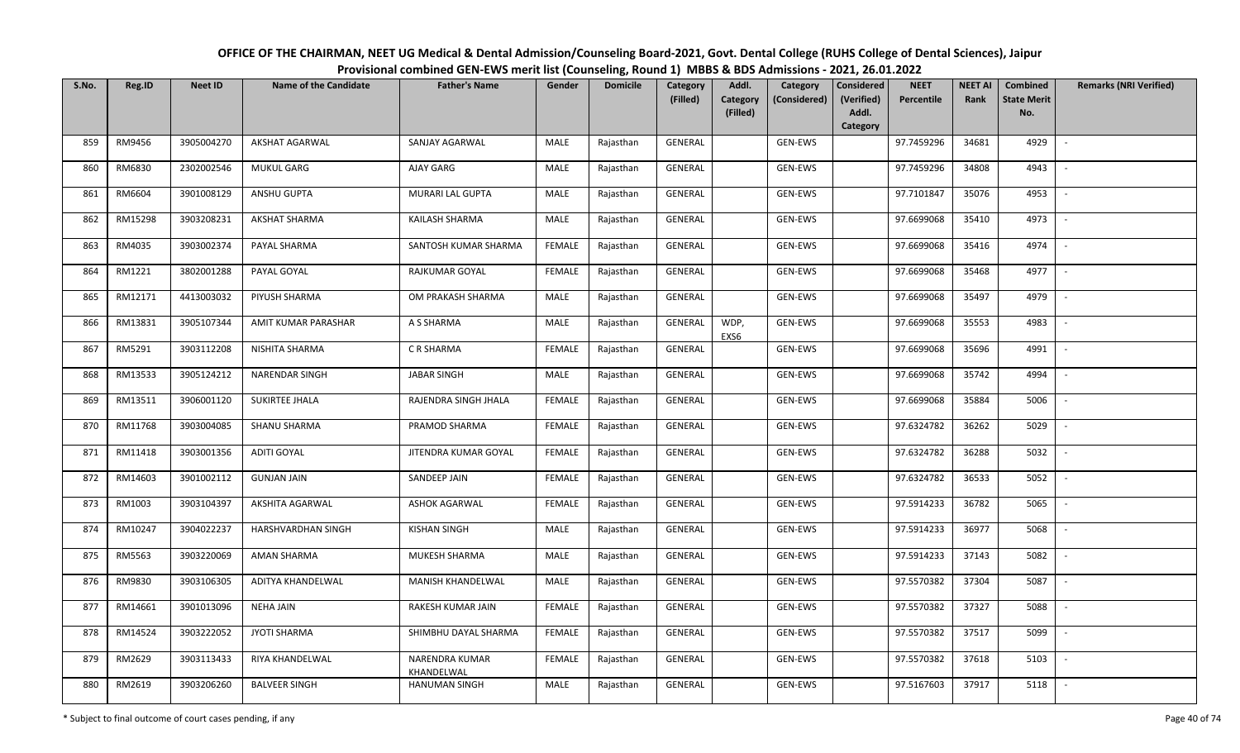| OFFICE OF THE CHAIRMAN, NEET UG Medical & Dental Admission/Counseling Board-2021, Govt. Dental College (RUHS College of Dental Sciences), Jaipur |
|--------------------------------------------------------------------------------------------------------------------------------------------------|
| Provisional combined GEN-EWS merit list (Counseling, Round 1) MBBS & BDS Admissions - 2021, 26.01.2022                                           |

| S.No. | Reg.ID  | <b>Neet ID</b> | <b>Name of the Candidate</b> | <b>Father's Name</b>                | Gender        | <b>Domicile</b> | Category<br>(Filled) | Addl.<br>Category | Category<br>(Considered) | <b>Considered</b><br>(Verified) | <b>NEET</b><br>Percentile | <b>NEET AI</b><br>Rank | <b>Combined</b><br><b>State Merit</b> | <b>Remarks (NRI Verified)</b> |
|-------|---------|----------------|------------------------------|-------------------------------------|---------------|-----------------|----------------------|-------------------|--------------------------|---------------------------------|---------------------------|------------------------|---------------------------------------|-------------------------------|
|       |         |                |                              |                                     |               |                 |                      | (Filled)          |                          | Addl.<br>Category               |                           |                        | No.                                   |                               |
| 859   | RM9456  | 3905004270     | <b>AKSHAT AGARWAL</b>        | SANJAY AGARWAL                      | MALE          | Rajasthan       | <b>GENERAL</b>       |                   | GEN-EWS                  |                                 | 97.7459296                | 34681                  | 4929                                  | $\overline{\phantom{a}}$      |
| 860   | RM6830  | 2302002546     | <b>MUKUL GARG</b>            | AJAY GARG                           | MALE          | Rajasthan       | GENERAL              |                   | GEN-EWS                  |                                 | 97.7459296                | 34808                  | 4943                                  |                               |
| 861   | RM6604  | 3901008129     | ANSHU GUPTA                  | MURARI LAL GUPTA                    | MALE          | Rajasthan       | GENERAL              |                   | GEN-EWS                  |                                 | 97.7101847                | 35076                  | 4953                                  | $\overline{\phantom{a}}$      |
| 862   | RM15298 | 3903208231     | <b>AKSHAT SHARMA</b>         | KAILASH SHARMA                      | MALE          | Rajasthan       | GENERAL              |                   | GEN-EWS                  |                                 | 97.6699068                | 35410                  | 4973                                  | $\overline{\phantom{a}}$      |
| 863   | RM4035  | 3903002374     | PAYAL SHARMA                 | SANTOSH KUMAR SHARMA                | <b>FEMALE</b> | Rajasthan       | GENERAL              |                   | GEN-EWS                  |                                 | 97.6699068                | 35416                  | 4974                                  | $\sim$                        |
| 864   | RM1221  | 3802001288     | PAYAL GOYAL                  | RAJKUMAR GOYAL                      | <b>FEMALE</b> | Rajasthan       | <b>GENERAL</b>       |                   | GEN-EWS                  |                                 | 97.6699068                | 35468                  | 4977                                  | $\overline{\phantom{a}}$      |
| 865   | RM12171 | 4413003032     | PIYUSH SHARMA                | OM PRAKASH SHARMA                   | MALE          | Rajasthan       | GENERAL              |                   | GEN-EWS                  |                                 | 97.6699068                | 35497                  | 4979                                  |                               |
| 866   | RM13831 | 3905107344     | AMIT KUMAR PARASHAR          | A S SHARMA                          | MALE          | Rajasthan       | <b>GENERAL</b>       | WDP,<br>EXS6      | GEN-EWS                  |                                 | 97.6699068                | 35553                  | 4983                                  |                               |
| 867   | RM5291  | 3903112208     | NISHITA SHARMA               | C R SHARMA                          | <b>FEMALE</b> | Rajasthan       | <b>GENERAL</b>       |                   | GEN-EWS                  |                                 | 97.6699068                | 35696                  | 4991                                  | $\overline{\phantom{a}}$      |
| 868   | RM13533 | 3905124212     | <b>NARENDAR SINGH</b>        | <b>JABAR SINGH</b>                  | MALE          | Rajasthan       | <b>GENERAL</b>       |                   | GEN-EWS                  |                                 | 97.6699068                | 35742                  | 4994                                  | $\overline{\phantom{a}}$      |
| 869   | RM13511 | 3906001120     | SUKIRTEE JHALA               | RAJENDRA SINGH JHALA                | <b>FEMALE</b> | Rajasthan       | GENERAL              |                   | GEN-EWS                  |                                 | 97.6699068                | 35884                  | 5006                                  |                               |
| 870   | RM11768 | 3903004085     | SHANU SHARMA                 | PRAMOD SHARMA                       | <b>FEMALE</b> | Rajasthan       | GENERAL              |                   | GEN-EWS                  |                                 | 97.6324782                | 36262                  | 5029                                  | $\overline{\phantom{a}}$      |
| 871   | RM11418 | 3903001356     | <b>ADITI GOYAL</b>           | JITENDRA KUMAR GOYAL                | <b>FEMALE</b> | Rajasthan       | GENERAL              |                   | GEN-EWS                  |                                 | 97.6324782                | 36288                  | 5032                                  |                               |
| 872   | RM14603 | 3901002112     | <b>GUNJAN JAIN</b>           | SANDEEP JAIN                        | <b>FEMALE</b> | Rajasthan       | GENERAL              |                   | GEN-EWS                  |                                 | 97.6324782                | 36533                  | 5052                                  | $\overline{\phantom{a}}$      |
| 873   | RM1003  | 3903104397     | AKSHITA AGARWAL              | <b>ASHOK AGARWAL</b>                | <b>FEMALE</b> | Rajasthan       | GENERAL              |                   | GEN-EWS                  |                                 | 97.5914233                | 36782                  | 5065                                  | $\overline{\phantom{a}}$      |
| 874   | RM10247 | 3904022237     | HARSHVARDHAN SINGH           | <b>KISHAN SINGH</b>                 | MALE          | Rajasthan       | GENERAL              |                   | GEN-EWS                  |                                 | 97.5914233                | 36977                  | 5068                                  | $\sim$                        |
| 875   | RM5563  | 3903220069     | <b>AMAN SHARMA</b>           | MUKESH SHARMA                       | MALE          | Rajasthan       | GENERAL              |                   | GEN-EWS                  |                                 | 97.5914233                | 37143                  | 5082                                  | $\overline{\phantom{a}}$      |
| 876   | RM9830  | 3903106305     | ADITYA KHANDELWAL            | MANISH KHANDELWAL                   | MALE          | Rajasthan       | GENERAL              |                   | GEN-EWS                  |                                 | 97.5570382                | 37304                  | 5087                                  |                               |
| 877   | RM14661 | 3901013096     | <b>NEHA JAIN</b>             | RAKESH KUMAR JAIN                   | <b>FEMALE</b> | Rajasthan       | <b>GENERAL</b>       |                   | GEN-EWS                  |                                 | 97.5570382                | 37327                  | 5088                                  |                               |
| 878   | RM14524 | 3903222052     | <b>JYOTI SHARMA</b>          | SHIMBHU DAYAL SHARMA                | <b>FEMALE</b> | Rajasthan       | <b>GENERAL</b>       |                   | GEN-EWS                  |                                 | 97.5570382                | 37517                  | 5099                                  |                               |
| 879   | RM2629  | 3903113433     | RIYA KHANDELWAL              | <b>NARENDRA KUMAR</b><br>KHANDELWAL | <b>FEMALE</b> | Rajasthan       | GENERAL              |                   | GEN-EWS                  |                                 | 97.5570382                | 37618                  | 5103                                  |                               |
| 880   | RM2619  | 3903206260     | <b>BALVEER SINGH</b>         | <b>HANUMAN SINGH</b>                | MALE          | Rajasthan       | GENERAL              |                   | GEN-EWS                  |                                 | 97.5167603                | 37917                  | 5118                                  |                               |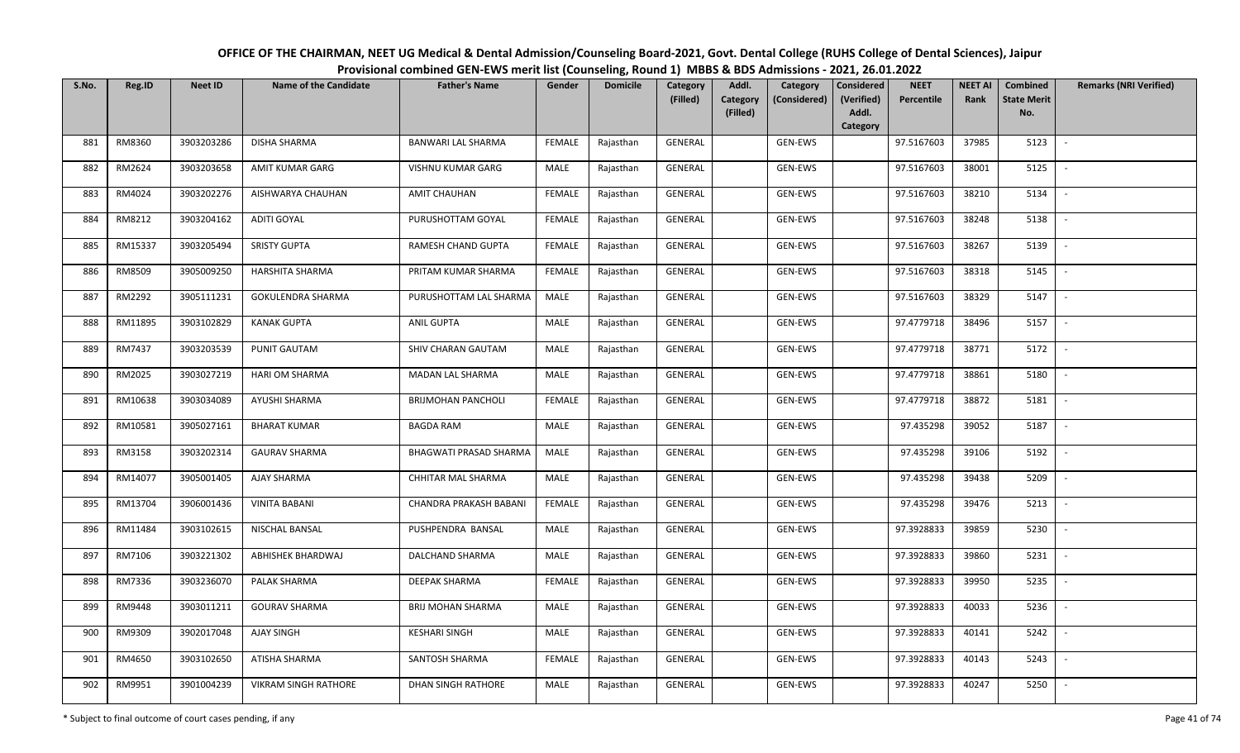| OFFICE OF THE CHAIRMAN, NEET UG Medical & Dental Admission/Counseling Board-2021, Govt. Dental College (RUHS College of Dental Sciences), Jaipur |
|--------------------------------------------------------------------------------------------------------------------------------------------------|
| Provisional combined GEN-EWS merit list (Counseling, Round 1) MBBS & BDS Admissions - 2021, 26.01.2022                                           |

| S.No. | Reg.ID  | <b>Neet ID</b> | <b>Name of the Candidate</b> | <b>Father's Name</b>      | Gender        | <b>Domicile</b> | Category<br>(Filled) | Addl.<br><b>Category</b> | Category<br>(Considered) | <b>Considered</b><br>(Verified) | <b>NEET</b><br>Percentile | <b>NEET AI</b><br>Rank | Combined<br><b>State Merit</b> | <b>Remarks (NRI Verified)</b> |
|-------|---------|----------------|------------------------------|---------------------------|---------------|-----------------|----------------------|--------------------------|--------------------------|---------------------------------|---------------------------|------------------------|--------------------------------|-------------------------------|
|       |         |                |                              |                           |               |                 |                      | (Filled)                 |                          | Addl.<br>Category               |                           |                        | No.                            |                               |
| 881   | RM8360  | 3903203286     | <b>DISHA SHARMA</b>          | BANWARI LAL SHARMA        | FEMALE        | Rajasthan       | GENERAL              |                          | GEN-EWS                  |                                 | 97.5167603                | 37985                  | 5123                           | $\sim$                        |
| 882   | RM2624  | 3903203658     | AMIT KUMAR GARG              | VISHNU KUMAR GARG         | MALE          | Rajasthan       | GENERAL              |                          | GEN-EWS                  |                                 | 97.5167603                | 38001                  | 5125                           |                               |
| 883   | RM4024  | 3903202276     | AISHWARYA CHAUHAN            | <b>AMIT CHAUHAN</b>       | <b>FEMALE</b> | Rajasthan       | GENERAL              |                          | GEN-EWS                  |                                 | 97.5167603                | 38210                  | 5134                           | $\sim$                        |
| 884   | RM8212  | 3903204162     | ADITI GOYAL                  | PURUSHOTTAM GOYAL         | <b>FEMALE</b> | Rajasthan       | GENERAL              |                          | GEN-EWS                  |                                 | 97.5167603                | 38248                  | 5138                           | $\overline{\phantom{a}}$      |
| 885   | RM15337 | 3903205494     | <b>SRISTY GUPTA</b>          | RAMESH CHAND GUPTA        | <b>FEMALE</b> | Rajasthan       | GENERAL              |                          | GEN-EWS                  |                                 | 97.5167603                | 38267                  | 5139                           | $\sim$                        |
| 886   | RM8509  | 3905009250     | <b>HARSHITA SHARMA</b>       | PRITAM KUMAR SHARMA       | <b>FEMALE</b> | Rajasthan       | GENERAL              |                          | GEN-EWS                  |                                 | 97.5167603                | 38318                  | 5145                           | $\overline{\phantom{a}}$      |
| 887   | RM2292  | 3905111231     | GOKULENDRA SHARMA            | PURUSHOTTAM LAL SHARMA    | MALE          | Rajasthan       | GENERAL              |                          | GEN-EWS                  |                                 | 97.5167603                | 38329                  | 5147                           |                               |
| 888   | RM11895 | 3903102829     | <b>KANAK GUPTA</b>           | <b>ANIL GUPTA</b>         | MALE          | Rajasthan       | GENERAL              |                          | GEN-EWS                  |                                 | 97.4779718                | 38496                  | 5157                           |                               |
| 889   | RM7437  | 3903203539     | PUNIT GAUTAM                 | SHIV CHARAN GAUTAM        | <b>MALE</b>   | Rajasthan       | GENERAL              |                          | GEN-EWS                  |                                 | 97.4779718                | 38771                  | 5172                           | $\overline{\phantom{a}}$      |
| 890   | RM2025  | 3903027219     | HARI OM SHARMA               | MADAN LAL SHARMA          | MALE          | Rajasthan       | GENERAL              |                          | GEN-EWS                  |                                 | 97.4779718                | 38861                  | 5180                           | $\overline{\phantom{a}}$      |
| 891   | RM10638 | 3903034089     | AYUSHI SHARMA                | <b>BRIJMOHAN PANCHOLI</b> | <b>FEMALE</b> | Rajasthan       | GENERAL              |                          | GEN-EWS                  |                                 | 97.4779718                | 38872                  | 5181                           |                               |
| 892   | RM10581 | 3905027161     | <b>BHARAT KUMAR</b>          | <b>BAGDA RAM</b>          | MALE          | Rajasthan       | GENERAL              |                          | GEN-EWS                  |                                 | 97.435298                 | 39052                  | 5187                           | $\sim$                        |
| 893   | RM3158  | 3903202314     | <b>GAURAV SHARMA</b>         | BHAGWATI PRASAD SHARMA    | MALE          | Rajasthan       | GENERAL              |                          | GEN-EWS                  |                                 | 97.435298                 | 39106                  | 5192                           |                               |
| 894   | RM14077 | 3905001405     | AJAY SHARMA                  | CHHITAR MAL SHARMA        | MALE          | Rajasthan       | GENERAL              |                          | GEN-EWS                  |                                 | 97.435298                 | 39438                  | 5209                           | $\sim$                        |
| 895   | RM13704 | 3906001436     | <b>VINITA BABANI</b>         | CHANDRA PRAKASH BABANI    | <b>FEMALE</b> | Rajasthan       | GENERAL              |                          | GEN-EWS                  |                                 | 97.435298                 | 39476                  | 5213                           | $\sim$                        |
| 896   | RM11484 | 3903102615     | NISCHAL BANSAL               | PUSHPENDRA BANSAL         | MALE          | Rajasthan       | GENERAL              |                          | GEN-EWS                  |                                 | 97.3928833                | 39859                  | 5230                           | $\sim$                        |
| 897   | RM7106  | 3903221302     | ABHISHEK BHARDWAJ            | DALCHAND SHARMA           | MALE          | Rajasthan       | GENERAL              |                          | GEN-EWS                  |                                 | 97.3928833                | 39860                  | 5231                           | $\sim$                        |
| 898   | RM7336  | 3903236070     | PALAK SHARMA                 | <b>DEEPAK SHARMA</b>      | <b>FEMALE</b> | Rajasthan       | GENERAL              |                          | GEN-EWS                  |                                 | 97.3928833                | 39950                  | 5235                           |                               |
| 899   | RM9448  | 3903011211     | <b>GOURAV SHARMA</b>         | <b>BRIJ MOHAN SHARMA</b>  | MALE          | Rajasthan       | GENERAL              |                          | GEN-EWS                  |                                 | 97.3928833                | 40033                  | 5236                           |                               |
| 900   | RM9309  | 3902017048     | AJAY SINGH                   | <b>KESHARI SINGH</b>      | MALE          | Rajasthan       | GENERAL              |                          | GEN-EWS                  |                                 | 97.3928833                | 40141                  | 5242                           |                               |
| 901   | RM4650  | 3903102650     | ATISHA SHARMA                | SANTOSH SHARMA            | <b>FEMALE</b> | Rajasthan       | GENERAL              |                          | GEN-EWS                  |                                 | 97.3928833                | 40143                  | 5243                           |                               |
| 902   | RM9951  | 3901004239     | VIKRAM SINGH RATHORE         | DHAN SINGH RATHORE        | MALE          | Rajasthan       | GENERAL              |                          | GEN-EWS                  |                                 | 97.3928833                | 40247                  | 5250                           |                               |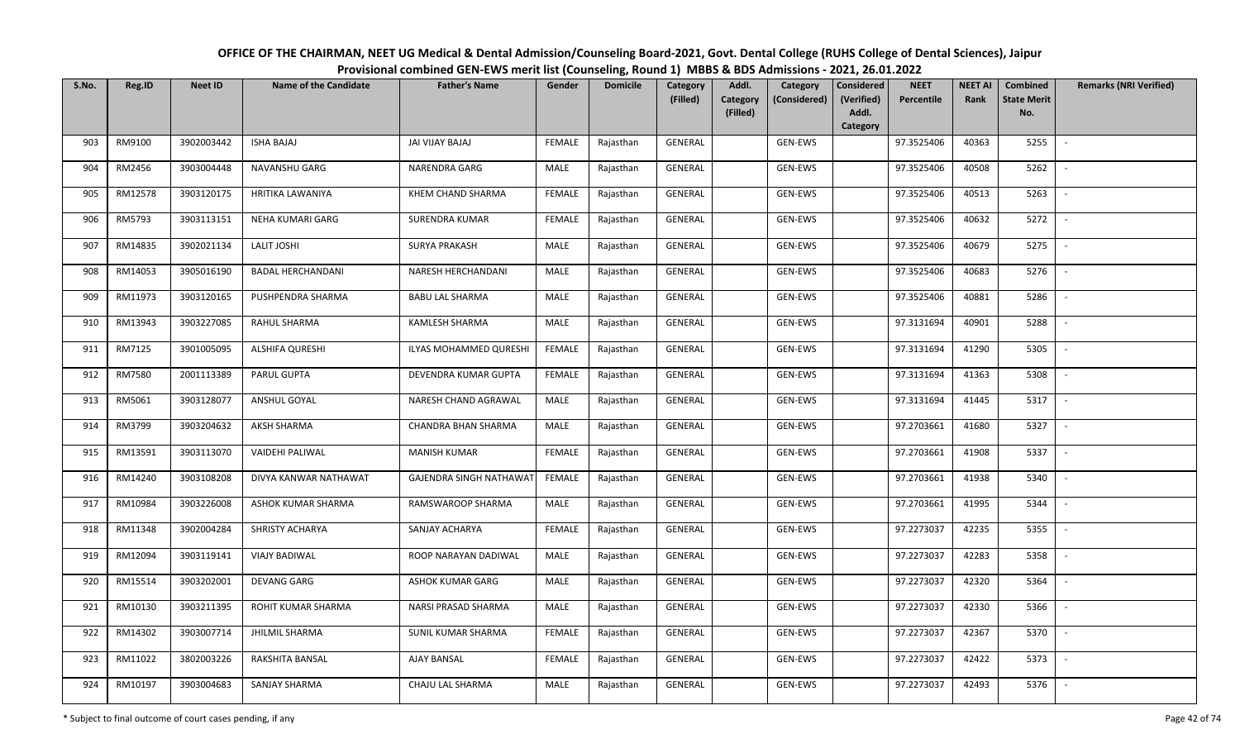| OFFICE OF THE CHAIRMAN, NEET UG Medical & Dental Admission/Counseling Board-2021, Govt. Dental College (RUHS College of Dental Sciences), Jaipur |
|--------------------------------------------------------------------------------------------------------------------------------------------------|
| Provisional combined GEN-EWS merit list (Counseling, Round 1) MBBS & BDS Admissions - 2021, 26.01.2022                                           |

| S.No. | Reg.ID  | <b>Neet ID</b> | <b>Name of the Candidate</b> | <b>Father's Name</b>           | Gender        | <b>Domicile</b> | Category<br>(Filled) | Addl.<br>Category<br>Category<br>(Considered)<br>(Filled) | <b>Considered</b><br>(Verified)<br>Addl. | <b>NEET</b><br>Percentile | <b>NEET AI</b><br>Rank | Combined<br><b>State Merit</b><br>No. | <b>Remarks (NRI Verified)</b> |
|-------|---------|----------------|------------------------------|--------------------------------|---------------|-----------------|----------------------|-----------------------------------------------------------|------------------------------------------|---------------------------|------------------------|---------------------------------------|-------------------------------|
|       |         |                |                              |                                |               |                 |                      |                                                           | Category                                 |                           |                        |                                       |                               |
| 903   | RM9100  | 3902003442     | <b>ISHA BAJAJ</b>            | JAI VIJAY BAJAJ                | FEMALE        | Rajasthan       | GENERAL              | GEN-EWS                                                   |                                          | 97.3525406                | 40363                  | 5255                                  |                               |
| 904   | RM2456  | 3903004448     | NAVANSHU GARG                | NARENDRA GARG                  | <b>MALE</b>   | Rajasthan       | GENERAL              | GEN-EWS                                                   |                                          | 97.3525406                | 40508                  | 5262                                  |                               |
| 905   | RM12578 | 3903120175     | <b>HRITIKA LAWANIYA</b>      | KHEM CHAND SHARMA              | <b>FEMALE</b> | Rajasthan       | GENERAL              | GEN-EWS                                                   |                                          | 97.3525406                | 40513                  | 5263                                  | $\sim$                        |
| 906   | RM5793  | 3903113151     | NEHA KUMARI GARG             | <b>SURENDRA KUMAR</b>          | <b>FEMALE</b> | Rajasthan       | GENERAL              | GEN-EWS                                                   |                                          | 97.3525406                | 40632                  | 5272                                  | $\sim$                        |
| 907   | RM14835 | 3902021134     | LALIT JOSHI                  | <b>SURYA PRAKASH</b>           | MALE          | Rajasthan       | GENERAL              | GEN-EWS                                                   |                                          | 97.3525406                | 40679                  | 5275                                  | $\sim$                        |
| 908   | RM14053 | 3905016190     | <b>BADAL HERCHANDANI</b>     | <b>NARESH HERCHANDANI</b>      | <b>MALE</b>   | Rajasthan       | GENERAL              | GEN-EWS                                                   |                                          | 97.3525406                | 40683                  | 5276                                  | $\overline{\phantom{a}}$      |
| 909   | RM11973 | 3903120165     | PUSHPENDRA SHARMA            | <b>BABU LAL SHARMA</b>         | MALE          | Rajasthan       | GENERAL              | GEN-EWS                                                   |                                          | 97.3525406                | 40881                  | 5286                                  |                               |
| 910   | RM13943 | 3903227085     | RAHUL SHARMA                 | <b>KAMLESH SHARMA</b>          | MALE          | Rajasthan       | <b>GENERAL</b>       | GEN-EWS                                                   |                                          | 97.3131694                | 40901                  | 5288                                  |                               |
| 911   | RM7125  | 3901005095     | <b>ALSHIFA QURESHI</b>       | ILYAS MOHAMMED QURESHI         | <b>FEMALE</b> | Rajasthan       | GENERAL              | GEN-EWS                                                   |                                          | 97.3131694                | 41290                  | 5305                                  |                               |
| 912   | RM7580  | 2001113389     | PARUL GUPTA                  | DEVENDRA KUMAR GUPTA           | <b>FEMALE</b> | Rajasthan       | GENERAL              | GEN-EWS                                                   |                                          | 97.3131694                | 41363                  | 5308                                  |                               |
| 913   | RM5061  | 3903128077     | ANSHUL GOYAL                 | NARESH CHAND AGRAWAL           | MALE          | Rajasthan       | GENERAL              | GEN-EWS                                                   |                                          | 97.3131694                | 41445                  | 5317                                  |                               |
| 914   | RM3799  | 3903204632     | AKSH SHARMA                  | CHANDRA BHAN SHARMA            | MALE          | Rajasthan       | GENERAL              | GEN-EWS                                                   |                                          | 97.2703661                | 41680                  | 5327                                  | $\overline{\phantom{a}}$      |
| 915   | RM13591 | 3903113070     | VAIDEHI PALIWAL              | <b>MANISH KUMAR</b>            | <b>FEMALE</b> | Rajasthan       | GENERAL              | GEN-EWS                                                   |                                          | 97.2703661                | 41908                  | 5337                                  |                               |
| 916   | RM14240 | 3903108208     | DIVYA KANWAR NATHAWAT        | <b>GAJENDRA SINGH NATHAWAT</b> | <b>FEMALE</b> | Rajasthan       | GENERAL              | GEN-EWS                                                   |                                          | 97.2703661                | 41938                  | 5340                                  | $\sim$                        |
| 917   | RM10984 | 3903226008     | ASHOK KUMAR SHARMA           | RAMSWAROOP SHARMA              | <b>MALE</b>   | Rajasthan       | GENERAL              | GEN-EWS                                                   |                                          | 97.2703661                | 41995                  | 5344                                  | $\sim$                        |
| 918   | RM11348 | 3902004284     | <b>SHRISTY ACHARYA</b>       | SANJAY ACHARYA                 | <b>FEMALE</b> | Rajasthan       | GENERAL              | GEN-EWS                                                   |                                          | 97.2273037                | 42235                  | 5355                                  | $\mathcal{L}_{\mathcal{A}}$   |
| 919   | RM12094 | 3903119141     | <b>VIAJY BADIWAL</b>         | ROOP NARAYAN DADIWAL           | MALE          | Rajasthan       | GENERAL              | GEN-EWS                                                   |                                          | 97.2273037                | 42283                  | 5358                                  | $\sim$                        |
| 920   | RM15514 | 3903202001     | <b>DEVANG GARG</b>           | ASHOK KUMAR GARG               | <b>MALE</b>   | Rajasthan       | GENERAL              | GEN-EWS                                                   |                                          | 97.2273037                | 42320                  | 5364                                  |                               |
| 921   | RM10130 | 3903211395     | ROHIT KUMAR SHARMA           | NARSI PRASAD SHARMA            | MALE          | Rajasthan       | <b>GENERAL</b>       | GEN-EWS                                                   |                                          | 97.2273037                | 42330                  | 5366                                  |                               |
| 922   | RM14302 | 3903007714     | <b>JHILMIL SHARMA</b>        | SUNIL KUMAR SHARMA             | <b>FEMALE</b> | Rajasthan       | GENERAL              | GEN-EWS                                                   |                                          | 97.2273037                | 42367                  | 5370                                  |                               |
| 923   | RM11022 | 3802003226     | RAKSHITA BANSAL              | AJAY BANSAL                    | <b>FEMALE</b> | Rajasthan       | GENERAL              | GEN-EWS                                                   |                                          | 97.2273037                | 42422                  | 5373                                  |                               |
| 924   | RM10197 | 3903004683     | SANJAY SHARMA                | CHAJU LAL SHARMA               | MALE          | Rajasthan       | GENERAL              | GEN-EWS                                                   |                                          | 97.2273037                | 42493                  | 5376                                  |                               |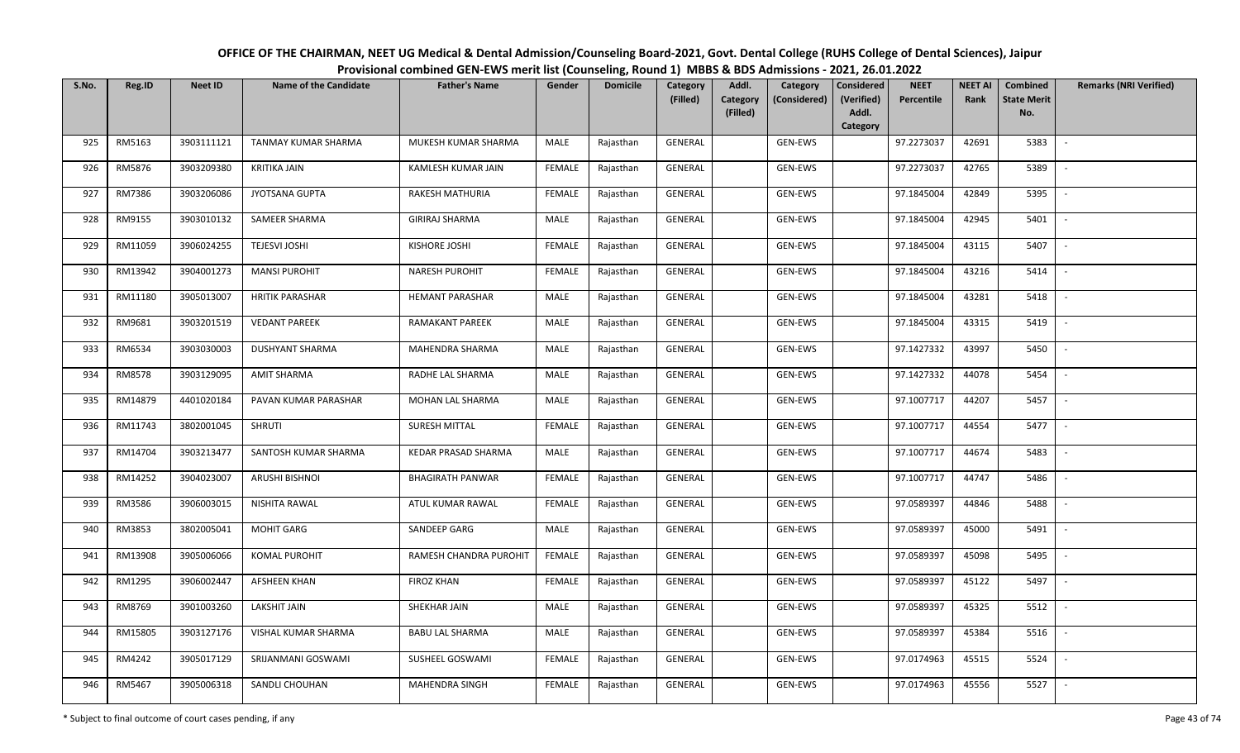| OFFICE OF THE CHAIRMAN, NEET UG Medical & Dental Admission/Counseling Board-2021, Govt. Dental College (RUHS College of Dental Sciences), Jaipur |
|--------------------------------------------------------------------------------------------------------------------------------------------------|
| Provisional combined GEN-EWS merit list (Counseling, Round 1) MBBS & BDS Admissions - 2021, 26.01.2022                                           |

| S.No. | Reg.ID  | <b>Neet ID</b> | <b>Name of the Candidate</b> | <b>Father's Name</b>    | Gender        | <b>Domicile</b> | Category<br>(Filled) | Addl.<br><b>Category</b> | Category<br>(Considered) | <b>Considered</b><br>(Verified) | <b>NEET</b><br>Percentile | <b>NEET AI</b><br>Rank | Combined<br><b>State Merit</b> | <b>Remarks (NRI Verified)</b> |
|-------|---------|----------------|------------------------------|-------------------------|---------------|-----------------|----------------------|--------------------------|--------------------------|---------------------------------|---------------------------|------------------------|--------------------------------|-------------------------------|
|       |         |                |                              |                         |               |                 |                      | (Filled)                 |                          | Addl.<br>Category               |                           |                        | No.                            |                               |
| 925   | RM5163  | 3903111121     | TANMAY KUMAR SHARMA          | MUKESH KUMAR SHARMA     | MALE          | Rajasthan       | GENERAL              |                          | GEN-EWS                  |                                 | 97.2273037                | 42691                  | 5383                           | $\sim$                        |
| 926   | RM5876  | 3903209380     | <b>KRITIKA JAIN</b>          | KAMLESH KUMAR JAIN      | <b>FEMALE</b> | Rajasthan       | GENERAL              |                          | GEN-EWS                  |                                 | 97.2273037                | 42765                  | 5389                           |                               |
| 927   | RM7386  | 3903206086     | JYOTSANA GUPTA               | RAKESH MATHURIA         | <b>FEMALE</b> | Rajasthan       | GENERAL              |                          | GEN-EWS                  |                                 | 97.1845004                | 42849                  | 5395                           | $\overline{\phantom{a}}$      |
| 928   | RM9155  | 3903010132     | SAMEER SHARMA                | <b>GIRIRAJ SHARMA</b>   | MALE          | Rajasthan       | GENERAL              |                          | GEN-EWS                  |                                 | 97.1845004                | 42945                  | 5401                           | $\overline{\phantom{a}}$      |
| 929   | RM11059 | 3906024255     | <b>TEJESVI JOSHI</b>         | KISHORE JOSHI           | <b>FEMALE</b> | Rajasthan       | GENERAL              |                          | GEN-EWS                  |                                 | 97.1845004                | 43115                  | 5407                           | $\sim$                        |
| 930   | RM13942 | 3904001273     | <b>MANSI PUROHIT</b>         | NARESH PUROHIT          | <b>FEMALE</b> | Rajasthan       | GENERAL              |                          | GEN-EWS                  |                                 | 97.1845004                | 43216                  | 5414                           | $\overline{\phantom{a}}$      |
| 931   | RM11180 | 3905013007     | <b>HRITIK PARASHAR</b>       | <b>HEMANT PARASHAR</b>  | MALE          | Rajasthan       | GENERAL              |                          | GEN-EWS                  |                                 | 97.1845004                | 43281                  | 5418                           |                               |
| 932   | RM9681  | 3903201519     | <b>VEDANT PAREEK</b>         | RAMAKANT PAREEK         | MALE          | Rajasthan       | GENERAL              |                          | GEN-EWS                  |                                 | 97.1845004                | 43315                  | 5419                           |                               |
| 933   | RM6534  | 3903030003     | <b>DUSHYANT SHARMA</b>       | MAHENDRA SHARMA         | <b>MALE</b>   | Rajasthan       | GENERAL              |                          | GEN-EWS                  |                                 | 97.1427332                | 43997                  | 5450                           |                               |
| 934   | RM8578  | 3903129095     | <b>AMIT SHARMA</b>           | RADHE LAL SHARMA        | MALE          | Rajasthan       | GENERAL              |                          | GEN-EWS                  |                                 | 97.1427332                | 44078                  | 5454                           | $\overline{\phantom{a}}$      |
| 935   | RM14879 | 4401020184     | PAVAN KUMAR PARASHAR         | MOHAN LAL SHARMA        | MALE          | Rajasthan       | GENERAL              |                          | GEN-EWS                  |                                 | 97.1007717                | 44207                  | 5457                           |                               |
| 936   | RM11743 | 3802001045     | <b>SHRUTI</b>                | SURESH MITTAL           | FEMALE        | Rajasthan       | GENERAL              |                          | GEN-EWS                  |                                 | 97.1007717                | 44554                  | 5477                           | $\sim$                        |
| 937   | RM14704 | 3903213477     | SANTOSH KUMAR SHARMA         | KEDAR PRASAD SHARMA     | MALE          | Rajasthan       | GENERAL              |                          | GEN-EWS                  |                                 | 97.1007717                | 44674                  | 5483                           |                               |
| 938   | RM14252 | 3904023007     | <b>ARUSHI BISHNOI</b>        | <b>BHAGIRATH PANWAR</b> | <b>FEMALE</b> | Rajasthan       | GENERAL              |                          | GEN-EWS                  |                                 | 97.1007717                | 44747                  | 5486                           | $\sim$                        |
| 939   | RM3586  | 3906003015     | NISHITA RAWAL                | ATUL KUMAR RAWAL        | <b>FEMALE</b> | Rajasthan       | GENERAL              |                          | GEN-EWS                  |                                 | 97.0589397                | 44846                  | 5488                           | $\sim$                        |
| 940   | RM3853  | 3802005041     | <b>MOHIT GARG</b>            | SANDEEP GARG            | MALE          | Rajasthan       | GENERAL              |                          | GEN-EWS                  |                                 | 97.0589397                | 45000                  | 5491                           | $\sim$                        |
| 941   | RM13908 | 3905006066     | <b>KOMAL PUROHIT</b>         | RAMESH CHANDRA PUROHIT  | <b>FEMALE</b> | Rajasthan       | GENERAL              |                          | GEN-EWS                  |                                 | 97.0589397                | 45098                  | 5495                           | $\sim$                        |
| 942   | RM1295  | 3906002447     | AFSHEEN KHAN                 | <b>FIROZ KHAN</b>       | <b>FEMALE</b> | Rajasthan       | GENERAL              |                          | GEN-EWS                  |                                 | 97.0589397                | 45122                  | 5497                           |                               |
| 943   | RM8769  | 3901003260     | <b>LAKSHIT JAIN</b>          | SHEKHAR JAIN            | MALE          | Rajasthan       | <b>GENERAL</b>       |                          | GEN-EWS                  |                                 | 97.0589397                | 45325                  | 5512                           |                               |
| 944   | RM15805 | 3903127176     | VISHAL KUMAR SHARMA          | <b>BABU LAL SHARMA</b>  | MALE          | Rajasthan       | <b>GENERAL</b>       |                          | GEN-EWS                  |                                 | 97.0589397                | 45384                  | 5516                           |                               |
| 945   | RM4242  | 3905017129     | SRIJANMANI GOSWAMI           | SUSHEEL GOSWAMI         | <b>FEMALE</b> | Rajasthan       | GENERAL              |                          | GEN-EWS                  |                                 | 97.0174963                | 45515                  | 5524                           |                               |
| 946   | RM5467  | 3905006318     | SANDLI CHOUHAN               | MAHENDRA SINGH          | <b>FEMALE</b> | Rajasthan       | GENERAL              |                          | GEN-EWS                  |                                 | 97.0174963                | 45556                  | 5527                           |                               |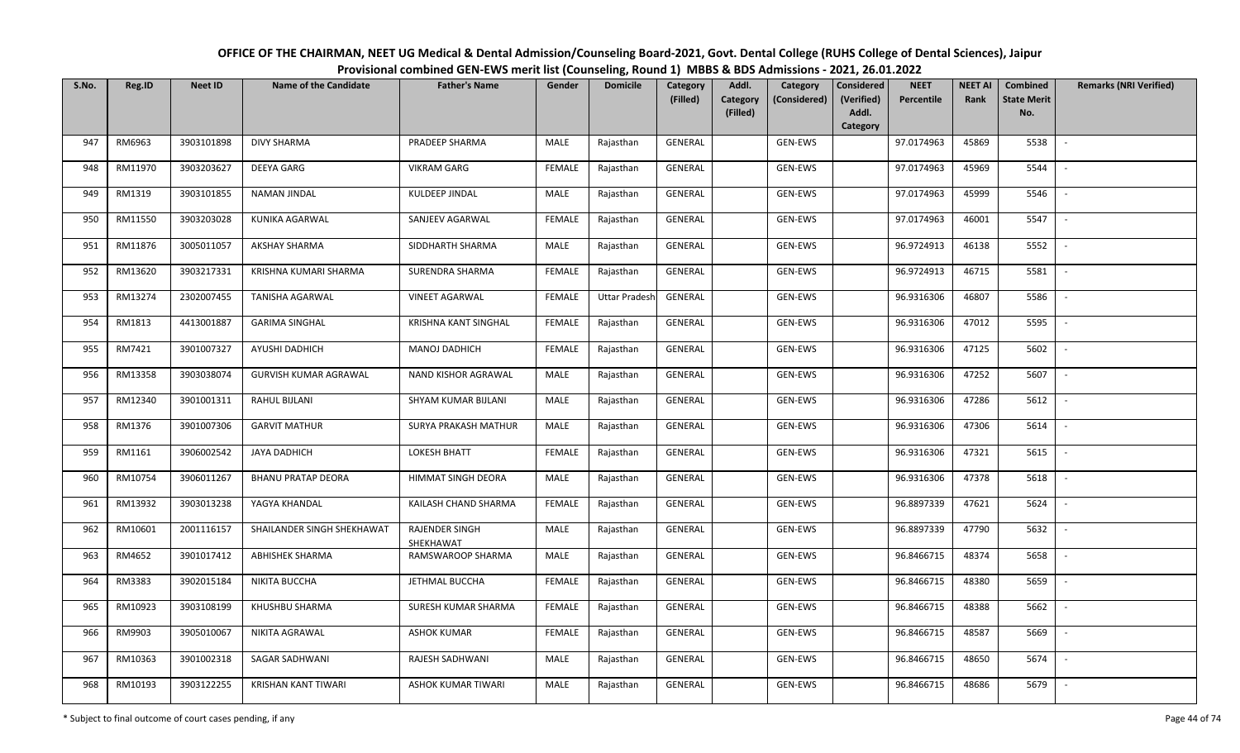| S.No. | Reg.ID  | <b>Neet ID</b> | Name of the Candidate        | <b>Father's Name</b>        | Gender        | <b>Domicile</b>      | Category<br>(Filled) | Addl.<br>Category | Category<br>(Considered) | Considered<br>(Verified) | <b>NEET</b><br>Percentile | <b>NEET AI</b><br>Rank | Combined<br><b>State Merit</b> | <b>Remarks (NRI Verified)</b> |
|-------|---------|----------------|------------------------------|-----------------------------|---------------|----------------------|----------------------|-------------------|--------------------------|--------------------------|---------------------------|------------------------|--------------------------------|-------------------------------|
|       |         |                |                              |                             |               |                      |                      | (Filled)          |                          | Addl.<br>Category        |                           |                        | No.                            |                               |
| 947   | RM6963  | 3903101898     | <b>DIVY SHARMA</b>           | PRADEEP SHARMA              | MALE          | Rajasthan            | <b>GENERAL</b>       |                   | GEN-EWS                  |                          | 97.0174963                | 45869                  | 5538                           | $\sim$                        |
| 948   | RM11970 | 3903203627     | DEEYA GARG                   | <b>VIKRAM GARG</b>          | <b>FEMALE</b> | Rajasthan            | GENERAL              |                   | GEN-EWS                  |                          | 97.0174963                | 45969                  | 5544                           | $\overline{\phantom{a}}$      |
| 949   | RM1319  | 3903101855     | <b>NAMAN JINDAL</b>          | KULDEEP JINDAL              | MALE          | Rajasthan            | GENERAL              |                   | GEN-EWS                  |                          | 97.0174963                | 45999                  | 5546                           | $\sim$                        |
| 950   | RM11550 | 3903203028     | KUNIKA AGARWAL               | SANJEEV AGARWAL             | <b>FEMALE</b> | Rajasthan            | GENERAL              |                   | GEN-EWS                  |                          | 97.0174963                | 46001                  | 5547                           | $\sim$                        |
| 951   | RM11876 | 3005011057     | <b>AKSHAY SHARMA</b>         | SIDDHARTH SHARMA            | MALE          | Rajasthan            | GENERAL              |                   | GEN-EWS                  |                          | 96.9724913                | 46138                  | 5552                           | $\sim$                        |
| 952   | RM13620 | 3903217331     | KRISHNA KUMARI SHARMA        | SURENDRA SHARMA             | <b>FEMALE</b> | Rajasthan            | GENERAL              |                   | GEN-EWS                  |                          | 96.9724913                | 46715                  | 5581                           |                               |
| 953   | RM13274 | 2302007455     | TANISHA AGARWAL              | <b>VINEET AGARWAL</b>       | <b>FEMALE</b> | <b>Uttar Pradesh</b> | GENERAL              |                   | GEN-EWS                  |                          | 96.9316306                | 46807                  | 5586                           |                               |
| 954   | RM1813  | 4413001887     | <b>GARIMA SINGHAL</b>        | KRISHNA KANT SINGHAL        | <b>FEMALE</b> | Rajasthan            | GENERAL              |                   | GEN-EWS                  |                          | 96.9316306                | 47012                  | 5595                           |                               |
| 955   | RM7421  | 3901007327     | AYUSHI DADHICH               | MANOJ DADHICH               | <b>FEMALE</b> | Rajasthan            | GENERAL              |                   | GEN-EWS                  |                          | 96.9316306                | 47125                  | 5602                           |                               |
| 956   | RM13358 | 3903038074     | <b>GURVISH KUMAR AGRAWAL</b> | NAND KISHOR AGRAWAL         | MALE          | Rajasthan            | GENERAL              |                   | GEN-EWS                  |                          | 96.9316306                | 47252                  | 5607                           |                               |
| 957   | RM12340 | 3901001311     | RAHUL BIJLANI                | SHYAM KUMAR BIJLANI         | MALE          | Rajasthan            | GENERAL              |                   | GEN-EWS                  |                          | 96.9316306                | 47286                  | 5612                           |                               |
| 958   | RM1376  | 3901007306     | <b>GARVIT MATHUR</b>         | <b>SURYA PRAKASH MATHUR</b> | MALE          | Rajasthan            | GENERAL              |                   | GEN-EWS                  |                          | 96.9316306                | 47306                  | 5614                           | $\overline{\phantom{a}}$      |
| 959   | RM1161  | 3906002542     | JAYA DADHICH                 | LOKESH BHATT                | <b>FEMALE</b> | Rajasthan            | GENERAL              |                   | GEN-EWS                  |                          | 96.9316306                | 47321                  | 5615                           |                               |
| 960   | RM10754 | 3906011267     | <b>BHANU PRATAP DEORA</b>    | HIMMAT SINGH DEORA          | MALE          | Rajasthan            | GENERAL              |                   | GEN-EWS                  |                          | 96.9316306                | 47378                  | 5618                           | $\sim$                        |
| 961   | RM13932 | 3903013238     | YAGYA KHANDAL                | KAILASH CHAND SHARMA        | <b>FEMALE</b> | Rajasthan            | GENERAL              |                   | GEN-EWS                  |                          | 96.8897339                | 47621                  | 5624                           | $\overline{\phantom{a}}$      |
| 962   | RM10601 | 2001116157     | SHAILANDER SINGH SHEKHAWAT   | RAJENDER SINGH<br>SHEKHAWAT | MALE          | Rajasthan            | GENERAL              |                   | GEN-EWS                  |                          | 96.8897339                | 47790                  | 5632                           | $\overline{a}$                |
| 963   | RM4652  | 3901017412     | <b>ABHISHEK SHARMA</b>       | RAMSWAROOP SHARMA           | MALE          | Rajasthan            | GENERAL              |                   | GEN-EWS                  |                          | 96.8466715                | 48374                  | 5658                           | $\overline{\phantom{a}}$      |
| 964   | RM3383  | 3902015184     | NIKITA BUCCHA                | JETHMAL BUCCHA              | <b>FEMALE</b> | Rajasthan            | GENERAL              |                   | GEN-EWS                  |                          | 96.8466715                | 48380                  | 5659                           |                               |
| 965   | RM10923 | 3903108199     | KHUSHBU SHARMA               | SURESH KUMAR SHARMA         | <b>FEMALE</b> | Rajasthan            | GENERAL              |                   | GEN-EWS                  |                          | 96.8466715                | 48388                  | 5662                           |                               |
| 966   | RM9903  | 3905010067     | NIKITA AGRAWAL               | <b>ASHOK KUMAR</b>          | <b>FEMALE</b> | Rajasthan            | GENERAL              |                   | GEN-EWS                  |                          | 96.8466715                | 48587                  | 5669                           |                               |
| 967   | RM10363 | 3901002318     | SAGAR SADHWANI               | RAJESH SADHWANI             | MALE          | Rajasthan            | GENERAL              |                   | GEN-EWS                  |                          | 96.8466715                | 48650                  | 5674                           | $\sim$                        |
| 968   | RM10193 | 3903122255     | KRISHAN KANT TIWARI          | ASHOK KUMAR TIWARI          | MALE          | Rajasthan            | GENERAL              |                   | GEN-EWS                  |                          | 96.8466715                | 48686                  | 5679                           |                               |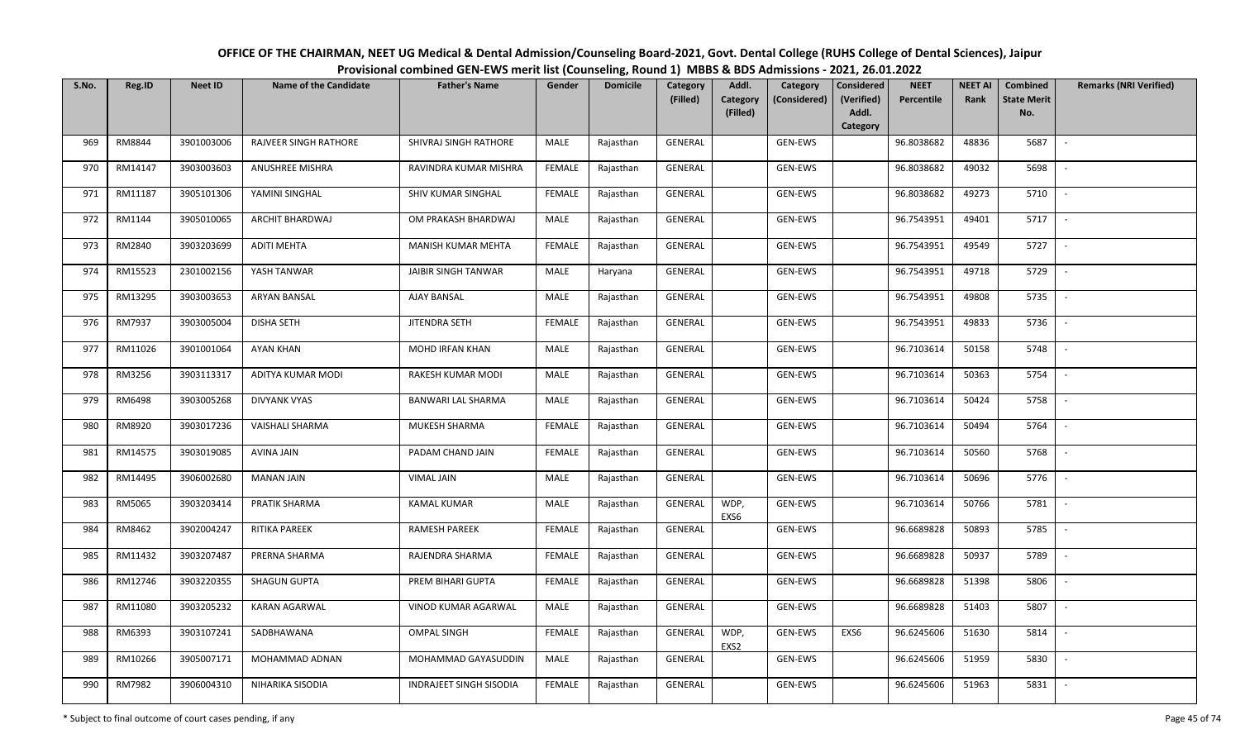| OFFICE OF THE CHAIRMAN, NEET UG Medical & Dental Admission/Counseling Board-2021, Govt. Dental College (RUHS College of Dental Sciences), Jaipur |
|--------------------------------------------------------------------------------------------------------------------------------------------------|
| Provisional combined GEN-EWS merit list (Counseling, Round 1) MBBS & BDS Admissions - 2021, 26.01.2022                                           |

| S.No. | Reg.ID  | <b>Neet ID</b> | <b>Name of the Candidate</b> | <b>Father's Name</b>    | Gender        | <b>Domicile</b> | Category<br>(Filled) | Addl.<br>Category | Category<br>(Considered) | <b>Considered</b><br>(Verified) | <b>NEET</b><br>Percentile | <b>NEET AI</b><br>Rank | Combined<br><b>State Merit</b> | <b>Remarks (NRI Verified)</b> |
|-------|---------|----------------|------------------------------|-------------------------|---------------|-----------------|----------------------|-------------------|--------------------------|---------------------------------|---------------------------|------------------------|--------------------------------|-------------------------------|
|       |         |                |                              |                         |               |                 |                      | (Filled)          |                          | Addl.<br>Category               |                           |                        | No.                            |                               |
| 969   | RM8844  | 3901003006     | <b>RAJVEER SINGH RATHORE</b> | SHIVRAJ SINGH RATHORE   | MALE          | Rajasthan       | GENERAL              |                   | GEN-EWS                  |                                 | 96.8038682                | 48836                  | 5687                           | $\sim$                        |
| 970   | RM14147 | 3903003603     | ANUSHREE MISHRA              | RAVINDRA KUMAR MISHRA   | <b>FEMALE</b> | Rajasthan       | GENERAL              |                   | GEN-EWS                  |                                 | 96.8038682                | 49032                  | 5698                           |                               |
| 971   | RM11187 | 3905101306     | YAMINI SINGHAL               | SHIV KUMAR SINGHAL      | <b>FEMALE</b> | Rajasthan       | GENERAL              |                   | GEN-EWS                  |                                 | 96.8038682                | 49273                  | 5710                           | $\sim$                        |
| 972   | RM1144  | 3905010065     | ARCHIT BHARDWAJ              | OM PRAKASH BHARDWAJ     | <b>MALE</b>   | Rajasthan       | GENERAL              |                   | GEN-EWS                  |                                 | 96.7543951                | 49401                  | 5717                           | $\overline{\phantom{a}}$      |
| 973   | RM2840  | 3903203699     | <b>ADITI MEHTA</b>           | MANISH KUMAR MEHTA      | <b>FEMALE</b> | Rajasthan       | GENERAL              |                   | GEN-EWS                  |                                 | 96.7543951                | 49549                  | 5727                           | $\sim$                        |
| 974   | RM15523 | 2301002156     | YASH TANWAR                  | JAIBIR SINGH TANWAR     | MALE          | Haryana         | GENERAL              |                   | GEN-EWS                  |                                 | 96.7543951                | 49718                  | 5729                           | $\overline{\phantom{a}}$      |
| 975   | RM13295 | 3903003653     | ARYAN BANSAL                 | AJAY BANSAL             | <b>MALE</b>   | Rajasthan       | GENERAL              |                   | GEN-EWS                  |                                 | 96.7543951                | 49808                  | 5735                           |                               |
| 976   | RM7937  | 3903005004     | <b>DISHA SETH</b>            | <b>JITENDRA SETH</b>    | <b>FEMALE</b> | Rajasthan       | <b>GENERAL</b>       |                   | GEN-EWS                  |                                 | 96.7543951                | 49833                  | 5736                           |                               |
| 977   | RM11026 | 3901001064     | <b>AYAN KHAN</b>             | MOHD IRFAN KHAN         | MALE          | Rajasthan       | <b>GENERAL</b>       |                   | GEN-EWS                  |                                 | 96.7103614                | 50158                  | 5748                           |                               |
| 978   | RM3256  | 3903113317     | ADITYA KUMAR MODI            | RAKESH KUMAR MODI       | <b>MALE</b>   | Rajasthan       | GENERAL              |                   | GEN-EWS                  |                                 | 96.7103614                | 50363                  | 5754                           |                               |
| 979   | RM6498  | 3903005268     | <b>DIVYANK VYAS</b>          | BANWARI LAL SHARMA      | MALE          | Rajasthan       | GENERAL              |                   | GEN-EWS                  |                                 | 96.7103614                | 50424                  | 5758                           |                               |
| 980   | RM8920  | 3903017236     | VAISHALI SHARMA              | MUKESH SHARMA           | <b>FEMALE</b> | Rajasthan       | GENERAL              |                   | GEN-EWS                  |                                 | 96.7103614                | 50494                  | 5764                           | $\overline{\phantom{a}}$      |
| 981   | RM14575 | 3903019085     | <b>AVINA JAIN</b>            | PADAM CHAND JAIN        | <b>FEMALE</b> | Rajasthan       | GENERAL              |                   | GEN-EWS                  |                                 | 96.7103614                | 50560                  | 5768                           |                               |
| 982   | RM14495 | 3906002680     | <b>MANAN JAIN</b>            | <b>VIMAL JAIN</b>       | MALE          | Rajasthan       | GENERAL              |                   | GEN-EWS                  |                                 | 96.7103614                | 50696                  | 5776                           | $\sim$                        |
| 983   | RM5065  | 3903203414     | PRATIK SHARMA                | <b>KAMAL KUMAR</b>      | <b>MALE</b>   | Rajasthan       | GENERAL              | WDP,<br>EXS6      | GEN-EWS                  |                                 | 96.7103614                | 50766                  | 5781                           | $\sim$                        |
| 984   | RM8462  | 3902004247     | RITIKA PAREEK                | RAMESH PAREEK           | <b>FEMALE</b> | Rajasthan       | <b>GENERAL</b>       |                   | GEN-EWS                  |                                 | 96.6689828                | 50893                  | 5785                           | $\overline{\phantom{a}}$      |
| 985   | RM11432 | 3903207487     | PRERNA SHARMA                | RAJENDRA SHARMA         | <b>FEMALE</b> | Rajasthan       | GENERAL              |                   | GEN-EWS                  |                                 | 96.6689828                | 50937                  | 5789                           | $\overline{\phantom{a}}$      |
| 986   | RM12746 | 3903220355     | <b>SHAGUN GUPTA</b>          | PREM BIHARI GUPTA       | <b>FEMALE</b> | Rajasthan       | GENERAL              |                   | GEN-EWS                  |                                 | 96.6689828                | 51398                  | 5806                           | $\overline{\phantom{a}}$      |
| 987   | RM11080 | 3903205232     | <b>KARAN AGARWAL</b>         | VINOD KUMAR AGARWAL     | MALE          | Rajasthan       | GENERAL              |                   | GEN-EWS                  |                                 | 96.6689828                | 51403                  | 5807                           |                               |
| 988   | RM6393  | 3903107241     | SADBHAWANA                   | <b>OMPAL SINGH</b>      | <b>FEMALE</b> | Rajasthan       | GENERAL              | WDP,<br>EXS2      | GEN-EWS                  | EXS6                            | 96.6245606                | 51630                  | 5814                           |                               |
| 989   | RM10266 | 3905007171     | MOHAMMAD ADNAN               | MOHAMMAD GAYASUDDIN     | <b>MALE</b>   | Rajasthan       | <b>GENERAL</b>       |                   | GEN-EWS                  |                                 | 96.6245606                | 51959                  | 5830                           | $\sim$                        |
| 990   | RM7982  | 3906004310     | NIHARIKA SISODIA             | INDRAJEET SINGH SISODIA | FEMALE        | Rajasthan       | GENERAL              |                   | GEN-EWS                  |                                 | 96.6245606                | 51963                  | 5831                           |                               |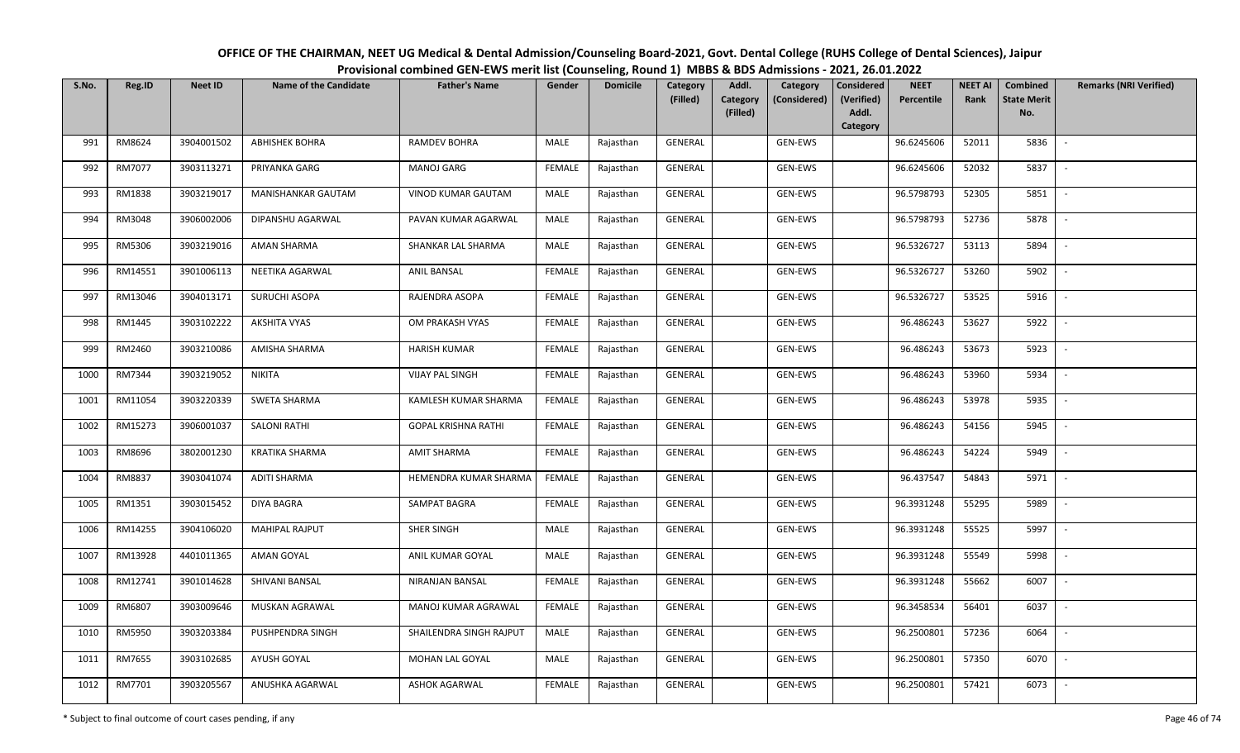| OFFICE OF THE CHAIRMAN, NEET UG Medical & Dental Admission/Counseling Board-2021, Govt. Dental College (RUHS College of Dental Sciences), Jaipur |
|--------------------------------------------------------------------------------------------------------------------------------------------------|
| Provisional combined GEN-EWS merit list (Counseling, Round 1) MBBS & BDS Admissions - 2021, 26.01.2022                                           |

| S.No. | Reg.ID  | <b>Neet ID</b> | <b>Name of the Candidate</b> | <b>Father's Name</b>       | Gender        | <b>Domicile</b> | Category<br>(Filled) | Addl.<br>Category<br>Category<br>(Considered) | <b>Considered</b><br>(Verified) | <b>NEET</b><br>Percentile | <b>NEET AI</b><br>Rank | <b>Combined</b><br><b>State Merit</b> | <b>Remarks (NRI Verified)</b> |
|-------|---------|----------------|------------------------------|----------------------------|---------------|-----------------|----------------------|-----------------------------------------------|---------------------------------|---------------------------|------------------------|---------------------------------------|-------------------------------|
|       |         |                |                              |                            |               |                 |                      | (Filled)                                      | Addl.<br>Category               |                           |                        | No.                                   |                               |
| 991   | RM8624  | 3904001502     | <b>ABHISHEK BOHRA</b>        | <b>RAMDEV BOHRA</b>        | MALE          | Rajasthan       | <b>GENERAL</b>       | GEN-EWS                                       |                                 | 96.6245606                | 52011                  | 5836                                  | $\sim$                        |
| 992   | RM7077  | 3903113271     | PRIYANKA GARG                | <b>MANOJ GARG</b>          | <b>FEMALE</b> | Rajasthan       | GENERAL              | GEN-EWS                                       |                                 | 96.6245606                | 52032                  | 5837                                  |                               |
| 993   | RM1838  | 3903219017     | MANISHANKAR GAUTAM           | VINOD KUMAR GAUTAM         | <b>MALE</b>   | Rajasthan       | GENERAL              | GEN-EWS                                       |                                 | 96.5798793                | 52305                  | 5851                                  | $\sim$                        |
| 994   | RM3048  | 3906002006     | DIPANSHU AGARWAL             | PAVAN KUMAR AGARWAL        | <b>MALE</b>   | Rajasthan       | GENERAL              | GEN-EWS                                       |                                 | 96.5798793                | 52736                  | 5878                                  | $\overline{\phantom{a}}$      |
| 995   | RM5306  | 3903219016     | <b>AMAN SHARMA</b>           | SHANKAR LAL SHARMA         | MALE          | Rajasthan       | GENERAL              | GEN-EWS                                       |                                 | 96.5326727                | 53113                  | 5894                                  | $\overline{\phantom{a}}$      |
| 996   | RM14551 | 3901006113     | NEETIKA AGARWAL              | <b>ANIL BANSAL</b>         | <b>FEMALE</b> | Rajasthan       | GENERAL              | GEN-EWS                                       |                                 | 96.5326727                | 53260                  | 5902                                  | $\overline{\phantom{a}}$      |
| 997   | RM13046 | 3904013171     | SURUCHI ASOPA                | RAJENDRA ASOPA             | <b>FEMALE</b> | Rajasthan       | GENERAL              | GEN-EWS                                       |                                 | 96.5326727                | 53525                  | 5916                                  |                               |
| 998   | RM1445  | 3903102222     | AKSHITA VYAS                 | OM PRAKASH VYAS            | <b>FEMALE</b> | Rajasthan       | <b>GENERAL</b>       | GEN-EWS                                       |                                 | 96.486243                 | 53627                  | 5922                                  |                               |
| 999   | RM2460  | 3903210086     | AMISHA SHARMA                | <b>HARISH KUMAR</b>        | <b>FEMALE</b> | Rajasthan       | <b>GENERAL</b>       | GEN-EWS                                       |                                 | 96.486243                 | 53673                  | 5923                                  | $\overline{\phantom{a}}$      |
| 1000  | RM7344  | 3903219052     | <b>NIKITA</b>                | <b>VIJAY PAL SINGH</b>     | <b>FEMALE</b> | Rajasthan       | GENERAL              | GEN-EWS                                       |                                 | 96.486243                 | 53960                  | 5934                                  | $\overline{\phantom{a}}$      |
| 1001  | RM11054 | 3903220339     | <b>SWETA SHARMA</b>          | KAMLESH KUMAR SHARMA       | <b>FEMALE</b> | Rajasthan       | GENERAL              | GEN-EWS                                       |                                 | 96.486243                 | 53978                  | 5935                                  |                               |
| 1002  | RM15273 | 3906001037     | <b>SALONI RATHI</b>          | <b>GOPAL KRISHNA RATHI</b> | <b>FEMALE</b> | Rajasthan       | GENERAL              | GEN-EWS                                       |                                 | 96.486243                 | 54156                  | 5945                                  | $\mathbb{L}$                  |
| 1003  | RM8696  | 3802001230     | <b>KRATIKA SHARMA</b>        | <b>AMIT SHARMA</b>         | FEMALE        | Rajasthan       | GENERAL              | GEN-EWS                                       |                                 | 96.486243                 | 54224                  | 5949                                  |                               |
| 1004  | RM8837  | 3903041074     | <b>ADITI SHARMA</b>          | HEMENDRA KUMAR SHARMA      | <b>FEMALE</b> | Rajasthan       | GENERAL              | GEN-EWS                                       |                                 | 96.437547                 | 54843                  | 5971                                  | $\sim$                        |
| 1005  | RM1351  | 3903015452     | <b>DIYA BAGRA</b>            | SAMPAT BAGRA               | <b>FEMALE</b> | Rajasthan       | GENERAL              | GEN-EWS                                       |                                 | 96.3931248                | 55295                  | 5989                                  | $\sim$                        |
| 1006  | RM14255 | 3904106020     | <b>MAHIPAL RAJPUT</b>        | SHER SINGH                 | MALE          | Rajasthan       | GENERAL              | GEN-EWS                                       |                                 | 96.3931248                | 55525                  | 5997                                  | $\sim$                        |
| 1007  | RM13928 | 4401011365     | AMAN GOYAL                   | ANIL KUMAR GOYAL           | MALE          | Rajasthan       | GENERAL              | GEN-EWS                                       |                                 | 96.3931248                | 55549                  | 5998                                  | $\sim$                        |
| 1008  | RM12741 | 3901014628     | SHIVANI BANSAL               | NIRANJAN BANSAL            | <b>FEMALE</b> | Rajasthan       | GENERAL              | GEN-EWS                                       |                                 | 96.3931248                | 55662                  | 6007                                  |                               |
| 1009  | RM6807  | 3903009646     | MUSKAN AGRAWAL               | MANOJ KUMAR AGRAWAL        | <b>FEMALE</b> | Rajasthan       | <b>GENERAL</b>       | GEN-EWS                                       |                                 | 96.3458534                | 56401                  | 6037                                  |                               |
| 1010  | RM5950  | 3903203384     | PUSHPENDRA SINGH             | SHAILENDRA SINGH RAJPUT    | MALE          | Rajasthan       | <b>GENERAL</b>       | GEN-EWS                                       |                                 | 96.2500801                | 57236                  | 6064                                  |                               |
| 1011  | RM7655  | 3903102685     | AYUSH GOYAL                  | MOHAN LAL GOYAL            | <b>MALE</b>   | Rajasthan       | GENERAL              | GEN-EWS                                       |                                 | 96.2500801                | 57350                  | 6070                                  |                               |
| 1012  | RM7701  | 3903205567     | ANUSHKA AGARWAL              | <b>ASHOK AGARWAL</b>       | FEMALE        | Rajasthan       | <b>GENERAL</b>       | GEN-EWS                                       |                                 | 96.2500801                | 57421                  | 6073                                  |                               |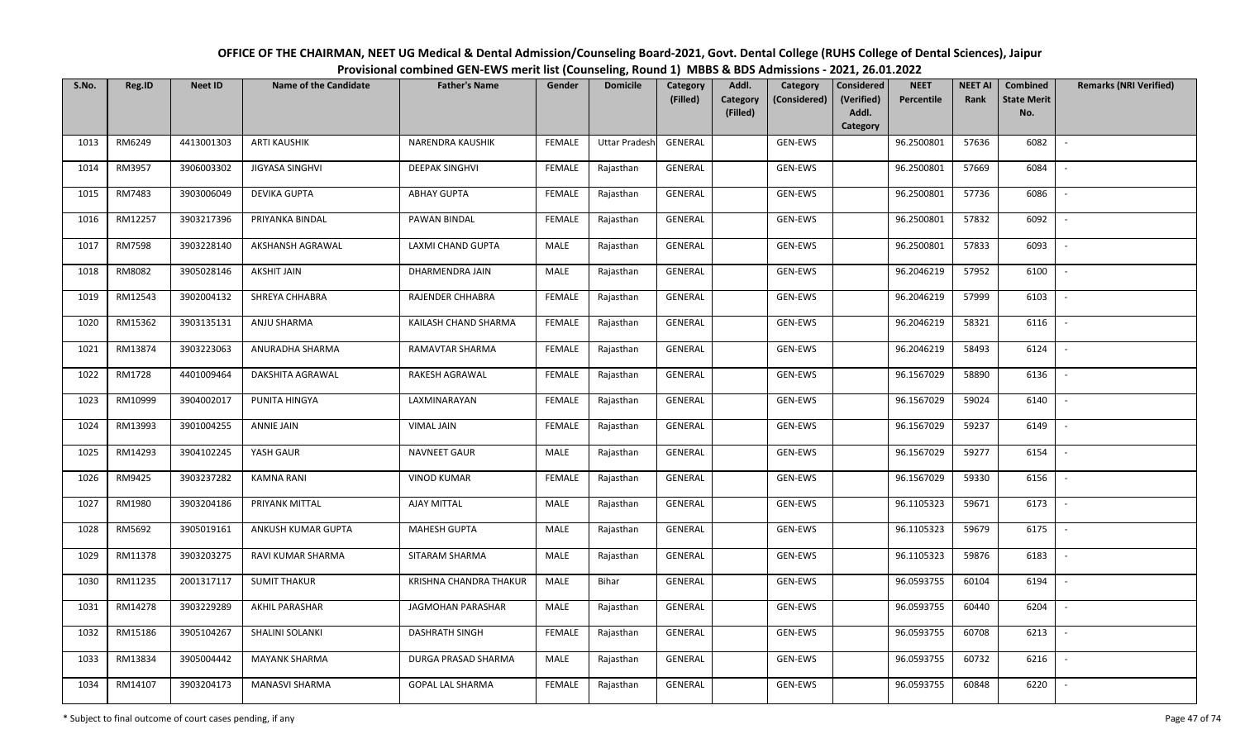| OFFICE OF THE CHAIRMAN, NEET UG Medical & Dental Admission/Counseling Board-2021, Govt. Dental College (RUHS College of Dental Sciences), Jaipur |
|--------------------------------------------------------------------------------------------------------------------------------------------------|
| Provisional combined GEN-EWS merit list (Counseling, Round 1) MBBS & BDS Admissions - 2021, 26.01.2022                                           |

| S.No. | Reg.ID  | <b>Neet ID</b> | <b>Name of the Candidate</b> | <b>Father's Name</b>     | Gender        | <b>Domicile</b>      | Category<br>(Filled) | Addl.<br><b>Category</b> | Category<br>(Considered) | <b>Considered</b><br>(Verified) | <b>NEET</b><br>Percentile | <b>NEET AI</b><br>Rank | Combined<br><b>State Merit</b> | <b>Remarks (NRI Verified)</b> |
|-------|---------|----------------|------------------------------|--------------------------|---------------|----------------------|----------------------|--------------------------|--------------------------|---------------------------------|---------------------------|------------------------|--------------------------------|-------------------------------|
|       |         |                |                              |                          |               |                      |                      | (Filled)                 |                          | Addl.<br>Category               |                           |                        | No.                            |                               |
| 1013  | RM6249  | 4413001303     | <b>ARTI KAUSHIK</b>          | NARENDRA KAUSHIK         | <b>FEMALE</b> | <b>Uttar Pradesh</b> | <b>GENERAL</b>       |                          | <b>GEN-EWS</b>           |                                 | 96.2500801                | 57636                  | 6082                           | $\overline{\phantom{a}}$      |
| 1014  | RM3957  | 3906003302     | <b>JIGYASA SINGHVI</b>       | <b>DEEPAK SINGHVI</b>    | <b>FEMALE</b> | Rajasthan            | GENERAL              |                          | GEN-EWS                  |                                 | 96.2500801                | 57669                  | 6084                           |                               |
| 1015  | RM7483  | 3903006049     | <b>DEVIKA GUPTA</b>          | <b>ABHAY GUPTA</b>       | <b>FEMALE</b> | Rajasthan            | GENERAL              |                          | GEN-EWS                  |                                 | 96.2500801                | 57736                  | 6086                           | $\overline{\phantom{a}}$      |
| 1016  | RM12257 | 3903217396     | PRIYANKA BINDAL              | PAWAN BINDAL             | <b>FEMALE</b> | Rajasthan            | GENERAL              |                          | GEN-EWS                  |                                 | 96.2500801                | 57832                  | 6092                           | $\sim$                        |
| 1017  | RM7598  | 3903228140     | AKSHANSH AGRAWAL             | <b>LAXMI CHAND GUPTA</b> | MALE          | Rajasthan            | GENERAL              |                          | GEN-EWS                  |                                 | 96.2500801                | 57833                  | 6093                           | $\sim$                        |
| 1018  | RM8082  | 3905028146     | <b>AKSHIT JAIN</b>           | DHARMENDRA JAIN          | <b>MALE</b>   | Rajasthan            | GENERAL              |                          | GEN-EWS                  |                                 | 96.2046219                | 57952                  | 6100                           | $\overline{\phantom{a}}$      |
| 1019  | RM12543 | 3902004132     | SHREYA CHHABRA               | RAJENDER CHHABRA         | <b>FEMALE</b> | Rajasthan            | GENERAL              |                          | GEN-EWS                  |                                 | 96.2046219                | 57999                  | 6103                           |                               |
| 1020  | RM15362 | 3903135131     | ANJU SHARMA                  | KAILASH CHAND SHARMA     | <b>FEMALE</b> | Rajasthan            | GENERAL              |                          | GEN-EWS                  |                                 | 96.2046219                | 58321                  | 6116                           | $\overline{\phantom{a}}$      |
| 1021  | RM13874 | 3903223063     | ANURADHA SHARMA              | RAMAVTAR SHARMA          | <b>FEMALE</b> | Rajasthan            | <b>GENERAL</b>       |                          | <b>GEN-EWS</b>           |                                 | 96.2046219                | 58493                  | 6124                           |                               |
| 1022  | RM1728  | 4401009464     | DAKSHITA AGRAWAL             | RAKESH AGRAWAL           | <b>FEMALE</b> | Rajasthan            | GENERAL              |                          | GEN-EWS                  |                                 | 96.1567029                | 58890                  | 6136                           |                               |
| 1023  | RM10999 | 3904002017     | PUNITA HINGYA                | LAXMINARAYAN             | <b>FEMALE</b> | Rajasthan            | GENERAL              |                          | GEN-EWS                  |                                 | 96.1567029                | 59024                  | 6140                           |                               |
| 1024  | RM13993 | 3901004255     | <b>ANNIE JAIN</b>            | <b>VIMAL JAIN</b>        | <b>FEMALE</b> | Rajasthan            | GENERAL              |                          | GEN-EWS                  |                                 | 96.1567029                | 59237                  | 6149                           | $\overline{\phantom{a}}$      |
| 1025  | RM14293 | 3904102245     | YASH GAUR                    | NAVNEET GAUR             | MALE          | Rajasthan            | GENERAL              |                          | GEN-EWS                  |                                 | 96.1567029                | 59277                  | 6154                           |                               |
| 1026  | RM9425  | 3903237282     | <b>KAMNA RANI</b>            | <b>VINOD KUMAR</b>       | <b>FEMALE</b> | Rajasthan            | GENERAL              |                          | GEN-EWS                  |                                 | 96.1567029                | 59330                  | 6156                           | $\sim$                        |
| 1027  | RM1980  | 3903204186     | PRIYANK MITTAL               | AJAY MITTAL              | MALE          | Rajasthan            | GENERAL              |                          | GEN-EWS                  |                                 | 96.1105323                | 59671                  | 6173                           | $\sim$                        |
| 1028  | RM5692  | 3905019161     | ANKUSH KUMAR GUPTA           | <b>MAHESH GUPTA</b>      | MALE          | Rajasthan            | GENERAL              |                          | GEN-EWS                  |                                 | 96.1105323                | 59679                  | 6175                           | $\sim$                        |
| 1029  | RM11378 | 3903203275     | RAVI KUMAR SHARMA            | SITARAM SHARMA           | MALE          | Rajasthan            | GENERAL              |                          | GEN-EWS                  |                                 | 96.1105323                | 59876                  | 6183                           | $\overline{\phantom{a}}$      |
| 1030  | RM11235 | 2001317117     | <b>SUMIT THAKUR</b>          | KRISHNA CHANDRA THAKUR   | MALE          | Bihar                | GENERAL              |                          | GEN-EWS                  |                                 | 96.0593755                | 60104                  | 6194                           |                               |
| 1031  | RM14278 | 3903229289     | AKHIL PARASHAR               | JAGMOHAN PARASHAR        | MALE          | Rajasthan            | GENERAL              |                          | GEN-EWS                  |                                 | 96.0593755                | 60440                  | 6204                           |                               |
| 1032  | RM15186 | 3905104267     | SHALINI SOLANKI              | <b>DASHRATH SINGH</b>    | <b>FEMALE</b> | Rajasthan            | GENERAL              |                          | GEN-EWS                  |                                 | 96.0593755                | 60708                  | 6213                           |                               |
| 1033  | RM13834 | 3905004442     | <b>MAYANK SHARMA</b>         | DURGA PRASAD SHARMA      | MALE          | Rajasthan            | GENERAL              |                          | GEN-EWS                  |                                 | 96.0593755                | 60732                  | 6216                           |                               |
| 1034  | RM14107 | 3903204173     | MANASVI SHARMA               | <b>GOPAL LAL SHARMA</b>  | <b>FEMALE</b> | Rajasthan            | GENERAL              |                          | GEN-EWS                  |                                 | 96.0593755                | 60848                  | 6220                           |                               |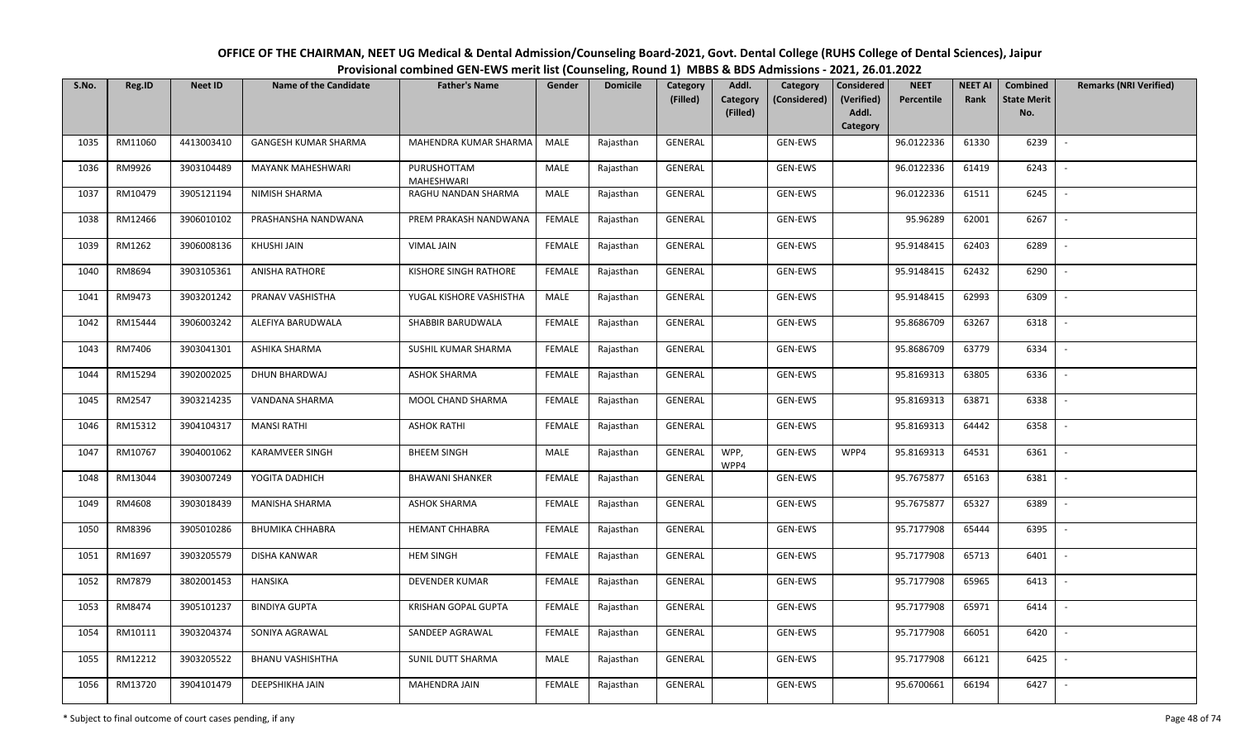| S.No. | Reg.ID  | <b>Neet ID</b> | Name of the Candidate   | <b>Father's Name</b>      | Gender        | <b>Domicile</b> | Category<br>(Filled) | Addl.<br>Category<br>(Filled) | Category<br>(Considered) | Considered<br>(Verified)<br>Addl. | <b>NEET</b><br>Percentile | <b>NEET AI</b><br>Rank | Combined<br><b>State Merit</b><br>No. | <b>Remarks (NRI Verified)</b> |
|-------|---------|----------------|-------------------------|---------------------------|---------------|-----------------|----------------------|-------------------------------|--------------------------|-----------------------------------|---------------------------|------------------------|---------------------------------------|-------------------------------|
|       |         |                |                         |                           |               |                 |                      |                               |                          | Category                          |                           |                        |                                       |                               |
| 1035  | RM11060 | 4413003410     | GANGESH KUMAR SHARMA    | MAHENDRA KUMAR SHARMA     | MALE          | Rajasthan       | GENERAL              |                               | GEN-EWS                  |                                   | 96.0122336                | 61330                  | 6239                                  | $\overline{\phantom{a}}$      |
| 1036  | RM9926  | 3903104489     | MAYANK MAHESHWARI       | PURUSHOTTAM<br>MAHESHWARI | MALE          | Rajasthan       | GENERAL              |                               | GEN-EWS                  |                                   | 96.0122336                | 61419                  | 6243                                  | $\overline{\phantom{a}}$      |
| 1037  | RM10479 | 3905121194     | NIMISH SHARMA           | RAGHU NANDAN SHARMA       | <b>MALE</b>   | Rajasthan       | GENERAL              |                               | GEN-EWS                  |                                   | 96.0122336                | 61511                  | 6245                                  | $\sim$                        |
| 1038  | RM12466 | 3906010102     | PRASHANSHA NANDWANA     | PREM PRAKASH NANDWANA     | <b>FEMALE</b> | Rajasthan       | GENERAL              |                               | GEN-EWS                  |                                   | 95.96289                  | 62001                  | 6267                                  | $\overline{\phantom{a}}$      |
| 1039  | RM1262  | 3906008136     | KHUSHI JAIN             | <b>VIMAL JAIN</b>         | <b>FEMALE</b> | Rajasthan       | GENERAL              |                               | GEN-EWS                  |                                   | 95.9148415                | 62403                  | 6289                                  | $\sim$                        |
| 1040  | RM8694  | 3903105361     | ANISHA RATHORE          | KISHORE SINGH RATHORE     | <b>FEMALE</b> | Rajasthan       | GENERAL              |                               | GEN-EWS                  |                                   | 95.9148415                | 62432                  | 6290                                  | $\overline{\phantom{a}}$      |
| 1041  | RM9473  | 3903201242     | PRANAV VASHISTHA        | YUGAL KISHORE VASHISTHA   | MALE          | Rajasthan       | GENERAL              |                               | GEN-EWS                  |                                   | 95.9148415                | 62993                  | 6309                                  |                               |
| 1042  | RM15444 | 3906003242     | ALEFIYA BARUDWALA       | SHABBIR BARUDWALA         | <b>FEMALE</b> | Rajasthan       | GENERAL              |                               | GEN-EWS                  |                                   | 95.8686709                | 63267                  | 6318                                  |                               |
| 1043  | RM7406  | 3903041301     | ASHIKA SHARMA           | SUSHIL KUMAR SHARMA       | <b>FEMALE</b> | Rajasthan       | GENERAL              |                               | GEN-EWS                  |                                   | 95.8686709                | 63779                  | 6334                                  |                               |
| 1044  | RM15294 | 3902002025     | DHUN BHARDWAJ           | <b>ASHOK SHARMA</b>       | <b>FEMALE</b> | Rajasthan       | GENERAL              |                               | GEN-EWS                  |                                   | 95.8169313                | 63805                  | 6336                                  |                               |
| 1045  | RM2547  | 3903214235     | VANDANA SHARMA          | MOOL CHAND SHARMA         | <b>FEMALE</b> | Rajasthan       | GENERAL              |                               | GEN-EWS                  |                                   | 95.8169313                | 63871                  | 6338                                  |                               |
| 1046  | RM15312 | 3904104317     | <b>MANSI RATHI</b>      | <b>ASHOK RATHI</b>        | <b>FEMALE</b> | Rajasthan       | GENERAL              |                               | GEN-EWS                  |                                   | 95.8169313                | 64442                  | 6358                                  | $\overline{\phantom{a}}$      |
| 1047  | RM10767 | 3904001062     | KARAMVEER SINGH         | <b>BHEEM SINGH</b>        | MALE          | Rajasthan       | GENERAL              | WPP,<br>WPP4                  | GEN-EWS                  | WPP4                              | 95.8169313                | 64531                  | 6361                                  |                               |
| 1048  | RM13044 | 3903007249     | YOGITA DADHICH          | <b>BHAWANI SHANKER</b>    | <b>FEMALE</b> | Rajasthan       | GENERAL              |                               | GEN-EWS                  |                                   | 95.7675877                | 65163                  | 6381                                  | $\sim$                        |
| 1049  | RM4608  | 3903018439     | MANISHA SHARMA          | <b>ASHOK SHARMA</b>       | <b>FEMALE</b> | Rajasthan       | GENERAL              |                               | GEN-EWS                  |                                   | 95.7675877                | 65327                  | 6389                                  | $\sim$                        |
| 1050  | RM8396  | 3905010286     | <b>BHUMIKA CHHABRA</b>  | <b>HEMANT CHHABRA</b>     | <b>FEMALE</b> | Rajasthan       | GENERAL              |                               | GEN-EWS                  |                                   | 95.7177908                | 65444                  | 6395                                  | $\sim$                        |
| 1051  | RM1697  | 3903205579     | <b>DISHA KANWAR</b>     | <b>HEM SINGH</b>          | <b>FEMALE</b> | Rajasthan       | GENERAL              |                               | GEN-EWS                  |                                   | 95.7177908                | 65713                  | 6401                                  | $\overline{\phantom{a}}$      |
| 1052  | RM7879  | 3802001453     | <b>HANSIKA</b>          | <b>DEVENDER KUMAR</b>     | <b>FEMALE</b> | Rajasthan       | GENERAL              |                               | GEN-EWS                  |                                   | 95.7177908                | 65965                  | 6413                                  | $\overline{\phantom{a}}$      |
| 1053  | RM8474  | 3905101237     | <b>BINDIYA GUPTA</b>    | KRISHAN GOPAL GUPTA       | <b>FEMALE</b> | Rajasthan       | GENERAL              |                               | GEN-EWS                  |                                   | 95.7177908                | 65971                  | 6414                                  |                               |
| 1054  | RM10111 | 3903204374     | SONIYA AGRAWAL          | SANDEEP AGRAWAL           | <b>FEMALE</b> | Rajasthan       | GENERAL              |                               | GEN-EWS                  |                                   | 95.7177908                | 66051                  | 6420                                  |                               |
| 1055  | RM12212 | 3903205522     | <b>BHANU VASHISHTHA</b> | <b>SUNIL DUTT SHARMA</b>  | MALE          | Rajasthan       | GENERAL              |                               | GEN-EWS                  |                                   | 95.7177908                | 66121                  | 6425                                  | $\sim$                        |
| 1056  | RM13720 | 3904101479     | DEEPSHIKHA JAIN         | MAHENDRA JAIN             | <b>FEMALE</b> | Rajasthan       | GENERAL              |                               | GEN-EWS                  |                                   | 95.6700661                | 66194                  | 6427                                  |                               |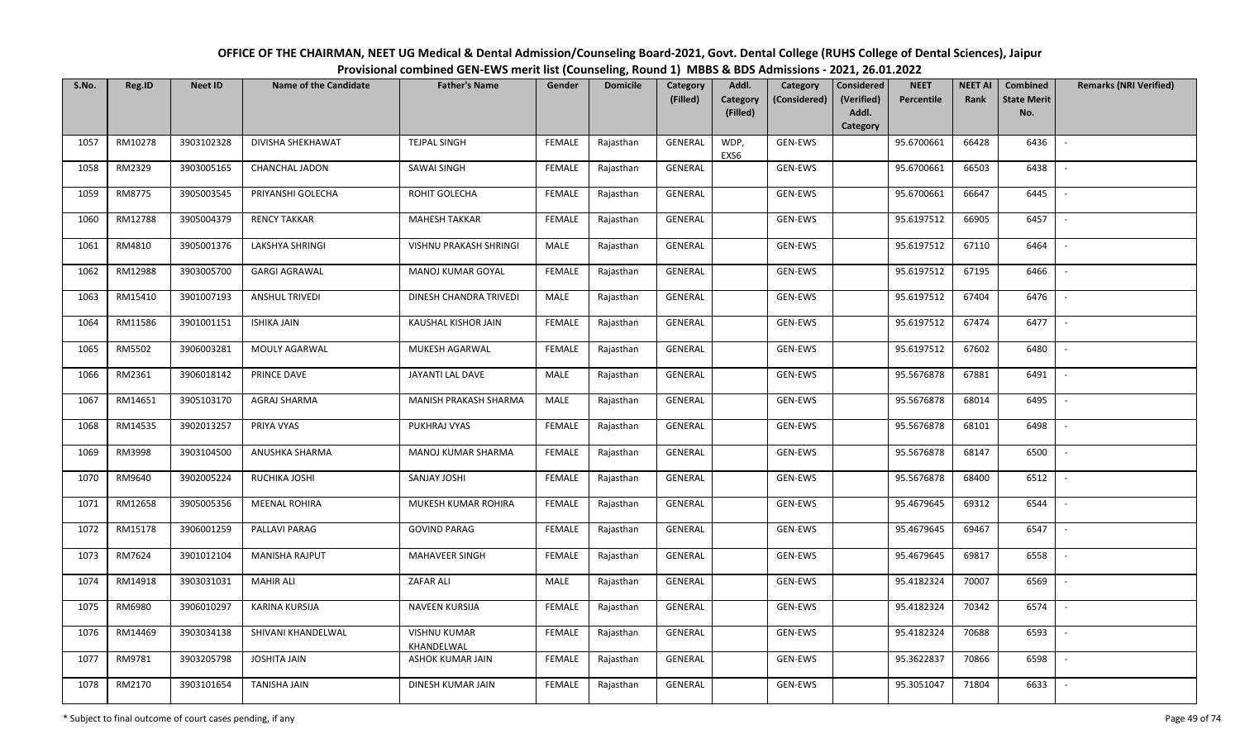| OFFICE OF THE CHAIRMAN, NEET UG Medical & Dental Admission/Counseling Board-2021, Govt. Dental College (RUHS College of Dental Sciences), Jaipur |  |  |  |  |  |  |  |  |  |  |  |  |  |
|--------------------------------------------------------------------------------------------------------------------------------------------------|--|--|--|--|--|--|--|--|--|--|--|--|--|
| Provisional combined GEN-EWS merit list (Counseling, Round 1) MBBS & BDS Admissions - 2021, 26.01.2022                                           |  |  |  |  |  |  |  |  |  |  |  |  |  |
|                                                                                                                                                  |  |  |  |  |  |  |  |  |  |  |  |  |  |

| S.No. | Reg.ID  | <b>Neet ID</b> | <b>Name of the Candidate</b> | <b>Father's Name</b>              | Gender        | <b>Domicile</b> | Category<br>(Filled) | Addl.<br>Category<br>(Considered)<br>Category | <b>Considered</b><br>(Verified) | <b>NEET</b><br>Percentile | <b>NEET AI</b><br>Rank | <b>Combined</b><br><b>State Merit</b> | <b>Remarks (NRI Verified)</b> |
|-------|---------|----------------|------------------------------|-----------------------------------|---------------|-----------------|----------------------|-----------------------------------------------|---------------------------------|---------------------------|------------------------|---------------------------------------|-------------------------------|
|       |         |                |                              |                                   |               |                 |                      | (Filled)                                      | Addl.<br>Category               |                           |                        | No.                                   |                               |
| 1057  | RM10278 | 3903102328     | DIVISHA SHEKHAWAT            | <b>TEJPAL SINGH</b>               | FEMALE        | Rajasthan       | <b>GENERAL</b>       | WDP,<br>GEN-EWS<br>EXS6                       |                                 | 95.6700661                | 66428                  | 6436                                  | $\overline{\phantom{a}}$      |
| 1058  | RM2329  | 3903005165     | <b>CHANCHAL JADON</b>        | <b>SAWAI SINGH</b>                | <b>FEMALE</b> | Rajasthan       | GENERAL              | GEN-EWS                                       |                                 | 95.6700661                | 66503                  | 6438                                  |                               |
| 1059  | RM8775  | 3905003545     | PRIYANSHI GOLECHA            | ROHIT GOLECHA                     | <b>FEMALE</b> | Rajasthan       | GENERAL              | GEN-EWS                                       |                                 | 95.6700661                | 66647                  | 6445                                  | $\overline{\phantom{a}}$      |
| 1060  | RM12788 | 3905004379     | <b>RENCY TAKKAR</b>          | <b>MAHESH TAKKAR</b>              | <b>FEMALE</b> | Rajasthan       | GENERAL              | GEN-EWS                                       |                                 | 95.6197512                | 66905                  | 6457                                  | $\sim$                        |
| 1061  | RM4810  | 3905001376     | <b>LAKSHYA SHRINGI</b>       | VISHNU PRAKASH SHRINGI            | MALE          | Rajasthan       | GENERAL              | GEN-EWS                                       |                                 | 95.6197512                | 67110                  | 6464                                  | $\sim$                        |
| 1062  | RM12988 | 3903005700     | <b>GARGI AGRAWAL</b>         | MANOJ KUMAR GOYAL                 | <b>FEMALE</b> | Rajasthan       | GENERAL              | GEN-EWS                                       |                                 | 95.6197512                | 67195                  | 6466                                  | $\overline{\phantom{a}}$      |
| 1063  | RM15410 | 3901007193     | <b>ANSHUL TRIVEDI</b>        | DINESH CHANDRA TRIVEDI            | MALE          | Rajasthan       | GENERAL              | GEN-EWS                                       |                                 | 95.6197512                | 67404                  | 6476                                  |                               |
| 1064  | RM11586 | 3901001151     | <b>ISHIKA JAIN</b>           | KAUSHAL KISHOR JAIN               | <b>FEMALE</b> | Rajasthan       | <b>GENERAL</b>       | GEN-EWS                                       |                                 | 95.6197512                | 67474                  | 6477                                  |                               |
| 1065  | RM5502  | 3906003281     | MOULY AGARWAL                | MUKESH AGARWAL                    | <b>FEMALE</b> | Rajasthan       | <b>GENERAL</b>       | GEN-EWS                                       |                                 | 95.6197512                | 67602                  | 6480                                  |                               |
| 1066  | RM2361  | 3906018142     | PRINCE DAVE                  | JAYANTI LAL DAVE                  | MALE          | Rajasthan       | GENERAL              | GEN-EWS                                       |                                 | 95.5676878                | 67881                  | 6491                                  |                               |
| 1067  | RM14651 | 3905103170     | AGRAJ SHARMA                 | MANISH PRAKASH SHARMA             | MALE          | Rajasthan       | GENERAL              | GEN-EWS                                       |                                 | 95.5676878                | 68014                  | 6495                                  |                               |
| 1068  | RM14535 | 3902013257     | PRIYA VYAS                   | PUKHRAJ VYAS                      | <b>FEMALE</b> | Rajasthan       | GENERAL              | GEN-EWS                                       |                                 | 95.5676878                | 68101                  | 6498                                  | $\sim$                        |
| 1069  | RM3998  | 3903104500     | ANUSHKA SHARMA               | MANOJ KUMAR SHARMA                | FEMALE        | Rajasthan       | GENERAL              | GEN-EWS                                       |                                 | 95.5676878                | 68147                  | 6500                                  |                               |
| 1070  | RM9640  | 3902005224     | RUCHIKA JOSHI                | SANJAY JOSHI                      | <b>FEMALE</b> | Rajasthan       | GENERAL              | GEN-EWS                                       |                                 | 95.5676878                | 68400                  | 6512                                  | $\sim$                        |
| 1071  | RM12658 | 3905005356     | <b>MEENAL ROHIRA</b>         | MUKESH KUMAR ROHIRA               | <b>FEMALE</b> | Rajasthan       | GENERAL              | GEN-EWS                                       |                                 | 95.4679645                | 69312                  | 6544                                  | $\overline{\phantom{a}}$      |
| 1072  | RM15178 | 3906001259     | PALLAVI PARAG                | <b>GOVIND PARAG</b>               | <b>FEMALE</b> | Rajasthan       | GENERAL              | GEN-EWS                                       |                                 | 95.4679645                | 69467                  | 6547                                  | $\sim$                        |
| 1073  | RM7624  | 3901012104     | <b>MANISHA RAJPUT</b>        | <b>MAHAVEER SINGH</b>             | <b>FEMALE</b> | Rajasthan       | GENERAL              | GEN-EWS                                       |                                 | 95.4679645                | 69817                  | 6558                                  | $\overline{\phantom{a}}$      |
| 1074  | RM14918 | 3903031031     | <b>MAHIR ALI</b>             | ZAFAR ALI                         | MALE          | Rajasthan       | GENERAL              | GEN-EWS                                       |                                 | 95.4182324                | 70007                  | 6569                                  | $\overline{\phantom{a}}$      |
| 1075  | RM6980  | 3906010297     | KARINA KURSIJA               | NAVEEN KURSIJA                    | <b>FEMALE</b> | Rajasthan       | GENERAL              | GEN-EWS                                       |                                 | 95.4182324                | 70342                  | 6574                                  |                               |
| 1076  | RM14469 | 3903034138     | SHIVANI KHANDELWAL           | <b>VISHNU KUMAR</b><br>KHANDELWAL | <b>FEMALE</b> | Rajasthan       | GENERAL              | GEN-EWS                                       |                                 | 95.4182324                | 70688                  | 6593                                  |                               |
| 1077  | RM9781  | 3903205798     | <b>JOSHITA JAIN</b>          | ASHOK KUMAR JAIN                  | <b>FEMALE</b> | Rajasthan       | <b>GENERAL</b>       | GEN-EWS                                       |                                 | 95.3622837                | 70866                  | 6598                                  | $\overline{\phantom{a}}$      |
| 1078  | RM2170  | 3903101654     | TANISHA JAIN                 | DINESH KUMAR JAIN                 | FEMALE        | Rajasthan       | GENERAL              | GEN-EWS                                       |                                 | 95.3051047                | 71804                  | 6633                                  |                               |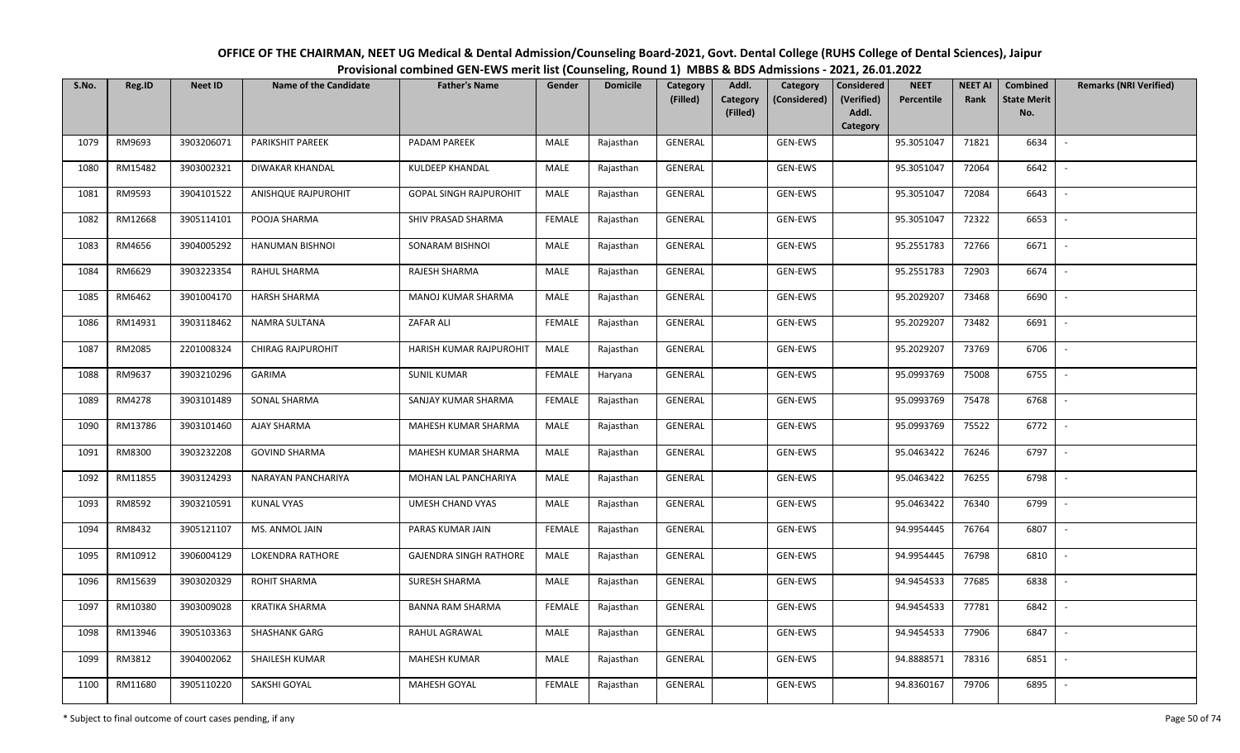| OFFICE OF THE CHAIRMAN, NEET UG Medical & Dental Admission/Counseling Board-2021, Govt. Dental College (RUHS College of Dental Sciences), Jaipur |
|--------------------------------------------------------------------------------------------------------------------------------------------------|
| Provisional combined GEN-EWS merit list (Counseling, Round 1) MBBS & BDS Admissions - 2021, 26.01.2022                                           |

| S.No. | Reg.ID  | <b>Neet ID</b> | <b>Name of the Candidate</b> | <b>Father's Name</b>          | Gender        | <b>Domicile</b> | Category<br>(Filled) | Addl.<br>Category<br>Category<br>(Considered) | <b>Considered</b><br>(Verified) | <b>NEET</b><br>Percentile | <b>NEET AI</b><br>Rank | <b>Combined</b><br><b>State Merit</b> | <b>Remarks (NRI Verified)</b> |
|-------|---------|----------------|------------------------------|-------------------------------|---------------|-----------------|----------------------|-----------------------------------------------|---------------------------------|---------------------------|------------------------|---------------------------------------|-------------------------------|
|       |         |                |                              |                               |               |                 |                      | (Filled)                                      | Addl.<br>Category               |                           |                        | No.                                   |                               |
| 1079  | RM9693  | 3903206071     | PARIKSHIT PAREEK             | PADAM PAREEK                  | MALE          | Rajasthan       | GENERAL              | GEN-EWS                                       |                                 | 95.3051047                | 71821                  | 6634                                  | $\sim$                        |
| 1080  | RM15482 | 3903002321     | <b>DIWAKAR KHANDAL</b>       | <b>KULDEEP KHANDAL</b>        | MALE          | Rajasthan       | GENERAL              | GEN-EWS                                       |                                 | 95.3051047                | 72064                  | 6642                                  |                               |
| 1081  | RM9593  | 3904101522     | ANISHQUE RAJPUROHIT          | <b>GOPAL SINGH RAJPUROHIT</b> | MALE          | Rajasthan       | GENERAL              | GEN-EWS                                       |                                 | 95.3051047                | 72084                  | 6643                                  | $\overline{\phantom{a}}$      |
| 1082  | RM12668 | 3905114101     | POOJA SHARMA                 | SHIV PRASAD SHARMA            | <b>FEMALE</b> | Rajasthan       | GENERAL              | GEN-EWS                                       |                                 | 95.3051047                | 72322                  | 6653                                  | $\overline{\phantom{a}}$      |
| 1083  | RM4656  | 3904005292     | HANUMAN BISHNOI              | SONARAM BISHNOI               | MALE          | Rajasthan       | GENERAL              | GEN-EWS                                       |                                 | 95.2551783                | 72766                  | 6671                                  | $\sim$                        |
| 1084  | RM6629  | 3903223354     | RAHUL SHARMA                 | RAJESH SHARMA                 | <b>MALE</b>   | Rajasthan       | GENERAL              | GEN-EWS                                       |                                 | 95.2551783                | 72903                  | 6674                                  | $\overline{\phantom{a}}$      |
| 1085  | RM6462  | 3901004170     | HARSH SHARMA                 | MANOJ KUMAR SHARMA            | MALE          | Rajasthan       | GENERAL              | GEN-EWS                                       |                                 | 95.2029207                | 73468                  | 6690                                  |                               |
| 1086  | RM14931 | 3903118462     | NAMRA SULTANA                | ZAFAR ALI                     | <b>FEMALE</b> | Rajasthan       | <b>GENERAL</b>       | GEN-EWS                                       |                                 | 95.2029207                | 73482                  | 6691                                  |                               |
| 1087  | RM2085  | 2201008324     | <b>CHIRAG RAJPUROHIT</b>     | HARISH KUMAR RAJPUROHIT       | <b>MALE</b>   | Rajasthan       | <b>GENERAL</b>       | GEN-EWS                                       |                                 | 95.2029207                | 73769                  | 6706                                  | $\overline{\phantom{a}}$      |
| 1088  | RM9637  | 3903210296     | GARIMA                       | <b>SUNIL KUMAR</b>            | <b>FEMALE</b> | Haryana         | GENERAL              | GEN-EWS                                       |                                 | 95.0993769                | 75008                  | 6755                                  | $\sim$                        |
| 1089  | RM4278  | 3903101489     | SONAL SHARMA                 | SANJAY KUMAR SHARMA           | <b>FEMALE</b> | Rajasthan       | GENERAL              | GEN-EWS                                       |                                 | 95.0993769                | 75478                  | 6768                                  |                               |
| 1090  | RM13786 | 3903101460     | AJAY SHARMA                  | MAHESH KUMAR SHARMA           | MALE          | Rajasthan       | GENERAL              | GEN-EWS                                       |                                 | 95.0993769                | 75522                  | 6772                                  | $\sim$                        |
| 1091  | RM8300  | 3903232208     | <b>GOVIND SHARMA</b>         | MAHESH KUMAR SHARMA           | MALE          | Rajasthan       | GENERAL              | GEN-EWS                                       |                                 | 95.0463422                | 76246                  | 6797                                  |                               |
| 1092  | RM11855 | 3903124293     | NARAYAN PANCHARIYA           | MOHAN LAL PANCHARIYA          | MALE          | Rajasthan       | GENERAL              | GEN-EWS                                       |                                 | 95.0463422                | 76255                  | 6798                                  | $\sim$                        |
| 1093  | RM8592  | 3903210591     | <b>KUNAL VYAS</b>            | UMESH CHAND VYAS              | MALE          | Rajasthan       | GENERAL              | GEN-EWS                                       |                                 | 95.0463422                | 76340                  | 6799                                  | $\sim$                        |
| 1094  | RM8432  | 3905121107     | MS. ANMOL JAIN               | PARAS KUMAR JAIN              | <b>FEMALE</b> | Rajasthan       | GENERAL              | GEN-EWS                                       |                                 | 94.9954445                | 76764                  | 6807                                  | $\sim$                        |
| 1095  | RM10912 | 3906004129     | <b>LOKENDRA RATHORE</b>      | <b>GAJENDRA SINGH RATHORE</b> | MALE          | Rajasthan       | GENERAL              | GEN-EWS                                       |                                 | 94.9954445                | 76798                  | 6810                                  | $\sim$                        |
| 1096  | RM15639 | 3903020329     | ROHIT SHARMA                 | SURESH SHARMA                 | MALE          | Rajasthan       | GENERAL              | GEN-EWS                                       |                                 | 94.9454533                | 77685                  | 6838                                  |                               |
| 1097  | RM10380 | 3903009028     | <b>KRATIKA SHARMA</b>        | <b>BANNA RAM SHARMA</b>       | <b>FEMALE</b> | Rajasthan       | GENERAL              | GEN-EWS                                       |                                 | 94.9454533                | 77781                  | 6842                                  |                               |
| 1098  | RM13946 | 3905103363     | <b>SHASHANK GARG</b>         | RAHUL AGRAWAL                 | MALE          | Rajasthan       | <b>GENERAL</b>       | GEN-EWS                                       |                                 | 94.9454533                | 77906                  | 6847                                  |                               |
| 1099  | RM3812  | 3904002062     | SHAILESH KUMAR               | <b>MAHESH KUMAR</b>           | MALE          | Rajasthan       | GENERAL              | GEN-EWS                                       |                                 | 94.8888571                | 78316                  | 6851                                  |                               |
| 1100  | RM11680 | 3905110220     | SAKSHI GOYAL                 | MAHESH GOYAL                  | <b>FEMALE</b> | Rajasthan       | <b>GENERAL</b>       | GEN-EWS                                       |                                 | 94.8360167                | 79706                  | 6895                                  |                               |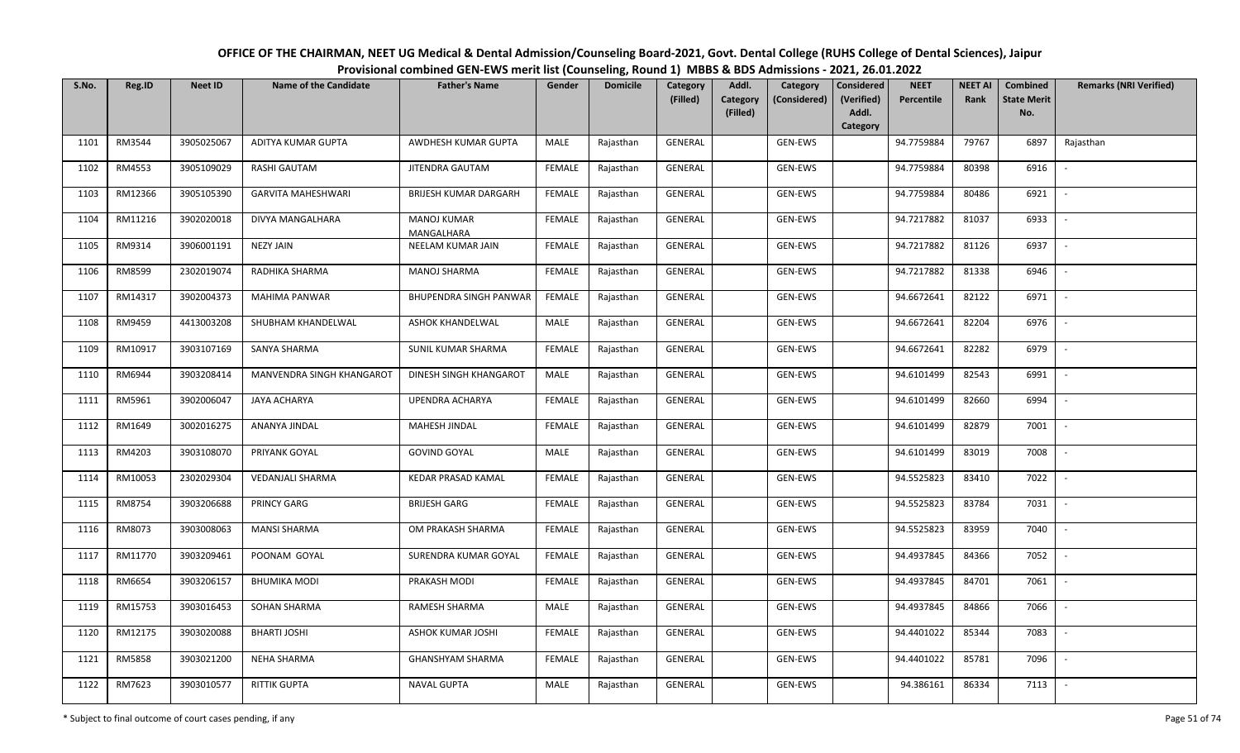| S.No. | Reg.ID  | <b>Neet ID</b> | Name of the Candidate     | <b>Father's Name</b>      | Gender        | <b>Domicile</b> | Category<br>(Filled) | Addl.<br>Category | Category<br>(Considered) | Considered<br>(Verified) | <b>NEET</b><br>Percentile | <b>NEET AI</b><br>Rank | Combined<br><b>State Merit</b> | <b>Remarks (NRI Verified)</b> |
|-------|---------|----------------|---------------------------|---------------------------|---------------|-----------------|----------------------|-------------------|--------------------------|--------------------------|---------------------------|------------------------|--------------------------------|-------------------------------|
|       |         |                |                           |                           |               |                 |                      | (Filled)          |                          | Addl.<br><b>Category</b> |                           |                        | No.                            |                               |
| 1101  | RM3544  | 3905025067     | ADITYA KUMAR GUPTA        | AWDHESH KUMAR GUPTA       | MALE          | Rajasthan       | <b>GENERAL</b>       |                   | GEN-EWS                  |                          | 94.7759884                | 79767                  | 6897                           | Rajasthan                     |
| 1102  | RM4553  | 3905109029     | <b>RASHI GAUTAM</b>       | JITENDRA GAUTAM           | <b>FEMALE</b> | Rajasthan       | GENERAL              |                   | GEN-EWS                  |                          | 94.7759884                | 80398                  | 6916                           |                               |
| 1103  | RM12366 | 3905105390     | <b>GARVITA MAHESHWARI</b> | BRIJESH KUMAR DARGARH     | <b>FEMALE</b> | Rajasthan       | GENERAL              |                   | GEN-EWS                  |                          | 94.7759884                | 80486                  | 6921                           | $\sim$                        |
| 1104  | RM11216 | 3902020018     | DIVYA MANGALHARA          | MANOJ KUMAR<br>MANGALHARA | <b>FEMALE</b> | Rajasthan       | GENERAL              |                   | GEN-EWS                  |                          | 94.7217882                | 81037                  | 6933                           | $\overline{\phantom{a}}$      |
| 1105  | RM9314  | 3906001191     | <b>NEZY JAIN</b>          | NEELAM KUMAR JAIN         | <b>FEMALE</b> | Rajasthan       | GENERAL              |                   | GEN-EWS                  |                          | 94.7217882                | 81126                  | 6937                           | $\sim$                        |
| 1106  | RM8599  | 2302019074     | RADHIKA SHARMA            | <b>MANOJ SHARMA</b>       | <b>FEMALE</b> | Rajasthan       | GENERAL              |                   | GEN-EWS                  |                          | 94.7217882                | 81338                  | 6946                           |                               |
| 1107  | RM14317 | 3902004373     | MAHIMA PANWAR             | BHUPENDRA SINGH PANWAR    | <b>FEMALE</b> | Rajasthan       | GENERAL              |                   | GEN-EWS                  |                          | 94.6672641                | 82122                  | 6971                           |                               |
| 1108  | RM9459  | 4413003208     | SHUBHAM KHANDELWAL        | <b>ASHOK KHANDELWAL</b>   | MALE          | Rajasthan       | GENERAL              |                   | GEN-EWS                  |                          | 94.6672641                | 82204                  | 6976                           |                               |
| 1109  | RM10917 | 3903107169     | SANYA SHARMA              | SUNIL KUMAR SHARMA        | <b>FEMALE</b> | Rajasthan       | GENERAL              |                   | GEN-EWS                  |                          | 94.6672641                | 82282                  | 6979                           | $\overline{\phantom{a}}$      |
| 1110  | RM6944  | 3903208414     | MANVENDRA SINGH KHANGAROT | DINESH SINGH KHANGAROT    | MALE          | Rajasthan       | GENERAL              |                   | GEN-EWS                  |                          | 94.6101499                | 82543                  | 6991                           | $\sim$                        |
| 1111  | RM5961  | 3902006047     | <b>JAYA ACHARYA</b>       | UPENDRA ACHARYA           | <b>FEMALE</b> | Rajasthan       | GENERAL              |                   | GEN-EWS                  |                          | 94.6101499                | 82660                  | 6994                           |                               |
| 1112  | RM1649  | 3002016275     | ANANYA JINDAL             | MAHESH JINDAL             | <b>FEMALE</b> | Rajasthan       | GENERAL              |                   | GEN-EWS                  |                          | 94.6101499                | 82879                  | 7001                           | $\sim$                        |
| 1113  | RM4203  | 3903108070     | PRIYANK GOYAL             | <b>GOVIND GOYAL</b>       | MALE          | Rajasthan       | GENERAL              |                   | GEN-EWS                  |                          | 94.6101499                | 83019                  | 7008                           |                               |
| 1114  | RM10053 | 2302029304     | VEDANJALI SHARMA          | KEDAR PRASAD KAMAL        | <b>FEMALE</b> | Rajasthan       | GENERAL              |                   | GEN-EWS                  |                          | 94.5525823                | 83410                  | 7022                           | $\sim$                        |
| 1115  | RM8754  | 3903206688     | PRINCY GARG               | <b>BRIJESH GARG</b>       | <b>FEMALE</b> | Rajasthan       | GENERAL              |                   | GEN-EWS                  |                          | 94.5525823                | 83784                  | 7031                           | $\sim$                        |
| 1116  | RM8073  | 3903008063     | <b>MANSI SHARMA</b>       | OM PRAKASH SHARMA         | <b>FEMALE</b> | Rajasthan       | GENERAL              |                   | GEN-EWS                  |                          | 94.5525823                | 83959                  | 7040                           | $\sim$                        |
| 1117  | RM11770 | 3903209461     | POONAM GOYAL              | SURENDRA KUMAR GOYAL      | <b>FEMALE</b> | Rajasthan       | GENERAL              |                   | GEN-EWS                  |                          | 94.4937845                | 84366                  | 7052                           | $\overline{\phantom{a}}$      |
| 1118  | RM6654  | 3903206157     | <b>BHUMIKA MODI</b>       | PRAKASH MODI              | <b>FEMALE</b> | Rajasthan       | GENERAL              |                   | GEN-EWS                  |                          | 94.4937845                | 84701                  | 7061                           | $\overline{\phantom{a}}$      |
| 1119  | RM15753 | 3903016453     | SOHAN SHARMA              | RAMESH SHARMA             | <b>MALE</b>   | Rajasthan       | GENERAL              |                   | GEN-EWS                  |                          | 94.4937845                | 84866                  | 7066                           |                               |
| 1120  | RM12175 | 3903020088     | BHARTI JOSHI              | ASHOK KUMAR JOSHI         | <b>FEMALE</b> | Rajasthan       | GENERAL              |                   | GEN-EWS                  |                          | 94.4401022                | 85344                  | 7083                           |                               |
| 1121  | RM5858  | 3903021200     | NEHA SHARMA               | <b>GHANSHYAM SHARMA</b>   | <b>FEMALE</b> | Rajasthan       | GENERAL              |                   | GEN-EWS                  |                          | 94.4401022                | 85781                  | 7096                           |                               |
| 1122  | RM7623  | 3903010577     | <b>RITTIK GUPTA</b>       | <b>NAVAL GUPTA</b>        | MALE          | Rajasthan       | GENERAL              |                   | GEN-EWS                  |                          | 94.386161                 | 86334                  | 7113                           | $\overline{\phantom{a}}$      |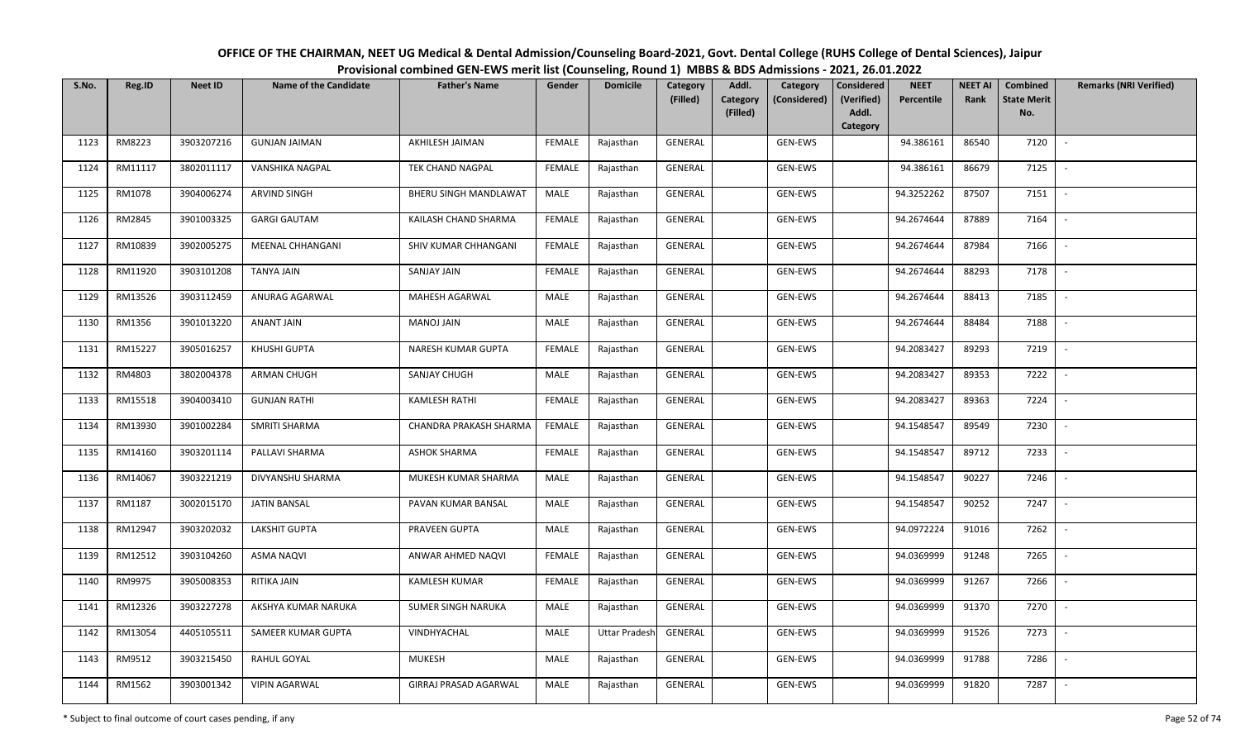| OFFICE OF THE CHAIRMAN, NEET UG Medical & Dental Admission/Counseling Board-2021, Govt. Dental College (RUHS College of Dental Sciences), Jaipur |
|--------------------------------------------------------------------------------------------------------------------------------------------------|
| Provisional combined GEN-EWS merit list (Counseling, Round 1) MBBS & BDS Admissions - 2021, 26.01.2022                                           |

| S.No. | Reg.ID  | <b>Neet ID</b> | <b>Name of the Candidate</b> | <b>Father's Name</b>          | Gender        | <b>Domicile</b>      | Category<br>(Filled) | Addl.<br><b>Category</b> | Category<br>(Considered) | <b>Considered</b><br>(Verified) | <b>NEET</b><br>Percentile | <b>NEET AI</b><br>Rank | Combined<br><b>State Merit</b> | <b>Remarks (NRI Verified)</b> |
|-------|---------|----------------|------------------------------|-------------------------------|---------------|----------------------|----------------------|--------------------------|--------------------------|---------------------------------|---------------------------|------------------------|--------------------------------|-------------------------------|
|       |         |                |                              |                               |               |                      |                      | (Filled)                 |                          | Addl.<br>Category               |                           |                        | No.                            |                               |
| 1123  | RM8223  | 3903207216     | <b>GUNJAN JAIMAN</b>         | AKHILESH JAIMAN               | <b>FEMALE</b> | Rajasthan            | <b>GENERAL</b>       |                          | <b>GEN-EWS</b>           |                                 | 94.386161                 | 86540                  | 7120                           | $\overline{\phantom{a}}$      |
| 1124  | RM11117 | 3802011117     | VANSHIKA NAGPAL              | <b>TEK CHAND NAGPAL</b>       | <b>FEMALE</b> | Rajasthan            | GENERAL              |                          | GEN-EWS                  |                                 | 94.386161                 | 86679                  | 7125                           |                               |
| 1125  | RM1078  | 3904006274     | ARVIND SINGH                 | BHERU SINGH MANDLAWAT         | MALE          | Rajasthan            | GENERAL              |                          | GEN-EWS                  |                                 | 94.3252262                | 87507                  | 7151                           | $\sim$                        |
| 1126  | RM2845  | 3901003325     | <b>GARGI GAUTAM</b>          | KAILASH CHAND SHARMA          | <b>FEMALE</b> | Rajasthan            | GENERAL              |                          | GEN-EWS                  |                                 | 94.2674644                | 87889                  | 7164                           | $\sim$                        |
| 1127  | RM10839 | 3902005275     | <b>MEENAL CHHANGANI</b>      | SHIV KUMAR CHHANGANI          | <b>FEMALE</b> | Rajasthan            | GENERAL              |                          | GEN-EWS                  |                                 | 94.2674644                | 87984                  | 7166                           | $\sim$                        |
| 1128  | RM11920 | 3903101208     | TANYA JAIN                   | SANJAY JAIN                   | <b>FEMALE</b> | Rajasthan            | GENERAL              |                          | GEN-EWS                  |                                 | 94.2674644                | 88293                  | 7178                           | $\overline{\phantom{a}}$      |
| 1129  | RM13526 | 3903112459     | ANURAG AGARWAL               | MAHESH AGARWAL                | MALE          | Rajasthan            | GENERAL              |                          | GEN-EWS                  |                                 | 94.2674644                | 88413                  | 7185                           |                               |
| 1130  | RM1356  | 3901013220     | <b>ANANT JAIN</b>            | MANOJ JAIN                    | MALE          | Rajasthan            | GENERAL              |                          | GEN-EWS                  |                                 | 94.2674644                | 88484                  | 7188                           |                               |
| 1131  | RM15227 | 3905016257     | KHUSHI GUPTA                 | NARESH KUMAR GUPTA            | <b>FEMALE</b> | Rajasthan            | <b>GENERAL</b>       |                          | GEN-EWS                  |                                 | 94.2083427                | 89293                  | 7219                           |                               |
| 1132  | RM4803  | 3802004378     | ARMAN CHUGH                  | <b>SANJAY CHUGH</b>           | MALE          | Rajasthan            | GENERAL              |                          | GEN-EWS                  |                                 | 94.2083427                | 89353                  | 7222                           |                               |
| 1133  | RM15518 | 3904003410     | <b>GUNJAN RATHI</b>          | <b>KAMLESH RATHI</b>          | <b>FEMALE</b> | Rajasthan            | GENERAL              |                          | GEN-EWS                  |                                 | 94.2083427                | 89363                  | 7224                           |                               |
| 1134  | RM13930 | 3901002284     | <b>SMRITI SHARMA</b>         | <b>CHANDRA PRAKASH SHARMA</b> | <b>FEMALE</b> | Rajasthan            | GENERAL              |                          | GEN-EWS                  |                                 | 94.1548547                | 89549                  | 7230                           | $\sim$                        |
| 1135  | RM14160 | 3903201114     | PALLAVI SHARMA               | <b>ASHOK SHARMA</b>           | <b>FEMALE</b> | Rajasthan            | GENERAL              |                          | GEN-EWS                  |                                 | 94.1548547                | 89712                  | 7233                           |                               |
| 1136  | RM14067 | 3903221219     | DIVYANSHU SHARMA             | MUKESH KUMAR SHARMA           | MALE          | Rajasthan            | GENERAL              |                          | GEN-EWS                  |                                 | 94.1548547                | 90227                  | 7246                           | $\overline{\phantom{a}}$      |
| 1137  | RM1187  | 3002015170     | <b>JATIN BANSAL</b>          | PAVAN KUMAR BANSAL            | MALE          | Rajasthan            | GENERAL              |                          | GEN-EWS                  |                                 | 94.1548547                | 90252                  | 7247                           | $\sim$                        |
| 1138  | RM12947 | 3903202032     | <b>LAKSHIT GUPTA</b>         | PRAVEEN GUPTA                 | MALE          | Rajasthan            | GENERAL              |                          | GEN-EWS                  |                                 | 94.0972224                | 91016                  | 7262                           | $\sim$                        |
| 1139  | RM12512 | 3903104260     | <b>ASMA NAQVI</b>            | ANWAR AHMED NAQVI             | <b>FEMALE</b> | Rajasthan            | GENERAL              |                          | GEN-EWS                  |                                 | 94.0369999                | 91248                  | 7265                           | $\overline{\phantom{a}}$      |
| 1140  | RM9975  | 3905008353     | RITIKA JAIN                  | KAMLESH KUMAR                 | <b>FEMALE</b> | Rajasthan            | GENERAL              |                          | GEN-EWS                  |                                 | 94.0369999                | 91267                  | 7266                           |                               |
| 1141  | RM12326 | 3903227278     | AKSHYA KUMAR NARUKA          | <b>SUMER SINGH NARUKA</b>     | MALE          | Rajasthan            | GENERAL              |                          | GEN-EWS                  |                                 | 94.0369999                | 91370                  | 7270                           |                               |
| 1142  | RM13054 | 4405105511     | SAMEER KUMAR GUPTA           | VINDHYACHAL                   | MALE          | <b>Uttar Pradesh</b> | GENERAL              |                          | GEN-EWS                  |                                 | 94.0369999                | 91526                  | 7273                           |                               |
| 1143  | RM9512  | 3903215450     | RAHUL GOYAL                  | <b>MUKESH</b>                 | <b>MALE</b>   | Rajasthan            | GENERAL              |                          | GEN-EWS                  |                                 | 94.0369999                | 91788                  | 7286                           |                               |
| 1144  | RM1562  | 3903001342     | <b>VIPIN AGARWAL</b>         | GIRRAJ PRASAD AGARWAL         | MALE          | Rajasthan            | GENERAL              |                          | GEN-EWS                  |                                 | 94.0369999                | 91820                  | 7287                           |                               |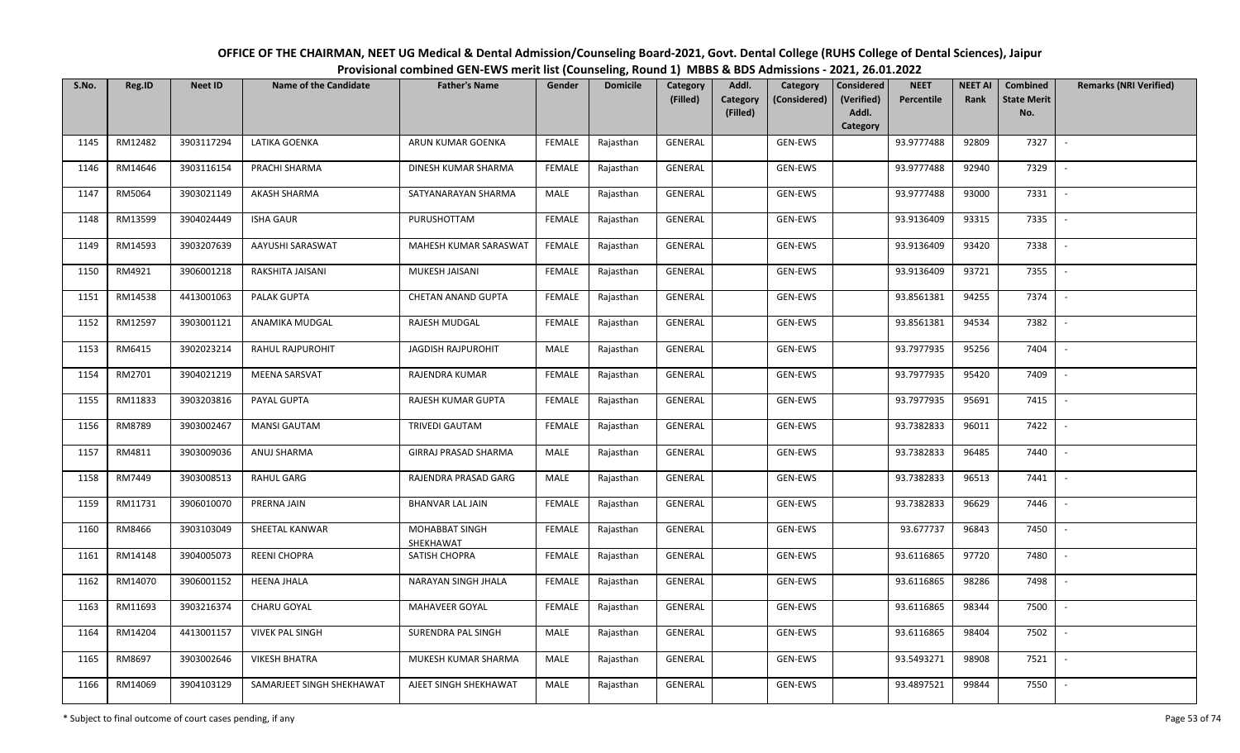| OFFICE OF THE CHAIRMAN, NEET UG Medical & Dental Admission/Counseling Board-2021, Govt. Dental College (RUHS College of Dental Sciences), Jaipur |  |
|--------------------------------------------------------------------------------------------------------------------------------------------------|--|
| Provisional combined GEN-EWS merit list (Counseling, Round 1) MBBS & BDS Admissions - 2021, 26.01.2022                                           |  |

| S.No. | Reg.ID  | <b>Neet ID</b> | <b>Name of the Candidate</b> | <b>Father's Name</b>        | Gender        | <b>Domicile</b> | Category<br>(Filled) | Addl.<br><b>Category</b> | Category<br>(Considered) | <b>Considered</b><br>(Verified) | <b>NEET</b><br>Percentile | <b>NEET AI</b><br>Rank | Combined<br><b>State Merit</b> | <b>Remarks (NRI Verified)</b> |
|-------|---------|----------------|------------------------------|-----------------------------|---------------|-----------------|----------------------|--------------------------|--------------------------|---------------------------------|---------------------------|------------------------|--------------------------------|-------------------------------|
|       |         |                |                              |                             |               |                 |                      | (Filled)                 |                          | Addl.<br>Category               |                           |                        | No.                            |                               |
| 1145  | RM12482 | 3903117294     | LATIKA GOENKA                | ARUN KUMAR GOENKA           | <b>FEMALE</b> | Rajasthan       | <b>GENERAL</b>       |                          | GEN-EWS                  |                                 | 93.9777488                | 92809                  | 7327                           | $\overline{\phantom{a}}$      |
| 1146  | RM14646 | 3903116154     | PRACHI SHARMA                | DINESH KUMAR SHARMA         | <b>FEMALE</b> | Rajasthan       | GENERAL              |                          | GEN-EWS                  |                                 | 93.9777488                | 92940                  | 7329                           |                               |
| 1147  | RM5064  | 3903021149     | <b>AKASH SHARMA</b>          | SATYANARAYAN SHARMA         | MALE          | Rajasthan       | GENERAL              |                          | GEN-EWS                  |                                 | 93.9777488                | 93000                  | 7331                           | $\sim$                        |
| 1148  | RM13599 | 3904024449     | <b>ISHA GAUR</b>             | PURUSHOTTAM                 | <b>FEMALE</b> | Rajasthan       | GENERAL              |                          | GEN-EWS                  |                                 | 93.9136409                | 93315                  | 7335                           | $\sim$                        |
| 1149  | RM14593 | 3903207639     | AAYUSHI SARASWAT             | MAHESH KUMAR SARASWAT       | <b>FEMALE</b> | Rajasthan       | GENERAL              |                          | GEN-EWS                  |                                 | 93.9136409                | 93420                  | 7338                           | $\overline{\phantom{a}}$      |
| 1150  | RM4921  | 3906001218     | RAKSHITA JAISANI             | MUKESH JAISANI              | <b>FEMALE</b> | Rajasthan       | GENERAL              |                          | GEN-EWS                  |                                 | 93.9136409                | 93721                  | 7355                           | $\overline{\phantom{a}}$      |
| 1151  | RM14538 | 4413001063     | PALAK GUPTA                  | CHETAN ANAND GUPTA          | <b>FEMALE</b> | Rajasthan       | GENERAL              |                          | GEN-EWS                  |                                 | 93.8561381                | 94255                  | 7374                           |                               |
| 1152  | RM12597 | 3903001121     | ANAMIKA MUDGAL               | RAJESH MUDGAL               | <b>FEMALE</b> | Rajasthan       | GENERAL              |                          | GEN-EWS                  |                                 | 93.8561381                | 94534                  | 7382                           | $\overline{\phantom{a}}$      |
| 1153  | RM6415  | 3902023214     | <b>RAHUL RAJPUROHIT</b>      | <b>JAGDISH RAJPUROHIT</b>   | MALE          | Rajasthan       | GENERAL              |                          | <b>GEN-EWS</b>           |                                 | 93.7977935                | 95256                  | 7404                           |                               |
| 1154  | RM2701  | 3904021219     | MEENA SARSVAT                | RAJENDRA KUMAR              | <b>FEMALE</b> | Rajasthan       | GENERAL              |                          | GEN-EWS                  |                                 | 93.7977935                | 95420                  | 7409                           |                               |
| 1155  | RM11833 | 3903203816     | PAYAL GUPTA                  | RAJESH KUMAR GUPTA          | <b>FEMALE</b> | Rajasthan       | GENERAL              |                          | GEN-EWS                  |                                 | 93.7977935                | 95691                  | 7415                           |                               |
| 1156  | RM8789  | 3903002467     | <b>MANSI GAUTAM</b>          | TRIVEDI GAUTAM              | <b>FEMALE</b> | Rajasthan       | GENERAL              |                          | GEN-EWS                  |                                 | 93.7382833                | 96011                  | 7422                           | $\overline{\phantom{a}}$      |
| 1157  | RM4811  | 3903009036     | ANUJ SHARMA                  | GIRRAJ PRASAD SHARMA        | MALE          | Rajasthan       | GENERAL              |                          | GEN-EWS                  |                                 | 93.7382833                | 96485                  | 7440                           |                               |
| 1158  | RM7449  | 3903008513     | <b>RAHUL GARG</b>            | RAJENDRA PRASAD GARG        | MALE          | Rajasthan       | GENERAL              |                          | GEN-EWS                  |                                 | 93.7382833                | 96513                  | 7441                           | $\overline{\phantom{a}}$      |
| 1159  | RM11731 | 3906010070     | PRERNA JAIN                  | <b>BHANVAR LAL JAIN</b>     | <b>FEMALE</b> | Rajasthan       | GENERAL              |                          | GEN-EWS                  |                                 | 93.7382833                | 96629                  | 7446                           | $\overline{\phantom{a}}$      |
| 1160  | RM8466  | 3903103049     | SHEETAL KANWAR               | MOHABBAT SINGH<br>SHEKHAWAT | <b>FEMALE</b> | Rajasthan       | GENERAL              |                          | <b>GEN-EWS</b>           |                                 | 93.677737                 | 96843                  | 7450                           | $\sim$                        |
| 1161  | RM14148 | 3904005073     | <b>REENI CHOPRA</b>          | SATISH CHOPRA               | <b>FEMALE</b> | Rajasthan       | GENERAL              |                          | GEN-EWS                  |                                 | 93.6116865                | 97720                  | 7480                           | $\overline{\phantom{a}}$      |
| 1162  | RM14070 | 3906001152     | <b>HEENA JHALA</b>           | NARAYAN SINGH JHALA         | <b>FEMALE</b> | Rajasthan       | GENERAL              |                          | GEN-EWS                  |                                 | 93.6116865                | 98286                  | 7498                           |                               |
| 1163  | RM11693 | 3903216374     | CHARU GOYAL                  | MAHAVEER GOYAL              | <b>FEMALE</b> | Rajasthan       | GENERAL              |                          | GEN-EWS                  |                                 | 93.6116865                | 98344                  | 7500                           |                               |
| 1164  | RM14204 | 4413001157     | <b>VIVEK PAL SINGH</b>       | SURENDRA PAL SINGH          | MALE          | Rajasthan       | GENERAL              |                          | GEN-EWS                  |                                 | 93.6116865                | 98404                  | 7502                           |                               |
| 1165  | RM8697  | 3903002646     | <b>VIKESH BHATRA</b>         | MUKESH KUMAR SHARMA         | MALE          | Rajasthan       | GENERAL              |                          | GEN-EWS                  |                                 | 93.5493271                | 98908                  | 7521                           |                               |
| 1166  | RM14069 | 3904103129     | SAMARJEET SINGH SHEKHAWAT    | AJEET SINGH SHEKHAWAT       | MALE          | Rajasthan       | GENERAL              |                          | GEN-EWS                  |                                 | 93.4897521                | 99844                  | 7550                           |                               |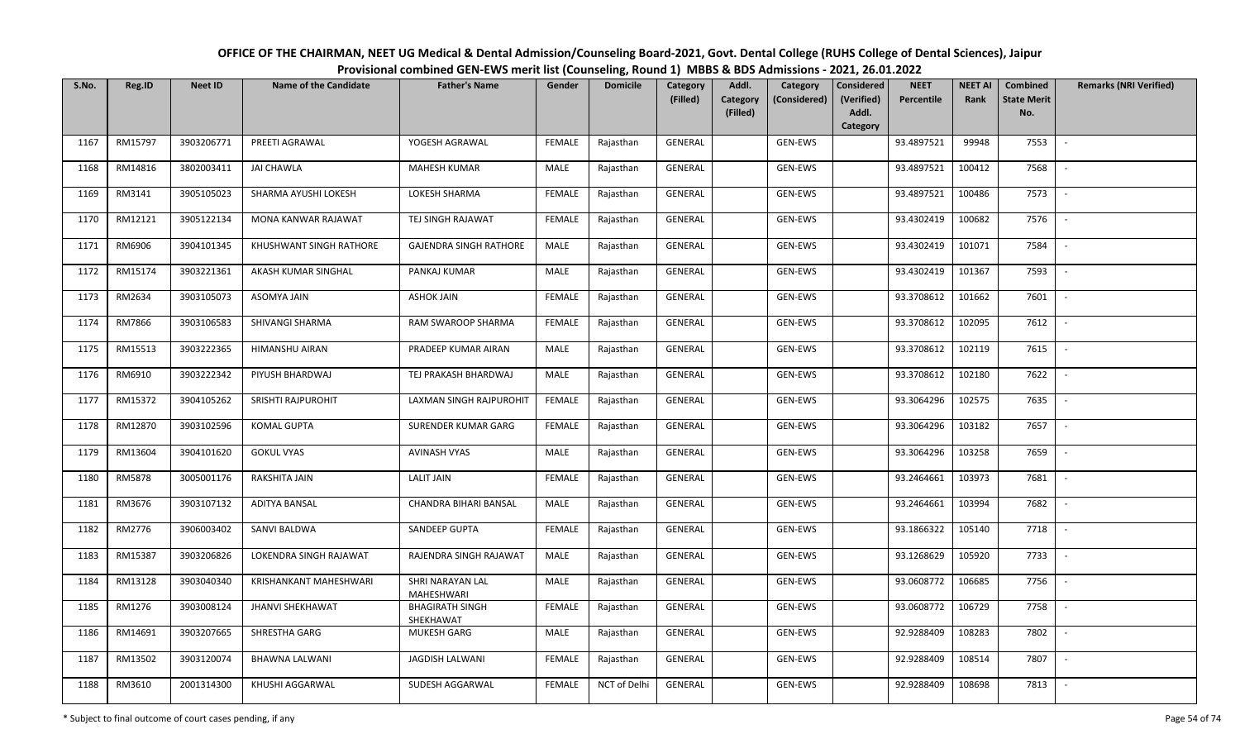| OFFICE OF THE CHAIRMAN, NEET UG Medical & Dental Admission/Counseling Board-2021, Govt. Dental College (RUHS College of Dental Sciences), Jaipur |
|--------------------------------------------------------------------------------------------------------------------------------------------------|
| Provisional combined GEN-EWS merit list (Counseling, Round 1) MBBS & BDS Admissions - 2021, 26.01.2022                                           |

| S.No. | Reg.ID  | <b>Neet ID</b> | <b>Name of the Candidate</b> | <b>Father's Name</b>                | Gender        | <b>Domicile</b> | Category<br>(Filled) | Addl.<br>Category | Category<br>(Considered) | <b>Considered</b><br>(Verified) | <b>NEET</b><br>Percentile | <b>NEET AI</b><br>Rank | Combined<br><b>State Merit</b> | <b>Remarks (NRI Verified)</b> |
|-------|---------|----------------|------------------------------|-------------------------------------|---------------|-----------------|----------------------|-------------------|--------------------------|---------------------------------|---------------------------|------------------------|--------------------------------|-------------------------------|
|       |         |                |                              |                                     |               |                 |                      | (Filled)          |                          | Addl.<br>Category               |                           |                        | No.                            |                               |
| 1167  | RM15797 | 3903206771     | PREETI AGRAWAL               | YOGESH AGRAWAL                      | FEMALE        | Rajasthan       | <b>GENERAL</b>       |                   | GEN-EWS                  |                                 | 93.4897521                | 99948                  | 7553                           | $\overline{\phantom{a}}$      |
| 1168  | RM14816 | 3802003411     | <b>JAI CHAWLA</b>            | <b>MAHESH KUMAR</b>                 | MALE          | Rajasthan       | GENERAL              |                   | GEN-EWS                  |                                 | 93.4897521                | 100412                 | 7568                           |                               |
| 1169  | RM3141  | 3905105023     | SHARMA AYUSHI LOKESH         | LOKESH SHARMA                       | <b>FEMALE</b> | Rajasthan       | GENERAL              |                   | GEN-EWS                  |                                 | 93.4897521                | 100486                 | 7573                           | $\sim$                        |
| 1170  | RM12121 | 3905122134     | MONA KANWAR RAJAWAT          | TEJ SINGH RAJAWAT                   | <b>FEMALE</b> | Rajasthan       | GENERAL              |                   | GEN-EWS                  |                                 | 93.4302419                | 100682                 | 7576                           | $\overline{\phantom{a}}$      |
| 1171  | RM6906  | 3904101345     | KHUSHWANT SINGH RATHORE      | <b>GAJENDRA SINGH RATHORE</b>       | MALE          | Rajasthan       | GENERAL              |                   | GEN-EWS                  |                                 | 93.4302419                | 101071                 | 7584                           | $\sim$                        |
| 1172  | RM15174 | 3903221361     | AKASH KUMAR SINGHAL          | PANKAJ KUMAR                        | <b>MALE</b>   | Rajasthan       | GENERAL              |                   | GEN-EWS                  |                                 | 93.4302419                | 101367                 | 7593                           | $\overline{\phantom{a}}$      |
| 1173  | RM2634  | 3903105073     | ASOMYA JAIN                  | <b>ASHOK JAIN</b>                   | <b>FEMALE</b> | Rajasthan       | GENERAL              |                   | GEN-EWS                  |                                 | 93.3708612                | 101662                 | 7601                           |                               |
| 1174  | RM7866  | 3903106583     | SHIVANGI SHARMA              | RAM SWAROOP SHARMA                  | <b>FEMALE</b> | Rajasthan       | GENERAL              |                   | GEN-EWS                  |                                 | 93.3708612                | 102095                 | 7612                           |                               |
| 1175  | RM15513 | 3903222365     | HIMANSHU AIRAN               | PRADEEP KUMAR AIRAN                 | MALE          | Rajasthan       | <b>GENERAL</b>       |                   | GEN-EWS                  |                                 | 93.3708612                | 102119                 | 7615                           |                               |
| 1176  | RM6910  | 3903222342     | PIYUSH BHARDWAJ              | TEJ PRAKASH BHARDWAJ                | MALE          | Rajasthan       | GENERAL              |                   | GEN-EWS                  |                                 | 93.3708612                | 102180                 | 7622                           |                               |
| 1177  | RM15372 | 3904105262     | SRISHTI RAJPUROHIT           | LAXMAN SINGH RAJPUROHIT             | <b>FEMALE</b> | Rajasthan       | GENERAL              |                   | GEN-EWS                  |                                 | 93.3064296                | 102575                 | 7635                           |                               |
| 1178  | RM12870 | 3903102596     | <b>KOMAL GUPTA</b>           | <b>SURENDER KUMAR GARG</b>          | <b>FEMALE</b> | Rajasthan       | GENERAL              |                   | GEN-EWS                  |                                 | 93.3064296                | 103182                 | 7657                           | $\overline{\phantom{a}}$      |
| 1179  | RM13604 | 3904101620     | <b>GOKUL VYAS</b>            | <b>AVINASH VYAS</b>                 | MALE          | Rajasthan       | GENERAL              |                   | GEN-EWS                  |                                 | 93.3064296                | 103258                 | 7659                           |                               |
| 1180  | RM5878  | 3005001176     | RAKSHITA JAIN                | <b>LALIT JAIN</b>                   | <b>FEMALE</b> | Rajasthan       | GENERAL              |                   | GEN-EWS                  |                                 | 93.2464661                | 103973                 | 7681                           | $\overline{\phantom{a}}$      |
| 1181  | RM3676  | 3903107132     | <b>ADITYA BANSAL</b>         | CHANDRA BIHARI BANSAL               | MALE          | Rajasthan       | GENERAL              |                   | GEN-EWS                  |                                 | 93.2464661                | 103994                 | 7682                           | $\sim$                        |
| 1182  | RM2776  | 3906003402     | SANVI BALDWA                 | SANDEEP GUPTA                       | <b>FEMALE</b> | Rajasthan       | GENERAL              |                   | GEN-EWS                  |                                 | 93.1866322                | 105140                 | 7718                           | $\sim$                        |
| 1183  | RM15387 | 3903206826     | LOKENDRA SINGH RAJAWAT       | RAJENDRA SINGH RAJAWAT              | MALE          | Rajasthan       | GENERAL              |                   | GEN-EWS                  |                                 | 93.1268629                | 105920                 | 7733                           | $\overline{\phantom{a}}$      |
| 1184  | RM13128 | 3903040340     | KRISHANKANT MAHESHWARI       | SHRI NARAYAN LAL<br>MAHESHWARI      | MALE          | Rajasthan       | GENERAL              |                   | GEN-EWS                  |                                 | 93.0608772                | 106685                 | 7756                           |                               |
| 1185  | RM1276  | 3903008124     | <b>JHANVI SHEKHAWAT</b>      | <b>BHAGIRATH SINGH</b><br>SHEKHAWAT | <b>FEMALE</b> | Rajasthan       | GENERAL              |                   | GEN-EWS                  |                                 | 93.0608772                | 106729                 | 7758                           |                               |
| 1186  | RM14691 | 3903207665     | SHRESTHA GARG                | <b>MUKESH GARG</b>                  | MALE          | Rajasthan       | GENERAL              |                   | GEN-EWS                  |                                 | 92.9288409                | 108283                 | 7802                           |                               |
| 1187  | RM13502 | 3903120074     | <b>BHAWNA LALWANI</b>        | <b>JAGDISH LALWANI</b>              | <b>FEMALE</b> | Rajasthan       | <b>GENERAL</b>       |                   | GEN-EWS                  |                                 | 92.9288409                | 108514                 | 7807                           |                               |
| 1188  | RM3610  | 2001314300     | KHUSHI AGGARWAL              | SUDESH AGGARWAL                     | FEMALE        | NCT of Delhi    | GENERAL              |                   | GEN-EWS                  |                                 | 92.9288409                | 108698                 | 7813                           |                               |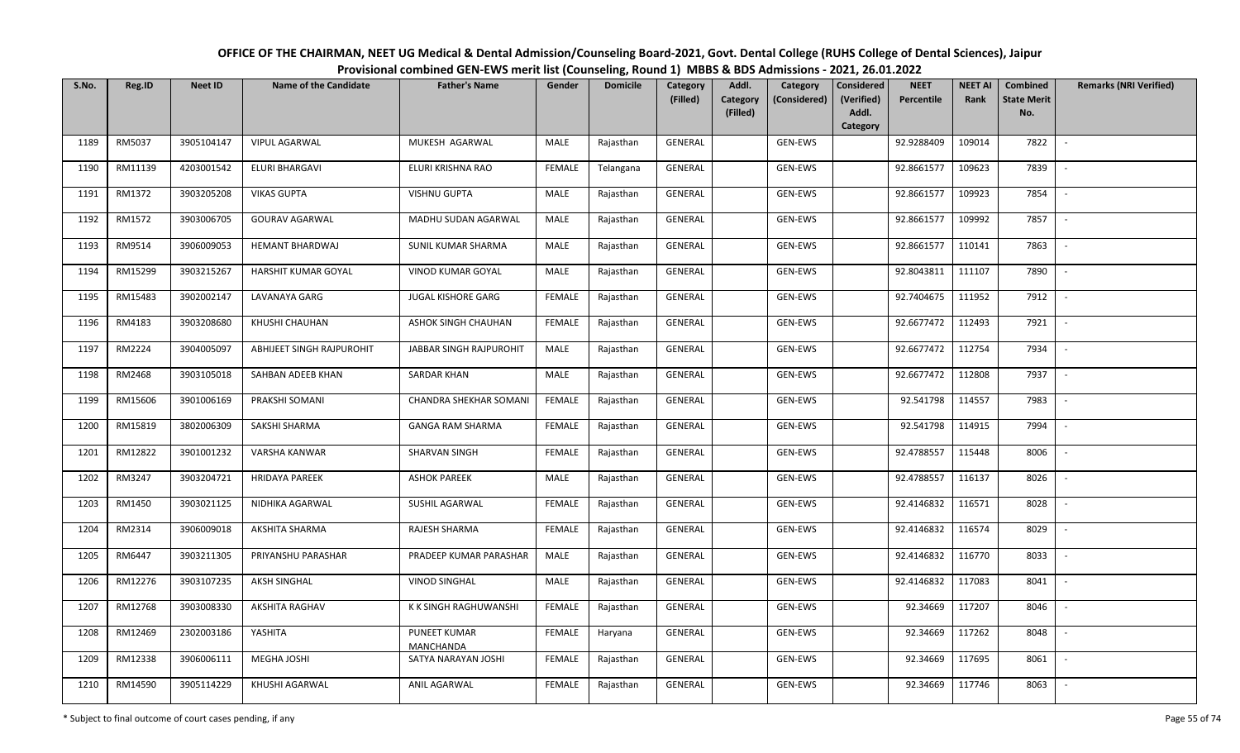| OFFICE OF THE CHAIRMAN, NEET UG Medical & Dental Admission/Counseling Board-2021, Govt. Dental College (RUHS College of Dental Sciences), Jaipur |
|--------------------------------------------------------------------------------------------------------------------------------------------------|
| Provisional combined GEN-EWS merit list (Counseling, Round 1) MBBS & BDS Admissions - 2021, 26.01.2022                                           |

| S.No. | Reg.ID  | <b>Neet ID</b> | <b>Name of the Candidate</b> | <b>Father's Name</b>                    | Gender        | <b>Domicile</b> | Category<br>(Filled) | Addl.<br>Category<br>Category<br>(Considered) | <b>Considered</b><br>(Verified) | <b>NEET</b><br>Percentile | <b>NEET AI</b><br>Rank | Combined<br><b>State Merit</b> | <b>Remarks (NRI Verified)</b> |
|-------|---------|----------------|------------------------------|-----------------------------------------|---------------|-----------------|----------------------|-----------------------------------------------|---------------------------------|---------------------------|------------------------|--------------------------------|-------------------------------|
|       |         |                |                              |                                         |               |                 |                      | (Filled)                                      | Addl.<br>Category               |                           |                        | No.                            |                               |
| 1189  | RM5037  | 3905104147     | <b>VIPUL AGARWAL</b>         | MUKESH AGARWAL                          | MALE          | Rajasthan       | <b>GENERAL</b>       | GEN-EWS                                       |                                 | 92.9288409                | 109014                 | 7822                           | $\overline{\phantom{a}}$      |
| 1190  | RM11139 | 4203001542     | ELURI BHARGAVI               | ELURI KRISHNA RAO                       | <b>FEMALE</b> | Telangana       | GENERAL              | GEN-EWS                                       |                                 | 92.8661577                | 109623                 | 7839                           |                               |
| 1191  | RM1372  | 3903205208     | <b>VIKAS GUPTA</b>           | <b>VISHNU GUPTA</b>                     | MALE          | Rajasthan       | GENERAL              | GEN-EWS                                       |                                 | 92.8661577                | 109923                 | 7854                           | $\sim$                        |
| 1192  | RM1572  | 3903006705     | <b>GOURAV AGARWAL</b>        | MADHU SUDAN AGARWAL                     | MALE          | Rajasthan       | GENERAL              | GEN-EWS                                       |                                 | 92.8661577                | 109992                 | 7857                           | $\overline{\phantom{a}}$      |
| 1193  | RM9514  | 3906009053     | <b>HEMANT BHARDWAJ</b>       | SUNIL KUMAR SHARMA                      | MALE          | Rajasthan       | GENERAL              | GEN-EWS                                       |                                 | 92.8661577                | 110141                 | 7863                           | $\overline{a}$                |
| 1194  | RM15299 | 3903215267     | HARSHIT KUMAR GOYAL          | VINOD KUMAR GOYAL                       | <b>MALE</b>   | Rajasthan       | GENERAL              | GEN-EWS                                       |                                 | 92.8043811                | 111107                 | 7890                           | $\overline{\phantom{a}}$      |
| 1195  | RM15483 | 3902002147     | LAVANAYA GARG                | <b>JUGAL KISHORE GARG</b>               | <b>FEMALE</b> | Rajasthan       | GENERAL              | GEN-EWS                                       |                                 | 92.7404675                | 111952                 | 7912                           |                               |
| 1196  | RM4183  | 3903208680     | KHUSHI CHAUHAN               | ASHOK SINGH CHAUHAN                     | <b>FEMALE</b> | Rajasthan       | <b>GENERAL</b>       | GEN-EWS                                       |                                 | 92.6677472                | 112493                 | 7921                           |                               |
| 1197  | RM2224  | 3904005097     | ABHIJEET SINGH RAJPUROHIT    | <b>JABBAR SINGH RAJPUROHIT</b>          | <b>MALE</b>   | Rajasthan       | <b>GENERAL</b>       | GEN-EWS                                       |                                 | 92.6677472                | 112754                 | 7934                           | $\overline{\phantom{a}}$      |
| 1198  | RM2468  | 3903105018     | SAHBAN ADEEB KHAN            | <b>SARDAR KHAN</b>                      | MALE          | Rajasthan       | GENERAL              | GEN-EWS                                       |                                 | 92.6677472                | 112808                 | 7937                           | $\overline{\phantom{a}}$      |
| 1199  | RM15606 | 3901006169     | PRAKSHI SOMANI               | CHANDRA SHEKHAR SOMANI                  | <b>FEMALE</b> | Rajasthan       | GENERAL              | GEN-EWS                                       |                                 | 92.541798                 | 114557                 | 7983                           |                               |
| 1200  | RM15819 | 3802006309     | SAKSHI SHARMA                | <b>GANGA RAM SHARMA</b>                 | FEMALE        | Rajasthan       | GENERAL              | GEN-EWS                                       |                                 | 92.541798                 | 114915                 | 7994                           | $\sim$                        |
| 1201  | RM12822 | 3901001232     | VARSHA KANWAR                | SHARVAN SINGH                           | <b>FEMALE</b> | Rajasthan       | GENERAL              | GEN-EWS                                       |                                 | 92.4788557                | 115448                 | 8006                           |                               |
| 1202  | RM3247  | 3903204721     | <b>HRIDAYA PAREEK</b>        | <b>ASHOK PAREEK</b>                     | MALE          | Rajasthan       | GENERAL              | GEN-EWS                                       |                                 | 92.4788557                | 116137                 | 8026                           | $\overline{\phantom{a}}$      |
| 1203  | RM1450  | 3903021125     | NIDHIKA AGARWAL              | SUSHIL AGARWAL                          | <b>FEMALE</b> | Rajasthan       | GENERAL              | GEN-EWS                                       |                                 | 92.4146832                | 116571                 | 8028                           | $\sim$                        |
| 1204  | RM2314  | 3906009018     | AKSHITA SHARMA               | RAJESH SHARMA                           | <b>FEMALE</b> | Rajasthan       | GENERAL              | GEN-EWS                                       |                                 | 92.4146832                | 116574                 | 8029                           | $\overline{\phantom{a}}$      |
| 1205  | RM6447  | 3903211305     | PRIYANSHU PARASHAR           | PRADEEP KUMAR PARASHAR                  | MALE          | Rajasthan       | GENERAL              | GEN-EWS                                       |                                 | 92.4146832                | 116770                 | 8033                           | $\overline{\phantom{a}}$      |
| 1206  | RM12276 | 3903107235     | <b>AKSH SINGHAL</b>          | <b>VINOD SINGHAL</b>                    | MALE          | Rajasthan       | GENERAL              | GEN-EWS                                       |                                 | 92.4146832                | 117083                 | 8041                           |                               |
| 1207  | RM12768 | 3903008330     | <b>AKSHITA RAGHAV</b>        | K K SINGH RAGHUWANSHI                   | <b>FEMALE</b> | Rajasthan       | <b>GENERAL</b>       | GEN-EWS                                       |                                 | 92.34669                  | 117207                 | 8046                           |                               |
| 1208  | RM12469 | 2302003186     | YASHITA                      | <b>PUNEET KUMAR</b><br><b>MANCHANDA</b> | <b>FEMALE</b> | Haryana         | <b>GENERAL</b>       | GEN-EWS                                       |                                 | 92.34669                  | 117262                 | 8048                           |                               |
| 1209  | RM12338 | 3906006111     | MEGHA JOSHI                  | SATYA NARAYAN JOSHI                     | <b>FEMALE</b> | Rajasthan       | GENERAL              | GEN-EWS                                       |                                 | 92.34669                  | 117695                 | 8061                           |                               |
| 1210  | RM14590 | 3905114229     | KHUSHI AGARWAL               | ANIL AGARWAL                            | FEMALE        | Rajasthan       | <b>GENERAL</b>       | GEN-EWS                                       |                                 | 92.34669                  | 117746                 | 8063                           |                               |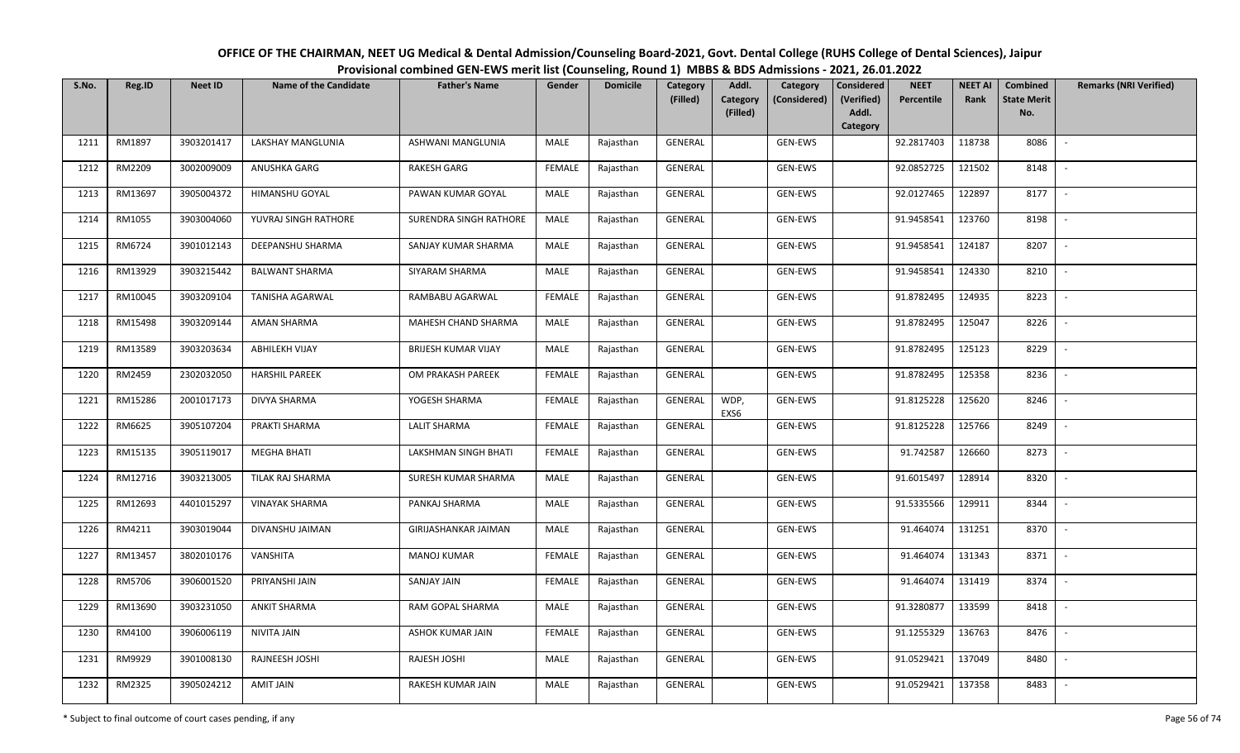| OFFICE OF THE CHAIRMAN, NEET UG Medical & Dental Admission/Counseling Board-2021, Govt. Dental College (RUHS College of Dental Sciences), Jaipur |
|--------------------------------------------------------------------------------------------------------------------------------------------------|
| Provisional combined GEN-EWS merit list (Counseling, Round 1) MBBS & BDS Admissions - 2021, 26.01.2022                                           |

| S.No. | Reg.ID  | <b>Neet ID</b> | <b>Name of the Candidate</b> | <b>Father's Name</b>       | Gender        | <b>Domicile</b> | <b>Category</b> | Addl.                | Category       | <b>Considered</b>   | <b>NEET</b> | <b>NEET AI</b> | Combined                  | <b>Remarks (NRI Verified)</b> |
|-------|---------|----------------|------------------------------|----------------------------|---------------|-----------------|-----------------|----------------------|----------------|---------------------|-------------|----------------|---------------------------|-------------------------------|
|       |         |                |                              |                            |               |                 | (Filled)        | Category<br>(Filled) | (Considered)   | (Verified)<br>Addl. | Percentile  | Rank           | <b>State Merit</b><br>No. |                               |
|       |         |                |                              |                            |               |                 |                 |                      |                | Category            |             |                |                           |                               |
| 1211  | RM1897  | 3903201417     | LAKSHAY MANGLUNIA            | ASHWANI MANGLUNIA          | MALE          | Rajasthan       | <b>GENERAL</b>  |                      | <b>GEN-EWS</b> |                     | 92.2817403  | 118738         | 8086                      | $\sim$                        |
| 1212  | RM2209  | 3002009009     | ANUSHKA GARG                 | <b>RAKESH GARG</b>         | <b>FEMALE</b> | Rajasthan       | GENERAL         |                      | GEN-EWS        |                     | 92.0852725  | 121502         | 8148                      |                               |
| 1213  | RM13697 | 3905004372     | HIMANSHU GOYAL               | PAWAN KUMAR GOYAL          | MALE          | Rajasthan       | GENERAL         |                      | GEN-EWS        |                     | 92.0127465  | 122897         | 8177                      | $\sim$                        |
| 1214  | RM1055  | 3903004060     | YUVRAJ SINGH RATHORE         | SURENDRA SINGH RATHORE     | MALE          | Rajasthan       | GENERAL         |                      | GEN-EWS        |                     | 91.9458541  | 123760         | 8198                      | $\overline{\phantom{a}}$      |
| 1215  | RM6724  | 3901012143     | DEEPANSHU SHARMA             | SANJAY KUMAR SHARMA        | MALE          | Rajasthan       | GENERAL         |                      | GEN-EWS        |                     | 91.9458541  | 124187         | 8207                      | $\sim$                        |
| 1216  | RM13929 | 3903215442     | <b>BALWANT SHARMA</b>        | SIYARAM SHARMA             | <b>MALE</b>   | Rajasthan       | GENERAL         |                      | GEN-EWS        |                     | 91.9458541  | 124330         | 8210                      | $\overline{\phantom{a}}$      |
| 1217  | RM10045 | 3903209104     | TANISHA AGARWAL              | RAMBABU AGARWAL            | <b>FEMALE</b> | Rajasthan       | GENERAL         |                      | GEN-EWS        |                     | 91.8782495  | 124935         | 8223                      |                               |
| 1218  | RM15498 | 3903209144     | AMAN SHARMA                  | MAHESH CHAND SHARMA        | MALE          | Rajasthan       | GENERAL         |                      | GEN-EWS        |                     | 91.8782495  | 125047         | 8226                      |                               |
| 1219  | RM13589 | 3903203634     | <b>ABHILEKH VIJAY</b>        | <b>BRIJESH KUMAR VIJAY</b> | MALE          | Rajasthan       | GENERAL         |                      | GEN-EWS        |                     | 91.8782495  | 125123         | 8229                      |                               |
| 1220  | RM2459  | 2302032050     | <b>HARSHIL PAREEK</b>        | OM PRAKASH PAREEK          | <b>FEMALE</b> | Rajasthan       | GENERAL         |                      | GEN-EWS        |                     | 91.8782495  | 125358         | 8236                      |                               |
| 1221  | RM15286 | 2001017173     | DIVYA SHARMA                 | YOGESH SHARMA              | <b>FEMALE</b> | Rajasthan       | <b>GENERAL</b>  | WDP,<br>EXS6         | GEN-EWS        |                     | 91.8125228  | 125620         | 8246                      |                               |
| 1222  | RM6625  | 3905107204     | PRAKTI SHARMA                | <b>LALIT SHARMA</b>        | <b>FEMALE</b> | Rajasthan       | GENERAL         |                      | GEN-EWS        |                     | 91.8125228  | 125766         | 8249                      | $\sim$                        |
| 1223  | RM15135 | 3905119017     | <b>MEGHA BHATI</b>           | LAKSHMAN SINGH BHATI       | <b>FEMALE</b> | Rajasthan       | GENERAL         |                      | GEN-EWS        |                     | 91.742587   | 126660         | 8273                      |                               |
| 1224  | RM12716 | 3903213005     | TILAK RAJ SHARMA             | SURESH KUMAR SHARMA        | MALE          | Rajasthan       | GENERAL         |                      | GEN-EWS        |                     | 91.6015497  | 128914         | 8320                      | $\overline{\phantom{a}}$      |
| 1225  | RM12693 | 4401015297     | <b>VINAYAK SHARMA</b>        | PANKAJ SHARMA              | MALE          | Rajasthan       | GENERAL         |                      | GEN-EWS        |                     | 91.5335566  | 129911         | 8344                      | $\overline{\phantom{a}}$      |
| 1226  | RM4211  | 3903019044     | DIVANSHU JAIMAN              | GIRIJASHANKAR JAIMAN       | MALE          | Rajasthan       | GENERAL         |                      | GEN-EWS        |                     | 91.464074   | 131251         | 8370                      | $\sim$                        |
| 1227  | RM13457 | 3802010176     | VANSHITA                     | <b>MANOJ KUMAR</b>         | <b>FEMALE</b> | Rajasthan       | GENERAL         |                      | GEN-EWS        |                     | 91.464074   | 131343         | 8371                      | $\sim$                        |
| 1228  | RM5706  | 3906001520     | PRIYANSHI JAIN               | <b>SANJAY JAIN</b>         | <b>FEMALE</b> | Rajasthan       | GENERAL         |                      | GEN-EWS        |                     | 91.464074   | 131419         | 8374                      |                               |
| 1229  | RM13690 | 3903231050     | <b>ANKIT SHARMA</b>          | RAM GOPAL SHARMA           | MALE          | Rajasthan       | <b>GENERAL</b>  |                      | GEN-EWS        |                     | 91.3280877  | 133599         | 8418                      |                               |
| 1230  | RM4100  | 3906006119     | NIVITA JAIN                  | ASHOK KUMAR JAIN           | <b>FEMALE</b> | Rajasthan       | GENERAL         |                      | GEN-EWS        |                     | 91.1255329  | 136763         | 8476                      |                               |
| 1231  | RM9929  | 3901008130     | RAJNEESH JOSHI               | RAJESH JOSHI               | <b>MALE</b>   | Rajasthan       | GENERAL         |                      | GEN-EWS        |                     | 91.0529421  | 137049         | 8480                      |                               |
| 1232  | RM2325  | 3905024212     | <b>AMIT JAIN</b>             | RAKESH KUMAR JAIN          | MALE          | Rajasthan       | GENERAL         |                      | GEN-EWS        |                     | 91.0529421  | 137358         | 8483                      |                               |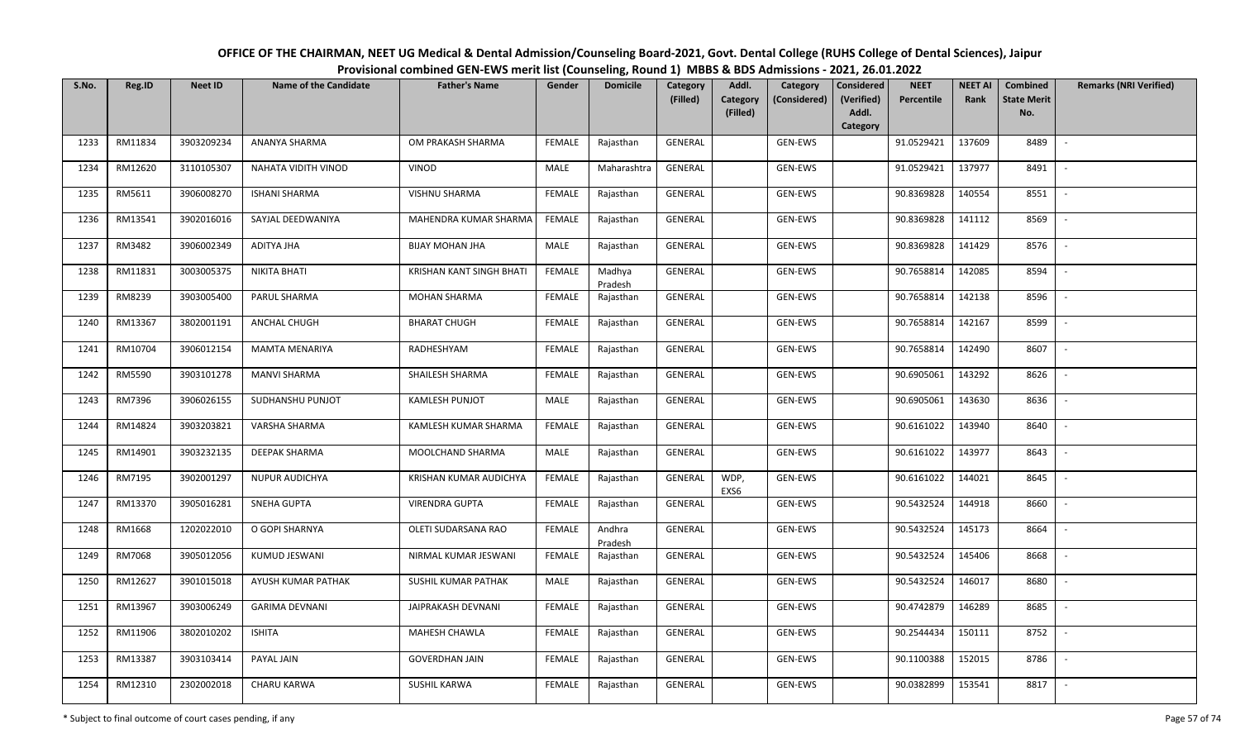| S.No. | Reg.ID  | <b>Neet ID</b> | <b>Name of the Candidate</b> | <b>Father's Name</b>     | Gender        | ້<br><b>Domicile</b> | Category<br>(Filled) | Addl.<br>Category | Category<br>(Considered) | Considered<br>(Verified) | <b>NEET</b><br>Percentile | <b>NEET AI</b><br>Rank | Combined<br><b>State Merit</b> | <b>Remarks (NRI Verified)</b> |
|-------|---------|----------------|------------------------------|--------------------------|---------------|----------------------|----------------------|-------------------|--------------------------|--------------------------|---------------------------|------------------------|--------------------------------|-------------------------------|
|       |         |                |                              |                          |               |                      |                      | (Filled)          |                          | Addl.<br>Category        |                           |                        | No.                            |                               |
| 1233  | RM11834 | 3903209234     | ANANYA SHARMA                | OM PRAKASH SHARMA        | <b>FEMALE</b> | Rajasthan            | GENERAL              |                   | GEN-EWS                  |                          | 91.0529421                | 137609                 | 8489                           | $\overline{\phantom{0}}$      |
| 1234  | RM12620 | 3110105307     | NAHATA VIDITH VINOD          | VINOD                    | MALE          | Maharashtra          | GENERAL              |                   | GEN-EWS                  |                          | 91.0529421                | 137977                 | 8491                           | $\sim$                        |
| 1235  | RM5611  | 3906008270     | <b>ISHANI SHARMA</b>         | VISHNU SHARMA            | <b>FEMALE</b> | Rajasthan            | GENERAL              |                   | GEN-EWS                  |                          | 90.8369828                | 140554                 | 8551                           | $\sim$                        |
| 1236  | RM13541 | 3902016016     | SAYJAL DEEDWANIYA            | MAHENDRA KUMAR SHARMA    | FEMALE        | Rajasthan            | GENERAL              |                   | GEN-EWS                  |                          | 90.8369828                | 141112                 | 8569                           | $\overline{\phantom{a}}$      |
| 1237  | RM3482  | 3906002349     | ADITYA JHA                   | <b>BIJAY MOHAN JHA</b>   | MALE          | Rajasthan            | GENERAL              |                   | GEN-EWS                  |                          | 90.8369828                | 141429                 | 8576                           | $\overline{\phantom{a}}$      |
| 1238  | RM11831 | 3003005375     | NIKITA BHATI                 | KRISHAN KANT SINGH BHATI | <b>FEMALE</b> | Madhya<br>Pradesh    | GENERAL              |                   | GEN-EWS                  |                          | 90.7658814                | 142085                 | 8594                           | $\blacksquare$                |
| 1239  | RM8239  | 3903005400     | PARUL SHARMA                 | <b>MOHAN SHARMA</b>      | FEMALE        | Rajasthan            | GENERAL              |                   | GEN-EWS                  |                          | 90.7658814                | 142138                 | 8596                           |                               |
| 1240  | RM13367 | 3802001191     | ANCHAL CHUGH                 | <b>BHARAT CHUGH</b>      | <b>FEMALE</b> | Rajasthan            | GENERAL              |                   | GEN-EWS                  |                          | 90.7658814                | 142167                 | 8599                           | $\overline{\phantom{a}}$      |
| 1241  | RM10704 | 3906012154     | MAMTA MENARIYA               | RADHESHYAM               | <b>FEMALE</b> | Rajasthan            | GENERAL              |                   | GEN-EWS                  |                          | 90.7658814                | 142490                 | 8607                           |                               |
| 1242  | RM5590  | 3903101278     | <b>MANVI SHARMA</b>          | SHAILESH SHARMA          | <b>FEMALE</b> | Rajasthan            | GENERAL              |                   | GEN-EWS                  |                          | 90.6905061                | 143292                 | 8626                           |                               |
| 1243  | RM7396  | 3906026155     | SUDHANSHU PUNJOT             | <b>KAMLESH PUNJOT</b>    | MALE          | Rajasthan            | GENERAL              |                   | GEN-EWS                  |                          | 90.6905061                | 143630                 | 8636                           |                               |
| 1244  | RM14824 | 3903203821     | VARSHA SHARMA                | KAMLESH KUMAR SHARMA     | <b>FEMALE</b> | Rajasthan            | GENERAL              |                   | GEN-EWS                  |                          | 90.6161022                | 143940                 | 8640                           | $\sim$                        |
| 1245  | RM14901 | 3903232135     | DEEPAK SHARMA                | MOOLCHAND SHARMA         | MALE          | Rajasthan            | GENERAL              |                   | GEN-EWS                  |                          | 90.6161022                | 143977                 | 8643                           |                               |
| 1246  | RM7195  | 3902001297     | NUPUR AUDICHYA               | KRISHAN KUMAR AUDICHYA   | <b>FEMALE</b> | Rajasthan            | GENERAL              | WDP,<br>EXS6      | GEN-EWS                  |                          | 90.6161022                | 144021                 | 8645                           | $\sim$                        |
| 1247  | RM13370 | 3905016281     | SNEHA GUPTA                  | <b>VIRENDRA GUPTA</b>    | <b>FEMALE</b> | Rajasthan            | GENERAL              |                   | GEN-EWS                  |                          | 90.5432524                | 144918                 | 8660                           | $\overline{\phantom{a}}$      |
| 1248  | RM1668  | 1202022010     | O GOPI SHARNYA               | OLETI SUDARSANA RAO      | <b>FEMALE</b> | Andhra<br>Pradesh    | GENERAL              |                   | GEN-EWS                  |                          | 90.5432524                | 145173                 | 8664                           | $\sim$                        |
| 1249  | RM7068  | 3905012056     | KUMUD JESWANI                | NIRMAL KUMAR JESWANI     | <b>FEMALE</b> | Rajasthan            | GENERAL              |                   | GEN-EWS                  |                          | 90.5432524                | 145406                 | 8668                           | $\sim$                        |
| 1250  | RM12627 | 3901015018     | AYUSH KUMAR PATHAK           | SUSHIL KUMAR PATHAK      | MALE          | Rajasthan            | GENERAL              |                   | GEN-EWS                  |                          | 90.5432524                | 146017                 | 8680                           | $\sim$                        |
| 1251  | RM13967 | 3903006249     | <b>GARIMA DEVNANI</b>        | JAIPRAKASH DEVNANI       | <b>FEMALE</b> | Rajasthan            | GENERAL              |                   | GEN-EWS                  |                          | 90.4742879                | 146289                 | 8685                           | $\sim$                        |
| 1252  | RM11906 | 3802010202     | <b>ISHITA</b>                | MAHESH CHAWLA            | <b>FEMALE</b> | Rajasthan            | GENERAL              |                   | GEN-EWS                  |                          | 90.2544434                | 150111                 | 8752                           |                               |
| 1253  | RM13387 | 3903103414     | PAYAL JAIN                   | <b>GOVERDHAN JAIN</b>    | <b>FEMALE</b> | Rajasthan            | GENERAL              |                   | GEN-EWS                  |                          | 90.1100388                | 152015                 | 8786                           | $\overline{\phantom{a}}$      |
| 1254  | RM12310 | 2302002018     | CHARU KARWA                  | SUSHIL KARWA             | <b>FEMALE</b> | Rajasthan            | GENERAL              |                   | GEN-EWS                  |                          | 90.0382899                | 153541                 | 8817                           | $\overline{\phantom{a}}$      |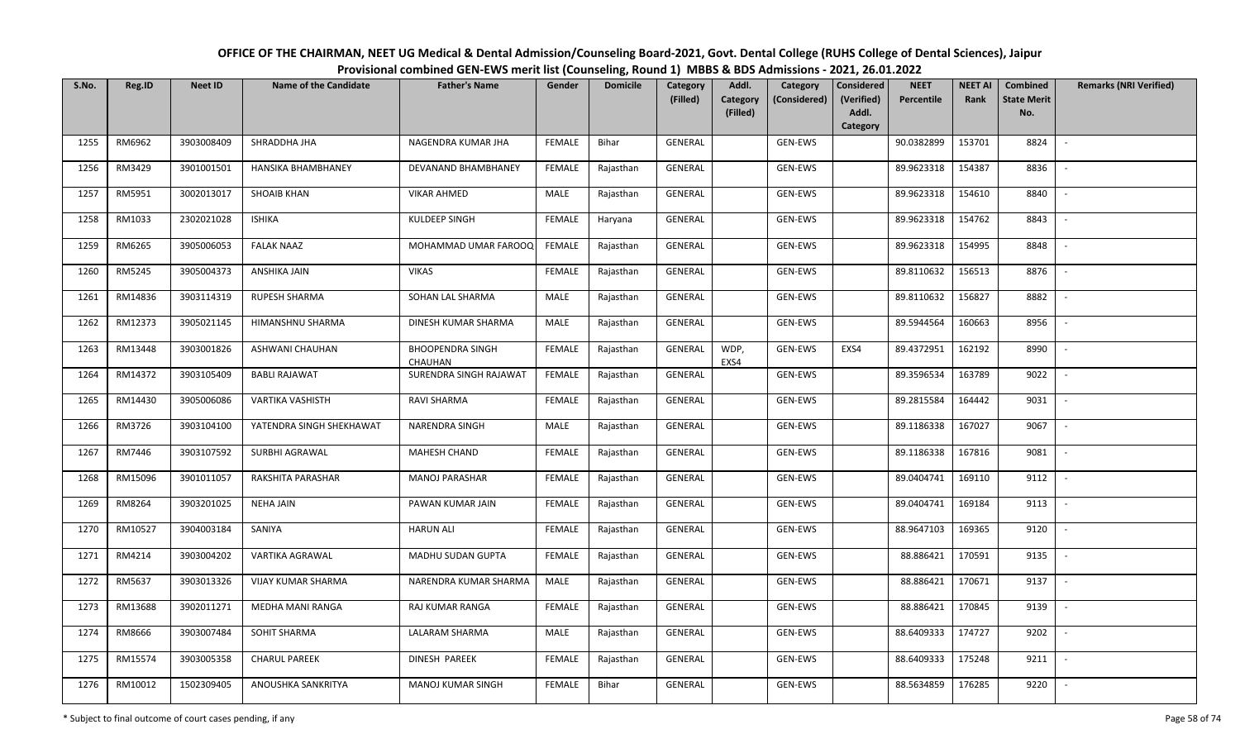| S.No. | Reg.ID  | <b>Neet ID</b> | Name of the Candidate     | <b>Father's Name</b>               | Gender        | <b>Domicile</b> | Category<br>(Filled) | Addl.<br>Category | Category<br>(Considered) | Considered<br>(Verified) | <b>NEET</b><br>Percentile | <b>NEET AI</b><br>Rank | Combined<br><b>State Merit</b> | <b>Remarks (NRI Verified)</b> |
|-------|---------|----------------|---------------------------|------------------------------------|---------------|-----------------|----------------------|-------------------|--------------------------|--------------------------|---------------------------|------------------------|--------------------------------|-------------------------------|
|       |         |                |                           |                                    |               |                 |                      | (Filled)          |                          | Addl.<br>Category        |                           |                        | No.                            |                               |
| 1255  | RM6962  | 3903008409     | SHRADDHA JHA              | NAGENDRA KUMAR JHA                 | <b>FEMALE</b> | Bihar           | <b>GENERAL</b>       |                   | <b>GEN-EWS</b>           |                          | 90.0382899                | 153701                 | 8824                           | $\sim$                        |
| 1256  | RM3429  | 3901001501     | HANSIKA BHAMBHANEY        | DEVANAND BHAMBHANEY                | <b>FEMALE</b> | Rajasthan       | <b>GENERAL</b>       |                   | GEN-EWS                  |                          | 89.9623318                | 154387                 | 8836                           | $\overline{\phantom{a}}$      |
| 1257  | RM5951  | 3002013017     | <b>SHOAIB KHAN</b>        | <b>VIKAR AHMED</b>                 | MALE          | Rajasthan       | GENERAL              |                   | GEN-EWS                  |                          | 89.9623318                | 154610                 | 8840                           | $\sim$                        |
| 1258  | RM1033  | 2302021028     | ISHIKA                    | KULDEEP SINGH                      | <b>FEMALE</b> | Haryana         | GENERAL              |                   | GEN-EWS                  |                          | 89.9623318                | 154762                 | 8843                           | $\overline{\phantom{a}}$      |
| 1259  | RM6265  | 3905006053     | <b>FALAK NAAZ</b>         | MOHAMMAD UMAR FAROOQ               | FEMALE        | Rajasthan       | GENERAL              |                   | GEN-EWS                  |                          | 89.9623318                | 154995                 | 8848                           | $\overline{\phantom{a}}$      |
| 1260  | RM5245  | 3905004373     | ANSHIKA JAIN              | <b>VIKAS</b>                       | <b>FEMALE</b> | Rajasthan       | GENERAL              |                   | GEN-EWS                  |                          | 89.8110632                | 156513                 | 8876                           | $\sim$                        |
| 1261  | RM14836 | 3903114319     | RUPESH SHARMA             | SOHAN LAL SHARMA                   | MALE          | Rajasthan       | GENERAL              |                   | GEN-EWS                  |                          | 89.8110632                | 156827                 | 8882                           |                               |
| 1262  | RM12373 | 3905021145     | HIMANSHNU SHARMA          | DINESH KUMAR SHARMA                | MALE          | Rajasthan       | <b>GENERAL</b>       |                   | GEN-EWS                  |                          | 89.5944564                | 160663                 | 8956                           | $\sim$                        |
| 1263  | RM13448 | 3903001826     | ASHWANI CHAUHAN           | <b>BHOOPENDRA SINGH</b><br>CHAUHAN | <b>FEMALE</b> | Rajasthan       | <b>GENERAL</b>       | WDP,<br>EXS4      | GEN-EWS                  | EXS4                     | 89.4372951                | 162192                 | 8990                           | $\overline{\phantom{a}}$      |
| 1264  | RM14372 | 3903105409     | BABLI RAJAWAT             | SURENDRA SINGH RAJAWAT             | <b>FEMALE</b> | Rajasthan       | <b>GENERAL</b>       |                   | GEN-EWS                  |                          | 89.3596534                | 163789                 | 9022                           | $\sim$                        |
| 1265  | RM14430 | 3905006086     | VARTIKA VASHISTH          | RAVI SHARMA                        | <b>FEMALE</b> | Rajasthan       | GENERAL              |                   | GEN-EWS                  |                          | 89.2815584                | 164442                 | 9031                           |                               |
| 1266  | RM3726  | 3903104100     | YATENDRA SINGH SHEKHAWAT  | <b>NARENDRA SINGH</b>              | MALE          | Rajasthan       | <b>GENERAL</b>       |                   | GEN-EWS                  |                          | 89.1186338                | 167027                 | 9067                           | $\sim$                        |
| 1267  | RM7446  | 3903107592     | SURBHI AGRAWAL            | MAHESH CHAND                       | <b>FEMALE</b> | Rajasthan       | GENERAL              |                   | GEN-EWS                  |                          | 89.1186338                | 167816                 | 9081                           |                               |
| 1268  | RM15096 | 3901011057     | RAKSHITA PARASHAR         | <b>MANOJ PARASHAR</b>              | <b>FEMALE</b> | Rajasthan       | GENERAL              |                   | GEN-EWS                  |                          | 89.0404741                | 169110                 | 9112                           | $\overline{\phantom{a}}$      |
| 1269  | RM8264  | 3903201025     | NEHA JAIN                 | PAWAN KUMAR JAIN                   | <b>FEMALE</b> | Rajasthan       | GENERAL              |                   | GEN-EWS                  |                          | 89.0404741                | 169184                 | 9113                           | $\sim$                        |
| 1270  | RM10527 | 3904003184     | SANIYA                    | <b>HARUN ALI</b>                   | <b>FEMALE</b> | Rajasthan       | GENERAL              |                   | GEN-EWS                  |                          | 88.9647103                | 169365                 | 9120                           | $\sim$                        |
| 1271  | RM4214  | 3903004202     | <b>VARTIKA AGRAWAL</b>    | MADHU SUDAN GUPTA                  | <b>FEMALE</b> | Rajasthan       | GENERAL              |                   | GEN-EWS                  |                          | 88.886421                 | 170591                 | 9135                           | $\sim$                        |
| 1272  | RM5637  | 3903013326     | <b>VIJAY KUMAR SHARMA</b> | NARENDRA KUMAR SHARMA              | MALE          | Rajasthan       | GENERAL              |                   | GEN-EWS                  |                          | 88.886421                 | 170671                 | 9137                           | $\sim$                        |
| 1273  | RM13688 | 3902011271     | MEDHA MANI RANGA          | RAJ KUMAR RANGA                    | <b>FEMALE</b> | Rajasthan       | <b>GENERAL</b>       |                   | GEN-EWS                  |                          | 88.886421                 | 170845                 | 9139                           | $\sim$                        |
| 1274  | RM8666  | 3903007484     | SOHIT SHARMA              | LALARAM SHARMA                     | MALE          | Rajasthan       | GENERAL              |                   | GEN-EWS                  |                          | 88.6409333                | 174727                 | 9202                           |                               |
| 1275  | RM15574 | 3903005358     | <b>CHARUL PAREEK</b>      | DINESH PAREEK                      | <b>FEMALE</b> | Rajasthan       | GENERAL              |                   | GEN-EWS                  |                          | 88.6409333                | 175248                 | 9211                           |                               |
| 1276  | RM10012 | 1502309405     | ANOUSHKA SANKRITYA        | <b>MANOJ KUMAR SINGH</b>           | <b>FEMALE</b> | <b>Bihar</b>    | GENERAL              |                   | GEN-EWS                  |                          | 88.5634859                | 176285                 | 9220                           |                               |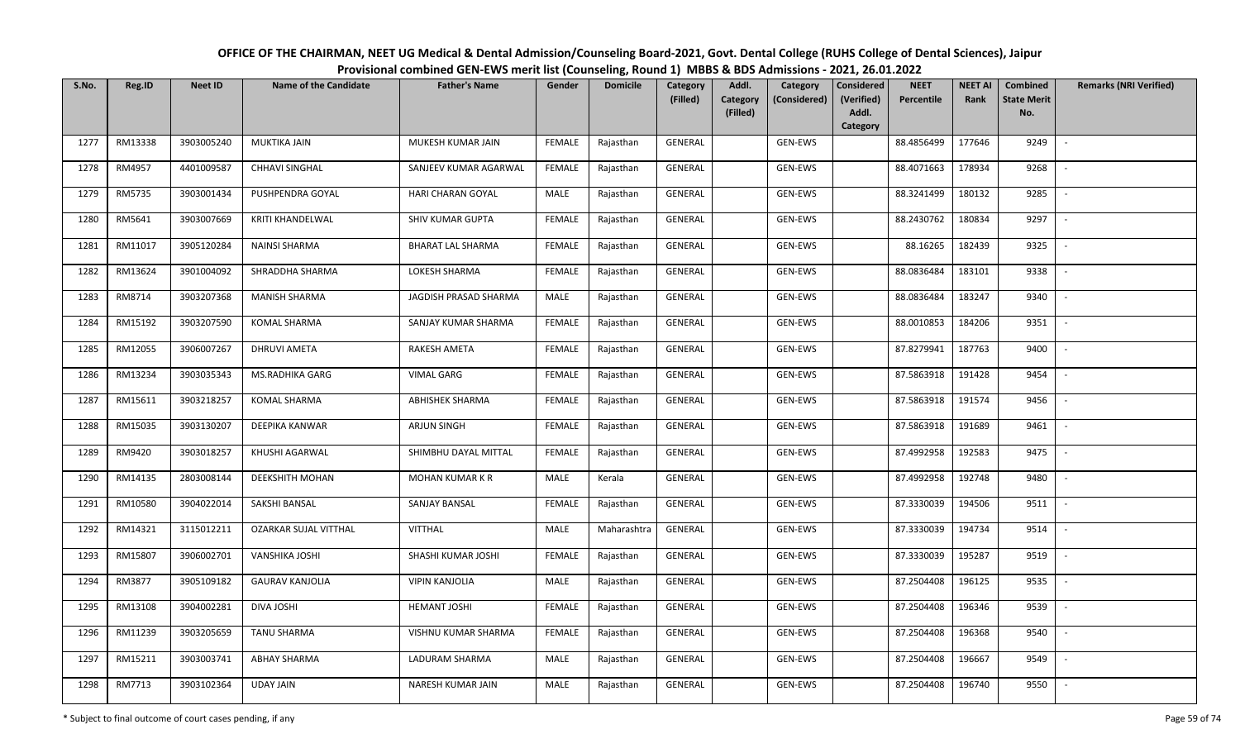| OFFICE OF THE CHAIRMAN, NEET UG Medical & Dental Admission/Counseling Board-2021, Govt. Dental College (RUHS College of Dental Sciences), Jaipur |  |
|--------------------------------------------------------------------------------------------------------------------------------------------------|--|
| Provisional combined GEN-EWS merit list (Counseling, Round 1) MBBS & BDS Admissions - 2021, 26.01.2022                                           |  |

| S.No. | Reg.ID  | <b>Neet ID</b> | <b>Name of the Candidate</b> | <b>Father's Name</b>     | Gender        | <b>Domicile</b> | Category<br>(Filled) | Addl.<br><b>Category</b> | Category<br>(Considered) | <b>Considered</b><br>(Verified) | <b>NEET</b><br>Percentile | <b>NEET AI</b><br>Rank | Combined<br><b>State Merit</b> | <b>Remarks (NRI Verified)</b> |
|-------|---------|----------------|------------------------------|--------------------------|---------------|-----------------|----------------------|--------------------------|--------------------------|---------------------------------|---------------------------|------------------------|--------------------------------|-------------------------------|
|       |         |                |                              |                          |               |                 |                      | (Filled)                 |                          | Addl.<br>Category               |                           |                        | No.                            |                               |
| 1277  | RM13338 | 3903005240     | <b>MUKTIKA JAIN</b>          | MUKESH KUMAR JAIN        | FEMALE        | Rajasthan       | <b>GENERAL</b>       |                          | <b>GEN-EWS</b>           |                                 | 88.4856499                | 177646                 | 9249                           | $\overline{\phantom{a}}$      |
| 1278  | RM4957  | 4401009587     | <b>CHHAVI SINGHAL</b>        | SANJEEV KUMAR AGARWAL    | FEMALE        | Rajasthan       | GENERAL              |                          | GEN-EWS                  |                                 | 88.4071663                | 178934                 | 9268                           |                               |
| 1279  | RM5735  | 3903001434     | PUSHPENDRA GOYAL             | HARI CHARAN GOYAL        | MALE          | Rajasthan       | GENERAL              |                          | GEN-EWS                  |                                 | 88.3241499                | 180132                 | 9285                           | $\sim$                        |
| 1280  | RM5641  | 3903007669     | <b>KRITI KHANDELWAL</b>      | SHIV KUMAR GUPTA         | <b>FEMALE</b> | Rajasthan       | GENERAL              |                          | GEN-EWS                  |                                 | 88.2430762                | 180834                 | 9297                           | $\sim$                        |
| 1281  | RM11017 | 3905120284     | NAINSI SHARMA                | <b>BHARAT LAL SHARMA</b> | <b>FEMALE</b> | Rajasthan       | GENERAL              |                          | GEN-EWS                  |                                 | 88.16265                  | 182439                 | 9325                           | $\overline{\phantom{a}}$      |
| 1282  | RM13624 | 3901004092     | SHRADDHA SHARMA              | LOKESH SHARMA            | <b>FEMALE</b> | Rajasthan       | GENERAL              |                          | GEN-EWS                  |                                 | 88.0836484                | 183101                 | 9338                           | $\overline{\phantom{a}}$      |
| 1283  | RM8714  | 3903207368     | <b>MANISH SHARMA</b>         | JAGDISH PRASAD SHARMA    | MALE          | Rajasthan       | GENERAL              |                          | GEN-EWS                  |                                 | 88.0836484                | 183247                 | 9340                           |                               |
| 1284  | RM15192 | 3903207590     | <b>KOMAL SHARMA</b>          | SANJAY KUMAR SHARMA      | <b>FEMALE</b> | Rajasthan       | GENERAL              |                          | GEN-EWS                  |                                 | 88.0010853                | 184206                 | 9351                           | $\overline{\phantom{a}}$      |
| 1285  | RM12055 | 3906007267     | <b>DHRUVI AMETA</b>          | RAKESH AMETA             | <b>FEMALE</b> | Rajasthan       | <b>GENERAL</b>       |                          | GEN-EWS                  |                                 | 87.8279941                | 187763                 | 9400                           |                               |
| 1286  | RM13234 | 3903035343     | MS.RADHIKA GARG              | <b>VIMAL GARG</b>        | <b>FEMALE</b> | Rajasthan       | GENERAL              |                          | GEN-EWS                  |                                 | 87.5863918                | 191428                 | 9454                           |                               |
| 1287  | RM15611 | 3903218257     | <b>KOMAL SHARMA</b>          | <b>ABHISHEK SHARMA</b>   | <b>FEMALE</b> | Rajasthan       | GENERAL              |                          | GEN-EWS                  |                                 | 87.5863918                | 191574                 | 9456                           |                               |
| 1288  | RM15035 | 3903130207     | DEEPIKA KANWAR               | <b>ARJUN SINGH</b>       | <b>FEMALE</b> | Rajasthan       | GENERAL              |                          | GEN-EWS                  |                                 | 87.5863918                | 191689                 | 9461                           | $\overline{\phantom{a}}$      |
| 1289  | RM9420  | 3903018257     | KHUSHI AGARWAL               | SHIMBHU DAYAL MITTAL     | <b>FEMALE</b> | Rajasthan       | GENERAL              |                          | GEN-EWS                  |                                 | 87.4992958                | 192583                 | 9475                           |                               |
| 1290  | RM14135 | 2803008144     | <b>DEEKSHITH MOHAN</b>       | <b>MOHAN KUMAR K R</b>   | MALE          | Kerala          | GENERAL              |                          | GEN-EWS                  |                                 | 87.4992958                | 192748                 | 9480                           | $\overline{\phantom{a}}$      |
| 1291  | RM10580 | 3904022014     | SAKSHI BANSAL                | SANJAY BANSAL            | <b>FEMALE</b> | Rajasthan       | GENERAL              |                          | GEN-EWS                  |                                 | 87.3330039                | 194506                 | 9511                           | $\sim$                        |
| 1292  | RM14321 | 3115012211     | <b>OZARKAR SUJAL VITTHAL</b> | VITTHAL                  | MALE          | Maharashtra     | GENERAL              |                          | GEN-EWS                  |                                 | 87.3330039                | 194734                 | 9514                           | $\sim$                        |
| 1293  | RM15807 | 3906002701     | VANSHIKA JOSHI               | SHASHI KUMAR JOSHI       | <b>FEMALE</b> | Rajasthan       | GENERAL              |                          | GEN-EWS                  |                                 | 87.3330039                | 195287                 | 9519                           | $\overline{\phantom{a}}$      |
| 1294  | RM3877  | 3905109182     | <b>GAURAV KANJOLIA</b>       | <b>VIPIN KANJOLIA</b>    | MALE          | Rajasthan       | GENERAL              |                          | GEN-EWS                  |                                 | 87.2504408                | 196125                 | 9535                           |                               |
| 1295  | RM13108 | 3904002281     | DIVA JOSHI                   | <b>HEMANT JOSHI</b>      | <b>FEMALE</b> | Rajasthan       | GENERAL              |                          | GEN-EWS                  |                                 | 87.2504408                | 196346                 | 9539                           |                               |
| 1296  | RM11239 | 3903205659     | <b>TANU SHARMA</b>           | VISHNU KUMAR SHARMA      | <b>FEMALE</b> | Rajasthan       | GENERAL              |                          | GEN-EWS                  |                                 | 87.2504408                | 196368                 | 9540                           |                               |
| 1297  | RM15211 | 3903003741     | ABHAY SHARMA                 | LADURAM SHARMA           | <b>MALE</b>   | Rajasthan       | GENERAL              |                          | GEN-EWS                  |                                 | 87.2504408                | 196667                 | 9549                           |                               |
| 1298  | RM7713  | 3903102364     | <b>UDAY JAIN</b>             | NARESH KUMAR JAIN        | MALE          | Rajasthan       | GENERAL              |                          | GEN-EWS                  |                                 | 87.2504408                | 196740                 | 9550                           |                               |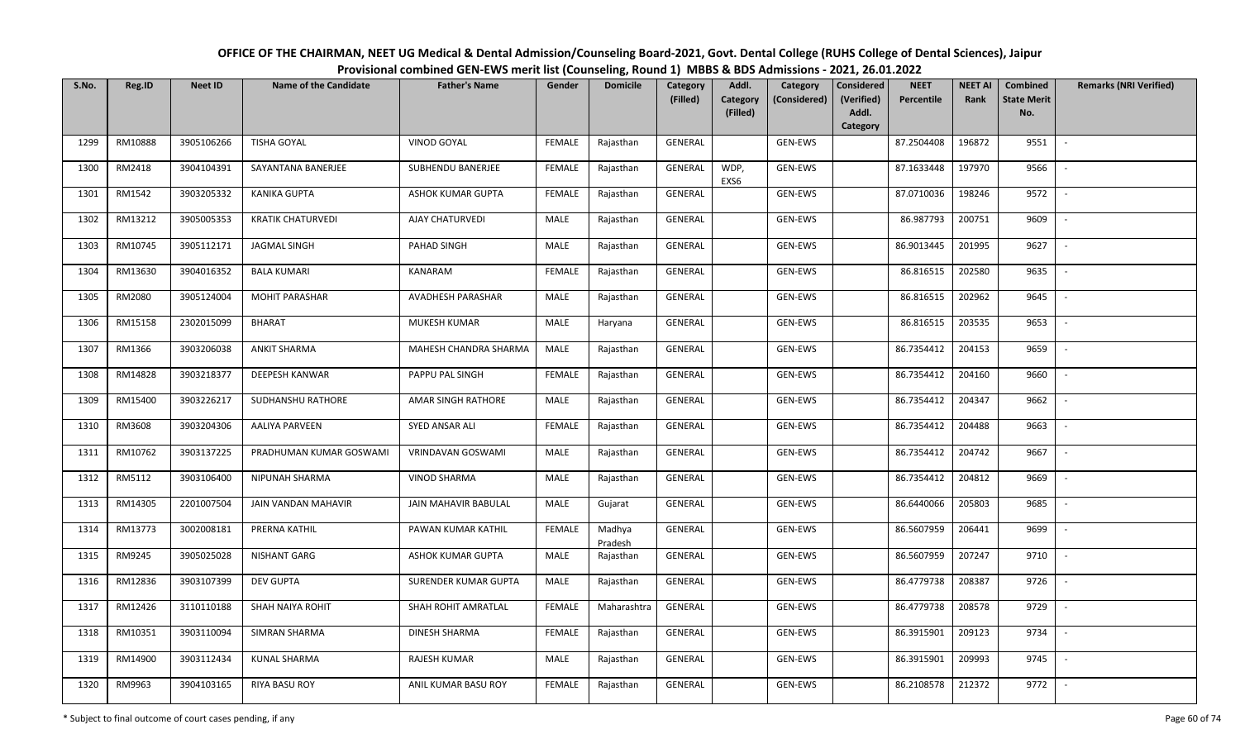| OFFICE OF THE CHAIRMAN, NEET UG Medical & Dental Admission/Counseling Board-2021, Govt. Dental College (RUHS College of Dental Sciences), Jaipur |
|--------------------------------------------------------------------------------------------------------------------------------------------------|
| Provisional combined GEN-EWS merit list (Counseling, Round 1) MBBS & BDS Admissions - 2021, 26.01.2022                                           |

| S.No. | Reg.ID  | <b>Neet ID</b> | <b>Name of the Candidate</b> | <b>Father's Name</b>  | Gender        | <b>Domicile</b>   | <b>Category</b><br>(Filled) | Addl.<br>Category | Category<br>(Considered) | <b>Considered</b><br>(Verified) | <b>NEET</b><br>Percentile | <b>NEET AI</b><br>Rank | <b>Combined</b><br><b>State Merit</b> | <b>Remarks (NRI Verified)</b> |
|-------|---------|----------------|------------------------------|-----------------------|---------------|-------------------|-----------------------------|-------------------|--------------------------|---------------------------------|---------------------------|------------------------|---------------------------------------|-------------------------------|
|       |         |                |                              |                       |               |                   |                             | (Filled)          |                          | Addl.<br>Category               |                           |                        | No.                                   |                               |
| 1299  | RM10888 | 3905106266     | <b>TISHA GOYAL</b>           | VINOD GOYAL           | <b>FEMALE</b> | Rajasthan         | GENERAL                     |                   | GEN-EWS                  |                                 | 87.2504408                | 196872                 | 9551                                  | $\sim$                        |
| 1300  | RM2418  | 3904104391     | SAYANTANA BANERJEE           | SUBHENDU BANERJEE     | <b>FEMALE</b> | Rajasthan         | GENERAL                     | WDP,<br>EXS6      | GEN-EWS                  |                                 | 87.1633448                | 197970                 | 9566                                  |                               |
| 1301  | RM1542  | 3903205332     | KANIKA GUPTA                 | ASHOK KUMAR GUPTA     | <b>FEMALE</b> | Rajasthan         | <b>GENERAL</b>              |                   | GEN-EWS                  |                                 | 87.0710036                | 198246                 | 9572                                  | $\overline{\phantom{a}}$      |
| 1302  | RM13212 | 3905005353     | <b>KRATIK CHATURVEDI</b>     | AJAY CHATURVEDI       | MALE          | Rajasthan         | GENERAL                     |                   | GEN-EWS                  |                                 | 86.987793                 | 200751                 | 9609                                  | $\overline{\phantom{a}}$      |
| 1303  | RM10745 | 3905112171     | <b>JAGMAL SINGH</b>          | PAHAD SINGH           | MALE          | Rajasthan         | GENERAL                     |                   | GEN-EWS                  |                                 | 86.9013445                | 201995                 | 9627                                  | $\overline{\phantom{a}}$      |
| 1304  | RM13630 | 3904016352     | <b>BALA KUMARI</b>           | KANARAM               | <b>FEMALE</b> | Rajasthan         | <b>GENERAL</b>              |                   | GEN-EWS                  |                                 | 86.816515                 | 202580                 | 9635                                  | $\overline{\phantom{a}}$      |
| 1305  | RM2080  | 3905124004     | MOHIT PARASHAR               | AVADHESH PARASHAR     | MALE          | Rajasthan         | GENERAL                     |                   | GEN-EWS                  |                                 | 86.816515                 | 202962                 | 9645                                  |                               |
| 1306  | RM15158 | 2302015099     | <b>BHARAT</b>                | <b>MUKESH KUMAR</b>   | MALE          | Haryana           | <b>GENERAL</b>              |                   | GEN-EWS                  |                                 | 86.816515                 | 203535                 | 9653                                  |                               |
| 1307  | RM1366  | 3903206038     | <b>ANKIT SHARMA</b>          | MAHESH CHANDRA SHARMA | <b>MALE</b>   | Rajasthan         | <b>GENERAL</b>              |                   | GEN-EWS                  |                                 | 86.7354412                | 204153                 | 9659                                  |                               |
| 1308  | RM14828 | 3903218377     | DEEPESH KANWAR               | PAPPU PAL SINGH       | <b>FEMALE</b> | Rajasthan         | GENERAL                     |                   | GEN-EWS                  |                                 | 86.7354412                | 204160                 | 9660                                  | $\overline{\phantom{a}}$      |
| 1309  | RM15400 | 3903226217     | SUDHANSHU RATHORE            | AMAR SINGH RATHORE    | MALE          | Rajasthan         | GENERAL                     |                   | GEN-EWS                  |                                 | 86.7354412                | 204347                 | 9662                                  |                               |
| 1310  | RM3608  | 3903204306     | AALIYA PARVEEN               | SYED ANSAR ALI        | <b>FEMALE</b> | Rajasthan         | GENERAL                     |                   | GEN-EWS                  |                                 | 86.7354412                | 204488                 | 9663                                  | $\sim$                        |
| 1311  | RM10762 | 3903137225     | PRADHUMAN KUMAR GOSWAMI      | VRINDAVAN GOSWAMI     | MALE          | Rajasthan         | GENERAL                     |                   | GEN-EWS                  |                                 | 86.7354412                | 204742                 | 9667                                  |                               |
| 1312  | RM5112  | 3903106400     | NIPUNAH SHARMA               | <b>VINOD SHARMA</b>   | MALE          | Rajasthan         | GENERAL                     |                   | GEN-EWS                  |                                 | 86.7354412                | 204812                 | 9669                                  | $\overline{\phantom{a}}$      |
| 1313  | RM14305 | 2201007504     | <b>JAIN VANDAN MAHAVIR</b>   | JAIN MAHAVIR BABULAL  | MALE          | Gujarat           | GENERAL                     |                   | GEN-EWS                  |                                 | 86.6440066                | 205803                 | 9685                                  | $\overline{\phantom{a}}$      |
| 1314  | RM13773 | 3002008181     | PRERNA KATHIL                | PAWAN KUMAR KATHIL    | <b>FEMALE</b> | Madhya<br>Pradesh | GENERAL                     |                   | GEN-EWS                  |                                 | 86.5607959                | 206441                 | 9699                                  | $\overline{\phantom{a}}$      |
| 1315  | RM9245  | 3905025028     | NISHANT GARG                 | ASHOK KUMAR GUPTA     | MALE          | Rajasthan         | GENERAL                     |                   | GEN-EWS                  |                                 | 86.5607959                | 207247                 | 9710                                  | $\sim$                        |
| 1316  | RM12836 | 3903107399     | <b>DEV GUPTA</b>             | SURENDER KUMAR GUPTA  | MALE          | Rajasthan         | GENERAL                     |                   | GEN-EWS                  |                                 | 86.4779738                | 208387                 | 9726                                  |                               |
| 1317  | RM12426 | 3110110188     | SHAH NAIYA ROHIT             | SHAH ROHIT AMRATLAL   | <b>FEMALE</b> | Maharashtra       | GENERAL                     |                   | GEN-EWS                  |                                 | 86.4779738                | 208578                 | 9729                                  |                               |
| 1318  | RM10351 | 3903110094     | SIMRAN SHARMA                | DINESH SHARMA         | <b>FEMALE</b> | Rajasthan         | <b>GENERAL</b>              |                   | GEN-EWS                  |                                 | 86.3915901                | 209123                 | 9734                                  |                               |
| 1319  | RM14900 | 3903112434     | <b>KUNAL SHARMA</b>          | RAJESH KUMAR          | <b>MALE</b>   | Rajasthan         | GENERAL                     |                   | GEN-EWS                  |                                 | 86.3915901                | 209993                 | 9745                                  |                               |
| 1320  | RM9963  | 3904103165     | RIYA BASU ROY                | ANIL KUMAR BASU ROY   | <b>FEMALE</b> | Rajasthan         | <b>GENERAL</b>              |                   | GEN-EWS                  |                                 | 86.2108578                | 212372                 | 9772                                  |                               |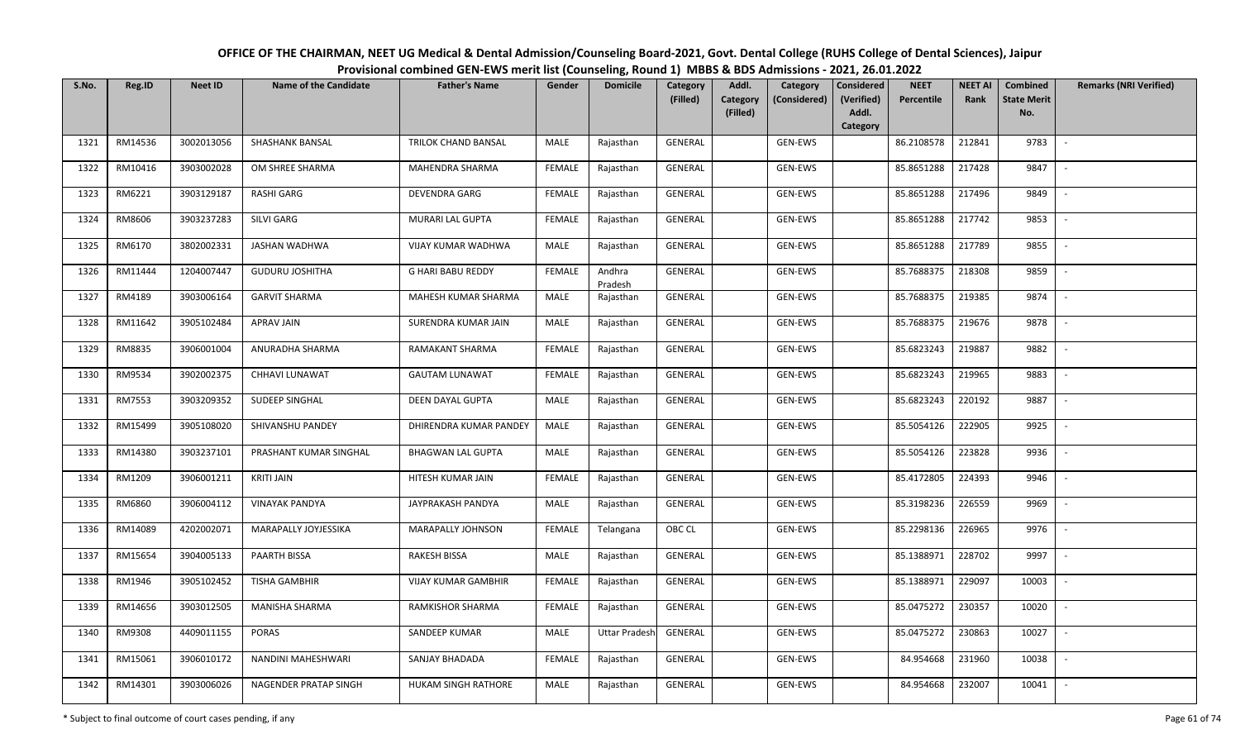| OFFICE OF THE CHAIRMAN, NEET UG Medical & Dental Admission/Counseling Board-2021, Govt. Dental College (RUHS College of Dental Sciences), Jaipur |
|--------------------------------------------------------------------------------------------------------------------------------------------------|
| Provisional combined GEN-EWS merit list (Counseling, Round 1) MBBS & BDS Admissions - 2021, 26.01.2022                                           |

| S.No. | Reg.ID  | <b>Neet ID</b> | <b>Name of the Candidate</b> | <b>Father's Name</b>       | Gender        | <b>Domicile</b>      | Category<br>(Filled) | Addl.                | Category<br>(Considered) | <b>Considered</b><br>(Verified) | <b>NEET</b><br>Percentile | <b>NEET AI</b><br>Rank | Combined<br><b>State Merit</b> | <b>Remarks (NRI Verified)</b> |
|-------|---------|----------------|------------------------------|----------------------------|---------------|----------------------|----------------------|----------------------|--------------------------|---------------------------------|---------------------------|------------------------|--------------------------------|-------------------------------|
|       |         |                |                              |                            |               |                      |                      | Category<br>(Filled) |                          | Addl.                           |                           |                        | No.                            |                               |
|       |         |                |                              |                            |               |                      |                      |                      |                          | Category                        |                           |                        |                                |                               |
| 1321  | RM14536 | 3002013056     | <b>SHASHANK BANSAL</b>       | TRILOK CHAND BANSAL        | MALE          | Rajasthan            | <b>GENERAL</b>       |                      | GEN-EWS                  |                                 | 86.2108578                | 212841                 | 9783                           | $\sim$                        |
| 1322  | RM10416 | 3903002028     | OM SHREE SHARMA              | MAHENDRA SHARMA            | <b>FEMALE</b> | Rajasthan            | GENERAL              |                      | GEN-EWS                  |                                 | 85.8651288                | 217428                 | 9847                           |                               |
| 1323  | RM6221  | 3903129187     | <b>RASHI GARG</b>            | DEVENDRA GARG              | <b>FEMALE</b> | Rajasthan            | GENERAL              |                      | GEN-EWS                  |                                 | 85.8651288                | 217496                 | 9849                           | $\sim$                        |
| 1324  | RM8606  | 3903237283     | SILVI GARG                   | MURARI LAL GUPTA           | <b>FEMALE</b> | Rajasthan            | GENERAL              |                      | GEN-EWS                  |                                 | 85.8651288                | 217742                 | 9853                           | $\overline{\phantom{a}}$      |
| 1325  | RM6170  | 3802002331     | JASHAN WADHWA                | VIJAY KUMAR WADHWA         | MALE          | Rajasthan            | GENERAL              |                      | GEN-EWS                  |                                 | 85.8651288                | 217789                 | 9855                           | $\sim$                        |
| 1326  | RM11444 | 1204007447     | <b>GUDURU JOSHITHA</b>       | <b>G HARI BABU REDDY</b>   | <b>FEMALE</b> | Andhra<br>Pradesh    | GENERAL              |                      | GEN-EWS                  |                                 | 85.7688375                | 218308                 | 9859                           | $\overline{\phantom{a}}$      |
| 1327  | RM4189  | 3903006164     | <b>GARVIT SHARMA</b>         | MAHESH KUMAR SHARMA        | MALE          | Rajasthan            | GENERAL              |                      | GEN-EWS                  |                                 | 85.7688375                | 219385                 | 9874                           |                               |
| 1328  | RM11642 | 3905102484     | APRAV JAIN                   | SURENDRA KUMAR JAIN        | MALE          | Rajasthan            | <b>GENERAL</b>       |                      | GEN-EWS                  |                                 | 85.7688375                | 219676                 | 9878                           |                               |
| 1329  | RM8835  | 3906001004     | ANURADHA SHARMA              | RAMAKANT SHARMA            | <b>FEMALE</b> | Rajasthan            | GENERAL              |                      | GEN-EWS                  |                                 | 85.6823243                | 219887                 | 9882                           | $\overline{\phantom{a}}$      |
| 1330  | RM9534  | 3902002375     | CHHAVI LUNAWAT               | <b>GAUTAM LUNAWAT</b>      | <b>FEMALE</b> | Rajasthan            | GENERAL              |                      | GEN-EWS                  |                                 | 85.6823243                | 219965                 | 9883                           | $\sim$                        |
| 1331  | RM7553  | 3903209352     | SUDEEP SINGHAL               | DEEN DAYAL GUPTA           | MALE          | Rajasthan            | GENERAL              |                      | GEN-EWS                  |                                 | 85.6823243                | 220192                 | 9887                           |                               |
| 1332  | RM15499 | 3905108020     | SHIVANSHU PANDEY             | DHIRENDRA KUMAR PANDEY     | MALE          | Rajasthan            | GENERAL              |                      | GEN-EWS                  |                                 | 85.5054126                | 222905                 | 9925                           | $\sim$                        |
| 1333  | RM14380 | 3903237101     | PRASHANT KUMAR SINGHAL       | <b>BHAGWAN LAL GUPTA</b>   | MALE          | Rajasthan            | GENERAL              |                      | GEN-EWS                  |                                 | 85.5054126                | 223828                 | 9936                           |                               |
| 1334  | RM1209  | 3906001211     | <b>KRITI JAIN</b>            | HITESH KUMAR JAIN          | <b>FEMALE</b> | Rajasthan            | GENERAL              |                      | GEN-EWS                  |                                 | 85.4172805                | 224393                 | 9946                           | $\sim$                        |
| 1335  | RM6860  | 3906004112     | <b>VINAYAK PANDYA</b>        | JAYPRAKASH PANDYA          | MALE          | Rajasthan            | GENERAL              |                      | GEN-EWS                  |                                 | 85.3198236                | 226559                 | 9969                           | $\overline{\phantom{a}}$      |
| 1336  | RM14089 | 4202002071     | MARAPALLY JOYJESSIKA         | MARAPALLY JOHNSON          | <b>FEMALE</b> | Telangana            | OBC CL               |                      | GEN-EWS                  |                                 | 85.2298136                | 226965                 | 9976                           | $\sim$                        |
| 1337  | RM15654 | 3904005133     | PAARTH BISSA                 | RAKESH BISSA               | MALE          | Rajasthan            | GENERAL              |                      | GEN-EWS                  |                                 | 85.1388971                | 228702                 | 9997                           | $\sim$                        |
| 1338  | RM1946  | 3905102452     | TISHA GAMBHIR                | <b>VIJAY KUMAR GAMBHIR</b> | <b>FEMALE</b> | Rajasthan            | GENERAL              |                      | GEN-EWS                  |                                 | 85.1388971                | 229097                 | 10003                          |                               |
| 1339  | RM14656 | 3903012505     | MANISHA SHARMA               | RAMKISHOR SHARMA           | <b>FEMALE</b> | Rajasthan            | <b>GENERAL</b>       |                      | GEN-EWS                  |                                 | 85.0475272                | 230357                 | 10020                          | $\overline{\phantom{a}}$      |
| 1340  | RM9308  | 4409011155     | <b>PORAS</b>                 | SANDEEP KUMAR              | MALE          | <b>Uttar Pradesh</b> | GENERAL              |                      | GEN-EWS                  |                                 | 85.0475272                | 230863                 | 10027                          | $\overline{\phantom{a}}$      |
| 1341  | RM15061 | 3906010172     | NANDINI MAHESHWARI           | SANJAY BHADADA             | <b>FEMALE</b> | Rajasthan            | GENERAL              |                      | GEN-EWS                  |                                 | 84.954668                 | 231960                 | 10038                          |                               |
| 1342  | RM14301 | 3903006026     | NAGENDER PRATAP SINGH        | HUKAM SINGH RATHORE        | MALE          | Rajasthan            | GENERAL              |                      | GEN-EWS                  |                                 | 84.954668                 | 232007                 | 10041                          |                               |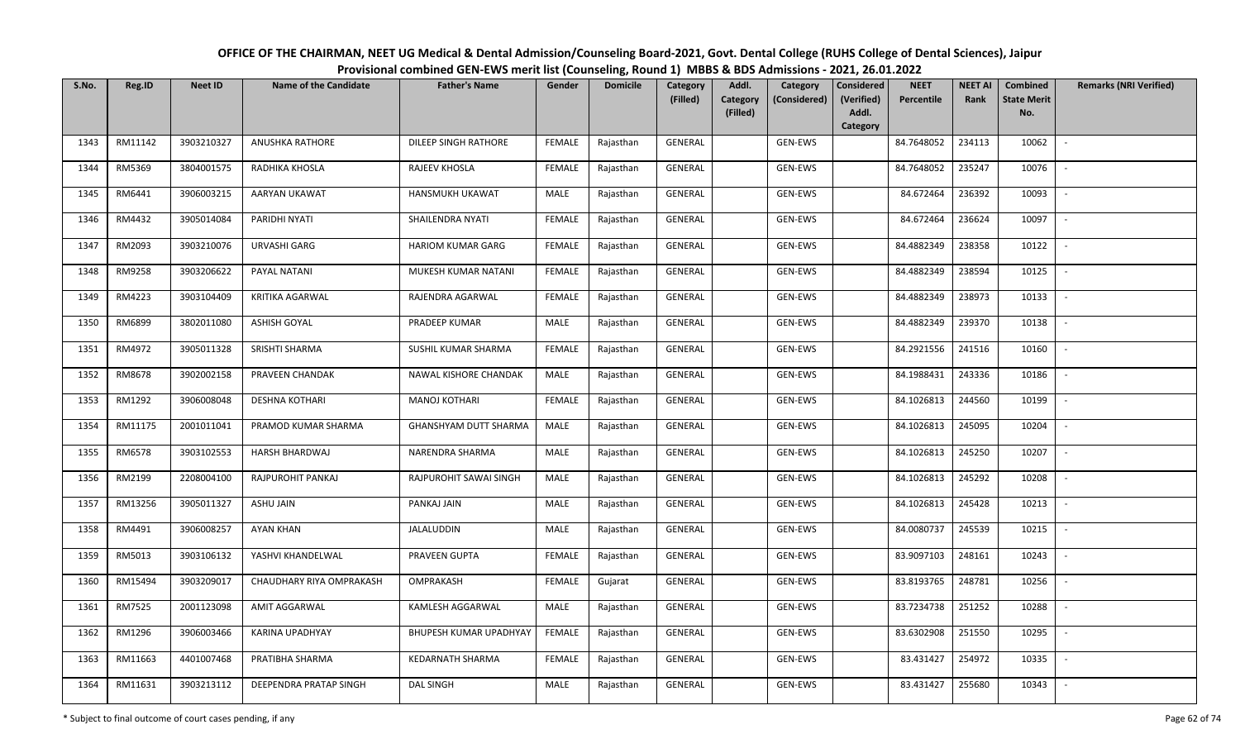| S.No. | Reg.ID  | <b>Neet ID</b> | Name of the Candidate    | <b>Father's Name</b>   | Gender        | <b>Domicile</b> | Category<br>(Filled) | Addl.<br><b>Category</b><br>(Filled) | Category<br>(Considered) | Considered<br>(Verified)<br>Addl. | <b>NEET</b><br>Percentile | <b>NEET AI</b><br>Rank | Combined<br><b>State Merit</b><br>No. | <b>Remarks (NRI Verified)</b> |
|-------|---------|----------------|--------------------------|------------------------|---------------|-----------------|----------------------|--------------------------------------|--------------------------|-----------------------------------|---------------------------|------------------------|---------------------------------------|-------------------------------|
|       |         |                |                          |                        |               |                 |                      |                                      |                          | Category                          |                           |                        |                                       |                               |
| 1343  | RM11142 | 3903210327     | ANUSHKA RATHORE          | DILEEP SINGH RATHORE   | <b>FEMALE</b> | Rajasthan       | GENERAL              |                                      | GEN-EWS                  |                                   | 84.7648052                | 234113                 | 10062                                 | $\overline{\phantom{a}}$      |
| 1344  | RM5369  | 3804001575     | RADHIKA KHOSLA           | RAJEEV KHOSLA          | <b>FEMALE</b> | Rajasthan       | GENERAL              |                                      | GEN-EWS                  |                                   | 84.7648052                | 235247                 | 10076                                 | $\sim$                        |
| 1345  | RM6441  | 3906003215     | AARYAN UKAWAT            | HANSMUKH UKAWAT        | MALE          | Rajasthan       | GENERAL              |                                      | GEN-EWS                  |                                   | 84.672464                 | 236392                 | 10093                                 | $\sim$                        |
| 1346  | RM4432  | 3905014084     | PARIDHI NYATI            | SHAILENDRA NYATI       | <b>FEMALE</b> | Rajasthan       | GENERAL              |                                      | GEN-EWS                  |                                   | 84.672464                 | 236624                 | 10097                                 | $\mathcal{L}_{\mathcal{A}}$   |
| 1347  | RM2093  | 3903210076     | URVASHI GARG             | HARIOM KUMAR GARG      | <b>FEMALE</b> | Rajasthan       | GENERAL              |                                      | GEN-EWS                  |                                   | 84.4882349                | 238358                 | 10122                                 | $\overline{\phantom{a}}$      |
| 1348  | RM9258  | 3903206622     | PAYAL NATANI             | MUKESH KUMAR NATANI    | <b>FEMALE</b> | Rajasthan       | GENERAL              |                                      | GEN-EWS                  |                                   | 84.4882349                | 238594                 | 10125                                 | $\overline{\phantom{a}}$      |
| 1349  | RM4223  | 3903104409     | KRITIKA AGARWAL          | RAJENDRA AGARWAL       | <b>FEMALE</b> | Rajasthan       | GENERAL              |                                      | GEN-EWS                  |                                   | 84.4882349                | 238973                 | 10133                                 |                               |
| 1350  | RM6899  | 3802011080     | <b>ASHISH GOYAL</b>      | PRADEEP KUMAR          | MALE          | Rajasthan       | GENERAL              |                                      | GEN-EWS                  |                                   | 84.4882349                | 239370                 | 10138                                 | $\overline{\phantom{a}}$      |
| 1351  | RM4972  | 3905011328     | SRISHTI SHARMA           | SUSHIL KUMAR SHARMA    | <b>FEMALE</b> | Rajasthan       | GENERAL              |                                      | GEN-EWS                  |                                   | 84.2921556                | 241516                 | 10160                                 |                               |
| 1352  | RM8678  | 3902002158     | PRAVEEN CHANDAK          | NAWAL KISHORE CHANDAK  | MALE          | Rajasthan       | GENERAL              |                                      | GEN-EWS                  |                                   | 84.1988431                | 243336                 | 10186                                 |                               |
| 1353  | RM1292  | 3906008048     | <b>DESHNA KOTHARI</b>    | <b>MANOJ KOTHARI</b>   | <b>FEMALE</b> | Rajasthan       | GENERAL              |                                      | GEN-EWS                  |                                   | 84.1026813                | 244560                 | 10199                                 |                               |
| 1354  | RM11175 | 2001011041     | PRAMOD KUMAR SHARMA      | GHANSHYAM DUTT SHARMA  | MALE          | Rajasthan       | GENERAL              |                                      | GEN-EWS                  |                                   | 84.1026813                | 245095                 | 10204                                 | $\sim$                        |
| 1355  | RM6578  | 3903102553     | HARSH BHARDWAJ           | NARENDRA SHARMA        | MALE          | Rajasthan       | GENERAL              |                                      | GEN-EWS                  |                                   | 84.1026813                | 245250                 | 10207                                 | $\blacksquare$                |
| 1356  | RM2199  | 2208004100     | RAJPUROHIT PANKAJ        | RAJPUROHIT SAWAI SINGH | MALE          | Rajasthan       | GENERAL              |                                      | GEN-EWS                  |                                   | 84.1026813                | 245292                 | 10208                                 | $\sim$                        |
| 1357  | RM13256 | 3905011327     | ASHU JAIN                | PANKAJ JAIN            | MALE          | Rajasthan       | GENERAL              |                                      | GEN-EWS                  |                                   | 84.1026813                | 245428                 | 10213                                 | $\sim$                        |
| 1358  | RM4491  | 3906008257     | <b>AYAN KHAN</b>         | <b>JALALUDDIN</b>      | MALE          | Rajasthan       | GENERAL              |                                      | GEN-EWS                  |                                   | 84.0080737                | 245539                 | 10215                                 | $\sim$                        |
| 1359  | RM5013  | 3903106132     | YASHVI KHANDELWAL        | PRAVEEN GUPTA          | <b>FEMALE</b> | Rajasthan       | GENERAL              |                                      | GEN-EWS                  |                                   | 83.9097103                | 248161                 | 10243                                 | $\overline{\phantom{a}}$      |
| 1360  | RM15494 | 3903209017     | CHAUDHARY RIYA OMPRAKASH | OMPRAKASH              | <b>FEMALE</b> | Gujarat         | GENERAL              |                                      | GEN-EWS                  |                                   | 83.8193765                | 248781                 | 10256                                 | $\overline{\phantom{a}}$      |
| 1361  | RM7525  | 2001123098     | AMIT AGGARWAL            | KAMLESH AGGARWAL       | MALE          | Rajasthan       | GENERAL              |                                      | GEN-EWS                  |                                   | 83.7234738                | 251252                 | 10288                                 |                               |
| 1362  | RM1296  | 3906003466     | KARINA UPADHYAY          | BHUPESH KUMAR UPADHYAY | FEMALE        | Rajasthan       | GENERAL              |                                      | GEN-EWS                  |                                   | 83.6302908                | 251550                 | 10295                                 |                               |
| 1363  | RM11663 | 4401007468     | PRATIBHA SHARMA          | KEDARNATH SHARMA       | <b>FEMALE</b> | Rajasthan       | GENERAL              |                                      | GEN-EWS                  |                                   | 83.431427                 | 254972                 | 10335                                 | $\sim$                        |
| 1364  | RM11631 | 3903213112     | DEEPENDRA PRATAP SINGH   | <b>DAL SINGH</b>       | MALE          | Rajasthan       | GENERAL              |                                      | GEN-EWS                  |                                   | 83.431427                 | 255680                 | 10343                                 |                               |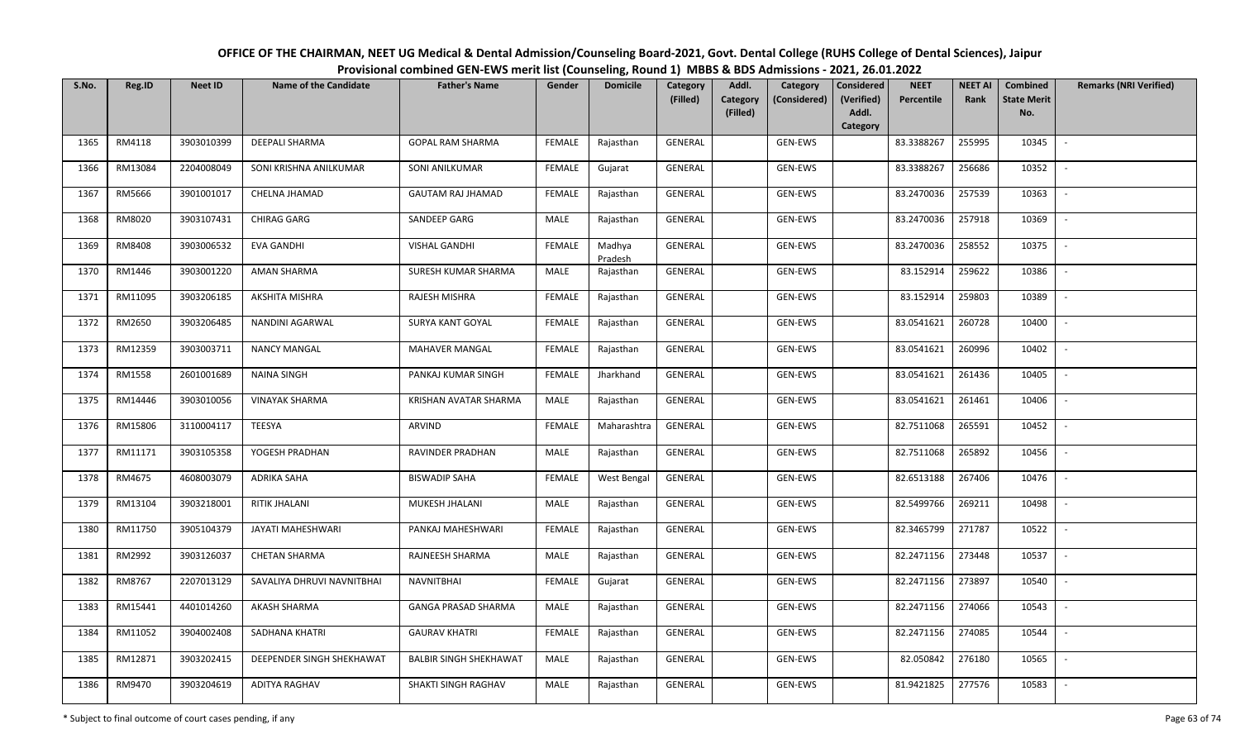| S.No. | Reg.ID  | <b>Neet ID</b> | Name of the Candidate      | <b>Father's Name</b>          | Gender        | <b>Domicile</b>   | Category<br>(Filled) | Addl.<br>Category | Category<br>(Considered) | Considered<br>(Verified) | <b>NEET</b><br>Percentile | <b>NEET AI</b><br>Rank | Combined<br><b>State Merit</b> | <b>Remarks (NRI Verified)</b> |
|-------|---------|----------------|----------------------------|-------------------------------|---------------|-------------------|----------------------|-------------------|--------------------------|--------------------------|---------------------------|------------------------|--------------------------------|-------------------------------|
|       |         |                |                            |                               |               |                   |                      | (Filled)          |                          | Addl.<br>Category        |                           |                        | No.                            |                               |
| 1365  | RM4118  | 3903010399     | <b>DEEPALI SHARMA</b>      | <b>GOPAL RAM SHARMA</b>       | <b>FEMALE</b> | Rajasthan         | <b>GENERAL</b>       |                   | GEN-EWS                  |                          | 83.3388267                | 255995                 | 10345                          | $\blacksquare$                |
| 1366  | RM13084 | 2204008049     | SONI KRISHNA ANILKUMAR     | SONI ANILKUMAR                | <b>FEMALE</b> | Gujarat           | GENERAL              |                   | GEN-EWS                  |                          | 83.3388267                | 256686                 | 10352                          | $\sim$                        |
| 1367  | RM5666  | 3901001017     | CHELNA JHAMAD              | GAUTAM RAJ JHAMAD             | <b>FEMALE</b> | Rajasthan         | GENERAL              |                   | GEN-EWS                  |                          | 83.2470036                | 257539                 | 10363                          | $\sim$                        |
| 1368  | RM8020  | 3903107431     | CHIRAG GARG                | SANDEEP GARG                  | MALE          | Rajasthan         | GENERAL              |                   | GEN-EWS                  |                          | 83.2470036                | 257918                 | 10369                          | $\sim$                        |
| 1369  | RM8408  | 3903006532     | EVA GANDHI                 | <b>VISHAL GANDHI</b>          | <b>FEMALE</b> | Madhya<br>Pradesh | GENERAL              |                   | GEN-EWS                  |                          | 83.2470036                | 258552                 | 10375                          | $\sim$                        |
| 1370  | RM1446  | 3903001220     | AMAN SHARMA                | SURESH KUMAR SHARMA           | MALE          | Rajasthan         | GENERAL              |                   | GEN-EWS                  |                          | 83.152914                 | 259622                 | 10386                          | $\overline{\phantom{a}}$      |
| 1371  | RM11095 | 3903206185     | AKSHITA MISHRA             | RAJESH MISHRA                 | <b>FEMALE</b> | Rajasthan         | GENERAL              |                   | GEN-EWS                  |                          | 83.152914                 | 259803                 | 10389                          |                               |
| 1372  | RM2650  | 3903206485     | NANDINI AGARWAL            | SURYA KANT GOYAL              | <b>FEMALE</b> | Rajasthan         | GENERAL              |                   | GEN-EWS                  |                          | 83.0541621                | 260728                 | 10400                          |                               |
| 1373  | RM12359 | 3903003711     | <b>NANCY MANGAL</b>        | MAHAVER MANGAL                | <b>FEMALE</b> | Rajasthan         | GENERAL              |                   | GEN-EWS                  |                          | 83.0541621                | 260996                 | 10402                          | $\overline{\phantom{a}}$      |
| 1374  | RM1558  | 2601001689     | NAINA SINGH                | PANKAJ KUMAR SINGH            | <b>FEMALE</b> | Jharkhand         | GENERAL              |                   | GEN-EWS                  |                          | 83.0541621                | 261436                 | 10405                          | $\sim$                        |
| 1375  | RM14446 | 3903010056     | <b>VINAYAK SHARMA</b>      | KRISHAN AVATAR SHARMA         | MALE          | Rajasthan         | GENERAL              |                   | GEN-EWS                  |                          | 83.0541621                | 261461                 | 10406                          |                               |
| 1376  | RM15806 | 3110004117     | TEESYA                     | ARVIND                        | <b>FEMALE</b> | Maharashtra       | GENERAL              |                   | GEN-EWS                  |                          | 82.7511068                | 265591                 | 10452                          | $\sim$                        |
| 1377  | RM11171 | 3903105358     | YOGESH PRADHAN             | RAVINDER PRADHAN              | MALE          | Rajasthan         | GENERAL              |                   | GEN-EWS                  |                          | 82.7511068                | 265892                 | 10456                          |                               |
| 1378  | RM4675  | 4608003079     | ADRIKA SAHA                | <b>BISWADIP SAHA</b>          | <b>FEMALE</b> | West Bengal       | GENERAL              |                   | GEN-EWS                  |                          | 82.6513188                | 267406                 | 10476                          | $\sim$                        |
| 1379  | RM13104 | 3903218001     | RITIK JHALANI              | MUKESH JHALANI                | MALE          | Rajasthan         | GENERAL              |                   | GEN-EWS                  |                          | 82.5499766                | 269211                 | 10498                          | $\sim$                        |
| 1380  | RM11750 | 3905104379     | JAYATI MAHESHWARI          | PANKAJ MAHESHWARI             | <b>FEMALE</b> | Rajasthan         | GENERAL              |                   | GEN-EWS                  |                          | 82.3465799                | 271787                 | 10522                          | $\sim$                        |
| 1381  | RM2992  | 3903126037     | <b>CHETAN SHARMA</b>       | RAJNEESH SHARMA               | MALE          | Rajasthan         | GENERAL              |                   | GEN-EWS                  |                          | 82.2471156                | 273448                 | 10537                          | $\overline{\phantom{a}}$      |
| 1382  | RM8767  | 2207013129     | SAVALIYA DHRUVI NAVNITBHAI | <b>NAVNITBHAI</b>             | <b>FEMALE</b> | Gujarat           | GENERAL              |                   | GEN-EWS                  |                          | 82.2471156                | 273897                 | 10540                          | $\overline{\phantom{a}}$      |
| 1383  | RM15441 | 4401014260     | AKASH SHARMA               | <b>GANGA PRASAD SHARMA</b>    | MALE          | Rajasthan         | GENERAL              |                   | GEN-EWS                  |                          | 82.2471156                | 274066                 | 10543                          |                               |
| 1384  | RM11052 | 3904002408     | SADHANA KHATRI             | <b>GAURAV KHATRI</b>          | <b>FEMALE</b> | Rajasthan         | GENERAL              |                   | GEN-EWS                  |                          | 82.2471156                | 274085                 | 10544                          |                               |
| 1385  | RM12871 | 3903202415     | DEEPENDER SINGH SHEKHAWAT  | <b>BALBIR SINGH SHEKHAWAT</b> | MALE          | Rajasthan         | GENERAL              |                   | GEN-EWS                  |                          | 82.050842                 | 276180                 | 10565                          |                               |
| 1386  | RM9470  | 3903204619     | ADITYA RAGHAV              | SHAKTI SINGH RAGHAV           | MALE          | Rajasthan         | GENERAL              |                   | GEN-EWS                  |                          | 81.9421825                | 277576                 | 10583                          |                               |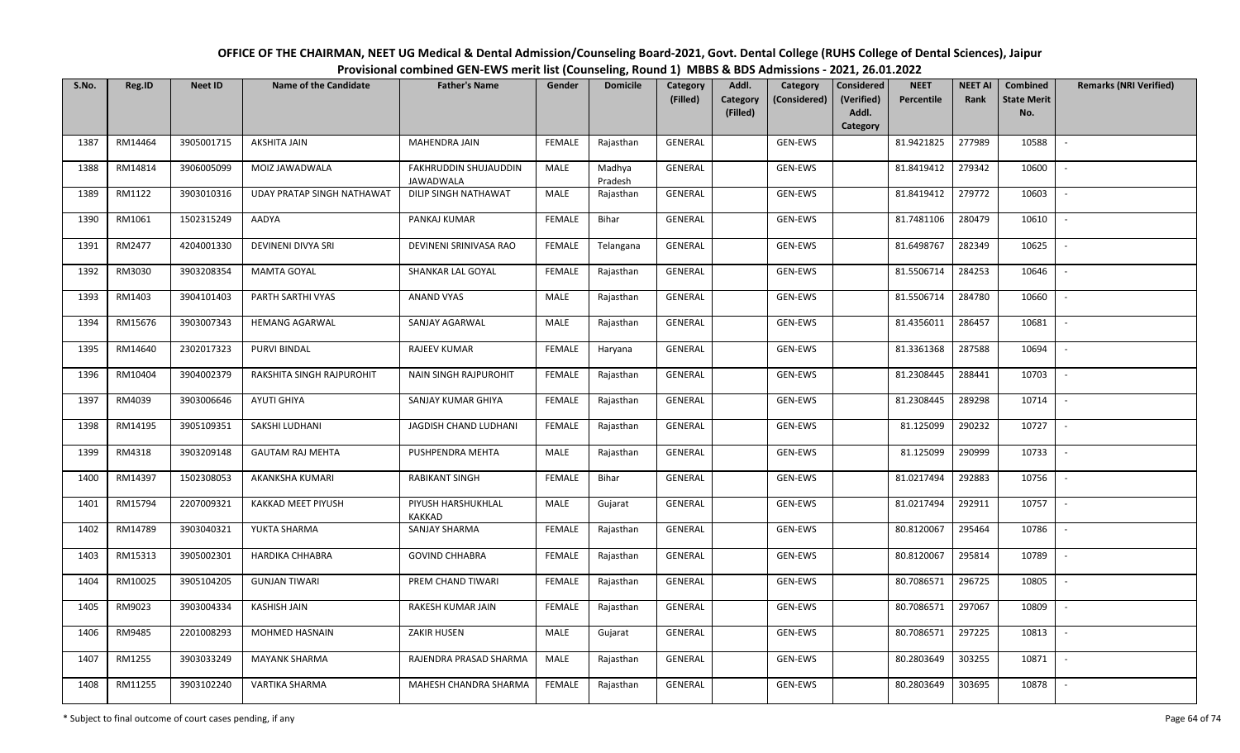| OFFICE OF THE CHAIRMAN, NEET UG Medical & Dental Admission/Counseling Board-2021, Govt. Dental College (RUHS College of Dental Sciences), Jaipur |
|--------------------------------------------------------------------------------------------------------------------------------------------------|
| Provisional combined GEN-EWS merit list (Counseling, Round 1) MBBS & BDS Admissions - 2021, 26.01.2022                                           |

| S.No. | Reg.ID  | <b>Neet ID</b> | <b>Name of the Candidate</b>      | <b>Father's Name</b>                      | Gender        | <b>Domicile</b>   | Category<br>(Filled) | Addl.<br>Category<br>Category<br>(Considered) | <b>Considered</b><br>(Verified) | <b>NEET</b><br>Percentile | <b>NEET AI</b><br>Rank | Combined<br><b>State Merit</b> | <b>Remarks (NRI Verified)</b> |
|-------|---------|----------------|-----------------------------------|-------------------------------------------|---------------|-------------------|----------------------|-----------------------------------------------|---------------------------------|---------------------------|------------------------|--------------------------------|-------------------------------|
|       |         |                |                                   |                                           |               |                   |                      | (Filled)                                      | Addl.<br>Category               |                           |                        | No.                            |                               |
| 1387  | RM14464 | 3905001715     | AKSHITA JAIN                      | MAHENDRA JAIN                             | FEMALE        | Rajasthan         | GENERAL              | GEN-EWS                                       |                                 | 81.9421825                | 277989                 | 10588                          |                               |
| 1388  | RM14814 | 3906005099     | MOIZ JAWADWALA                    | FAKHRUDDIN SHUJAUDDIN<br><b>JAWADWALA</b> | MALE          | Madhya<br>Pradesh | GENERAL              | GEN-EWS                                       |                                 | 81.8419412                | 279342                 | 10600                          |                               |
| 1389  | RM1122  | 3903010316     | <b>UDAY PRATAP SINGH NATHAWAT</b> | DILIP SINGH NATHAWAT                      | MALE          | Rajasthan         | GENERAL              | GEN-EWS                                       |                                 | 81.8419412                | 279772                 | 10603                          | $\sim$                        |
| 1390  | RM1061  | 1502315249     | AADYA                             | PANKAJ KUMAR                              | <b>FEMALE</b> | Bihar             | GENERAL              | GEN-EWS                                       |                                 | 81.7481106                | 280479                 | 10610                          | $\overline{\phantom{a}}$      |
| 1391  | RM2477  | 4204001330     | DEVINENI DIVYA SRI                | DEVINENI SRINIVASA RAO                    | <b>FEMALE</b> | Telangana         | GENERAL              | GEN-EWS                                       |                                 | 81.6498767                | 282349                 | 10625                          | $\sim$                        |
| 1392  | RM3030  | 3903208354     | MAMTA GOYAL                       | SHANKAR LAL GOYAL                         | <b>FEMALE</b> | Rajasthan         | GENERAL              | GEN-EWS                                       |                                 | 81.5506714                | 284253                 | 10646                          | $\sim$                        |
| 1393  | RM1403  | 3904101403     | PARTH SARTHI VYAS                 | ANAND VYAS                                | MALE          | Rajasthan         | GENERAL              | GEN-EWS                                       |                                 | 81.5506714                | 284780                 | 10660                          |                               |
| 1394  | RM15676 | 3903007343     | <b>HEMANG AGARWAL</b>             | SANJAY AGARWAL                            | MALE          | Rajasthan         | <b>GENERAL</b>       | GEN-EWS                                       |                                 | 81.4356011                | 286457                 | 10681                          | $\overline{\phantom{a}}$      |
| 1395  | RM14640 | 2302017323     | <b>PURVI BINDAL</b>               | <b>RAJEEV KUMAR</b>                       | <b>FEMALE</b> | Haryana           | GENERAL              | GEN-EWS                                       |                                 | 81.3361368                | 287588                 | 10694                          |                               |
| 1396  | RM10404 | 3904002379     | RAKSHITA SINGH RAJPUROHIT         | <b>NAIN SINGH RAJPUROHIT</b>              | <b>FEMALE</b> | Rajasthan         | GENERAL              | GEN-EWS                                       |                                 | 81.2308445                | 288441                 | 10703                          |                               |
| 1397  | RM4039  | 3903006646     | <b>AYUTI GHIYA</b>                | SANJAY KUMAR GHIYA                        | <b>FEMALE</b> | Rajasthan         | GENERAL              | GEN-EWS                                       |                                 | 81.2308445                | 289298                 | 10714                          |                               |
| 1398  | RM14195 | 3905109351     | SAKSHI LUDHANI                    | JAGDISH CHAND LUDHANI                     | <b>FEMALE</b> | Rajasthan         | GENERAL              | GEN-EWS                                       |                                 | 81.125099                 | 290232                 | 10727                          | $\sim$                        |
| 1399  | RM4318  | 3903209148     | <b>GAUTAM RAJ MEHTA</b>           | PUSHPENDRA MEHTA                          | MALE          | Rajasthan         | GENERAL              | GEN-EWS                                       |                                 | 81.125099                 | 290999                 | 10733                          |                               |
| 1400  | RM14397 | 1502308053     | AKANKSHA KUMARI                   | <b>RABIKANT SINGH</b>                     | <b>FEMALE</b> | Bihar             | GENERAL              | GEN-EWS                                       |                                 | 81.0217494                | 292883                 | 10756                          | $\sim$                        |
| 1401  | RM15794 | 2207009321     | KAKKAD MEET PIYUSH                | PIYUSH HARSHUKHLAL<br>KAKKAD              | <b>MALE</b>   | Gujarat           | GENERAL              | GEN-EWS                                       |                                 | 81.0217494                | 292911                 | 10757                          | $\overline{\phantom{a}}$      |
| 1402  | RM14789 | 3903040321     | YUKTA SHARMA                      | SANJAY SHARMA                             | <b>FEMALE</b> | Rajasthan         | GENERAL              | GEN-EWS                                       |                                 | 80.8120067                | 295464                 | 10786                          | $\overline{\phantom{a}}$      |
| 1403  | RM15313 | 3905002301     | <b>HARDIKA CHHABRA</b>            | <b>GOVIND CHHABRA</b>                     | <b>FEMALE</b> | Rajasthan         | GENERAL              | GEN-EWS                                       |                                 | 80.8120067                | 295814                 | 10789                          | $\overline{\phantom{a}}$      |
| 1404  | RM10025 | 3905104205     | <b>GUNJAN TIWARI</b>              | PREM CHAND TIWARI                         | <b>FEMALE</b> | Rajasthan         | GENERAL              | GEN-EWS                                       |                                 | 80.7086571                | 296725                 | 10805                          | $\overline{\phantom{a}}$      |
| 1405  | RM9023  | 3903004334     | KASHISH JAIN                      | RAKESH KUMAR JAIN                         | <b>FEMALE</b> | Rajasthan         | GENERAL              | GEN-EWS                                       |                                 | 80.7086571                | 297067                 | 10809                          |                               |
| 1406  | RM9485  | 2201008293     | MOHMED HASNAIN                    | <b>ZAKIR HUSEN</b>                        | <b>MALE</b>   | Gujarat           | GENERAL              | GEN-EWS                                       |                                 | 80.7086571                | 297225                 | 10813                          |                               |
| 1407  | RM1255  | 3903033249     | <b>MAYANK SHARMA</b>              | RAJENDRA PRASAD SHARMA                    | <b>MALE</b>   | Rajasthan         | <b>GENERAL</b>       | GEN-EWS                                       |                                 | 80.2803649                | 303255                 | 10871                          | $\sim$                        |
| 1408  | RM11255 | 3903102240     | VARTIKA SHARMA                    | MAHESH CHANDRA SHARMA                     | FEMALE        | Rajasthan         | GENERAL              | GEN-EWS                                       |                                 | 80.2803649                | 303695                 | 10878                          |                               |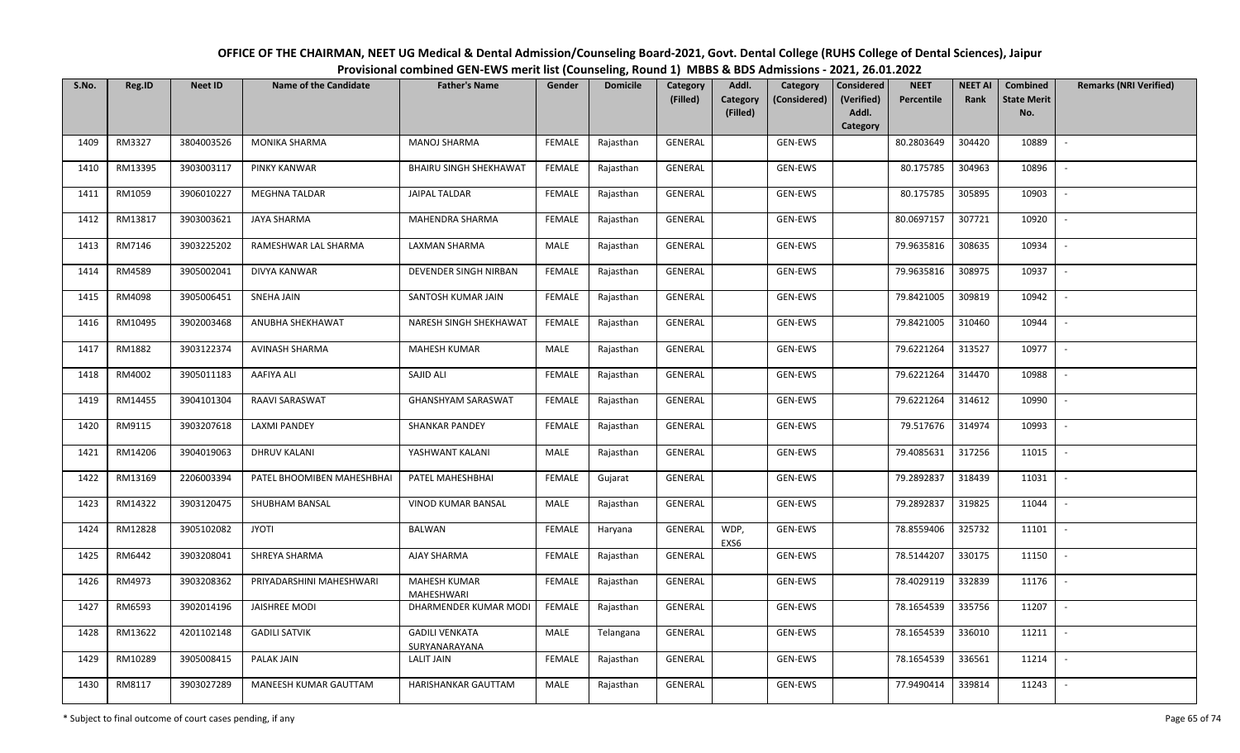| S.No. | Reg.ID  | <b>Neet ID</b> | Name of the Candidate      | <b>Father's Name</b>                   | Gender        | <b>Domicile</b> | Category<br>(Filled) | Addl.<br>Category | Category<br>(Considered) | Considered<br>(Verified) | <b>NEET</b><br>Percentile | <b>NEET AI</b><br>Rank | Combined<br><b>State Merit</b> | <b>Remarks (NRI Verified)</b> |
|-------|---------|----------------|----------------------------|----------------------------------------|---------------|-----------------|----------------------|-------------------|--------------------------|--------------------------|---------------------------|------------------------|--------------------------------|-------------------------------|
|       |         |                |                            |                                        |               |                 |                      | (Filled)          |                          | Addl.<br>Category        |                           |                        | No.                            |                               |
| 1409  | RM3327  | 3804003526     | MONIKA SHARMA              | <b>MANOJ SHARMA</b>                    | <b>FEMALE</b> | Rajasthan       | <b>GENERAL</b>       |                   | GEN-EWS                  |                          | 80.2803649                | 304420                 | 10889                          |                               |
| 1410  | RM13395 | 3903003117     | PINKY KANWAR               | BHAIRU SINGH SHEKHAWAT                 | <b>FEMALE</b> | Rajasthan       | GENERAL              |                   | GEN-EWS                  |                          | 80.175785                 | 304963                 | 10896                          | $\overline{\phantom{a}}$      |
| 1411  | RM1059  | 3906010227     | MEGHNA TALDAR              | JAIPAL TALDAR                          | <b>FEMALE</b> | Rajasthan       | GENERAL              |                   | GEN-EWS                  |                          | 80.175785                 | 305895                 | 10903                          | $\sim$                        |
| 1412  | RM13817 | 3903003621     | JAYA SHARMA                | MAHENDRA SHARMA                        | <b>FEMALE</b> | Rajasthan       | GENERAL              |                   | GEN-EWS                  |                          | 80.0697157                | 307721                 | 10920                          | $\sim$                        |
| 1413  | RM7146  | 3903225202     | RAMESHWAR LAL SHARMA       | LAXMAN SHARMA                          | MALE          | Rajasthan       | GENERAL              |                   | GEN-EWS                  |                          | 79.9635816                | 308635                 | 10934                          |                               |
| 1414  | RM4589  | 3905002041     | DIVYA KANWAR               | DEVENDER SINGH NIRBAN                  | <b>FEMALE</b> | Rajasthan       | GENERAL              |                   | GEN-EWS                  |                          | 79.9635816                | 308975                 | 10937                          | $\blacksquare$                |
| 1415  | RM4098  | 3905006451     | SNEHA JAIN                 | SANTOSH KUMAR JAIN                     | <b>FEMALE</b> | Rajasthan       | GENERAL              |                   | GEN-EWS                  |                          | 79.8421005                | 309819                 | 10942                          |                               |
| 1416  | RM10495 | 3902003468     | ANUBHA SHEKHAWAT           | NARESH SINGH SHEKHAWAT                 | <b>FEMALE</b> | Rajasthan       | <b>GENERAL</b>       |                   | GEN-EWS                  |                          | 79.8421005                | 310460                 | 10944                          |                               |
| 1417  | RM1882  | 3903122374     | AVINASH SHARMA             | MAHESH KUMAR                           | MALE          | Rajasthan       | GENERAL              |                   | GEN-EWS                  |                          | 79.6221264                | 313527                 | 10977                          |                               |
| 1418  | RM4002  | 3905011183     | AAFIYA ALI                 | SAJID ALI                              | <b>FEMALE</b> | Rajasthan       | GENERAL              |                   | GEN-EWS                  |                          | 79.6221264                | 314470                 | 10988                          |                               |
| 1419  | RM14455 | 3904101304     | RAAVI SARASWAT             | <b>GHANSHYAM SARASWAT</b>              | <b>FEMALE</b> | Rajasthan       | GENERAL              |                   | GEN-EWS                  |                          | 79.6221264                | 314612                 | 10990                          |                               |
| 1420  | RM9115  | 3903207618     | <b>LAXMI PANDEY</b>        | <b>SHANKAR PANDEY</b>                  | <b>FEMALE</b> | Rajasthan       | GENERAL              |                   | GEN-EWS                  |                          | 79.517676                 | 314974                 | 10993                          |                               |
| 1421  | RM14206 | 3904019063     | <b>DHRUV KALANI</b>        | YASHWANT KALANI                        | MALE          | Rajasthan       | GENERAL              |                   | GEN-EWS                  |                          | 79.4085631                | 317256                 | 11015                          |                               |
| 1422  | RM13169 | 2206003394     | PATEL BHOOMIBEN MAHESHBHAI | PATEL MAHESHBHAI                       | <b>FEMALE</b> | Gujarat         | GENERAL              |                   | GEN-EWS                  |                          | 79.2892837                | 318439                 | 11031                          | $\sim$                        |
| 1423  | RM14322 | 3903120475     | SHUBHAM BANSAL             | VINOD KUMAR BANSAL                     | MALE          | Rajasthan       | GENERAL              |                   | GEN-EWS                  |                          | 79.2892837                | 319825                 | 11044                          | $\overline{\phantom{a}}$      |
| 1424  | RM12828 | 3905102082     | <b>JYOTI</b>               | BALWAN                                 | <b>FEMALE</b> | Haryana         | GENERAL              | WDP,<br>EXS6      | GEN-EWS                  |                          | 78.8559406                | 325732                 | 11101                          | $\overline{a}$                |
| 1425  | RM6442  | 3903208041     | SHREYA SHARMA              | AJAY SHARMA                            | <b>FEMALE</b> | Rajasthan       | <b>GENERAL</b>       |                   | GEN-EWS                  |                          | 78.5144207                | 330175                 | 11150                          | $\overline{\phantom{a}}$      |
| 1426  | RM4973  | 3903208362     | PRIYADARSHINI MAHESHWARI   | MAHESH KUMAR<br>MAHESHWARI             | <b>FEMALE</b> | Rajasthan       | GENERAL              |                   | GEN-EWS                  |                          | 78.4029119                | 332839                 | 11176                          | $\overline{\phantom{a}}$      |
| 1427  | RM6593  | 3902014196     | <b>JAISHREE MODI</b>       | DHARMENDER KUMAR MODI                  | <b>FEMALE</b> | Rajasthan       | GENERAL              |                   | GEN-EWS                  |                          | 78.1654539                | 335756                 | 11207                          |                               |
| 1428  | RM13622 | 4201102148     | <b>GADILI SATVIK</b>       | <b>GADILI VENKATA</b><br>SURYANARAYANA | MALE          | Telangana       | GENERAL              |                   | GEN-EWS                  |                          | 78.1654539                | 336010                 | 11211                          |                               |
| 1429  | RM10289 | 3905008415     | PALAK JAIN                 | LALIT JAIN                             | <b>FEMALE</b> | Rajasthan       | GENERAL              |                   | GEN-EWS                  |                          | 78.1654539                | 336561                 | 11214                          | $\sim$                        |
| 1430  | RM8117  | 3903027289     | MANEESH KUMAR GAUTTAM      | HARISHANKAR GAUTTAM                    | MALE          | Rajasthan       | GENERAL              |                   | GEN-EWS                  |                          | 77.9490414                | 339814                 | 11243                          |                               |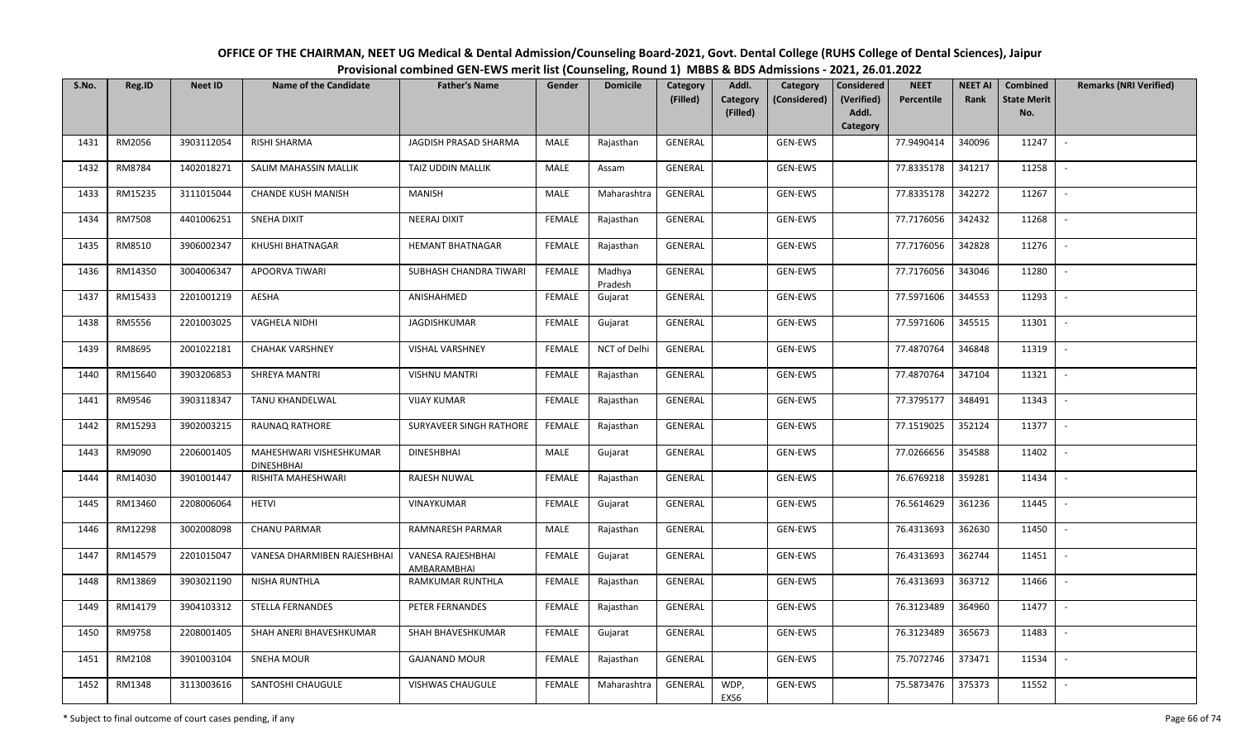| S.No. | Reg.ID        | <b>Neet ID</b> | <b>Name of the Candidate</b>          | <b>Father's Name</b>             | Gender        | <b>Domicile</b>   | Category<br>(Filled) | Addl.<br>Category | Category<br>(Considered) | Considered<br>(Verified) | <b>NEET</b><br>Percentile | <b>NEET AI</b><br>Rank | Combined<br><b>State Merit</b> | <b>Remarks (NRI Verified)</b> |
|-------|---------------|----------------|---------------------------------------|----------------------------------|---------------|-------------------|----------------------|-------------------|--------------------------|--------------------------|---------------------------|------------------------|--------------------------------|-------------------------------|
|       |               |                |                                       |                                  |               |                   |                      | (Filled)          |                          | Addl.<br>Category        |                           |                        | No.                            |                               |
| 1431  | RM2056        | 3903112054     | RISHI SHARMA                          | JAGDISH PRASAD SHARMA            | MALE          | Rajasthan         | <b>GENERAL</b>       |                   | GEN-EWS                  |                          | 77.9490414                | 340096                 | 11247                          | $\overline{\phantom{a}}$      |
|       |               |                |                                       |                                  |               |                   |                      |                   |                          |                          |                           |                        |                                |                               |
| 1432  | RM8784        | 1402018271     | SALIM MAHASSIN MALLIK                 | TAIZ UDDIN MALLIK                | MALE          | Assam             | GENERAL              |                   | GEN-EWS                  |                          | 77.8335178                | 341217                 | 11258                          | $\overline{\phantom{a}}$      |
| 1433  | RM15235       | 3111015044     | <b>CHANDE KUSH MANISH</b>             | MANISH                           | MALE          | Maharashtra       | GENERAL              |                   | GEN-EWS                  |                          | 77.8335178                | 342272                 | 11267                          | $\sim$                        |
| 1434  | <b>RM7508</b> | 4401006251     | SNEHA DIXIT                           | NEERAJ DIXIT                     | FEMALE        | Rajasthan         | GENERAL              |                   | GEN-EWS                  |                          | 77.7176056                | 342432                 | 11268                          | $\overline{\phantom{a}}$      |
| 1435  | RM8510        | 3906002347     | KHUSHI BHATNAGAR                      | <b>HEMANT BHATNAGAR</b>          | <b>FEMALE</b> | Rajasthan         | GENERAL              |                   | GEN-EWS                  |                          | 77.7176056                | 342828                 | 11276                          |                               |
| 1436  | RM14350       | 3004006347     | APOORVA TIWARI                        | SUBHASH CHANDRA TIWARI           | <b>FEMALE</b> | Madhya<br>Pradesh | GENERAL              |                   | GEN-EWS                  |                          | 77.7176056                | 343046                 | 11280                          | $\overline{\phantom{a}}$      |
| 1437  | RM15433       | 2201001219     | AESHA                                 | ANISHAHMED                       | <b>FEMALE</b> | Gujarat           | GENERAL              |                   | GEN-EWS                  |                          | 77.5971606                | 344553                 | 11293                          |                               |
| 1438  | RM5556        | 2201003025     | VAGHELA NIDHI                         | JAGDISHKUMAR                     | FEMALE        | Gujarat           | <b>GENERAL</b>       |                   | GEN-EWS                  |                          | 77.5971606                | 345515                 | 11301                          |                               |
| 1439  | RM8695        | 2001022181     | <b>CHAHAK VARSHNEY</b>                | <b>VISHAL VARSHNEY</b>           | <b>FEMALE</b> | NCT of Delhi      | GENERAL              |                   | GEN-EWS                  |                          | 77.4870764                | 346848                 | 11319                          |                               |
| 1440  | RM15640       | 3903206853     | SHREYA MANTRI                         | <b>VISHNU MANTRI</b>             | <b>FEMALE</b> | Rajasthan         | GENERAL              |                   | GEN-EWS                  |                          | 77.4870764                | 347104                 | 11321                          | $\sim$                        |
| 1441  | RM9546        | 3903118347     | TANU KHANDELWAL                       | <b>VIJAY KUMAR</b>               | <b>FEMALE</b> | Rajasthan         | GENERAL              |                   | GEN-EWS                  |                          | 77.3795177                | 348491                 | 11343                          |                               |
| 1442  | RM15293       | 3902003215     | RAUNAQ RATHORE                        | SURYAVEER SINGH RATHORE          | <b>FEMALE</b> | Rajasthan         | GENERAL              |                   | GEN-EWS                  |                          | 77.1519025                | 352124                 | 11377                          | $\sim$                        |
| 1443  | RM9090        | 2206001405     | MAHESHWARI VISHESHKUMAR<br>DINESHBHAI | <b>DINESHBHAI</b>                | MALE          | Gujarat           | GENERAL              |                   | GEN-EWS                  |                          | 77.0266656                | 354588                 | 11402                          |                               |
| 1444  | RM14030       | 3901001447     | RISHITA MAHESHWARI                    | RAJESH NUWAL                     | <b>FEMALE</b> | Rajasthan         | GENERAL              |                   | GEN-EWS                  |                          | 76.6769218                | 359281                 | 11434                          |                               |
| 1445  | RM13460       | 2208006064     | <b>HETVI</b>                          | VINAYKUMAR                       | <b>FEMALE</b> | Gujarat           | GENERAL              |                   | GEN-EWS                  |                          | 76.5614629                | 361236                 | 11445                          | $\overline{\phantom{a}}$      |
| 1446  | RM12298       | 3002008098     | <b>CHANU PARMAR</b>                   | RAMNARESH PARMAR                 | MALE          | Rajasthan         | GENERAL              |                   | GEN-EWS                  |                          | 76.4313693                | 362630                 | 11450                          | $\sim$                        |
| 1447  | RM14579       | 2201015047     | VANESA DHARMIBEN RAJESHBHAI           | VANESA RAJESHBHAI<br>AMBARAMBHAI | <b>FEMALE</b> | Gujarat           | GENERAL              |                   | GEN-EWS                  |                          | 76.4313693                | 362744                 | 11451                          | $\sim$                        |
| 1448  | RM13869       | 3903021190     | NISHA RUNTHLA                         | RAMKUMAR RUNTHLA                 | <b>FEMALE</b> | Rajasthan         | GENERAL              |                   | GEN-EWS                  |                          | 76.4313693                | 363712                 | 11466                          |                               |
| 1449  | RM14179       | 3904103312     | STELLA FERNANDES                      | PETER FERNANDES                  | <b>FEMALE</b> | Rajasthan         | GENERAL              |                   | GEN-EWS                  |                          | 76.3123489                | 364960                 | 11477                          | $\overline{\phantom{a}}$      |
| 1450  | RM9758        | 2208001405     | SHAH ANERI BHAVESHKUMAR               | SHAH BHAVESHKUMAR                | <b>FEMALE</b> | Gujarat           | GENERAL              |                   | GEN-EWS                  |                          | 76.3123489                | 365673                 | 11483                          |                               |
| 1451  | RM2108        | 3901003104     | SNEHA MOUR                            | <b>GAJANAND MOUR</b>             | <b>FEMALE</b> | Rajasthan         | GENERAL              |                   | GEN-EWS                  |                          | 75.7072746                | 373471                 | 11534                          |                               |
| 1452  | RM1348        | 3113003616     | SANTOSHI CHAUGULE                     | <b>VISHWAS CHAUGULE</b>          | <b>FEMALE</b> | Maharashtra       | GENERAL              | WDP,<br>EXS6      | GEN-EWS                  |                          | 75.5873476                | 375373                 | 11552                          |                               |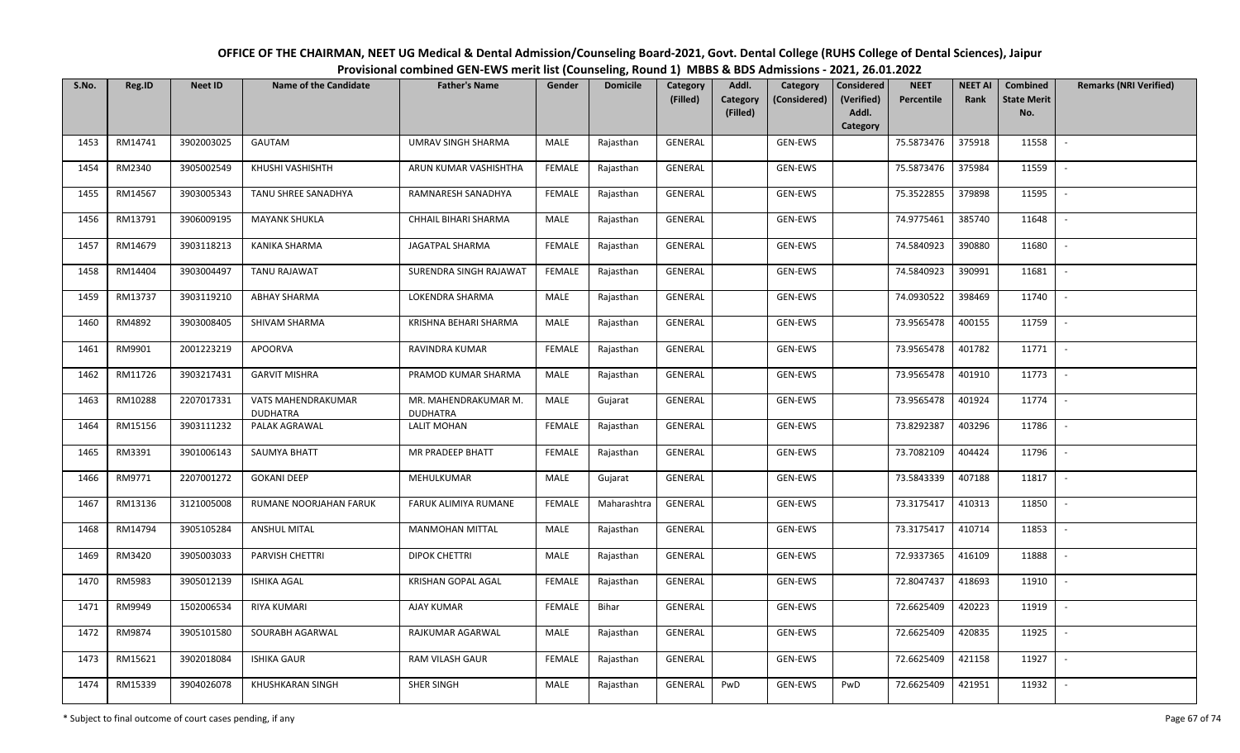| S.No. | Reg.ID  | <b>Neet ID</b> | <b>Name of the Candidate</b>          | <b>Father's Name</b>                    | Gender        | <b>Domicile</b> | Category<br>(Filled) | Addl.<br>Category<br>(Filled) | Category<br>(Considered) | Considered<br>(Verified)<br>Addl. | <b>NEET</b><br>Percentile | <b>NEET AI</b><br>Rank | Combined<br><b>State Merit</b><br>No. | <b>Remarks (NRI Verified)</b> |
|-------|---------|----------------|---------------------------------------|-----------------------------------------|---------------|-----------------|----------------------|-------------------------------|--------------------------|-----------------------------------|---------------------------|------------------------|---------------------------------------|-------------------------------|
|       |         |                |                                       |                                         |               |                 |                      |                               |                          | Category                          |                           |                        |                                       |                               |
| 1453  | RM14741 | 3902003025     | GAUTAM                                | UMRAV SINGH SHARMA                      | MALE          | Rajasthan       | GENERAL              |                               | GEN-EWS                  |                                   | 75.5873476                | 375918                 | 11558                                 |                               |
| 1454  | RM2340  | 3905002549     | KHUSHI VASHISHTH                      | ARUN KUMAR VASHISHTHA                   | <b>FEMALE</b> | Rajasthan       | GENERAL              |                               | GEN-EWS                  |                                   | 75.5873476                | 375984                 | 11559                                 |                               |
| 1455  | RM14567 | 3903005343     | TANU SHREE SANADHYA                   | RAMNARESH SANADHYA                      | <b>FEMALE</b> | Rajasthan       | GENERAL              |                               | GEN-EWS                  |                                   | 75.3522855                | 379898                 | 11595                                 | $\sim$                        |
| 1456  | RM13791 | 3906009195     | <b>MAYANK SHUKLA</b>                  | CHHAIL BIHARI SHARMA                    | MALE          | Rajasthan       | GENERAL              |                               | GEN-EWS                  |                                   | 74.9775461                | 385740                 | 11648                                 | $\overline{\phantom{a}}$      |
| 1457  | RM14679 | 3903118213     | KANIKA SHARMA                         | JAGATPAL SHARMA                         | <b>FEMALE</b> | Rajasthan       | GENERAL              |                               | GEN-EWS                  |                                   | 74.5840923                | 390880                 | 11680                                 | $\sim$                        |
| 1458  | RM14404 | 3903004497     | TANU RAJAWAT                          | SURENDRA SINGH RAJAWAT                  | <b>FEMALE</b> | Rajasthan       | GENERAL              |                               | GEN-EWS                  |                                   | 74.5840923                | 390991                 | 11681                                 | $\sim$                        |
| 1459  | RM13737 | 3903119210     | <b>ABHAY SHARMA</b>                   | LOKENDRA SHARMA                         | MALE          | Rajasthan       | GENERAL              |                               | GEN-EWS                  |                                   | 74.0930522                | 398469                 | 11740                                 |                               |
| 1460  | RM4892  | 3903008405     | SHIVAM SHARMA                         | KRISHNA BEHARI SHARMA                   | MALE          | Rajasthan       | <b>GENERAL</b>       |                               | GEN-EWS                  |                                   | 73.9565478                | 400155                 | 11759                                 |                               |
| 1461  | RM9901  | 2001223219     | <b>APOORVA</b>                        | RAVINDRA KUMAR                          | <b>FEMALE</b> | Rajasthan       | <b>GENERAL</b>       |                               | GEN-EWS                  |                                   | 73.9565478                | 401782                 | 11771                                 |                               |
| 1462  | RM11726 | 3903217431     | <b>GARVIT MISHRA</b>                  | PRAMOD KUMAR SHARMA                     | MALE          | Rajasthan       | GENERAL              |                               | GEN-EWS                  |                                   | 73.9565478                | 401910                 | 11773                                 | $\overline{\phantom{a}}$      |
| 1463  | RM10288 | 2207017331     | VATS MAHENDRAKUMAR<br><b>DUDHATRA</b> | MR. MAHENDRAKUMAR M.<br><b>DUDHATRA</b> | MALE          | Gujarat         | GENERAL              |                               | GEN-EWS                  |                                   | 73.9565478                | 401924                 | 11774                                 |                               |
| 1464  | RM15156 | 3903111232     | PALAK AGRAWAL                         | <b>LALIT MOHAN</b>                      | <b>FEMALE</b> | Rajasthan       | GENERAL              |                               | GEN-EWS                  |                                   | 73.8292387                | 403296                 | 11786                                 | $\overline{\phantom{a}}$      |
| 1465  | RM3391  | 3901006143     | <b>SAUMYA BHATT</b>                   | <b>MR PRADEEP BHATT</b>                 | <b>FEMALE</b> | Rajasthan       | GENERAL              |                               | GEN-EWS                  |                                   | 73.7082109                | 404424                 | 11796                                 |                               |
| 1466  | RM9771  | 2207001272     | <b>GOKANI DEEP</b>                    | MEHULKUMAR                              | MALE          | Gujarat         | GENERAL              |                               | GEN-EWS                  |                                   | 73.5843339                | 407188                 | 11817                                 |                               |
| 1467  | RM13136 | 3121005008     | RUMANE NOORJAHAN FARUK                | FARUK ALIMIYA RUMANE                    | <b>FEMALE</b> | Maharashtra     | GENERAL              |                               | GEN-EWS                  |                                   | 73.3175417                | 410313                 | 11850                                 |                               |
| 1468  | RM14794 | 3905105284     | <b>ANSHUL MITAL</b>                   | <b>MANMOHAN MITTAL</b>                  | MALE          | Rajasthan       | GENERAL              |                               | GEN-EWS                  |                                   | 73.3175417                | 410714                 | 11853                                 | $\sim$                        |
| 1469  | RM3420  | 3905003033     | PARVISH CHETTRI                       | <b>DIPOK CHETTRI</b>                    | MALE          | Rajasthan       | GENERAL              |                               | GEN-EWS                  |                                   | 72.9337365                | 416109                 | 11888                                 | $\overline{\phantom{a}}$      |
| 1470  | RM5983  | 3905012139     | <b>ISHIKA AGAL</b>                    | KRISHAN GOPAL AGAL                      | <b>FEMALE</b> | Rajasthan       | GENERAL              |                               | GEN-EWS                  |                                   | 72.8047437                | 418693                 | 11910                                 | $\sim$                        |
| 1471  | RM9949  | 1502006534     | <b>RIYA KUMARI</b>                    | <b>AJAY KUMAR</b>                       | <b>FEMALE</b> | Bihar           | GENERAL              |                               | GEN-EWS                  |                                   | 72.6625409                | 420223                 | 11919                                 | $\sim$                        |
| 1472  | RM9874  | 3905101580     | SOURABH AGARWAL                       | RAJKUMAR AGARWAL                        | MALE          | Rajasthan       | GENERAL              |                               | GEN-EWS                  |                                   | 72.6625409                | 420835                 | 11925                                 |                               |
| 1473  | RM15621 | 3902018084     | <b>ISHIKA GAUR</b>                    | <b>RAM VILASH GAUR</b>                  | <b>FEMALE</b> | Rajasthan       | <b>GENERAL</b>       |                               | GEN-EWS                  |                                   | 72.6625409                | 421158                 | 11927                                 |                               |
| 1474  | RM15339 | 3904026078     | KHUSHKARAN SINGH                      | SHER SINGH                              | <b>MALE</b>   | Rajasthan       | GENERAL              | PwD                           | GEN-EWS                  | PwD                               | 72.6625409                | 421951                 | 11932                                 | $\overline{\phantom{a}}$      |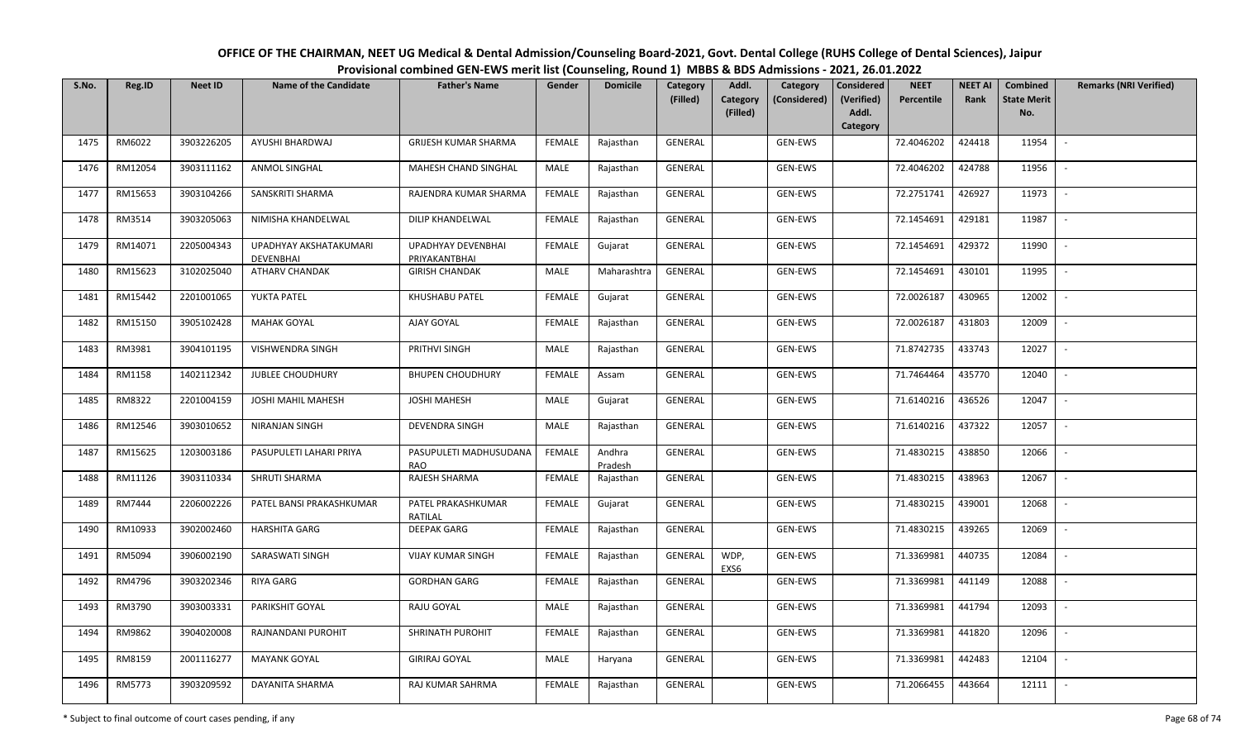| S.No. | Reg.ID  | <b>Neet ID</b> | <b>Name of the Candidate</b>        | <b>Father's Name</b>                 | Gender        | ້<br><b>Domicile</b> | Category<br>(Filled) | Addl.<br>Category | Category<br>(Considered) | Considered<br>(Verified) | <b>NEET</b><br>Percentile | <b>NEET AI</b><br>Rank | Combined<br><b>State Merit</b> | <b>Remarks (NRI Verified)</b> |
|-------|---------|----------------|-------------------------------------|--------------------------------------|---------------|----------------------|----------------------|-------------------|--------------------------|--------------------------|---------------------------|------------------------|--------------------------------|-------------------------------|
|       |         |                |                                     |                                      |               |                      |                      | (Filled)          |                          | Addl.<br>Category        |                           |                        | No.                            |                               |
| 1475  | RM6022  | 3903226205     | AYUSHI BHARDWAJ                     | GRIJESH KUMAR SHARMA                 | <b>FEMALE</b> | Rajasthan            | GENERAL              |                   | GEN-EWS                  |                          | 72.4046202                | 424418                 | 11954                          | $\overline{\phantom{a}}$      |
| 1476  | RM12054 | 3903111162     | ANMOL SINGHAL                       | MAHESH CHAND SINGHAL                 | MALE          | Rajasthan            | GENERAL              |                   | GEN-EWS                  |                          | 72.4046202                | 424788                 | 11956                          | $\overline{\phantom{a}}$      |
| 1477  | RM15653 | 3903104266     | SANSKRITI SHARMA                    | RAJENDRA KUMAR SHARMA                | <b>FEMALE</b> | Rajasthan            | GENERAL              |                   | GEN-EWS                  |                          | 72.2751741                | 426927                 | 11973                          | $\sim$                        |
| 1478  | RM3514  | 3903205063     | NIMISHA KHANDELWAL                  | DILIP KHANDELWAL                     | <b>FEMALE</b> | Rajasthan            | GENERAL              |                   | GEN-EWS                  |                          | 72.1454691                | 429181                 | 11987                          | $\overline{\phantom{a}}$      |
| 1479  | RM14071 | 2205004343     | UPADHYAY AKSHATAKUMARI<br>DEVENBHAI | UPADHYAY DEVENBHAI<br>PRIYAKANTBHAI  | <b>FEMALE</b> | Gujarat              | GENERAL              |                   | GEN-EWS                  |                          | 72.1454691                | 429372                 | 11990                          | $\overline{a}$                |
| 1480  | RM15623 | 3102025040     | ATHARV CHANDAK                      | <b>GIRISH CHANDAK</b>                | MALE          | Maharashtra          | GENERAL              |                   | GEN-EWS                  |                          | 72.1454691                | 430101                 | 11995                          |                               |
| 1481  | RM15442 | 2201001065     | YUKTA PATEL                         | KHUSHABU PATEL                       | <b>FEMALE</b> | Gujarat              | GENERAL              |                   | GEN-EWS                  |                          | 72.0026187                | 430965                 | 12002                          |                               |
| 1482  | RM15150 | 3905102428     | <b>MAHAK GOYAL</b>                  | AJAY GOYAL                           | <b>FEMALE</b> | Rajasthan            | <b>GENERAL</b>       |                   | GEN-EWS                  |                          | 72.0026187                | 431803                 | 12009                          | $\overline{\phantom{a}}$      |
| 1483  | RM3981  | 3904101195     | VISHWENDRA SINGH                    | PRITHVI SINGH                        | MALE          | Rajasthan            | GENERAL              |                   | GEN-EWS                  |                          | 71.8742735                | 433743                 | 12027                          |                               |
| 1484  | RM1158  | 1402112342     | <b>JUBLEE CHOUDHURY</b>             | <b>BHUPEN CHOUDHURY</b>              | <b>FEMALE</b> | Assam                | GENERAL              |                   | GEN-EWS                  |                          | 71.7464464                | 435770                 | 12040                          |                               |
| 1485  | RM8322  | 2201004159     | JOSHI MAHIL MAHESH                  | <b>JOSHI MAHESH</b>                  | MALE          | Gujarat              | GENERAL              |                   | GEN-EWS                  |                          | 71.6140216                | 436526                 | 12047                          |                               |
| 1486  | RM12546 | 3903010652     | NIRANJAN SINGH                      | <b>DEVENDRA SINGH</b>                | MALE          | Rajasthan            | GENERAL              |                   | GEN-EWS                  |                          | 71.6140216                | 437322                 | 12057                          | $\sim$                        |
| 1487  | RM15625 | 1203003186     | PASUPULETI LAHARI PRIYA             | PASUPULETI MADHUSUDANA<br><b>RAO</b> | <b>FEMALE</b> | Andhra<br>Pradesh    | GENERAL              |                   | GEN-EWS                  |                          | 71.4830215                | 438850                 | 12066                          |                               |
| 1488  | RM11126 | 3903110334     | SHRUTI SHARMA                       | RAJESH SHARMA                        | <b>FEMALE</b> | Rajasthan            | GENERAL              |                   | GEN-EWS                  |                          | 71.4830215                | 438963                 | 12067                          | $\sim$                        |
| 1489  | RM7444  | 2206002226     | PATEL BANSI PRAKASHKUMAR            | PATEL PRAKASHKUMAR<br>RATILAL        | <b>FEMALE</b> | Gujarat              | GENERAL              |                   | GEN-EWS                  |                          | 71.4830215                | 439001                 | 12068                          | $\overline{\phantom{a}}$      |
| 1490  | RM10933 | 3902002460     | <b>HARSHITA GARG</b>                | <b>DEEPAK GARG</b>                   | <b>FEMALE</b> | Rajasthan            | GENERAL              |                   | GEN-EWS                  |                          | 71.4830215                | 439265                 | 12069                          | $\sim$                        |
| 1491  | RM5094  | 3906002190     | SARASWATI SINGH                     | <b>VIJAY KUMAR SINGH</b>             | <b>FEMALE</b> | Rajasthan            | GENERAL              | WDP,<br>EXS6      | GEN-EWS                  |                          | 71.3369981                | 440735                 | 12084                          | $\sim$                        |
| 1492  | RM4796  | 3903202346     | RIYA GARG                           | <b>GORDHAN GARG</b>                  | <b>FEMALE</b> | Rajasthan            | GENERAL              |                   | GEN-EWS                  |                          | 71.3369981                | 441149                 | 12088                          | $\sim$                        |
| 1493  | RM3790  | 3903003331     | PARIKSHIT GOYAL                     | RAJU GOYAL                           | MALE          | Rajasthan            | GENERAL              |                   | GEN-EWS                  |                          | 71.3369981                | 441794                 | 12093                          | $\sim$                        |
| 1494  | RM9862  | 3904020008     | RAJNANDANI PUROHIT                  | SHRINATH PUROHIT                     | <b>FEMALE</b> | Rajasthan            | GENERAL              |                   | GEN-EWS                  |                          | 71.3369981                | 441820                 | 12096                          |                               |
| 1495  | RM8159  | 2001116277     | <b>MAYANK GOYAL</b>                 | <b>GIRIRAJ GOYAL</b>                 | MALE          | Haryana              | <b>GENERAL</b>       |                   | GEN-EWS                  |                          | 71.3369981                | 442483                 | 12104                          |                               |
| 1496  | RM5773  | 3903209592     | DAYANITA SHARMA                     | RAJ KUMAR SAHRMA                     | <b>FEMALE</b> | Rajasthan            | GENERAL              |                   | GEN-EWS                  |                          | 71.2066455                | 443664                 | 12111                          | $\overline{\phantom{a}}$      |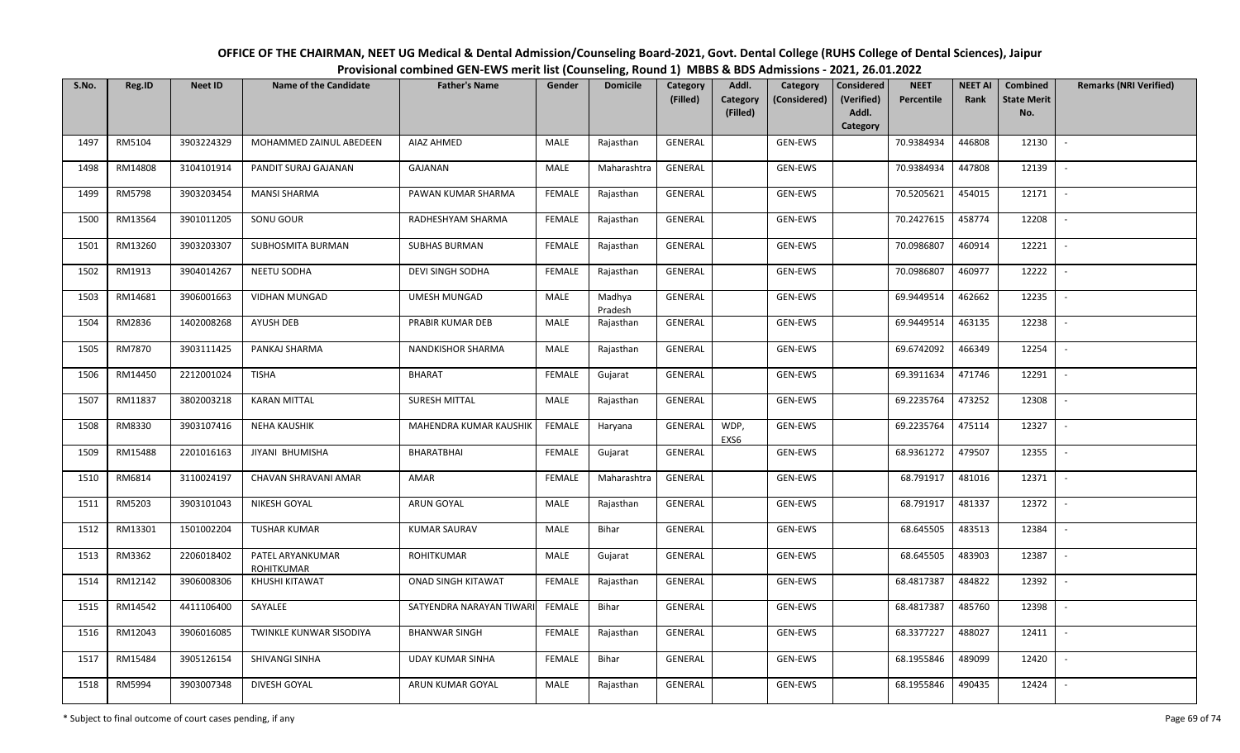| S.No. | Reg.ID  | <b>Neet ID</b> | Name of the Candidate                 | <b>Father's Name</b>     | Gender        | <b>Domicile</b>   | Category<br>(Filled) | Addl.<br>Category | Category<br>(Considered) | Considered<br>(Verified) | <b>NEET</b><br>Percentile | <b>NEET AI</b><br>Rank | Combined<br><b>State Merit</b> | <b>Remarks (NRI Verified)</b> |
|-------|---------|----------------|---------------------------------------|--------------------------|---------------|-------------------|----------------------|-------------------|--------------------------|--------------------------|---------------------------|------------------------|--------------------------------|-------------------------------|
|       |         |                |                                       |                          |               |                   |                      | (Filled)          |                          | Addl.<br>Category        |                           |                        | No.                            |                               |
| 1497  | RM5104  | 3903224329     | MOHAMMED ZAINUL ABEDEEN               | AIAZ AHMED               | MALE          | Rajasthan         | GENERAL              |                   | GEN-EWS                  |                          | 70.9384934                | 446808                 | 12130                          | $\sim$                        |
| 1498  | RM14808 | 3104101914     | PANDIT SURAJ GAJANAN                  | GAJANAN                  | MALE          | Maharashtra       | GENERAL              |                   | GEN-EWS                  |                          | 70.9384934                | 447808                 | 12139                          | $\sim$                        |
| 1499  | RM5798  | 3903203454     | <b>MANSI SHARMA</b>                   | PAWAN KUMAR SHARMA       | FEMALE        | Rajasthan         | GENERAL              |                   | GEN-EWS                  |                          | 70.5205621                | 454015                 | 12171                          | $\sim$                        |
| 1500  | RM13564 | 3901011205     | SONU GOUR                             | RADHESHYAM SHARMA        | <b>FEMALE</b> | Rajasthan         | GENERAL              |                   | GEN-EWS                  |                          | 70.2427615                | 458774                 | 12208                          | $\mathcal{L}_{\mathcal{A}}$   |
| 1501  | RM13260 | 3903203307     | SUBHOSMITA BURMAN                     | <b>SUBHAS BURMAN</b>     | <b>FEMALE</b> | Rajasthan         | GENERAL              |                   | GEN-EWS                  |                          | 70.0986807                | 460914                 | 12221                          |                               |
| 1502  | RM1913  | 3904014267     | NEETU SODHA                           | <b>DEVI SINGH SODHA</b>  | FEMALE        | Rajasthan         | GENERAL              |                   | GEN-EWS                  |                          | 70.0986807                | 460977                 | 12222                          | $\overline{\phantom{a}}$      |
| 1503  | RM14681 | 3906001663     | VIDHAN MUNGAD                         | UMESH MUNGAD             | MALE          | Madhya<br>Pradesh | GENERAL              |                   | GEN-EWS                  |                          | 69.9449514                | 462662                 | 12235                          |                               |
| 1504  | RM2836  | 1402008268     | AYUSH DEB                             | PRABIR KUMAR DEB         | MALE          | Rajasthan         | GENERAL              |                   | GEN-EWS                  |                          | 69.9449514                | 463135                 | 12238                          |                               |
| 1505  | RM7870  | 3903111425     | PANKAJ SHARMA                         | NANDKISHOR SHARMA        | MALE          | Rajasthan         | GENERAL              |                   | GEN-EWS                  |                          | 69.6742092                | 466349                 | 12254                          | $\sim$                        |
| 1506  | RM14450 | 2212001024     | <b>TISHA</b>                          | BHARAT                   | <b>FEMALE</b> | Gujarat           | GENERAL              |                   | GEN-EWS                  |                          | 69.3911634                | 471746                 | 12291                          | $\sim$                        |
| 1507  | RM11837 | 3802003218     | <b>KARAN MITTAL</b>                   | SURESH MITTAL            | MALE          | Rajasthan         | GENERAL              |                   | GEN-EWS                  |                          | 69.2235764                | 473252                 | 12308                          |                               |
| 1508  | RM8330  | 3903107416     | <b>NEHA KAUSHIK</b>                   | MAHENDRA KUMAR KAUSHIK   | <b>FEMALE</b> | Haryana           | GENERAL              | WDP,<br>EXS6      | GEN-EWS                  |                          | 69.2235764                | 475114                 | 12327                          | $\sim$                        |
| 1509  | RM15488 | 2201016163     | JIYANI BHUMISHA                       | BHARATBHAI               | <b>FEMALE</b> | Gujarat           | GENERAL              |                   | GEN-EWS                  |                          | 68.9361272                | 479507                 | 12355                          |                               |
| 1510  | RM6814  | 3110024197     | CHAVAN SHRAVANI AMAR                  | AMAR                     | <b>FEMALE</b> | Maharashtra       | GENERAL              |                   | GEN-EWS                  |                          | 68.791917                 | 481016                 | 12371                          | $\sim$                        |
| 1511  | RM5203  | 3903101043     | NIKESH GOYAL                          | ARUN GOYAL               | MALE          | Rajasthan         | GENERAL              |                   | GEN-EWS                  |                          | 68.791917                 | 481337                 | 12372                          | $\sim$                        |
| 1512  | RM13301 | 1501002204     | <b>TUSHAR KUMAR</b>                   | <b>KUMAR SAURAV</b>      | MALE          | Bihar             | GENERAL              |                   | GEN-EWS                  |                          | 68.645505                 | 483513                 | 12384                          | $\sim$                        |
| 1513  | RM3362  | 2206018402     | PATEL ARYANKUMAR<br><b>ROHITKUMAR</b> | ROHITKUMAR               | MALE          | Gujarat           | GENERAL              |                   | GEN-EWS                  |                          | 68.645505                 | 483903                 | 12387                          | $\overline{\phantom{a}}$      |
| 1514  | RM12142 | 3906008306     | KHUSHI KITAWAT                        | ONAD SINGH KITAWAT       | <b>FEMALE</b> | Rajasthan         | GENERAL              |                   | GEN-EWS                  |                          | 68.4817387                | 484822                 | 12392                          | $\overline{a}$                |
| 1515  | RM14542 | 4411106400     | SAYALEE                               | SATYENDRA NARAYAN TIWARI | <b>FEMALE</b> | <b>Bihar</b>      | GENERAL              |                   | GEN-EWS                  |                          | 68.4817387                | 485760                 | 12398                          |                               |
| 1516  | RM12043 | 3906016085     | TWINKLE KUNWAR SISODIYA               | <b>BHANWAR SINGH</b>     | <b>FEMALE</b> | Rajasthan         | GENERAL              |                   | GEN-EWS                  |                          | 68.3377227                | 488027                 | 12411                          |                               |
| 1517  | RM15484 | 3905126154     | SHIVANGI SINHA                        | <b>UDAY KUMAR SINHA</b>  | <b>FEMALE</b> | Bihar             | GENERAL              |                   | GEN-EWS                  |                          | 68.1955846                | 489099                 | 12420                          | $\overline{\phantom{a}}$      |
| 1518  | RM5994  | 3903007348     | DIVESH GOYAL                          | ARUN KUMAR GOYAL         | MALE          | Rajasthan         | GENERAL              |                   | GEN-EWS                  |                          | 68.1955846                | 490435                 | 12424                          | $\sim$                        |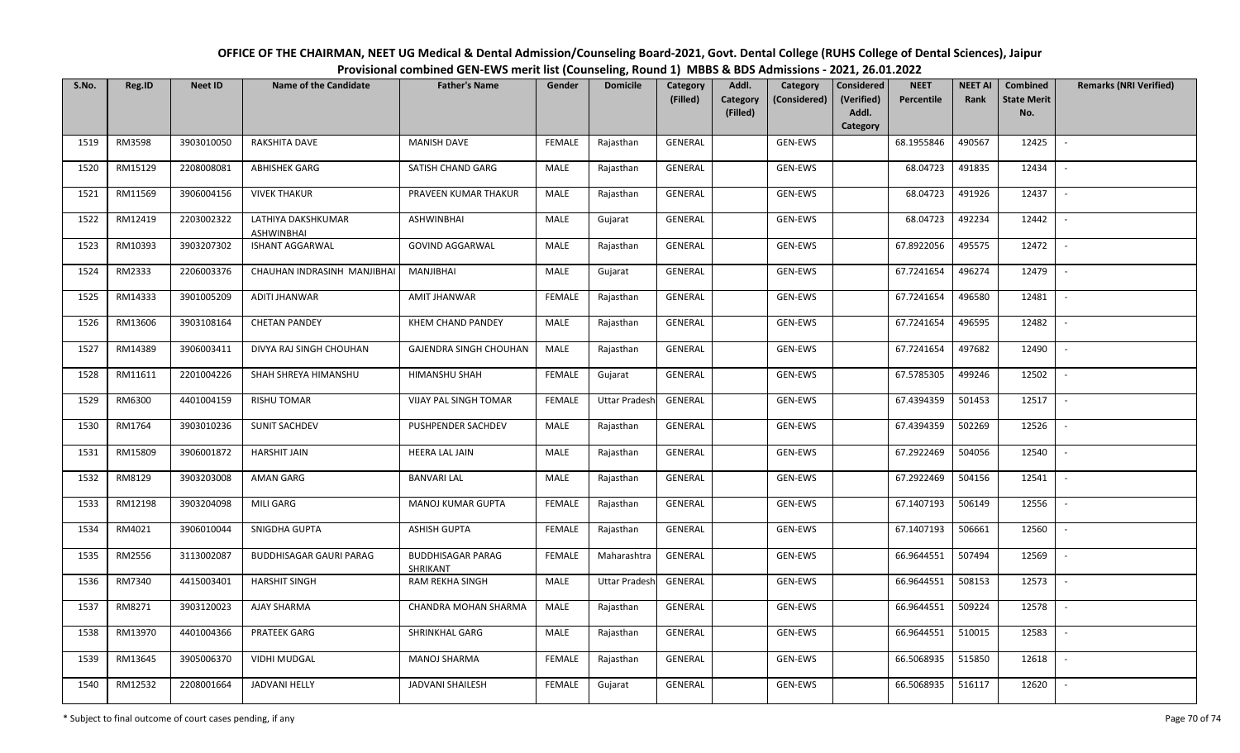| S.No. | Reg.ID  | <b>Neet ID</b> | Name of the Candidate            | <b>Father's Name</b>                 | Gender        | <b>Domicile</b>      | Category<br>(Filled) | Addl.<br>Category | Category<br>(Considered) | Considered<br>(Verified) | <b>NEET</b><br>Percentile | <b>NEET AI</b><br>Rank | Combined<br><b>State Merit</b> | <b>Remarks (NRI Verified)</b> |
|-------|---------|----------------|----------------------------------|--------------------------------------|---------------|----------------------|----------------------|-------------------|--------------------------|--------------------------|---------------------------|------------------------|--------------------------------|-------------------------------|
|       |         |                |                                  |                                      |               |                      |                      | (Filled)          |                          | Addl.<br>Category        |                           |                        | No.                            |                               |
| 1519  | RM3598  | 3903010050     | RAKSHITA DAVE                    | <b>MANISH DAVE</b>                   | <b>FEMALE</b> | Rajasthan            | <b>GENERAL</b>       |                   | GEN-EWS                  |                          | 68.1955846                | 490567                 | 12425                          | $\sim$                        |
| 1520  | RM15129 | 2208008081     | ABHISHEK GARG                    | SATISH CHAND GARG                    | MALE          | Rajasthan            | GENERAL              |                   | GEN-EWS                  |                          | 68.04723                  | 491835                 | 12434                          | $\overline{\phantom{a}}$      |
| 1521  | RM11569 | 3906004156     | <b>VIVEK THAKUR</b>              | PRAVEEN KUMAR THAKUR                 | MALE          | Rajasthan            | GENERAL              |                   | GEN-EWS                  |                          | 68.04723                  | 491926                 | 12437                          | $\sim$                        |
| 1522  | RM12419 | 2203002322     | LATHIYA DAKSHKUMAR<br>ASHWINBHAI | ASHWINBHAI                           | MALE          | Gujarat              | GENERAL              |                   | GEN-EWS                  |                          | 68.04723                  | 492234                 | 12442                          | $\overline{\phantom{a}}$      |
| 1523  | RM10393 | 3903207302     | ISHANT AGGARWAL                  | <b>GOVIND AGGARWAL</b>               | MALE          | Rajasthan            | GENERAL              |                   | GEN-EWS                  |                          | 67.8922056                | 495575                 | 12472                          | $\sim$                        |
| 1524  | RM2333  | 2206003376     | CHAUHAN INDRASINH MANJIBHAI      | MANJIBHAI                            | MALE          | Gujarat              | GENERAL              |                   | GEN-EWS                  |                          | 67.7241654                | 496274                 | 12479                          | $\overline{\phantom{a}}$      |
| 1525  | RM14333 | 3901005209     | ADITI JHANWAR                    | AMIT JHANWAR                         | <b>FEMALE</b> | Rajasthan            | GENERAL              |                   | GEN-EWS                  |                          | 67.7241654                | 496580                 | 12481                          |                               |
| 1526  | RM13606 | 3903108164     | <b>CHETAN PANDEY</b>             | KHEM CHAND PANDEY                    | MALE          | Rajasthan            | GENERAL              |                   | GEN-EWS                  |                          | 67.7241654                | 496595                 | 12482                          |                               |
| 1527  | RM14389 | 3906003411     | DIVYA RAJ SINGH CHOUHAN          | GAJENDRA SINGH CHOUHAN               | MALE          | Rajasthan            | GENERAL              |                   | GEN-EWS                  |                          | 67.7241654                | 497682                 | 12490                          | $\sim$                        |
| 1528  | RM11611 | 2201004226     | SHAH SHREYA HIMANSHU             | HIMANSHU SHAH                        | <b>FEMALE</b> | Gujarat              | GENERAL              |                   | GEN-EWS                  |                          | 67.5785305                | 499246                 | 12502                          | $\sim$                        |
| 1529  | RM6300  | 4401004159     | RISHU TOMAR                      | VIJAY PAL SINGH TOMAR                | <b>FEMALE</b> | <b>Uttar Pradesh</b> | GENERAL              |                   | GEN-EWS                  |                          | 67.4394359                | 501453                 | 12517                          |                               |
| 1530  | RM1764  | 3903010236     | <b>SUNIT SACHDEV</b>             | PUSHPENDER SACHDEV                   | MALE          | Rajasthan            | GENERAL              |                   | GEN-EWS                  |                          | 67.4394359                | 502269                 | 12526                          | $\sim$                        |
| 1531  | RM15809 | 3906001872     | HARSHIT JAIN                     | HEERA LAL JAIN                       | MALE          | Rajasthan            | GENERAL              |                   | GEN-EWS                  |                          | 67.2922469                | 504056                 | 12540                          |                               |
| 1532  | RM8129  | 3903203008     | AMAN GARG                        | BANVARI LAL                          | MALE          | Rajasthan            | GENERAL              |                   | GEN-EWS                  |                          | 67.2922469                | 504156                 | 12541                          | $\sim$                        |
| 1533  | RM12198 | 3903204098     | MILI GARG                        | <b>MANOJ KUMAR GUPTA</b>             | <b>FEMALE</b> | Rajasthan            | GENERAL              |                   | GEN-EWS                  |                          | 67.1407193                | 506149                 | 12556                          | $\sim$                        |
| 1534  | RM4021  | 3906010044     | SNIGDHA GUPTA                    | <b>ASHISH GUPTA</b>                  | <b>FEMALE</b> | Rajasthan            | GENERAL              |                   | GEN-EWS                  |                          | 67.1407193                | 506661                 | 12560                          | $\sim$                        |
| 1535  | RM2556  | 3113002087     | <b>BUDDHISAGAR GAURI PARAG</b>   | <b>BUDDHISAGAR PARAG</b><br>SHRIKANT | <b>FEMALE</b> | Maharashtra          | GENERAL              |                   | GEN-EWS                  |                          | 66.9644551                | 507494                 | 12569                          | $\overline{\phantom{a}}$      |
| 1536  | RM7340  | 4415003401     | <b>HARSHIT SINGH</b>             | <b>RAM REKHA SINGH</b>               | MALE          | <b>Uttar Pradesh</b> | GENERAL              |                   | GEN-EWS                  |                          | 66.9644551                | 508153                 | 12573                          | $\overline{\phantom{a}}$      |
| 1537  | RM8271  | 3903120023     | AJAY SHARMA                      | CHANDRA MOHAN SHARMA                 | MALE          | Rajasthan            | GENERAL              |                   | GEN-EWS                  |                          | 66.9644551                | 509224                 | 12578                          |                               |
| 1538  | RM13970 | 4401004366     | PRATEEK GARG                     | SHRINKHAL GARG                       | MALE          | Rajasthan            | GENERAL              |                   | GEN-EWS                  |                          | 66.9644551                | 510015                 | 12583                          |                               |
| 1539  | RM13645 | 3905006370     | <b>VIDHI MUDGAL</b>              | MANOJ SHARMA                         | <b>FEMALE</b> | Rajasthan            | GENERAL              |                   | GEN-EWS                  |                          | 66.5068935                | 515850                 | 12618                          |                               |
| 1540  | RM12532 | 2208001664     | JADVANI HELLY                    | JADVANI SHAILESH                     | <b>FEMALE</b> | Gujarat              | GENERAL              |                   | GEN-EWS                  |                          | 66.5068935                | 516117                 | 12620                          |                               |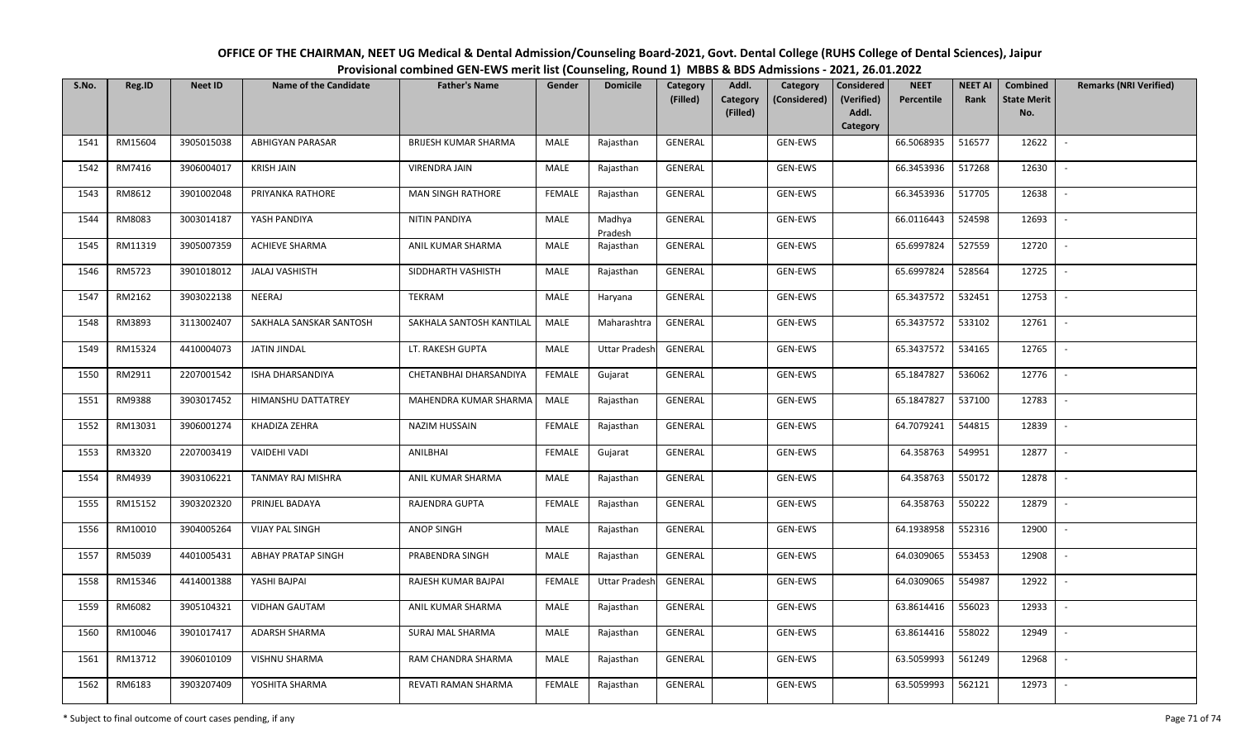| S.No. | Reg.ID  | <b>Neet ID</b> | Name of the Candidate     | <b>Father's Name</b>        | Gender        | <b>Domicile</b>      | Category<br>(Filled) | Addl.<br><b>Category</b><br>(Filled) | Category<br>(Considered) | Considered<br>(Verified)<br>Addl. | <b>NEET</b><br>Percentile | <b>NEET AI</b><br>Rank | Combined<br><b>State Merit</b><br>No. | <b>Remarks (NRI Verified)</b> |
|-------|---------|----------------|---------------------------|-----------------------------|---------------|----------------------|----------------------|--------------------------------------|--------------------------|-----------------------------------|---------------------------|------------------------|---------------------------------------|-------------------------------|
|       |         |                |                           |                             |               |                      |                      |                                      |                          | Category                          |                           |                        |                                       |                               |
| 1541  | RM15604 | 3905015038     | <b>ABHIGYAN PARASAR</b>   | <b>BRIJESH KUMAR SHARMA</b> | MALE          | Rajasthan            | GENERAL              |                                      | GEN-EWS                  |                                   | 66.5068935                | 516577                 | 12622                                 | $\sim$                        |
| 1542  | RM7416  | 3906004017     | <b>KRISH JAIN</b>         | <b>VIRENDRA JAIN</b>        | MALE          | Rajasthan            | GENERAL              |                                      | GEN-EWS                  |                                   | 66.3453936                | 517268                 | 12630                                 | $\overline{\phantom{a}}$      |
| 1543  | RM8612  | 3901002048     | PRIYANKA RATHORE          | <b>MAN SINGH RATHORE</b>    | <b>FEMALE</b> | Rajasthan            | GENERAL              |                                      | GEN-EWS                  |                                   | 66.3453936                | 517705                 | 12638                                 | $\sim$                        |
| 1544  | RM8083  | 3003014187     | YASH PANDIYA              | NITIN PANDIYA               | MALE          | Madhya<br>Pradesh    | GENERAL              |                                      | GEN-EWS                  |                                   | 66.0116443                | 524598                 | 12693                                 | $\mathcal{L}_{\mathcal{A}}$   |
| 1545  | RM11319 | 3905007359     | <b>ACHIEVE SHARMA</b>     | ANIL KUMAR SHARMA           | MALE          | Rajasthan            | GENERAL              |                                      | GEN-EWS                  |                                   | 65.6997824                | 527559                 | 12720                                 | $\sim$                        |
| 1546  | RM5723  | 3901018012     | <b>JALAJ VASHISTH</b>     | SIDDHARTH VASHISTH          | MALE          | Rajasthan            | GENERAL              |                                      | GEN-EWS                  |                                   | 65.6997824                | 528564                 | 12725                                 | $\overline{\phantom{a}}$      |
| 1547  | RM2162  | 3903022138     | NEERAJ                    | TEKRAM                      | MALE          | Haryana              | GENERAL              |                                      | GEN-EWS                  |                                   | 65.3437572                | 532451                 | 12753                                 |                               |
| 1548  | RM3893  | 3113002407     | SAKHALA SANSKAR SANTOSH   | SAKHALA SANTOSH KANTILAL    | MALE          | Maharashtra          | GENERAL              |                                      | GEN-EWS                  |                                   | 65.3437572                | 533102                 | 12761                                 | $\overline{\phantom{a}}$      |
| 1549  | RM15324 | 4410004073     | JATIN JINDAL              | LT. RAKESH GUPTA            | <b>MALE</b>   | <b>Uttar Pradesh</b> | GENERAL              |                                      | GEN-EWS                  |                                   | 65.3437572                | 534165                 | 12765                                 | $\sim$                        |
| 1550  | RM2911  | 2207001542     | ISHA DHARSANDIYA          | CHETANBHAI DHARSANDIYA      | <b>FEMALE</b> | Gujarat              | GENERAL              |                                      | GEN-EWS                  |                                   | 65.1847827                | 536062                 | 12776                                 | $\sim$                        |
| 1551  | RM9388  | 3903017452     | HIMANSHU DATTATREY        | MAHENDRA KUMAR SHARMA       | MALE          | Rajasthan            | GENERAL              |                                      | GEN-EWS                  |                                   | 65.1847827                | 537100                 | 12783                                 |                               |
| 1552  | RM13031 | 3906001274     | KHADIZA ZEHRA             | NAZIM HUSSAIN               | <b>FEMALE</b> | Rajasthan            | GENERAL              |                                      | GEN-EWS                  |                                   | 64.7079241                | 544815                 | 12839                                 | $\sim$                        |
| 1553  | RM3320  | 2207003419     | VAIDEHI VADI              | ANILBHAI                    | <b>FEMALE</b> | Gujarat              | GENERAL              |                                      | GEN-EWS                  |                                   | 64.358763                 | 549951                 | 12877                                 |                               |
| 1554  | RM4939  | 3903106221     | TANMAY RAJ MISHRA         | ANIL KUMAR SHARMA           | MALE          | Rajasthan            | GENERAL              |                                      | GEN-EWS                  |                                   | 64.358763                 | 550172                 | 12878                                 | $\sim$                        |
| 1555  | RM15152 | 3903202320     | PRINJEL BADAYA            | RAJENDRA GUPTA              | <b>FEMALE</b> | Rajasthan            | GENERAL              |                                      | GEN-EWS                  |                                   | 64.358763                 | 550222                 | 12879                                 | $\sim$                        |
| 1556  | RM10010 | 3904005264     | <b>VIJAY PAL SINGH</b>    | <b>ANOP SINGH</b>           | MALE          | Rajasthan            | GENERAL              |                                      | GEN-EWS                  |                                   | 64.1938958                | 552316                 | 12900                                 | $\sim$                        |
| 1557  | RM5039  | 4401005431     | <b>ABHAY PRATAP SINGH</b> | PRABENDRA SINGH             | MALE          | Rajasthan            | GENERAL              |                                      | GEN-EWS                  |                                   | 64.0309065                | 553453                 | 12908                                 | $\sim$                        |
| 1558  | RM15346 | 4414001388     | YASHI BAJPAI              | RAJESH KUMAR BAJPAI         | <b>FEMALE</b> | <b>Uttar Pradesh</b> | GENERAL              |                                      | GEN-EWS                  |                                   | 64.0309065                | 554987                 | 12922                                 | $\sim$                        |
| 1559  | RM6082  | 3905104321     | <b>VIDHAN GAUTAM</b>      | ANIL KUMAR SHARMA           | <b>MALE</b>   | Rajasthan            | GENERAL              |                                      | GEN-EWS                  |                                   | 63.8614416                | 556023                 | 12933                                 | $\overline{\phantom{a}}$      |
| 1560  | RM10046 | 3901017417     | ADARSH SHARMA             | SURAJ MAL SHARMA            | MALE          | Rajasthan            | GENERAL              |                                      | GEN-EWS                  |                                   | 63.8614416                | 558022                 | 12949                                 |                               |
| 1561  | RM13712 | 3906010109     | VISHNU SHARMA             | RAM CHANDRA SHARMA          | MALE          | Rajasthan            | <b>GENERAL</b>       |                                      | GEN-EWS                  |                                   | 63.5059993                | 561249                 | 12968                                 | $\overline{\phantom{a}}$      |
| 1562  | RM6183  | 3903207409     | YOSHITA SHARMA            | REVATI RAMAN SHARMA         | <b>FEMALE</b> | Rajasthan            | GENERAL              |                                      | GEN-EWS                  |                                   | 63.5059993                | 562121                 | 12973                                 | $\overline{\phantom{a}}$      |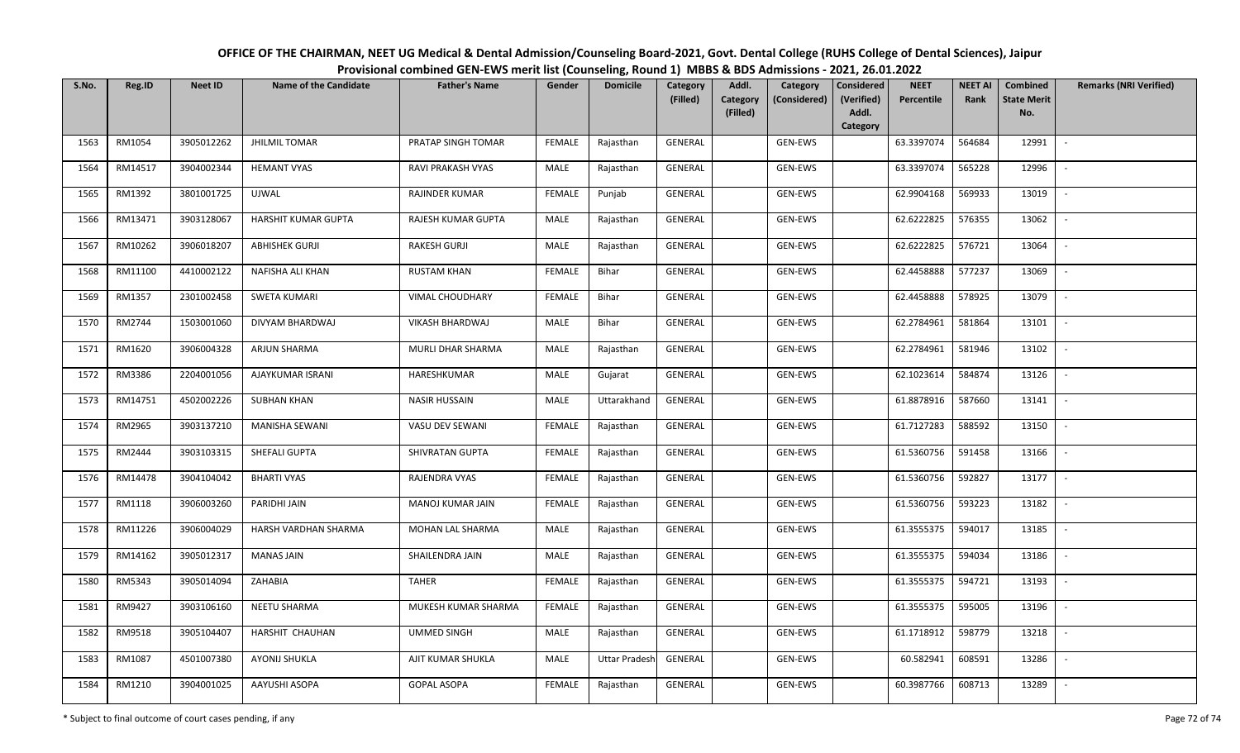| OFFICE OF THE CHAIRMAN, NEET UG Medical & Dental Admission/Counseling Board-2021, Govt. Dental College (RUHS College of Dental Sciences), Jaipur |
|--------------------------------------------------------------------------------------------------------------------------------------------------|
| Provisional combined GEN-EWS merit list (Counseling, Round 1) MBBS & BDS Admissions - 2021, 26.01.2022                                           |

| S.No. | Reg.ID  | <b>Neet ID</b> | <b>Name of the Candidate</b> | <b>Father's Name</b>   | Gender        | <b>Domicile</b>      | Category<br>(Filled) | Addl.<br><b>Category</b><br>(Filled) | Category<br>(Considered) | <b>Considered</b><br>(Verified)<br>Addl.<br>Category | <b>NEET</b><br>Percentile | <b>NEET AI</b><br>Rank | Combined<br><b>State Merit</b><br>No. | <b>Remarks (NRI Verified)</b> |
|-------|---------|----------------|------------------------------|------------------------|---------------|----------------------|----------------------|--------------------------------------|--------------------------|------------------------------------------------------|---------------------------|------------------------|---------------------------------------|-------------------------------|
| 1563  | RM1054  | 3905012262     | <b>JHILMIL TOMAR</b>         | PRATAP SINGH TOMAR     | <b>FEMALE</b> | Rajasthan            | GENERAL              |                                      | GEN-EWS                  |                                                      | 63.3397074                | 564684                 | 12991                                 | $\sim$                        |
| 1564  | RM14517 | 3904002344     | <b>HEMANT VYAS</b>           | RAVI PRAKASH VYAS      | MALE          | Rajasthan            | GENERAL              |                                      | GEN-EWS                  |                                                      | 63.3397074                | 565228                 | 12996                                 | $\overline{\phantom{a}}$      |
| 1565  | RM1392  | 3801001725     | UJWAL                        | RAJINDER KUMAR         | <b>FEMALE</b> | Punjab               | GENERAL              |                                      | <b>GEN-EWS</b>           |                                                      | 62.9904168                | 569933                 | 13019                                 | $\sim$                        |
| 1566  | RM13471 | 3903128067     | HARSHIT KUMAR GUPTA          | RAJESH KUMAR GUPTA     | MALE          | Rajasthan            | GENERAL              |                                      | GEN-EWS                  |                                                      | 62.6222825                | 576355                 | 13062                                 | $\sim$                        |
| 1567  | RM10262 | 3906018207     | <b>ABHISHEK GURJI</b>        | RAKESH GURJI           | MALE          | Rajasthan            | GENERAL              |                                      | GEN-EWS                  |                                                      | 62.6222825                | 576721                 | 13064                                 | $\overline{\phantom{a}}$      |
| 1568  | RM11100 | 4410002122     | NAFISHA ALI KHAN             | <b>RUSTAM KHAN</b>     | <b>FEMALE</b> | Bihar                | GENERAL              |                                      | GEN-EWS                  |                                                      | 62.4458888                | 577237                 | 13069                                 | $\overline{\phantom{a}}$      |
| 1569  | RM1357  | 2301002458     | SWETA KUMARI                 | VIMAL CHOUDHARY        | <b>FEMALE</b> | Bihar                | GENERAL              |                                      | GEN-EWS                  |                                                      | 62.4458888                | 578925                 | 13079                                 |                               |
| 1570  | RM2744  | 1503001060     | DIVYAM BHARDWAJ              | <b>VIKASH BHARDWAJ</b> | MALE          | Bihar                | GENERAL              |                                      | GEN-EWS                  |                                                      | 62.2784961                | 581864                 | 13101                                 | $\overline{\phantom{a}}$      |
| 1571  | RM1620  | 3906004328     | ARJUN SHARMA                 | MURLI DHAR SHARMA      | MALE          | Rajasthan            | GENERAL              |                                      | GEN-EWS                  |                                                      | 62.2784961                | 581946                 | 13102                                 | $\overline{\phantom{a}}$      |
| 1572  | RM3386  | 2204001056     | AJAYKUMAR ISRANI             | HARESHKUMAR            | MALE          | Gujarat              | GENERAL              |                                      | GEN-EWS                  |                                                      | 62.1023614                | 584874                 | 13126                                 | $\overline{\phantom{a}}$      |
| 1573  | RM14751 | 4502002226     | <b>SUBHAN KHAN</b>           | <b>NASIR HUSSAIN</b>   | MALE          | Uttarakhand          | GENERAL              |                                      | GEN-EWS                  |                                                      | 61.8878916                | 587660                 | 13141                                 | $\overline{\phantom{a}}$      |
| 1574  | RM2965  | 3903137210     | MANISHA SEWANI               | VASU DEV SEWANI        | <b>FEMALE</b> | Rajasthan            | GENERAL              |                                      | GEN-EWS                  |                                                      | 61.7127283                | 588592                 | 13150                                 | $\overline{\phantom{a}}$      |
| 1575  | RM2444  | 3903103315     | SHEFALI GUPTA                | SHIVRATAN GUPTA        | <b>FEMALE</b> | Rajasthan            | GENERAL              |                                      | GEN-EWS                  |                                                      | 61.5360756                | 591458                 | 13166                                 | $\overline{\phantom{a}}$      |
| 1576  | RM14478 | 3904104042     | <b>BHARTI VYAS</b>           | RAJENDRA VYAS          | <b>FEMALE</b> | Rajasthan            | GENERAL              |                                      | GEN-EWS                  |                                                      | 61.5360756                | 592827                 | 13177                                 | $\sim$                        |
| 1577  | RM1118  | 3906003260     | PARIDHI JAIN                 | MANOJ KUMAR JAIN       | <b>FEMALE</b> | Rajasthan            | GENERAL              |                                      | GEN-EWS                  |                                                      | 61.5360756                | 593223                 | 13182                                 | $\sim$                        |
| 1578  | RM11226 | 3906004029     | HARSH VARDHAN SHARMA         | MOHAN LAL SHARMA       | MALE          | Rajasthan            | GENERAL              |                                      | GEN-EWS                  |                                                      | 61.3555375                | 594017                 | 13185                                 | $\mathcal{L}_{\mathcal{A}}$   |
| 1579  | RM14162 | 3905012317     | <b>MANAS JAIN</b>            | SHAILENDRA JAIN        | MALE          | Rajasthan            | GENERAL              |                                      | GEN-EWS                  |                                                      | 61.3555375                | 594034                 | 13186                                 | $\sim$                        |
| 1580  | RM5343  | 3905014094     | ZAHABIA                      | <b>TAHER</b>           | <b>FEMALE</b> | Rajasthan            | GENERAL              |                                      | GEN-EWS                  |                                                      | 61.3555375                | 594721                 | 13193                                 |                               |
| 1581  | RM9427  | 3903106160     | NEETU SHARMA                 | MUKESH KUMAR SHARMA    | <b>FEMALE</b> | Rajasthan            | GENERAL              |                                      | GEN-EWS                  |                                                      | 61.3555375                | 595005                 | 13196                                 |                               |
| 1582  | RM9518  | 3905104407     | HARSHIT CHAUHAN              | <b>UMMED SINGH</b>     | MALE          | Rajasthan            | GENERAL              |                                      | GEN-EWS                  |                                                      | 61.1718912                | 598779                 | 13218                                 |                               |
| 1583  | RM1087  | 4501007380     | AYONIJ SHUKLA                | AJIT KUMAR SHUKLA      | MALE          | <b>Uttar Pradesh</b> | GENERAL              |                                      | GEN-EWS                  |                                                      | 60.582941                 | 608591                 | 13286                                 |                               |
| 1584  | RM1210  | 3904001025     | AAYUSHI ASOPA                | <b>GOPAL ASOPA</b>     | <b>FEMALE</b> | Rajasthan            | GENERAL              |                                      | GEN-EWS                  |                                                      | 60.3987766                | 608713                 | 13289                                 |                               |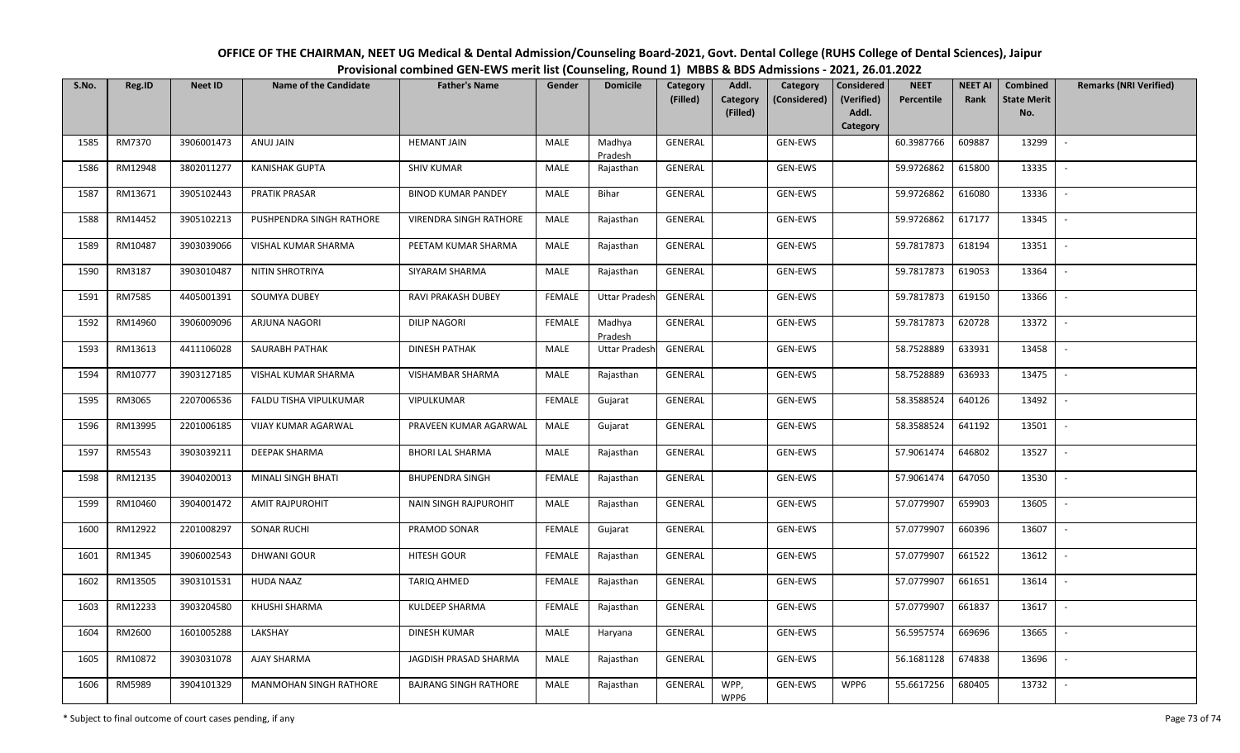| OFFICE OF THE CHAIRMAN, NEET UG Medical & Dental Admission/Counseling Board-2021, Govt. Dental College (RUHS College of Dental Sciences), Jaipur |
|--------------------------------------------------------------------------------------------------------------------------------------------------|
| Provisional combined GEN-EWS merit list (Counseling, Round 1) MBBS & BDS Admissions - 2021, 26.01.2022                                           |

| S.No. | Reg.ID  | <b>Neet ID</b> | <b>Name of the Candidate</b> | <b>Father's Name</b>         | Gender        | <b>Domicile</b>      | Category<br>(Filled) | Addl.<br>Category       | Category<br>(Considered) | <b>Considered</b><br>(Verified) | <b>NEET</b><br>Percentile | <b>NEET AI</b><br>Rank | Combined<br><b>State Merit</b> | <b>Remarks (NRI Verified)</b> |
|-------|---------|----------------|------------------------------|------------------------------|---------------|----------------------|----------------------|-------------------------|--------------------------|---------------------------------|---------------------------|------------------------|--------------------------------|-------------------------------|
|       |         |                |                              |                              |               |                      |                      | (Filled)                |                          | Addl.<br>Category               |                           |                        | No.                            |                               |
| 1585  | RM7370  | 3906001473     | ANUJ JAIN                    | <b>HEMANT JAIN</b>           | MALE          | Madhya<br>Pradesh    | GENERAL              | GEN-EWS                 |                          |                                 | 60.3987766                | 609887                 | 13299                          |                               |
| 1586  | RM12948 | 3802011277     | <b>KANISHAK GUPTA</b>        | <b>SHIV KUMAR</b>            | MALE          | Rajasthan            | GENERAL              | GEN-EWS                 |                          |                                 | 59.9726862                | 615800                 | 13335                          | $\overline{\phantom{a}}$      |
| 1587  | RM13671 | 3905102443     | PRATIK PRASAR                | <b>BINOD KUMAR PANDEY</b>    | <b>MALE</b>   | Bihar                | GENERAL              | GEN-EWS                 |                          |                                 | 59.9726862                | 616080                 | 13336                          | $\sim$                        |
| 1588  | RM14452 | 3905102213     | PUSHPENDRA SINGH RATHORE     | VIRENDRA SINGH RATHORE       | MALE          | Rajasthan            | GENERAL              | GEN-EWS                 |                          |                                 | 59.9726862                | 617177                 | 13345                          | $\overline{\phantom{a}}$      |
| 1589  | RM10487 | 3903039066     | VISHAL KUMAR SHARMA          | PEETAM KUMAR SHARMA          | MALE          | Rajasthan            | GENERAL              | GEN-EWS                 |                          |                                 | 59.7817873                | 618194                 | 13351                          | $\overline{\phantom{a}}$      |
| 1590  | RM3187  | 3903010487     | NITIN SHROTRIYA              | SIYARAM SHARMA               | <b>MALE</b>   | Rajasthan            | GENERAL              | GEN-EWS                 |                          |                                 | 59.7817873                | 619053                 | 13364                          | $\overline{\phantom{a}}$      |
| 1591  | RM7585  | 4405001391     | <b>SOUMYA DUBEY</b>          | RAVI PRAKASH DUBEY           | <b>FEMALE</b> | <b>Uttar Pradesh</b> | GENERAL              | GEN-EWS                 |                          |                                 | 59.7817873                | 619150                 | 13366                          |                               |
| 1592  | RM14960 | 3906009096     | ARJUNA NAGORI                | <b>DILIP NAGORI</b>          | <b>FEMALE</b> | Madhya<br>Pradesh    | GENERAL              | GEN-EWS                 |                          |                                 | 59.7817873                | 620728                 | 13372                          | $\overline{\phantom{a}}$      |
| 1593  | RM13613 | 4411106028     | SAURABH PATHAK               | <b>DINESH PATHAK</b>         | <b>MALE</b>   | <b>Uttar Pradesh</b> | <b>GENERAL</b>       | GEN-EWS                 |                          |                                 | 58.7528889                | 633931                 | 13458                          |                               |
| 1594  | RM10777 | 3903127185     | VISHAL KUMAR SHARMA          | VISHAMBAR SHARMA             | <b>MALE</b>   | Rajasthan            | GENERAL              | GEN-EWS                 |                          |                                 | 58.7528889                | 636933                 | 13475                          | $\sim$                        |
| 1595  | RM3065  | 2207006536     | FALDU TISHA VIPULKUMAR       | VIPULKUMAR                   | <b>FEMALE</b> | Gujarat              | GENERAL              | GEN-EWS                 |                          |                                 | 58.3588524                | 640126                 | 13492                          |                               |
| 1596  | RM13995 | 2201006185     | VIJAY KUMAR AGARWAL          | PRAVEEN KUMAR AGARWAL        | MALE          | Gujarat              | GENERAL              | GEN-EWS                 |                          |                                 | 58.3588524                | 641192                 | 13501                          | $\overline{\phantom{a}}$      |
| 1597  | RM5543  | 3903039211     | <b>DEEPAK SHARMA</b>         | <b>BHORI LAL SHARMA</b>      | MALE          | Rajasthan            | GENERAL              | GEN-EWS                 |                          |                                 | 57.9061474                | 646802                 | 13527                          |                               |
| 1598  | RM12135 | 3904020013     | MINALI SINGH BHATI           | <b>BHUPENDRA SINGH</b>       | <b>FEMALE</b> | Rajasthan            | GENERAL              | GEN-EWS                 |                          |                                 | 57.9061474                | 647050                 | 13530                          | $\blacksquare$                |
| 1599  | RM10460 | 3904001472     | <b>AMIT RAJPUROHIT</b>       | <b>NAIN SINGH RAJPUROHIT</b> | MALE          | Rajasthan            | GENERAL              | GEN-EWS                 |                          |                                 | 57.0779907                | 659903                 | 13605                          | $\overline{\phantom{a}}$      |
| 1600  | RM12922 | 2201008297     | <b>SONAR RUCHI</b>           | PRAMOD SONAR                 | <b>FEMALE</b> | Gujarat              | GENERAL              | GEN-EWS                 |                          |                                 | 57.0779907                | 660396                 | 13607                          | $\sim$                        |
| 1601  | RM1345  | 3906002543     | <b>DHWANI GOUR</b>           | HITESH GOUR                  | <b>FEMALE</b> | Rajasthan            | GENERAL              | GEN-EWS                 |                          |                                 | 57.0779907                | 661522                 | 13612                          | $\overline{\phantom{a}}$      |
| 1602  | RM13505 | 3903101531     | <b>HUDA NAAZ</b>             | <b>TARIQ AHMED</b>           | <b>FEMALE</b> | Rajasthan            | GENERAL              | GEN-EWS                 |                          |                                 | 57.0779907                | 661651                 | 13614                          | $\overline{\phantom{a}}$      |
| 1603  | RM12233 | 3903204580     | KHUSHI SHARMA                | KULDEEP SHARMA               | <b>FEMALE</b> | Rajasthan            | GENERAL              | GEN-EWS                 |                          |                                 | 57.0779907                | 661837                 | 13617                          | $\blacksquare$                |
| 1604  | RM2600  | 1601005288     | LAKSHAY                      | <b>DINESH KUMAR</b>          | MALE          | Haryana              | GENERAL              | GEN-EWS                 |                          |                                 | 56.5957574                | 669696                 | 13665                          |                               |
| 1605  | RM10872 | 3903031078     | AJAY SHARMA                  | JAGDISH PRASAD SHARMA        | MALE          | Rajasthan            | <b>GENERAL</b>       | GEN-EWS                 |                          |                                 | 56.1681128                | 674838                 | 13696                          | $\overline{\phantom{a}}$      |
| 1606  | RM5989  | 3904101329     | MANMOHAN SINGH RATHORE       | <b>BAJRANG SINGH RATHORE</b> | <b>MALE</b>   | Rajasthan            | <b>GENERAL</b>       | WPP,<br>GEN-EWS<br>WPP6 |                          | WPP6                            | 55.6617256                | 680405                 | 13732                          |                               |